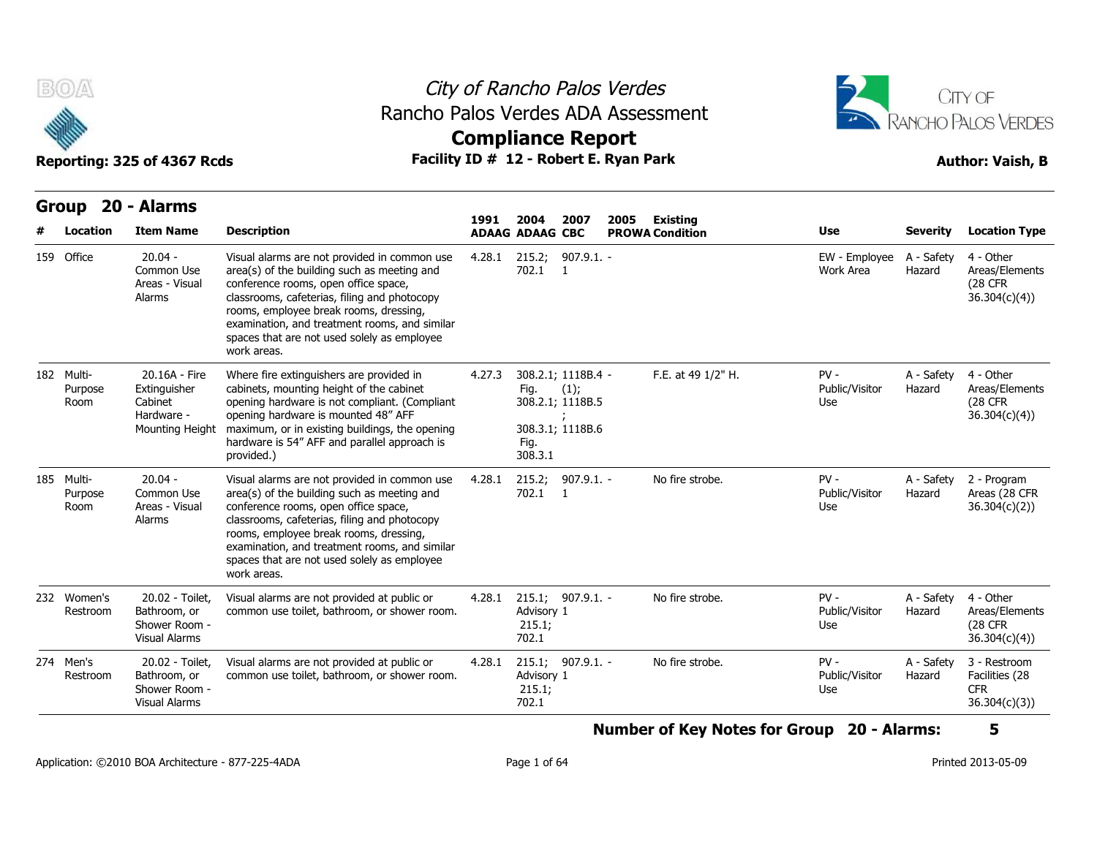



| B(0)                          | Reporting: 325 of 4367 Rcds                                               | Rancho Palos Verdes ADA Assessment<br>Facility ID # 12 - Robert E. Ryan Park                                                                                                                                                                                                                                                                 | City of Rancho Palos Verdes<br><b>Compliance Report</b> |                                |                                                                    |      |                                    |                                 |                      | CITY OF<br><b>RANCHO PALOS VERDES</b><br><b>Author: Vaish, B</b> |
|-------------------------------|---------------------------------------------------------------------------|----------------------------------------------------------------------------------------------------------------------------------------------------------------------------------------------------------------------------------------------------------------------------------------------------------------------------------------------|---------------------------------------------------------|--------------------------------|--------------------------------------------------------------------|------|------------------------------------|---------------------------------|----------------------|------------------------------------------------------------------|
| <b>Group</b><br>Location      | 20 - Alarms<br><b>Item Name</b>                                           | <b>Description</b>                                                                                                                                                                                                                                                                                                                           | 1991                                                    | 2004<br><b>ADAAG ADAAG CBC</b> | 2007                                                               | 2005 | Existing<br><b>PROWA Condition</b> | Use                             | <b>Severity</b>      | <b>Location Type</b>                                             |
| 159 Office                    | $20.04 -$<br>Common Use<br>Areas - Visual<br>Alarms                       | Visual alarms are not provided in common use<br>area(s) of the building such as meeting and<br>conference rooms, open office space,<br>classrooms, cafeterias, filing and photocopy<br>rooms, employee break rooms, dressing,<br>examination, and treatment rooms, and similar<br>spaces that are not used solely as employee<br>work areas. | 4.28.1                                                  | 215.2;<br>702.1                | $907.9.1. -$<br>$\overline{1}$                                     |      |                                    | EW - Employee<br>Work Area      | A - Safety<br>Hazard | 4 - Other<br>Areas/Elements<br>(28 CFR<br>36.304(c)(4)           |
| 182 Multi-<br>Purpose<br>Room | 20.16A - Fire<br>Extinguisher<br>Cabinet<br>Hardware -<br>Mounting Height | Where fire extinguishers are provided in<br>cabinets, mounting height of the cabinet<br>opening hardware is not compliant. (Compliant<br>opening hardware is mounted 48" AFF<br>maximum, or in existing buildings, the opening<br>hardware is 54" AFF and parallel approach is<br>provided.)                                                 | 4.27.3                                                  | Fig.<br>Fig.<br>308.3.1        | 308.2.1; 1118B.4 -<br>(1);<br>308.2.1; 1118B.5<br>308.3.1; 1118B.6 |      | F.E. at 49 1/2" H.                 | $PV -$<br>Public/Visitor<br>Use | A - Safety<br>Hazard | 4 - Other<br>Areas/Elements<br><b>(28 CFR)</b><br>36.304(c)(4)   |
| 185 Multi-<br>Purpose<br>Room | $20.04 -$<br>Common Use<br>Areas - Visual<br>Alarms                       | Visual alarms are not provided in common use<br>area(s) of the building such as meeting and<br>conference rooms, open office space,<br>classrooms, cafeterias, filing and photocopy<br>rooms, employee break rooms, dressing,<br>examination, and treatment rooms, and similar<br>spaces that are not used solely as employee<br>work areas. | 4.28.1                                                  | 215.2;<br>702.1                | $907.9.1. -$<br>-1                                                 |      | No fire strobe.                    | $PV -$<br>Public/Visitor<br>Use | A - Safety<br>Hazard | 2 - Program<br>Areas (28 CFR<br>36.304(c)(2))                    |
| 232 Women's<br>Restroom       | 20.02 - Toilet.<br>Bathroom, or<br>Shower Room -<br><b>Visual Alarms</b>  | Visual alarms are not provided at public or<br>common use toilet, bathroom, or shower room.                                                                                                                                                                                                                                                  | 4.28.1                                                  | Advisory 1<br>215.1;<br>702.1  | 215.1; 907.9.1. -                                                  |      | No fire strobe.                    | $PV -$<br>Public/Visitor<br>Use | A - Safety<br>Hazard | 4 - Other<br>Areas/Elements<br><b>(28 CFR)</b><br>36.304(c)(4)   |
| 274 Men's<br>Restroom         | 20.02 - Toilet,<br>Bathroom, or<br>Shower Room -<br><b>Visual Alarms</b>  | Visual alarms are not provided at public or<br>common use toilet, bathroom, or shower room.                                                                                                                                                                                                                                                  | 4.28.1                                                  | Advisory 1<br>215.1;<br>702.1  | 215.1; 907.9.1. -                                                  |      | No fire strobe.                    | $PV -$<br>Public/Visitor<br>Use | A - Safety<br>Hazard | 3 - Restroom<br>Facilities (28<br><b>CFR</b><br>36.304(c)(3)     |

**Number of Key Notes for Group 20 - Alarms: 5**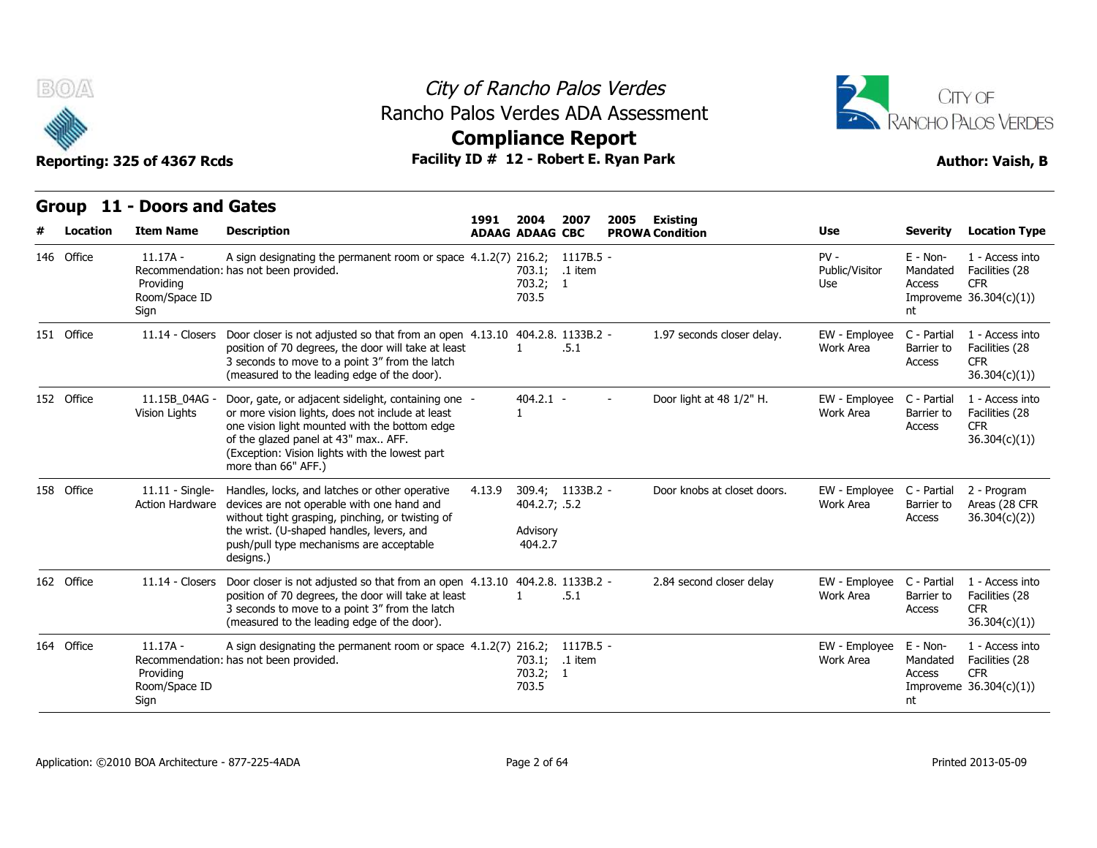

**Compliance Report**



Reporting: 325 of 4367 Rcds **Facility ID # 12 - Robert E. Ryan Park Author: Vaish, B** 

**Group 11 - Doors and Gates**

### **Item Name Description 1991 ADAAG 2004 ADAAG CBC PROWA 2007 2005 Existing # Location Condition Use Severity Location Type** 11.17A - Recommendation: has not been provided. Providing Room/Space ID **Sign** A sign designating the permanent room or space 4.1.2(7) 216.2; 1117B.5 -**16 Rancho Palos V**<br> **10s Verdes ADA A<br>
<b>10 # 12 - Robert E. Ry<br>
1991 2004 2007 20**<br> **1991 2004 2007 20**<br> **1991 2004 2007 20<br>
ADAAG ADAAG CBC PI<br>
4.1.2(7) 216.2; 1117B.5 -<br>
703.2; 1<br>
703.5<br>
703.5** 703.1; .1 item 703.2; 703.5 1 - PV - Public/Visitor Mandated Use Access E - Non-Mandated Facilities (28 Improveme 36.304(c)(1)) nt 1 - Access into CFR **146 Office**<br> **11 - Doors a**<br> **146 Office**<br> **146 Office**<br> **146 Office**<br> **146 Office**<br> **146 Office**<br> **146 Office**<br> **146 Office**<br> **146 Providing**<br> **Providing**<br> **Providing**<br> **Providing** 5 of 4367 Rcds<br> **Doors and Gates**<br> **ILOSE 1991 2001**<br> **ILOSE 1991 2001**<br> **ILOSE 1991 2001**<br> **ILOSE 1991 2001**<br> **ILOSE 1991 2001**<br> **ILOSE 1991 2001**<br> **ILOSE 1991 2001**<br> **ECOMMENT 11.14 - A sign designating the permanent ro** position of 70 degrees, the door will take at least 3 seconds to move to a point 3" from the latch (measured to the leading edge of the door). **D # 12 - Robert E. Ry**<br> **1991 2004 2007 20**<br> **ADAAG ADAAG CBC PR**<br>
4.1.2(7) 216.2; 1117B.5 -<br>
703.1; .1 item<br>
703.2; 1<br>
703.5<br>
4.13.10 404.2.8. 1133B.2 -<br>
1 .5.1 1 .5.1 1133B.2 - 1.97 seconds closer delay. EW - Employee Work Area Barrier to C - Partial 1 - Access into Barrier to Facilities (28 **Access** CFR 36.304(c)(1)) Reporting: 325 of 4367 I<br>
Group 11 - Doors a<br>
# Location Item Name<br>
146 Office 11.17A - Recommendat<br>
Providing<br>
Room/Space I<br>
Sign<br>
151 Office 11.14 - Close 11.15B\_04AG - Vision Lights or more vision lights, does not include at least Door, gate, or adjacent sidelight, containing one one vision light mounted with the bottom edge of the glazed panel at 43" max.. AFF. (Exception: Vision lights with the lowest part more than 66" AFF.) 404.2.1 - - Door light at 48 1/2" H. 1 EW - Employee C - Partial Work Area Barrier to C - Partial 1 - Access into Barrier to Facilities (28 Access CFR 36.304(c)(1)) **Example 1445**<br> **146 Office**<br> **11.17A -**<br> **11.17A -**<br> **Recommendad**<br> **Providing**<br> **1252 Office**<br> **11.14 - Close**<br> **11.14 - Close**<br> **11.14 - Close**<br> **11.15B\_04A4**<br> **Vision Lights** 11.11 - Single- Handles, locks, and latches or other operative 4.13.9 Action Hardware devices are not operable with one hand and without tight grasping, pinching, or twisting of the wrist. (U-shaped handles, levers, and push/pull type mechanisms are acceptable designs.) 4.13.9 309.4; 404.2.7; .5.2 Advisory 404.2.7 Door knobs at closet doors EW - Employee C - Partial Work Area Barrier to C - Partial 2 - Program Barrier to Areas (28 CFR Access 36.304(c)(2)) Sign<br>
151 Office 11.14 - Close<br>
11.15B\_04A4<br>
152 Office 11.15B\_04A4<br>
11.115B\_04A4<br>
11.11 - Sing<br>
158 Office 11.11 - Sing<br>
Action Hardwa 11.11 - Singletter and the place of the place of the place of the place of the place of the solid plane of the solid plane of the solid plane of the solid plane of the solid plane of the solid plane of the solid plane of t position of 70 degrees, the door will take at least 3 seconds to move to a point 3" from the latch (measured to the leading edge of the door). 1<br>
1<br>
4.13.9 309.4; 1133B.2 -<br>
404.2.7; 5.2<br>
Advisory<br>
404.2.7<br>
4.13.10 404.2.8. 1133B.2 -<br>
1 5.1 1 .5.1 11.14 - Closers Door closer is not adjusted so that from an open 4.13.10 404.2.8. 1133B.2 - 2.84 second closer delay EW - Employee C - Partial Work Area Barrier to C - Partial 1 - Access into Barrier to Facilities (28 Access CFR 36.304(c)(1)) Vision Lights<br>Vision Lights<br>158 Office 11.11 - Singl<br>Action Hardwa<br>162 Office 11.14 - Close 11.17A - Recommendation: has not been provided. Providing Room/Space ID **Sign** A sign designating the permanent room or space 4.1.2(7) 216.2; 1117B.5 -4.13.9 309.4; 1133B.2 -<br>
404.2.7; .5.2<br>
Advisory<br>
404.2.7<br>
404.2.7<br>
4.13.10 404.2.8. 1133B.2 -<br>
1 .5.1<br>
4.1.2(7) 216.2; 1117B.5 -<br>
703.2; 1<br>
703.5<br>
703.5 703.1; .1 item 703.2; 703.5 1 - EW - Employee E - Non-Work Area Mandated Mandated Facilities (28 Access Improveme 36.304(c)(1)) nt 1 - Access into **CFR** 158 Office 11.11 - Sing<br>
Action Hardwa<br>
162 Office 11.14 - Close<br>
164 Office 11.17A -<br>
Recommendat<br>
Providing<br>
Room/Space I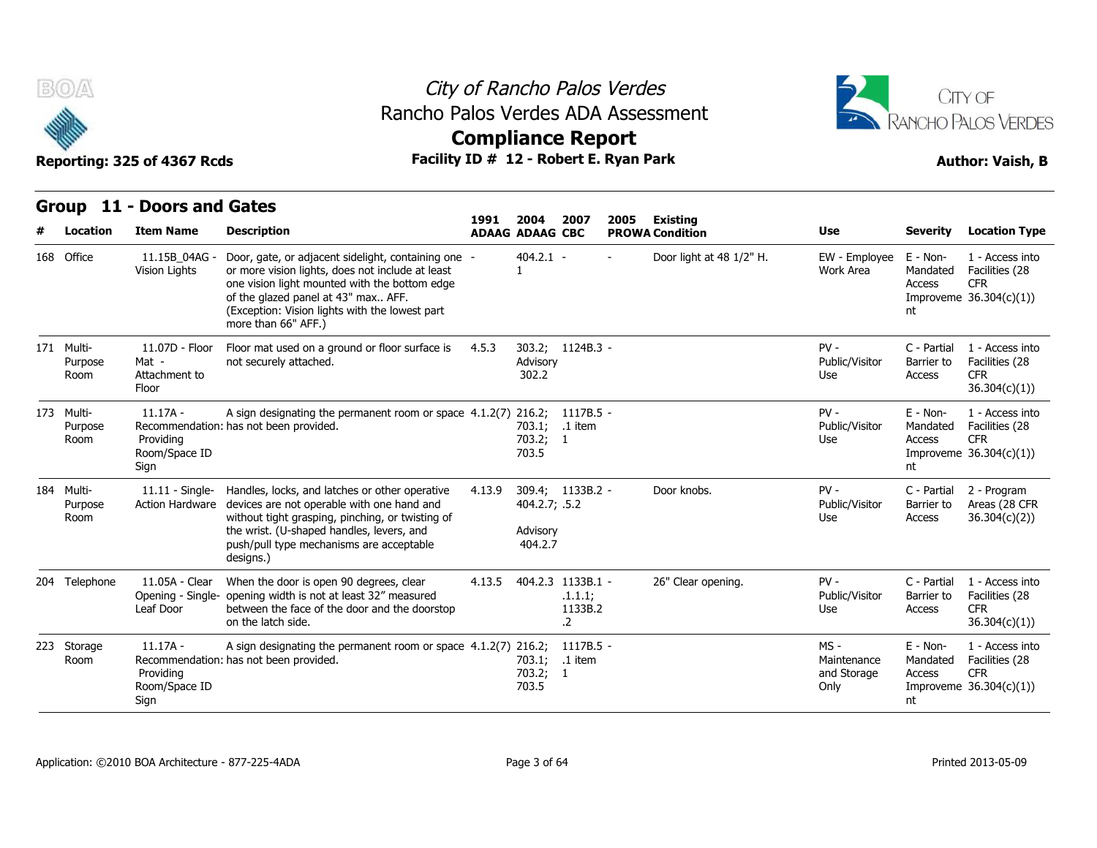

## City of Rancho Palos Verdes Rancho Palos Verdes ADA Assessment



**Compliance Report**

| Group                         | 11 - Doors and Gates                              |                                                                                                                                                                                                                                                                          | 1991   | 2004                                 | 2007                                 | 2005 | <b>Existing</b>          |                                           |                                        |                                                                             |
|-------------------------------|---------------------------------------------------|--------------------------------------------------------------------------------------------------------------------------------------------------------------------------------------------------------------------------------------------------------------------------|--------|--------------------------------------|--------------------------------------|------|--------------------------|-------------------------------------------|----------------------------------------|-----------------------------------------------------------------------------|
| Location                      | <b>Item Name</b>                                  | <b>Description</b>                                                                                                                                                                                                                                                       |        | <b>ADAAG ADAAG CBC</b>               |                                      |      | <b>PROWA Condition</b>   | <b>Use</b>                                | <b>Severity</b>                        | <b>Location Type</b>                                                        |
| 168 Office                    | 11.15B 04AG -<br>Vision Lights                    | Door, gate, or adjacent sidelight, containing one -<br>or more vision lights, does not include at least<br>one vision light mounted with the bottom edge<br>of the glazed panel at 43" max AFF.<br>(Exception: Vision lights with the lowest part<br>more than 66" AFF.) |        | $404.2.1 -$                          |                                      |      | Door light at 48 1/2" H. | EW - Employee<br>Work Area                | $E - Non-$<br>Mandated<br>Access<br>nt | 1 - Access into<br>Facilities (28<br><b>CFR</b><br>Improveme $36.304(c)(1)$ |
| 171 Multi-<br>Purpose<br>Room | 11.07D - Floor<br>Mat -<br>Attachment to<br>Floor | Floor mat used on a ground or floor surface is<br>not securely attached.                                                                                                                                                                                                 | 4.5.3  | 303.2;<br>Advisory<br>302.2          | 1124B.3 -                            |      |                          | $PV -$<br>Public/Visitor<br>Use           | C - Partial<br>Barrier to<br>Access    | 1 - Access into<br>Facilities (28<br><b>CFR</b><br>36.304(c)(1)             |
| 173 Multi-<br>Purpose<br>Room | $11.17A -$<br>Providina<br>Room/Space ID<br>Sign  | A sign designating the permanent room or space 4.1.2(7) 216.2;<br>Recommendation: has not been provided.                                                                                                                                                                 |        | 703.1;<br>703.2; 1<br>703.5          | 1117B.5 -<br>.1 item                 |      |                          | $PV -$<br>Public/Visitor<br>Use           | $E - Non-$<br>Mandated<br>Access<br>nt | 1 - Access into<br>Facilities (28<br><b>CFR</b><br>Improveme $36.304(c)(1)$ |
| 184 Multi-<br>Purpose<br>Room | $11.11 -$ Single-<br><b>Action Hardware</b>       | Handles, locks, and latches or other operative<br>devices are not operable with one hand and<br>without tight grasping, pinching, or twisting of<br>the wrist. (U-shaped handles, levers, and<br>push/pull type mechanisms are acceptable<br>designs.)                   | 4.13.9 | 404.2.7; .5.2<br>Advisory<br>404.2.7 | 309.4; 1133B.2 -                     |      | Door knobs.              | $PV -$<br>Public/Visitor<br>Use           | C - Partial<br>Barrier to<br>Access    | 2 - Program<br>Areas (28 CFR<br>36.304(c)(2)                                |
| 204 Telephone                 | 11.05A - Clear<br>Leaf Door                       | When the door is open 90 degrees, clear<br>Opening - Single- opening width is not at least 32" measured<br>between the face of the door and the doorstop<br>on the latch side.                                                                                           | 4.13.5 | 404.2.3 1133B.1 -                    | .1.1.1;<br>1133B.2<br>$\overline{2}$ |      | 26" Clear opening.       | $PV -$<br>Public/Visitor<br>Use           | C - Partial<br>Barrier to<br>Access    | 1 - Access into<br>Facilities (28<br><b>CFR</b><br>36.304(c)(1))            |
| 223 Storage<br>Room           | $11.17A -$<br>Providing<br>Room/Space ID<br>Sign  | A sign designating the permanent room or space 4.1.2(7) 216.2;<br>Recommendation: has not been provided.                                                                                                                                                                 |        | 703.1;<br>703.2; 1<br>703.5          | $1117B.5 -$<br>.1 item               |      |                          | MS-<br>Maintenance<br>and Storage<br>Only | $E - Non-$<br>Mandated<br>Access<br>nt | 1 - Access into<br>Facilities (28<br><b>CFR</b><br>Improveme $36.304(c)(1)$ |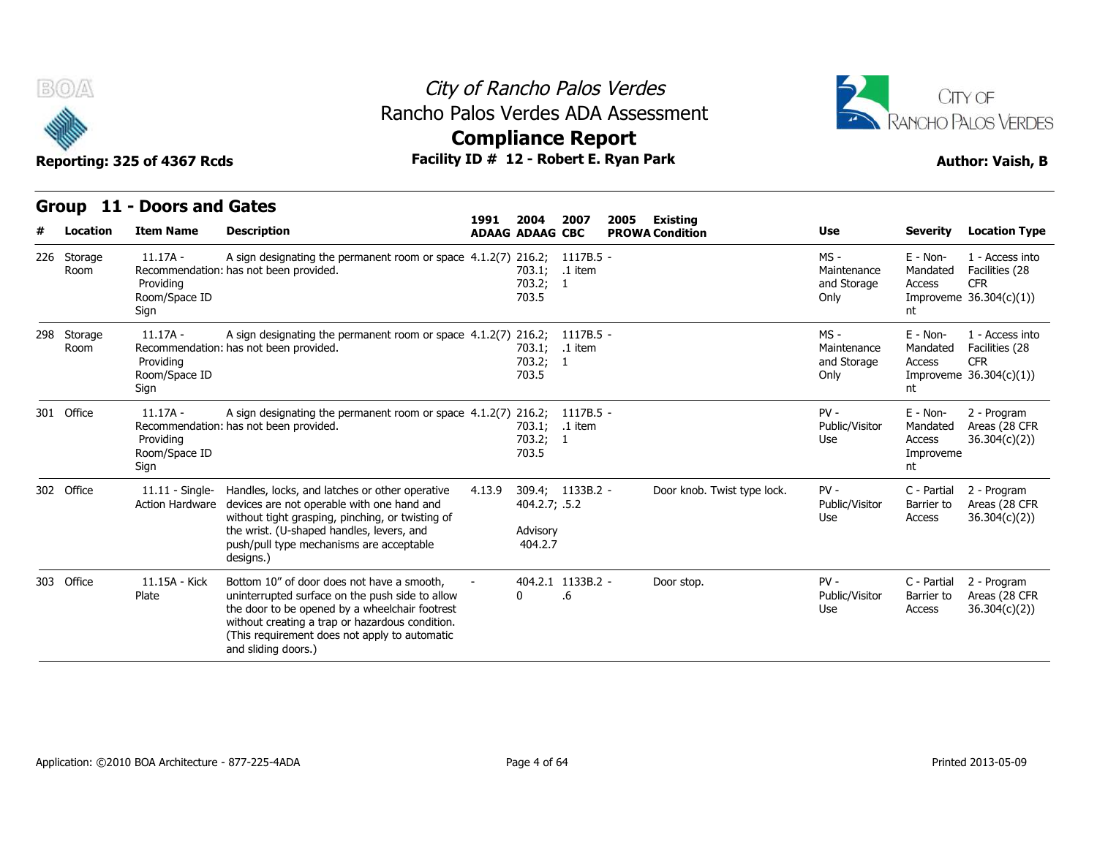

**Compliance Report**



Reporting: 325 of 4367 Rcds **Facility ID # 12 - Robert E. Ryan Park Author: Vaish, B** 

### **Group 11 - Doors and Gates Item Name Description 1991 ADAAG 2004 ADAAG CBC PROWA 2007 2005 Existing # Location Condition Use Severity Location Type** 11.17A - Recommendation: has not been provided. Room Providing Room/Space ID **Sign** A sign designating the permanent room or space 4.1.2(7) 216.2; **16 Rancho Palos V**<br> **10s Verdes ADA A<br>
<b>10 # 12 - Robert E. Ry<br>
1991 2004 2007 20**<br> **1991 2004 2007 20**<br> **1991 2004 2007 20<br>
ADAAG ADAAG CBC PI<br>
4.1.2(7) 216.2; 1117B.5 -<br>
703.2; 1<br>
703.5<br>
703.5** 703.1; .1 item 703.2; 703.5 1117B.5 1 - MS - Maintenance Mandated and Storage Only Improveme 36.304(c)(1)) E - Non-Mandated Facilities (28 Access nt 1 - Access into CFR  $\begin{array}{c}\n\hline\n\text{Reporting: } 325 \text{ of } 4:\n\hline\n\text{Group 11 - Doo}\n\end{array}$ <br>  $\begin{array}{c}\n\text{Group 11 - Doo}\n\text{Room}\n\end{array}$  11.17A - Recommendation: has not been provided. Room Providing Room/Space ID Sign A sign designating the permanent room or space 4.1.2(7) 216.2; 1117B.5 -**D # 12 - Robert E. Ry<br>
4.1.2(7) 2004 2007 20<br>
ADAAG ADAAG CBC PI<br>
4.1.2(7) 216.2; 1117B.5 -<br>
703.1; .1 item<br>
703.2; 1<br>
703.5<br>
4.1.2(7) 216.2; 1117B.5 -<br>
703.2; 1<br>
703.2; 1<br>
703.2; 1<br>
703.2; 1<br>
703.2; 1<br>
703.2; 1<br>
703.2; 1** 703.1; .1 item 703.2; 703.5 1 - MS - Maintenance Mandated and Storage Only Improveme 36.304(c)(1)) E - Non-Mandated Facilities (28 Access nt 1 - Access into CFR Reporting: 325 of 4<br>
Croup 11 - Doo<br>
# Location Item N<br>
226 Storage 11.17,<br>
Room Providing<br>
Room/S<br>
5ign<br>
298 Storage 11.17,<br>
Room Providing<br>
Providing<br>
Room<br>
Providing<br>
Providing<br>
Providing<br>
Providing<br>
Providing<br>
Providi 11.17A - Recommendation: has not been provided. Providing Room/Space ID Sign A sign designating the permanent room or space 4.1.2(7) 216.2; 1117B.5 -ADANG ADANG CBC<br>
4.1.2(7) 216.2; 1117B.5 -<br>
703.1; .1 item<br>
703.2; 1<br>
703.5<br>
4.1.2(7) 216.2; 1117B.5 -<br>
703.1; .1 item<br>
703.2; 1<br>
703.5<br>
4.1.2(7) 216.2; 1117B.5 -<br>
703.5<br>
4.1.2(7) 216.2; 1117B.5 -<br>
703.1; .1 item<br>
703.2; 1 703.1; .1 item 703.2; 703.5 1 - PV - Public/Visitor Use Access E - Non-Mandated Areas (28 CFR Access 36.304(c)(2)) Improveme nt 2 - Program metrical contract the term in the Recommendat<br>
Room Recommendat<br>
Providing<br>
Room/Space I<br>
Sign<br>
298 Storage 11.17A -<br>
Room Recommendat<br>
Providing<br>
Room/Space I<br>
Sign<br>
301 Office 11.17A -<br>
Room/Space I<br>
Providing<br>
Room/Spac 11.11 - Single- Handles, locks, and latches or other operative 4.13.9 Action Hardware devices are not operable with one hand and without tight grasping, pinching, or twisting of the wrist. (U-shaped handles, levers, and push/pull type mechanisms are acceptable designs.) 4.13.9 309.4; 404.2.7; .5.2 Advisory 404.2.7 1133B.2 - Door knob. Twist type lock. PV - Public/Visitor Use **Access** C - Partial 2 - Program Barrier to Areas (28 CFR Access 36.304(c)(2)) Sign<br>
298 Storage 11.17A -<br>
Room Recommendat<br>
Providing<br>
Room/Space I<br>
301 Office 11.17A -<br>
Recommendat<br>
Providing<br>
Room/Space I<br>
Sign<br>
302 Office 11.11 - Singl<br>
Action Hardwa 11.15A - Kick Plate uninterrupted surface on the push side to allow Bottom 10" of door does not have a smooth, the door to be opened by a wheelchair footrest without creating a trap or hazardous condition. (This requirement does not apply to automatic and sliding doors.) 404.2.1 1133B.2 - $0 \qquad .6$ 1133B.2 - Door stop. PV - .6 Public/Visitor Barrier to Use Access C - Partial 2 - Program Barrier to Areas (28 CFR Access 36.304(c)(2)) 301 Office 11.17A -<br>
Recommendat<br>
Providing<br>
Room/Space I<br>
Sign<br>
302 Office 11.11 - Singl<br>
Action Hardwa<br>
303 Office 11.15A - Kicl<br>
Plate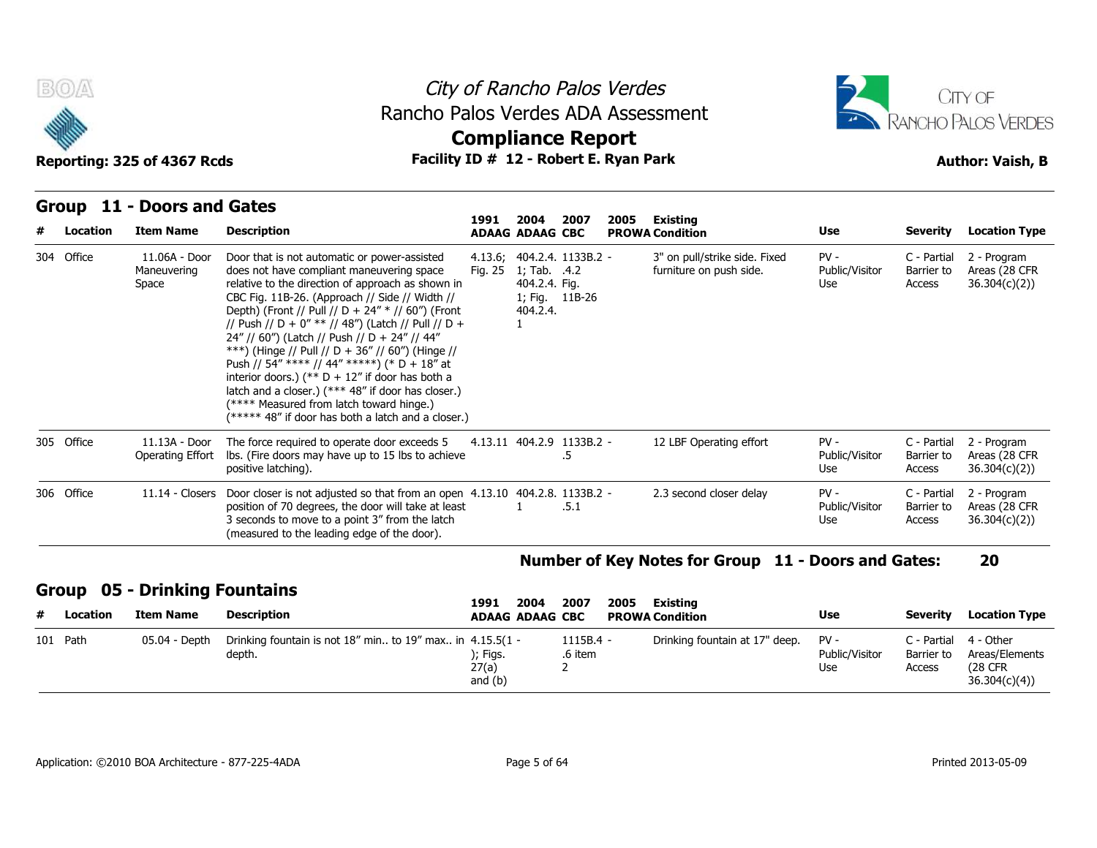



### **Group 11 - Doors and Gates**

| # | Location   | <b>Item Name</b>                      | <b>Description</b>                                                                                                                                                                                                                                                                                                                                                                                                                                                                                                                                                                                                                                                            | 1991                           | 2004<br><b>ADAAG ADAAG CBC</b>            | 2007                                         | 2005 | Existing<br><b>PROWA Condition</b>                       | Use                             | <b>Severity</b>                     | <b>Location Type</b>                                           |
|---|------------|---------------------------------------|-------------------------------------------------------------------------------------------------------------------------------------------------------------------------------------------------------------------------------------------------------------------------------------------------------------------------------------------------------------------------------------------------------------------------------------------------------------------------------------------------------------------------------------------------------------------------------------------------------------------------------------------------------------------------------|--------------------------------|-------------------------------------------|----------------------------------------------|------|----------------------------------------------------------|---------------------------------|-------------------------------------|----------------------------------------------------------------|
|   | 304 Office | 11.06A - Door<br>Maneuvering<br>Space | Door that is not automatic or power-assisted<br>does not have compliant maneuvering space<br>relative to the direction of approach as shown in<br>CBC Fig. 11B-26. (Approach // Side // Width //<br>Depth) (Front // Pull // D + 24" * // 60") (Front<br>// Push // D + 0" ** // 48") (Latch // Pull // D +<br>24" // 60") (Latch // Push // D + 24" // 44"<br>***) (Hinge // Pull // D + 36" // 60") (Hinge //<br>Push // 54" **** // 44" *****) (* D + 18" at<br>interior doors.) (** $D + 12$ " if door has both a<br>latch and a closer.) (*** 48" if door has closer.)<br>(**** Measured from latch toward hinge.)<br>(***** 48" if door has both a latch and a closer.) | Fig. 25                        | 1; Tab. .4.2<br>404.2.4. Fig.<br>404.2.4. | 4.13.6; 404.2.4. 1133B.2 -<br>1; Fig. 11B-26 |      | 3" on pull/strike side. Fixed<br>furniture on push side. | $PV -$<br>Public/Visitor<br>Use | C - Partial<br>Barrier to<br>Access | 2 - Program<br>Areas (28 CFR<br>36.304(c)(2)                   |
|   | 305 Office | 11.13A - Door<br>Operating Effort     | The force required to operate door exceeds 5<br>Ibs. (Fire doors may have up to 15 lbs to achieve<br>positive latching).                                                                                                                                                                                                                                                                                                                                                                                                                                                                                                                                                      |                                |                                           | 4.13.11 404.2.9 1133B.2 -<br>.5              |      | 12 LBF Operating effort                                  | $PV -$<br>Public/Visitor<br>Use | C - Partial<br>Barrier to<br>Access | 2 - Program<br>Areas (28 CFR<br>36.304(c)(2)                   |
|   | 306 Office | $11.14$ - Closers                     | Door closer is not adjusted so that from an open 4.13.10 404.2.8. 1133B.2 -<br>position of 70 degrees, the door will take at least<br>3 seconds to move to a point 3" from the latch<br>(measured to the leading edge of the door).                                                                                                                                                                                                                                                                                                                                                                                                                                           |                                |                                           | .5.1                                         |      | 2.3 second closer delay                                  | $PV -$<br>Public/Visitor<br>Use | C - Partial<br>Barrier to<br>Access | 2 - Program<br>Areas (28 CFR<br>36.304(c)(2)                   |
|   |            |                                       |                                                                                                                                                                                                                                                                                                                                                                                                                                                                                                                                                                                                                                                                               |                                |                                           |                                              |      | Number of Key Notes for Group 11 - Doors and Gates:      |                                 |                                     | 20                                                             |
|   |            | <b>Group 05 - Drinking Fountains</b>  |                                                                                                                                                                                                                                                                                                                                                                                                                                                                                                                                                                                                                                                                               | 1991                           | 2004                                      | 2007                                         | 2005 | <b>Existing</b>                                          |                                 |                                     |                                                                |
| # | Location   | <b>Item Name</b>                      | <b>Description</b>                                                                                                                                                                                                                                                                                                                                                                                                                                                                                                                                                                                                                                                            |                                | <b>ADAAG ADAAG CBC</b>                    |                                              |      | <b>PROWA Condition</b>                                   | Use                             | <b>Severity</b>                     | <b>Location Type</b>                                           |
|   | 101 Path   | 05.04 - Depth                         | Drinking fountain is not $18''$ min to $19''$ max in $4.15.5(1 -$<br>depth.                                                                                                                                                                                                                                                                                                                                                                                                                                                                                                                                                                                                   | ); Figs.<br>27(a)<br>and $(h)$ |                                           | $1115B.4 -$<br>.6 item<br>2                  |      | Drinking fountain at 17" deep.                           | $PV -$<br>Public/Visitor<br>Use | C - Partial<br>Barrier to<br>Access | 4 - Other<br>Areas/Elements<br><b>(28 CFR)</b><br>36.304(c)(4) |

### **Number of Key Notes for Group 11 - Doors and Gates: 20**

### **Group 05 - Drinking Fountains**

| # | Location | Item Name     | Description                                                                 | 2004<br>1991<br><b>ADAAG ADAAG CBC</b> | 2007                   | 2005<br>Existina<br><b>PROWA Condition</b> | Use                   | Severity             | <b>Location Type</b>                                                |
|---|----------|---------------|-----------------------------------------------------------------------------|----------------------------------------|------------------------|--------------------------------------------|-----------------------|----------------------|---------------------------------------------------------------------|
|   | 101 Path | 05.04 - Depth | Drinking fountain is not $18''$ min to $19''$ max in $4.15.5(1 -$<br>depth. | );        Figs.<br>27(a)<br>and $(b)$  | $1115B.4 -$<br>.6 item | Drinking fountain at 17" deep. PV -        | Public/Visitor<br>Use | Barrier to<br>Access | C - Partial 4 - Other<br>Areas/Elements<br>(28 CFR)<br>36.304(c)(4) |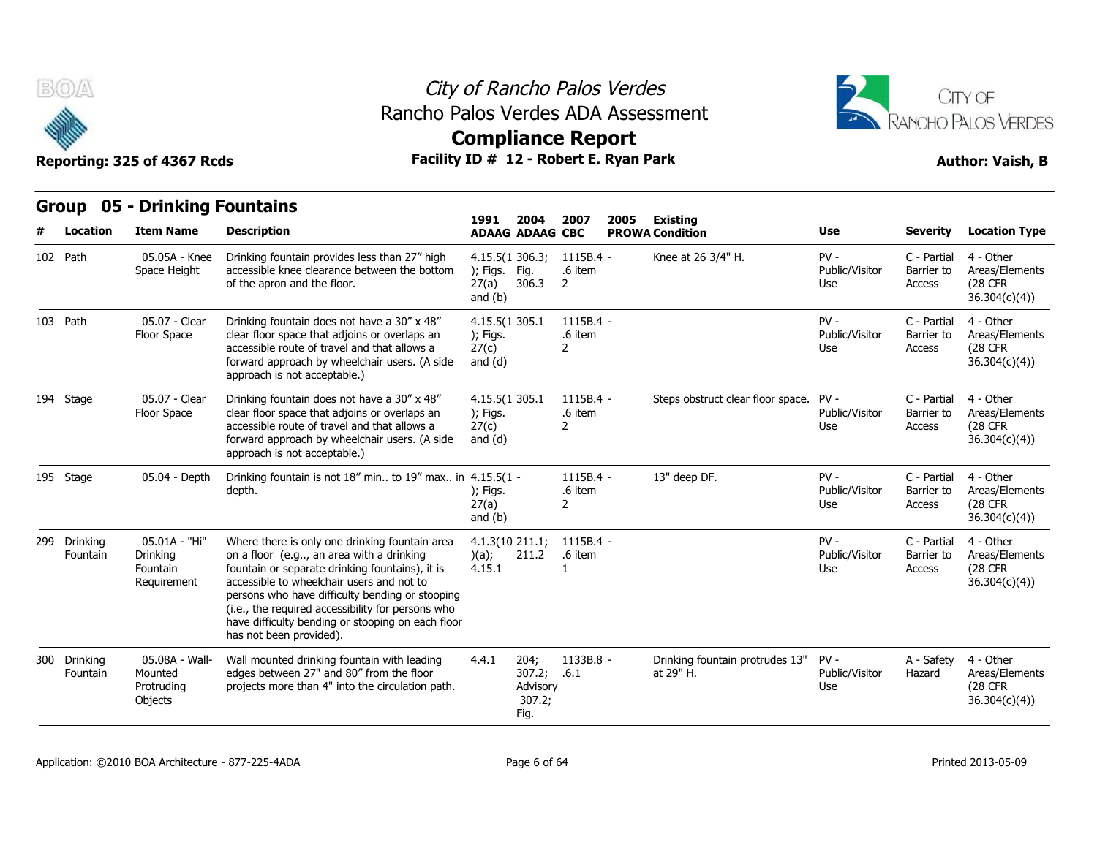

## City of Rancho Palos Verdes Rancho Palos Verdes ADA Assessment



# **Compliance Report**

|          | w                        | Reporting: 325 of 4367 Rcds                              | Facility ID # 12 - Robert E. Ryan Park                                                                                                                                                                                                                                                                                                                                             | PANINNING ITANG E                                   |                                                   |                                          |      |                                              |                                 |                                     | <b>Author: Vaish, B</b>                                        |
|----------|--------------------------|----------------------------------------------------------|------------------------------------------------------------------------------------------------------------------------------------------------------------------------------------------------------------------------------------------------------------------------------------------------------------------------------------------------------------------------------------|-----------------------------------------------------|---------------------------------------------------|------------------------------------------|------|----------------------------------------------|---------------------------------|-------------------------------------|----------------------------------------------------------------|
|          | <b>Location</b>          | <b>Group 05 - Drinking Fountains</b><br><b>Item Name</b> | <b>Description</b>                                                                                                                                                                                                                                                                                                                                                                 | 1991                                                | 2004<br><b>ADAAG ADAAG CBC</b>                    | 2007                                     | 2005 | Existing<br><b>PROWA Condition</b>           | <b>Use</b>                      | <b>Severity</b>                     | <b>Location Type</b>                                           |
| 102 Path |                          | 05.05A - Knee<br>Space Height                            | Drinking fountain provides less than 27" high<br>accessible knee clearance between the bottom<br>of the apron and the floor.                                                                                                                                                                                                                                                       | 4.15.5(1306.3)<br>$)$ ; Figs.<br>27(a)<br>and $(b)$ | Fia.<br>306.3                                     | 1115B.4 -<br>.6 item<br>2                |      | Knee at 26 3/4" H.                           | $PV -$<br>Public/Visitor<br>Use | C - Partial<br>Barrier to<br>Access | 4 - Other<br>Areas/Elements<br><b>(28 CFR)</b><br>36.304(c)(4) |
| 103 Path |                          | 05.07 - Clear<br>Floor Space                             | Drinking fountain does not have a 30" x 48"<br>clear floor space that adjoins or overlaps an<br>accessible route of travel and that allows a<br>forward approach by wheelchair users. (A side<br>approach is not acceptable.)                                                                                                                                                      | 4.15.5(1 305.1<br>); Figs.<br>27(c)<br>and $(d)$    |                                                   | 1115B.4 -<br>.6 item<br>2                |      |                                              | $PV -$<br>Public/Visitor<br>Use | C - Partial<br>Barrier to<br>Access | 4 - Other<br>Areas/Elements<br>(28 CFR<br>36.304(c)(4)         |
|          | 194 Stage                | 05.07 - Clear<br>Floor Space                             | Drinking fountain does not have a 30" x 48"<br>clear floor space that adjoins or overlaps an<br>accessible route of travel and that allows a<br>forward approach by wheelchair users. (A side<br>approach is not acceptable.)                                                                                                                                                      | 4.15.5(1 305.1<br>); Figs.<br>27(c)<br>and $(d)$    |                                                   | $1115B.4 -$<br>.6 item<br>$\mathbf{2}$   |      | Steps obstruct clear floor space.            | $PV -$<br>Public/Visitor<br>Use | C - Partial<br>Barrier to<br>Access | 4 - Other<br>Areas/Elements<br><b>(28 CFR)</b><br>36.304(c)(4) |
|          | 195 Stage                | 05.04 - Depth                                            | Drinking fountain is not 18" min to 19" max in 4.15.5(1 -<br>depth.                                                                                                                                                                                                                                                                                                                | ); Figs.<br>27(a)<br>and $(b)$                      |                                                   | $1115B.4 -$<br>.6 item<br>$\overline{2}$ |      | 13" deep DF.                                 | $PV -$<br>Public/Visitor<br>Use | C - Partial<br>Barrier to<br>Access | 4 - Other<br>Areas/Elements<br><b>(28 CFR</b><br>36.304(c)(4)  |
|          | 299 Drinking<br>Fountain | 05.01A - "Hi"<br>Drinking<br>Fountain<br>Requirement     | Where there is only one drinking fountain area<br>on a floor (e.g, an area with a drinking<br>fountain or separate drinking fountains), it is<br>accessible to wheelchair users and not to<br>persons who have difficulty bending or stooping<br>(i.e., the required accessibility for persons who<br>have difficulty bending or stooping on each floor<br>has not been provided). | 4.1.3(10 211.1)<br>(a);<br>4.15.1                   | 211.2                                             | 1115B.4 -<br>.6 item<br>$\mathbf{1}$     |      |                                              | $PV -$<br>Public/Visitor<br>Use | C - Partial<br>Barrier to<br>Access | 4 - Other<br>Areas/Elements<br><b>(28 CFR)</b><br>36.304(c)(4) |
|          | 300 Drinking<br>Fountain | 05.08A - Wall-<br>Mounted<br>Protruding<br>Objects       | Wall mounted drinking fountain with leading<br>edges between 27" and 80" from the floor<br>projects more than 4" into the circulation path.                                                                                                                                                                                                                                        | 4.4.1                                               | 204;<br>307.2; .6.1<br>Advisory<br>307.2;<br>Fig. | 1133B.8 -                                |      | Drinking fountain protrudes 13"<br>at 29" H. | $PV -$<br>Public/Visitor<br>Use | A - Safety<br>Hazard                | 4 - Other<br>Areas/Elements<br>(28 CFR<br>36.304(c)(4)         |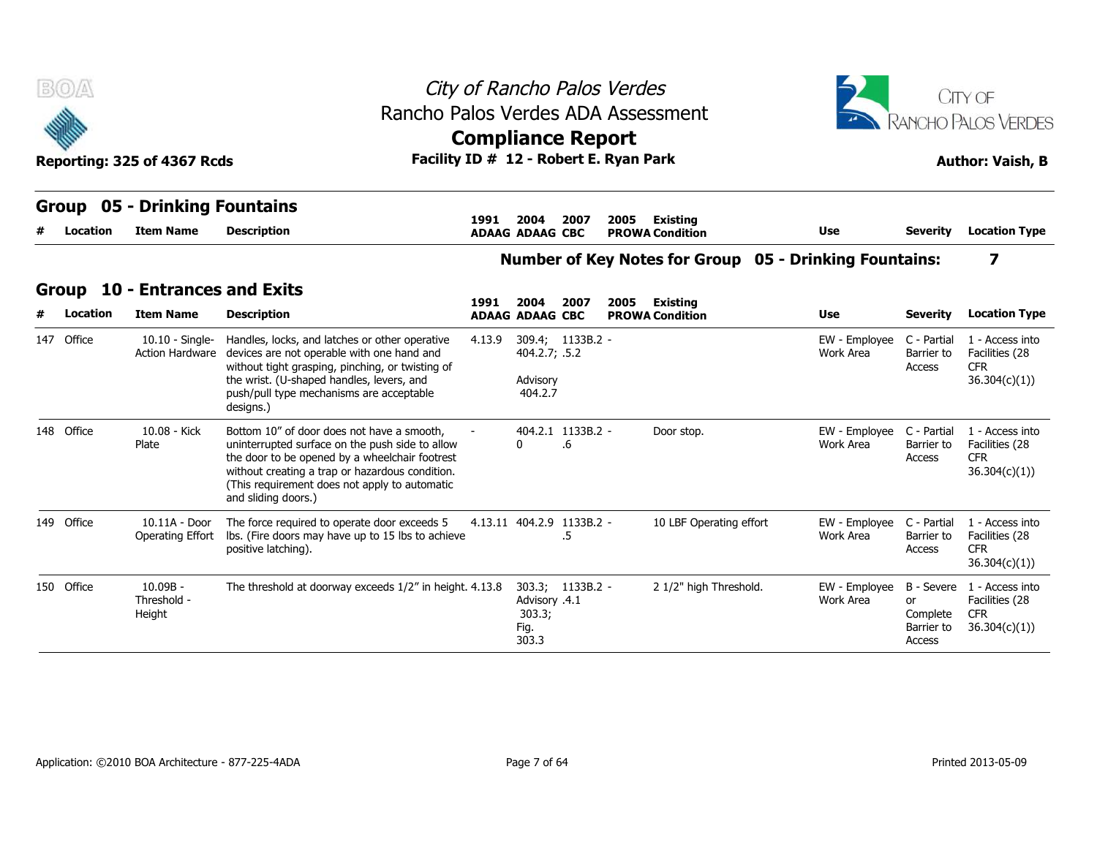| <b>B</b> OA  |          | Reporting: 325 of 4367 Rcds                         | Rancho Palos Verdes ADA Assessment<br>Facility ID # 12 - Robert E. Ryan Park                                                                                                                                                                                                           |        | City of Rancho Palos Verdes<br><b>Compliance Report</b> |                         |      |                                           |                                                               |                                        | <b>RANCHO PALOS VERDES</b><br><b>Author: Vaish, B</b>                      |
|--------------|----------|-----------------------------------------------------|----------------------------------------------------------------------------------------------------------------------------------------------------------------------------------------------------------------------------------------------------------------------------------------|--------|---------------------------------------------------------|-------------------------|------|-------------------------------------------|---------------------------------------------------------------|----------------------------------------|----------------------------------------------------------------------------|
| <b>Group</b> | Location | 05 - Drinking Fountains<br><b>Item Name</b>         | <b>Description</b>                                                                                                                                                                                                                                                                     | 1991   | 2004<br><b>ADAAG ADAAG CBC</b>                          | 2007                    | 2005 | Existing<br><b>PROWA Condition</b>        | <b>Use</b>                                                    | <b>Severity</b>                        | <b>Location Type</b>                                                       |
|              |          |                                                     |                                                                                                                                                                                                                                                                                        |        |                                                         |                         |      |                                           | <b>Number of Key Notes for Group 05 - Drinking Fountains:</b> |                                        | 7                                                                          |
| Group        | Location | <b>10 - Entrances and Exits</b><br><b>Item Name</b> | <b>Description</b>                                                                                                                                                                                                                                                                     | 1991   | 2004<br><b>ADAAG ADAAG CBC</b>                          | 2007                    | 2005 | <b>Existing</b><br><b>PROWA Condition</b> | <b>Use</b>                                                    | <b>Severity</b>                        | <b>Location Type</b>                                                       |
| 147 Office   |          |                                                     | 10.10 - Single- Handles, locks, and latches or other operative<br>Action Hardware devices are not operable with one hand and<br>without tight grasping, pinching, or twisting of<br>the wrist. (U-shaped handles, levers, and<br>push/pull type mechanisms are acceptable<br>designs.) | 4.13.9 | 404.2.7; .5.2<br>Advisory<br>404.2.7                    | 309.4; 1133B.2 -        |      |                                           | EW - Employee<br>Work Area                                    | C - Partial<br>Barrier to<br>Access    | 1 - Access into<br>Facilities (28<br><b>CFR</b><br>36.304(c)(1)            |
| 148 Office   |          | 10.08 - Kick<br>Plate                               | Bottom 10" of door does not have a smooth,<br>uninterrupted surface on the push side to allow<br>the door to be opened by a wheelchair footrest<br>without creating a trap or hazardous condition.<br>(This requirement does not apply to automatic<br>and sliding doors.)             |        | $\mathbf{0}$                                            | 404.2.1 1133B.2 -<br>.6 |      | Door stop.                                | EW - Employee<br>Work Area                                    | C - Partial<br>Barrier to<br>Access    | 1 - Access into<br>Facilities (28<br><b>CFR</b><br>36.304(c)(1)            |
| 149 Office   |          | 10.11A - Door                                       | The force required to operate door exceeds 5<br>Operating Effort Ibs. (Fire doors may have up to 15 lbs to achieve<br>positive latching).                                                                                                                                              |        | 4.13.11 404.2.9 1133B.2 -                               | .5                      |      | 10 LBF Operating effort                   | EW - Employee<br>Work Area                                    | C - Partial<br>Barrier to<br>Access    | 1 - Access into<br>Facilities (28<br><b>CFR</b><br>36.304(c)(1)            |
| 150 Office   |          | $10.09B -$<br>Threshold -<br>Height                 | The threshold at doorway exceeds 1/2" in height. 4.13.8                                                                                                                                                                                                                                |        | Advisory .4.1<br>303.3;<br>Fig.<br>303.3                | 303.3; 1133B.2 -        |      | 2 1/2" high Threshold.                    | EW - Employee<br>Work Area                                    | or<br>Complete<br>Barrier to<br>Access | B - Severe 1 - Access into<br>Facilities (28<br><b>CFR</b><br>36.304(c)(1) |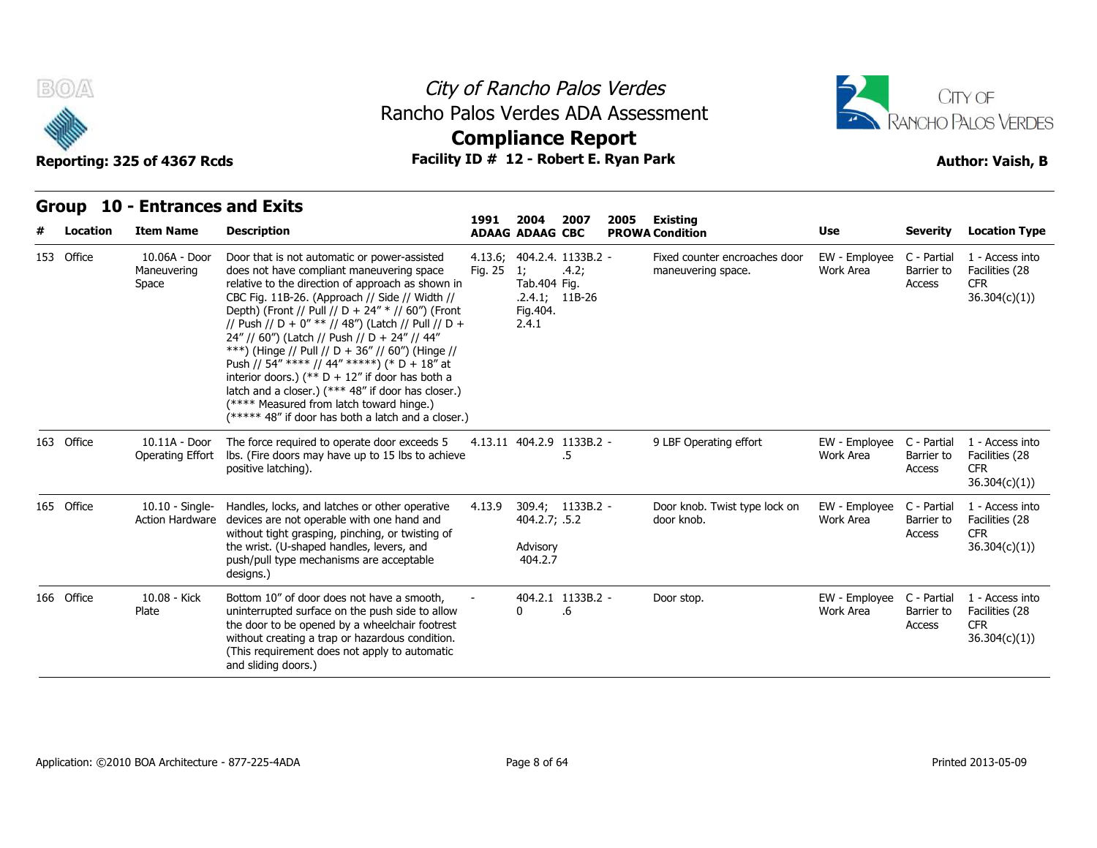



# **Compliance Report**

### **Group 10 - Entrances and Exits Item Name Description 1991 ADAAG 2004 ADAAG CBC PROWA 2007 2005 Existing # Location Condition Use Severity Location Type** 10.06A - Door Maneuvering Space The relative to the direction of approach as shown in Tal Door that is not automatic or power-assisted does not have compliant maneuvering space CBC Fig. 11B-26. (Approach // Side // Width // Depth) (Front // Pull // D + 24"  $*/$  // 60") (Front // Push // D + 0" \*\* // 48") (Latch // Pull // D + 24" // 60") (Latch // Push // D + 24" // 44" \*\*\*) (Hinge // Pull // D + 36" // 60") (Hinge // Push // 54" \*\*\*\* // 44" \*\*\*\*\*) (\* D + 18" at interior doors.) (\*\*  $D + 12$ " if door has both a latch and a closer.) (\*\*\* 48" if door has closer.) (\*\*\*\* Measured from latch toward hinge.) (\*\*\*\*\* 48" if door has both a latch and a closer.) 4.13.6; 404.2.4. Fig. 25 1; .4.2; Tab.404 Fig. .2.4.1; 11B-26 Fig.404. 2.4.1 1133B.2 - Fixed counter encroaches door maneuvering space. EW - Employee Work Area Barrier to C - Partial 1 - Access into Barrier to Facilities (28 Access CFR 36.304(c)(1)) **153 Office**<br> **163 Office Strategy 10 - Entrance Strategy 10 - Entrance Strategy 10.064 - Doctor Strategy Americans**<br>
153 Office 10.064 - Doctor Maneuvering<br>
Space 10.11A - Door Operating Effort The force required to operate door exceeds 5 4.13.11 404.2.9 1133B.2 lbs. (Fire doors may have up to 15 lbs to achieve positive latching). Fig. 25 1; .4.2; maneuvering<br>
Tab.404 Fig.<br>
.2.4.1; 11B-26<br>
Fig.404.<br>
2.4.1<br>
4.13.11 404.2.9 1133B.2 - 9 LBF Operat<br>
5 .5 - 9 LBF Operating effort EW - Employee C - Partial 1 - Access into Work Area Barrier to Barrier to Facilities (28 **Access** CFR 36.304(c)(1)) Maneuvering<br>
Space<br>
Space<br>
163 Office<br>
10.11A - Doc<br>
Operating Effc 10.10 - Single- Handles, locks, and latches or other operative 4.13.9 Action Hardware devices are not operable with one hand and without tight grasping, pinching, or twisting of the wrist. (U-shaped handles, levers, and push/pull type mechanisms are acceptable designs.) 4.13.9 309.4; 404.2.7; Advisory 404.2.7 1133B.2 - Door knob. Twist type lock on EW - Emp .5.2 door knob. EW - Employee Work Area Barrier to C - Partial 1 - Access into Barrier to Facilities (28 Access CFR 36.304(c)(1)) 163 Office 10.11A - Doctory Operating Eff<br>
165 Office 10.10 - Single<br>
165 Office 10.10 - Single 10.08 - Kick Plate uninterrupted surface on the push side to allow Bottom 10" of door does not have a smooth, the door to be opened by a wheelchair footrest without creating a trap or hazardous condition. (This requirement does not apply to automatic and sliding doors.) 404.2.1 1133B.2 - $0 \qquad .6$ Door stop. .6 EW - Employee C - Partial Work Area Barrier to C - Partial 1 - Access into Barrier to Facilities (28 Access CFR 36.304(c)(1)) 163 Office 10.11A - Door<br>
Operating Effc<br>
165 Office 10.10 - Sing<br>
Action Hardwa<br>
166 Office 10.08 - Kick<br>
Plate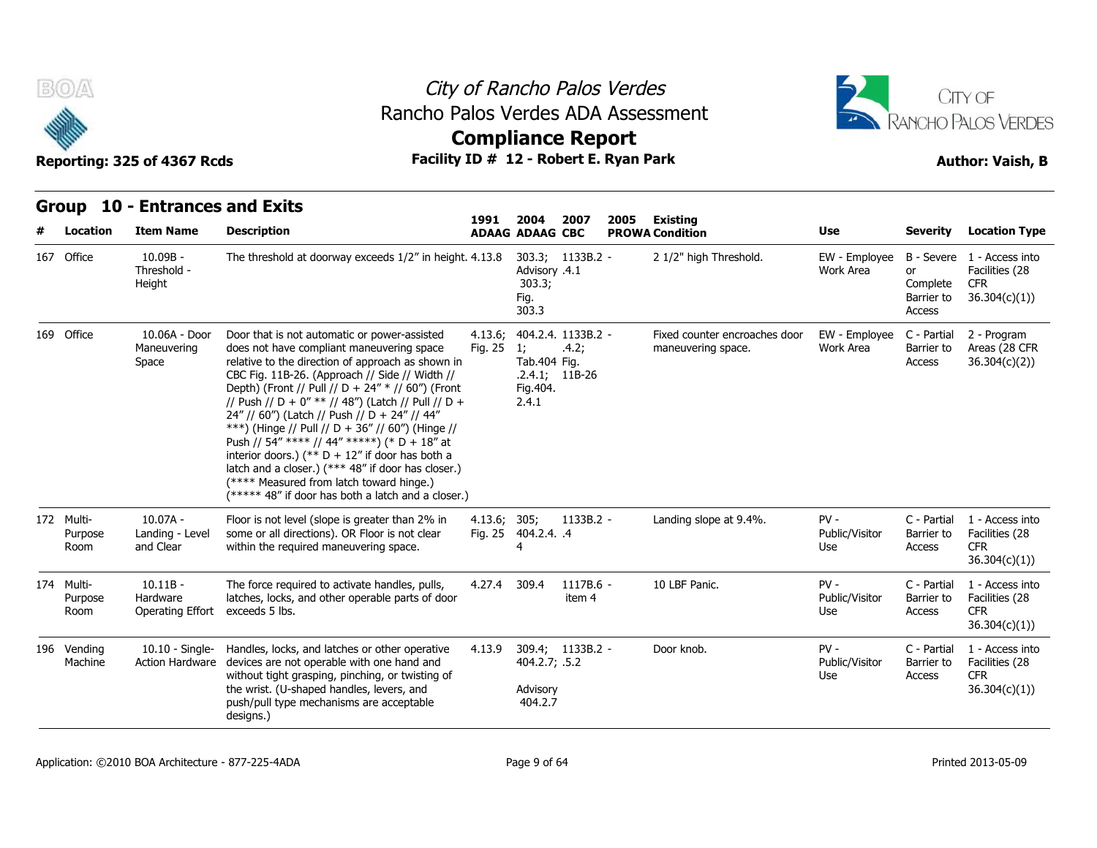



## **Compliance Report**

| BOA                           | Reporting: 325 of 4367 Rcds                       | Rancho Palos Verdes ADA Assessment<br>Facility ID # 12 - Robert E. Ryan Park                                                                                                                                                                                                                                                                                                                                                                                                                                                                                                                                                                                                  |                    |                                                              | City of Rancho Palos Verdes<br><b>Compliance Report</b> |      |                                                     |                                 |                                        | CITY OF<br>RANCHO PALOS VERDES<br><b>Author: Vaish, B</b>                  |
|-------------------------------|---------------------------------------------------|-------------------------------------------------------------------------------------------------------------------------------------------------------------------------------------------------------------------------------------------------------------------------------------------------------------------------------------------------------------------------------------------------------------------------------------------------------------------------------------------------------------------------------------------------------------------------------------------------------------------------------------------------------------------------------|--------------------|--------------------------------------------------------------|---------------------------------------------------------|------|-----------------------------------------------------|---------------------------------|----------------------------------------|----------------------------------------------------------------------------|
|                               | Group 10 - Entrances and Exits                    |                                                                                                                                                                                                                                                                                                                                                                                                                                                                                                                                                                                                                                                                               | 1991               | 2004                                                         | 2007                                                    | 2005 | <b>Existing</b>                                     |                                 |                                        |                                                                            |
| Location                      | <b>Item Name</b>                                  | <b>Description</b>                                                                                                                                                                                                                                                                                                                                                                                                                                                                                                                                                                                                                                                            |                    | <b>ADAAG ADAAG CBC</b>                                       |                                                         |      | <b>PROWA Condition</b>                              | Use                             | <b>Severity</b>                        | <b>Location Type</b>                                                       |
| 167 Office                    | $10.09B -$<br>Threshold -<br>Height               | The threshold at doorway exceeds 1/2" in height. 4.13.8                                                                                                                                                                                                                                                                                                                                                                                                                                                                                                                                                                                                                       |                    | Advisory .4.1<br>303.3;<br>Fig.<br>303.3                     | 303.3; 1133B.2 -                                        |      | 2 1/2" high Threshold.                              | EW - Employee<br>Work Area      | or<br>Complete<br>Barrier to<br>Access | B - Severe 1 - Access into<br>Facilities (28<br><b>CFR</b><br>36.304(c)(1) |
| 169 Office                    | 10.06A - Door<br>Maneuvering<br>Space             | Door that is not automatic or power-assisted<br>does not have compliant maneuvering space<br>relative to the direction of approach as shown in<br>CBC Fig. 11B-26. (Approach // Side // Width //<br>Depth) (Front // Pull // D + 24" * // 60") (Front<br>// Push // D + 0" ** // 48") (Latch // Pull // D +<br>24" // 60") (Latch // Push // D + 24" // 44"<br>***) (Hinge // Pull // D + 36" // 60") (Hinge //<br>Push // 54" **** // 44" *****) (* D + 18" at<br>interior doors.) (** $D + 12$ " if door has both a<br>latch and a closer.) (*** 48" if door has closer.)<br>(**** Measured from latch toward hinge.)<br>(***** 48" if door has both a latch and a closer.) | 4.13.6;<br>Fig. 25 | 1;<br>Tab.404 Fig.<br>$.2.4.1; 11B-26$<br>Fig. 404.<br>2.4.1 | 404.2.4. 1133B.2 -<br>.4.2;                             |      | Fixed counter encroaches door<br>maneuvering space. | EW - Employee<br>Work Area      | C - Partial<br>Barrier to<br>Access    | 2 - Program<br>Areas (28 CFR<br>36.304(c)(2)                               |
| 172 Multi-<br>Purpose<br>Room | 10.07A -<br>Landing - Level<br>and Clear          | Floor is not level (slope is greater than 2% in<br>some or all directions). OR Floor is not clear<br>within the required maneuvering space.                                                                                                                                                                                                                                                                                                                                                                                                                                                                                                                                   | 4.13.6; 305;       | Fig. 25 404.2.4. .4                                          | 1133B.2 -                                               |      | Landing slope at 9.4%.                              | $PV -$<br>Public/Visitor<br>Use | C - Partial<br>Barrier to<br>Access    | 1 - Access into<br>Facilities (28<br><b>CFR</b><br>36.304(c)(1)            |
| 174 Multi-<br>Purpose<br>Room | $10.11B -$<br>Hardware<br><b>Operating Effort</b> | The force required to activate handles, pulls,<br>latches, locks, and other operable parts of door<br>exceeds 5 lbs.                                                                                                                                                                                                                                                                                                                                                                                                                                                                                                                                                          | 4.27.4             | 309.4                                                        | 1117B.6 -<br>item 4                                     |      | 10 LBF Panic.                                       | $PV -$<br>Public/Visitor<br>Use | C - Partial<br>Barrier to<br>Access    | 1 - Access into<br>Facilities (28<br><b>CFR</b><br>36.304(c)(1)            |
| 196 Vending<br>Machine        | $10.10 -$ Single-                                 | Handles, locks, and latches or other operative<br>Action Hardware devices are not operable with one hand and<br>without tight grasping, pinching, or twisting of<br>the wrist. (U-shaped handles, levers, and<br>push/pull type mechanisms are acceptable<br>designs.)                                                                                                                                                                                                                                                                                                                                                                                                        | 4.13.9             | 404.2.7; .5.2<br>Advisory<br>404.2.7                         | 309.4; 1133B.2 -                                        |      | Door knob.                                          | $PV -$<br>Public/Visitor<br>Use | C - Partial<br>Barrier to<br>Access    | 1 - Access into<br>Facilities (28<br><b>CFR</b><br>36.304(c)(1)            |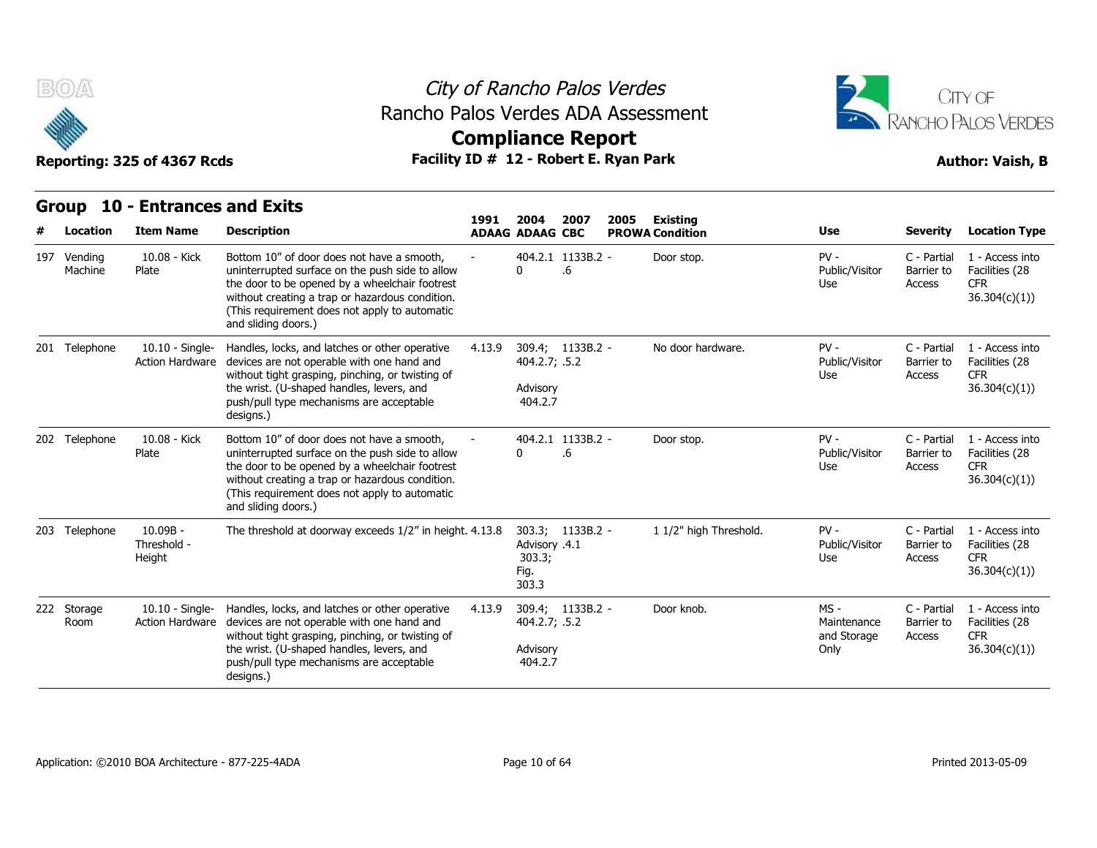

## City of Rancho Palos Verdes Rancho Palos Verdes ADA Assessment



# **Compliance Report**

|     |                     | Group 10 - Entrances and Exits            |                                                                                                                                                                                                                                                                            |        |                                                              |      |      |                                           |                                              |                                     |                                                                  |
|-----|---------------------|-------------------------------------------|----------------------------------------------------------------------------------------------------------------------------------------------------------------------------------------------------------------------------------------------------------------------------|--------|--------------------------------------------------------------|------|------|-------------------------------------------|----------------------------------------------|-------------------------------------|------------------------------------------------------------------|
|     | Location            | <b>Item Name</b>                          | <b>Description</b>                                                                                                                                                                                                                                                         | 1991   | 2004<br><b>ADAAG ADAAG CBC</b>                               | 2007 | 2005 | <b>Existing</b><br><b>PROWA Condition</b> | <b>Use</b>                                   | <b>Severity</b>                     | <b>Location Type</b>                                             |
| 197 | Vending<br>Machine  | 10.08 - Kick<br>Plate                     | Bottom 10" of door does not have a smooth.<br>uninterrupted surface on the push side to allow<br>the door to be opened by a wheelchair footrest<br>without creating a trap or hazardous condition.<br>(This requirement does not apply to automatic<br>and sliding doors.) |        | 404.2.1 1133B.2 -<br>$\Omega$                                | .6   |      | Door stop.                                | $PV -$<br>Public/Visitor<br>Use              | C - Partial<br>Barrier to<br>Access | 1 - Access into<br>Facilities (28<br><b>CFR</b><br>36.304(c)(1)  |
|     | 201 Telephone       | 10.10 - Single-<br>Action Hardware        | Handles, locks, and latches or other operative<br>devices are not operable with one hand and<br>without tight grasping, pinching, or twisting of<br>the wrist. (U-shaped handles, levers, and<br>push/pull type mechanisms are acceptable<br>designs.)                     | 4.13.9 | 309.4; 1133B.2 -<br>404.2.7; .5.2<br>Advisory<br>404.2.7     |      |      | No door hardware.                         | $PV -$<br>Public/Visitor<br>Use              | C - Partial<br>Barrier to<br>Access | 1 - Access into<br>Facilities (28<br><b>CFR</b><br>36.304(c)(1)  |
|     | 202 Telephone       | 10.08 - Kick<br>Plate                     | Bottom 10" of door does not have a smooth,<br>uninterrupted surface on the push side to allow<br>the door to be opened by a wheelchair footrest<br>without creating a trap or hazardous condition.<br>(This requirement does not apply to automatic<br>and sliding doors.) |        | 404.2.1 1133B.2 -<br>$\mathbf{0}$                            | .6   |      | Door stop.                                | $PV -$<br>Public/Visitor<br>Use              | C - Partial<br>Barrier to<br>Access | 1 - Access into<br>Facilities (28<br><b>CFR</b><br>36.304(c)(1)) |
|     | 203 Telephone       | $10.09B -$<br>Threshold -<br>Height       | The threshold at doorway exceeds 1/2" in height. 4.13.8                                                                                                                                                                                                                    |        | 303.3; 1133B.2 -<br>Advisory .4.1<br>303.3;<br>Fig.<br>303.3 |      |      | 1 1/2" high Threshold.                    | $PV -$<br>Public/Visitor<br>Use              | C - Partial<br>Barrier to<br>Access | 1 - Access into<br>Facilities (28<br><b>CFR</b><br>36.304(c)(1)) |
|     | 222 Storage<br>Room | 10.10 - Single-<br><b>Action Hardware</b> | Handles, locks, and latches or other operative<br>devices are not operable with one hand and<br>without tight grasping, pinching, or twisting of<br>the wrist. (U-shaped handles, levers, and<br>push/pull type mechanisms are acceptable<br>designs.)                     | 4.13.9 | 309.4; 1133B.2 -<br>404.2.7; .5.2<br>Advisory<br>404.2.7     |      |      | Door knob.                                | $MS -$<br>Maintenance<br>and Storage<br>Only | C - Partial<br>Barrier to<br>Access | 1 - Access into<br>Facilities (28<br><b>CFR</b><br>36.304(c)(1)  |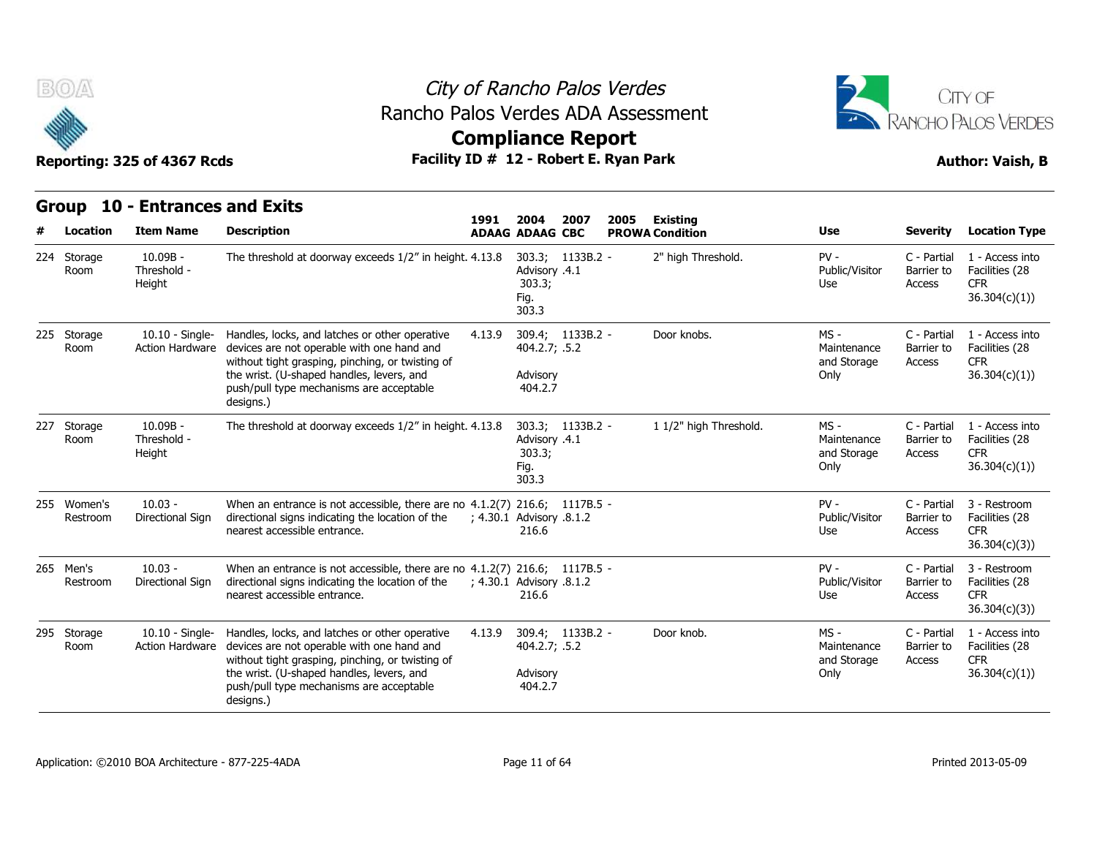



## **Compliance Report**

| Group 10 - Entrances and Exits |  |
|--------------------------------|--|
|                                |  |

| B(0)                            | Reporting: 325 of 4367 Rcds                             | Rancho Palos Verdes ADA Assessment<br>Facility ID # 12 - Robert E. Ryan Park                                                                                                                                                                           |                          |                                                                    | City of Rancho Palos Verdes<br><b>Compliance Report</b> |      |                                              |                                            |                                                        | CITY OF<br>RANCHO PALOS VERDES<br><b>Author: Vaish, B</b>                               |
|---------------------------------|---------------------------------------------------------|--------------------------------------------------------------------------------------------------------------------------------------------------------------------------------------------------------------------------------------------------------|--------------------------|--------------------------------------------------------------------|---------------------------------------------------------|------|----------------------------------------------|--------------------------------------------|--------------------------------------------------------|-----------------------------------------------------------------------------------------|
| <b>Group</b>                    | <b>10 - Entrances and Exits</b>                         |                                                                                                                                                                                                                                                        | 1991                     | 2004                                                               | 2007                                                    | 2005 | Existing                                     |                                            |                                                        |                                                                                         |
| Location<br>224 Storage<br>Room | <b>Item Name</b><br>$10.09B -$<br>Threshold -<br>Height | <b>Description</b><br>The threshold at doorway exceeds 1/2" in height. 4.13.8                                                                                                                                                                          |                          | <b>ADAAG ADAAG CBC</b><br>Advisory .4.1<br>303.3;<br>Fig.<br>303.3 | 303.3; 1133B.2 -                                        |      | <b>PROWA Condition</b><br>2" high Threshold. | Use<br>$PV -$<br>Public/Visitor<br>Use     | <b>Severity</b><br>C - Partial<br>Barrier to<br>Access | <b>Location Type</b><br>1 - Access into<br>Facilities (28<br><b>CFR</b><br>36.304(c)(1) |
| 225 Storage<br>Room             | 10.10 - Single-<br>Action Hardware                      | Handles, locks, and latches or other operative<br>devices are not operable with one hand and<br>without tight grasping, pinching, or twisting of<br>the wrist. (U-shaped handles, levers, and<br>push/pull type mechanisms are acceptable<br>designs.) | 4.13.9                   | 404.2.7; .5.2<br>Advisory<br>404.2.7                               | 309.4; 1133B.2 -                                        |      | Door knobs.                                  | MS -<br>Maintenance<br>and Storage<br>Only | C - Partial<br>Barrier to<br>Access                    | 1 - Access into<br>Facilities (28<br><b>CFR</b><br>36.304(c)(1)                         |
| 227 Storage<br>Room             | $10.09B -$<br>Threshold -<br>Height                     | The threshold at doorway exceeds 1/2" in height. 4.13.8                                                                                                                                                                                                |                          | Advisory .4.1<br>303.3;<br>Fig.<br>303.3                           | 303.3; 1133B.2 -                                        |      | 1 1/2" high Threshold.                       | MS -<br>Maintenance<br>and Storage<br>Only | C - Partial<br>Barrier to<br>Access                    | 1 - Access into<br>Facilities (28<br><b>CFR</b><br>36.304(c)(1)                         |
| 255 Women's<br>Restroom         | $10.03 -$<br>Directional Sign                           | When an entrance is not accessible, there are no $4.1.2(7)$ 216.6; 1117B.5 -<br>directional signs indicating the location of the<br>nearest accessible entrance.                                                                                       |                          | ; 4.30.1 Advisory .8.1.2<br>216.6                                  |                                                         |      |                                              | $PV -$<br>Public/Visitor<br>Use            | C - Partial<br>Barrier to<br>Access                    | 3 - Restroom<br>Facilities (28<br><b>CFR</b><br>36.304(c)(3)                            |
| 265 Men's<br>Restroom           | $10.03 -$<br>Directional Sign                           | When an entrance is not accessible, there are no 4.1.2(7) 216.6; 1117B.5 -<br>directional signs indicating the location of the<br>nearest accessible entrance.                                                                                         | , 4.30.1 Advisory .8.1.2 | 216.6                                                              |                                                         |      |                                              | $PV -$<br>Public/Visitor<br>Use            | C - Partial<br>Barrier to<br>Access                    | 3 - Restroom<br>Facilities (28<br>CFR.<br>36.304(c)(3)                                  |
| 295 Storage<br>Room             | $10.10 -$ Single-<br><b>Action Hardware</b>             | Handles, locks, and latches or other operative<br>devices are not operable with one hand and<br>without tight grasping, pinching, or twisting of<br>the wrist. (U-shaped handles, levers, and<br>push/pull type mechanisms are acceptable<br>designs.) | 4.13.9                   | 404.2.7; .5.2<br>Advisory<br>404.2.7                               | 309.4; 1133B.2 -                                        |      | Door knob.                                   | MS -<br>Maintenance<br>and Storage<br>Only | C - Partial<br>Barrier to<br>Access                    | 1 - Access into<br>Facilities (28<br><b>CFR</b><br>36.304(c)(1)                         |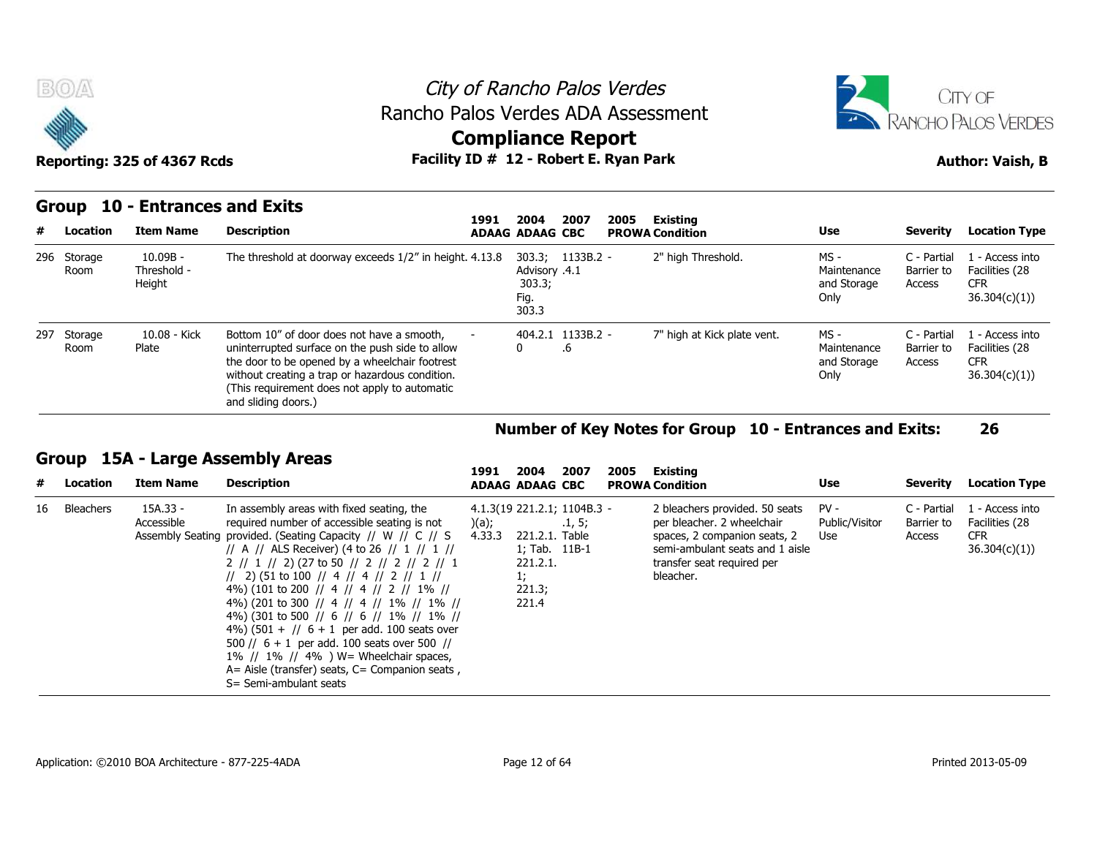



### **Group 10 - Entrances and Exits**

|     | B(0)                | Reporting: 325 of 4367 Rcds         | Rancho Palos Verdes ADA Assessment<br>Facility ID # 12 - Robert E. Ryan Park                                                                                                                                                                                               |      | <b>Compliance Report</b>                 |                         | City of Rancho Palos Verdes |                             |                                              |                                     | CITY OF<br>RANCHO PALOS VERDES<br><b>Author: Vaish, B</b>       |
|-----|---------------------|-------------------------------------|----------------------------------------------------------------------------------------------------------------------------------------------------------------------------------------------------------------------------------------------------------------------------|------|------------------------------------------|-------------------------|-----------------------------|-----------------------------|----------------------------------------------|-------------------------------------|-----------------------------------------------------------------|
|     | Group               |                                     | 10 - Entrances and Exits                                                                                                                                                                                                                                                   | 1991 | 2004                                     | 2007                    | 2005                        | Existing                    |                                              |                                     |                                                                 |
| #   | Location            | <b>Item Name</b>                    | <b>Description</b>                                                                                                                                                                                                                                                         |      | <b>ADAAG ADAAG CBC</b>                   |                         |                             | <b>PROWA Condition</b>      | <b>Use</b>                                   | <b>Severity</b>                     | <b>Location Type</b>                                            |
|     | 296 Storage<br>Room | $10.09B -$<br>Threshold -<br>Height | The threshold at doorway exceeds 1/2" in height. 4.13.8                                                                                                                                                                                                                    |      | 4.1. Advisory<br>303.3;<br>Fig.<br>303.3 | 303.3; 1133B.2 -        |                             | 2" high Threshold.          | $MS -$<br>Maintenance<br>and Storage<br>Only | C - Partial<br>Barrier to<br>Access | 1 - Access into<br>Facilities (28<br><b>CFR</b><br>36.304(c)(1) |
| 297 | Storage<br>Room     | 10.08 - Kick<br>Plate               | Bottom 10" of door does not have a smooth,<br>uninterrupted surface on the push side to allow<br>the door to be opened by a wheelchair footrest<br>without creating a trap or hazardous condition.<br>(This requirement does not apply to automatic<br>and sliding doors.) |      | 0                                        | 404.2.1 1133B.2 -<br>.6 |                             | 7" high at Kick plate vent. | $MS -$<br>Maintenance<br>and Storage<br>Only | C - Partial<br>Barrier to<br>Access | L - Access into<br>Facilities (28<br><b>CFR</b><br>36.304(c)(1) |

### **Number of Key Notes for Group 10 - Entrances and Exits: 26**

### **Group 15A - Large Assembly Areas**

| #  | Location  | <b>Item Name</b>       | <b>Description</b>                                                                                                                                                                                                                                                                                                                                                                                                                                                                                                                                                                                                                                                     | 1991            | 2004<br><b>ADAAG ADAAG CBC</b>                                                                      | 2007   | 2005 | Existing<br><b>PROWA Condition</b>                                                                                                                                         | Use                             | Severity                            | <b>Location Type</b>                                            |
|----|-----------|------------------------|------------------------------------------------------------------------------------------------------------------------------------------------------------------------------------------------------------------------------------------------------------------------------------------------------------------------------------------------------------------------------------------------------------------------------------------------------------------------------------------------------------------------------------------------------------------------------------------------------------------------------------------------------------------------|-----------------|-----------------------------------------------------------------------------------------------------|--------|------|----------------------------------------------------------------------------------------------------------------------------------------------------------------------------|---------------------------------|-------------------------------------|-----------------------------------------------------------------|
| 16 | Bleachers | 15A.33 -<br>Accessible | In assembly areas with fixed seating, the<br>required number of accessible seating is not<br>Assembly Seating provided. (Seating Capacity // W // C // S<br>// A // ALS Receiver) (4 to 26 // 1 // 1 //<br>$2$ // 1 // 2) (27 to 50 // 2 // 2 // 2 // 1<br>// 2) (51 to 100 // 4 // 4 // 2 // 1 //<br>4%) (101 to 200 // 4 // 4 // 2 // 1% //<br>4%) (201 to 300 // 4 // 4 // 1% // 1% //<br>4%) (301 to 500 // 6 // 6 // 1% // 1% //<br>$(4\%)$ (501 + // 6 + 1 per add. 100 seats over<br>500 // $6 + 1$ per add. 100 seats over 500 //<br>1% // 1% // 4% ) $W =$ Wheelchair spaces,<br>$A=$ Aisle (transfer) seats, $C=$ Companion seats,<br>S= Semi-ambulant seats | )(a);<br>4.33.3 | 4.1.3(19 221.2.1; 1104B.3 -<br>221.2.1. Table<br>1; Tab. 11B-1<br>221.2.1.<br>1:<br>221.3;<br>221.4 | .1, 5; |      | 2 bleachers provided. 50 seats<br>per bleacher. 2 wheelchair<br>spaces, 2 companion seats, 2<br>semi-ambulant seats and 1 aisle<br>transfer seat required per<br>bleacher. | $PV -$<br>Public/Visitor<br>Use | C - Partial<br>Barrier to<br>Access | 1 - Access into<br>Facilities (28<br><b>CFR</b><br>36.304(c)(1) |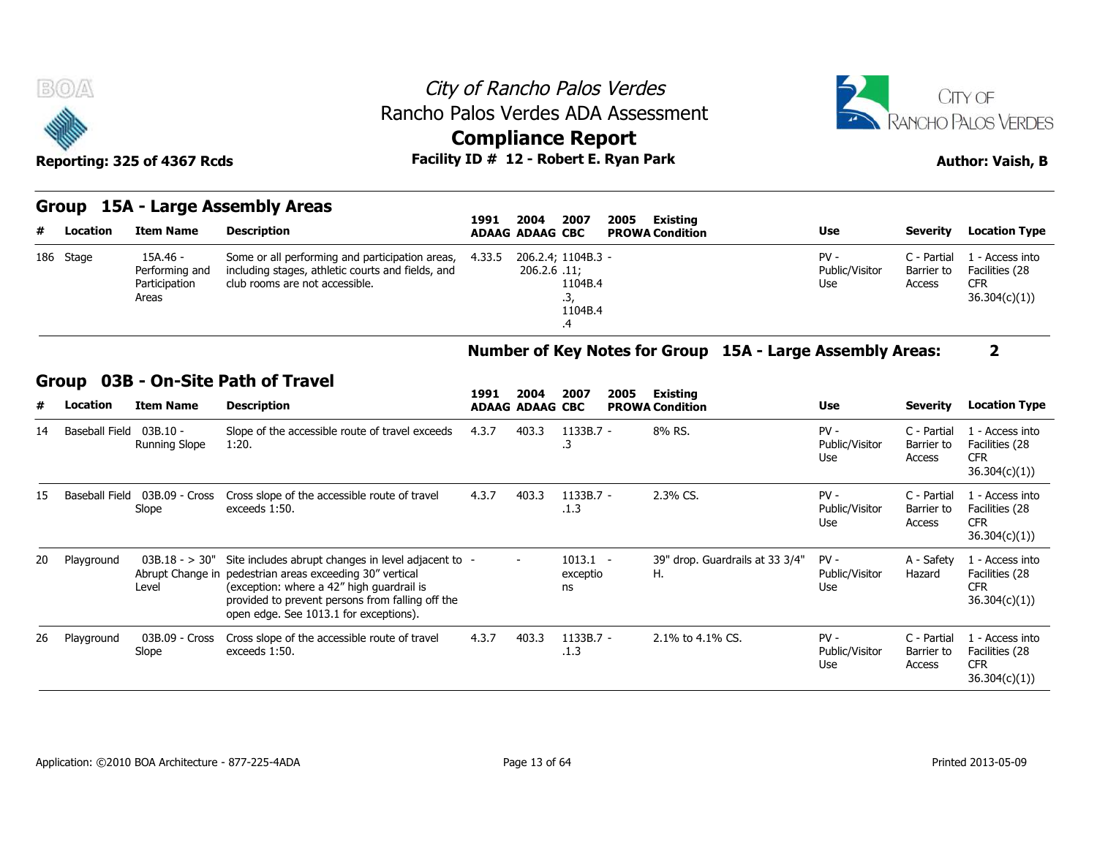



### Reporting: 325 of 4367 Rcds **Facility ID # 12 - Robert E. Ryan Park Author: Vaish, B**

### **Group 15A - Large Assembly Areas**

|   | <b>BOA</b> | Reporting: 325 of 4367 Rcds                          | Rancho Palos Verdes ADA Assessment                                                                                                     | City of Rancho Palos Verdes<br><b>Compliance Report</b><br>Facility ID # 12 - Robert E. Ryan Park |                                    |                                 |      |                                    |                                 |                                     | CITY OF<br>RANCHO PALOS VERDES<br><b>Author: Vaish, B</b>       |
|---|------------|------------------------------------------------------|----------------------------------------------------------------------------------------------------------------------------------------|---------------------------------------------------------------------------------------------------|------------------------------------|---------------------------------|------|------------------------------------|---------------------------------|-------------------------------------|-----------------------------------------------------------------|
| # | Location   | <b>Item Name</b>                                     | Group 15A - Large Assembly Areas<br><b>Description</b>                                                                                 | 1991<br><b>ADAAG ADAAG CBC</b>                                                                    | 2004                               | 2007                            | 2005 | Existing<br><b>PROWA Condition</b> | <b>Use</b>                      | <b>Severity</b>                     | <b>Location Type</b>                                            |
|   | 186 Stage  | 15A.46 -<br>Performing and<br>Participation<br>Areas | Some or all performing and participation areas,<br>including stages, athletic courts and fields, and<br>club rooms are not accessible. | 4.33.5                                                                                            | 206.2.4; 1104B.3 -<br>206.2.6 .11; | 1104B.4<br>.3,<br>1104B.4<br>.4 |      |                                    | $PV -$<br>Public/Visitor<br>Use | C - Partial<br>Barrier to<br>Access | 1 - Access into<br>Facilities (28<br><b>CFR</b><br>36.304(c)(1) |

### **Number of Key Notes for Group 15A - Large Assembly Areas: 2**

### **Group 03B - On-Site Path of Travel**

| #  | Location              | <b>Item Name</b>            | <b>Description</b>                                                                                                                                                                                                                                       | 1991  | 2004<br><b>ADAAG ADAAG CBC</b> | 2007                         | 2005 | Existing<br><b>PROWA Condition</b>    | <b>Use</b>                      | Severity                            | <b>Location Type</b>                                             |
|----|-----------------------|-----------------------------|----------------------------------------------------------------------------------------------------------------------------------------------------------------------------------------------------------------------------------------------------------|-------|--------------------------------|------------------------------|------|---------------------------------------|---------------------------------|-------------------------------------|------------------------------------------------------------------|
| 14 | <b>Baseball Field</b> | $03B.10 -$<br>Running Slope | Slope of the accessible route of travel exceeds<br>1:20.                                                                                                                                                                                                 | 4.3.7 | 403.3                          | $1133B.7 -$<br>د.            |      | 8% RS.                                | $PV -$<br>Public/Visitor<br>Use | C - Partial<br>Barrier to<br>Access | 1 - Access into<br>Facilities (28<br><b>CFR</b><br>36.304(c)(1)) |
| 15 | <b>Baseball Field</b> | 03B.09 - Cross<br>Slope     | Cross slope of the accessible route of travel<br>exceeds 1:50.                                                                                                                                                                                           | 4.3.7 | 403.3                          | $1133B.7 -$<br>.1.3          |      | 2.3% CS.                              | $PV -$<br>Public/Visitor<br>Use | C - Partial<br>Barrier to<br>Access | 1 - Access into<br>Facilities (28<br><b>CFR</b><br>36.304(c)(1)  |
| 20 | Playground            | $03B.18 - 30"$<br>Level     | Site includes abrupt changes in level adjacent to<br>Abrupt Change in pedestrian areas exceeding 30" vertical<br>(exception: where a 42" high guardrail is<br>provided to prevent persons from falling off the<br>open edge. See 1013.1 for exceptions). |       | $\sim$                         | $1013.1 -$<br>exceptio<br>ns |      | 39" drop. Guardrails at 33 3/4"<br>Η. | $PV -$<br>Public/Visitor<br>Use | A - Safety<br>Hazard                | 1 - Access into<br>Facilities (28<br><b>CFR</b><br>36.304(c)(1)  |
| 26 | Playground            | 03B.09 - Cross<br>Slope     | Cross slope of the accessible route of travel<br>exceeds 1:50.                                                                                                                                                                                           | 4.3.7 | 403.3                          | $1133B.7 -$<br>.1.3          |      | 2.1% to 4.1% CS.                      | $PV -$<br>Public/Visitor<br>Use | C - Partial<br>Barrier to<br>Access | 1 - Access into<br>Facilities (28<br><b>CFR</b><br>36.304(c)(1)  |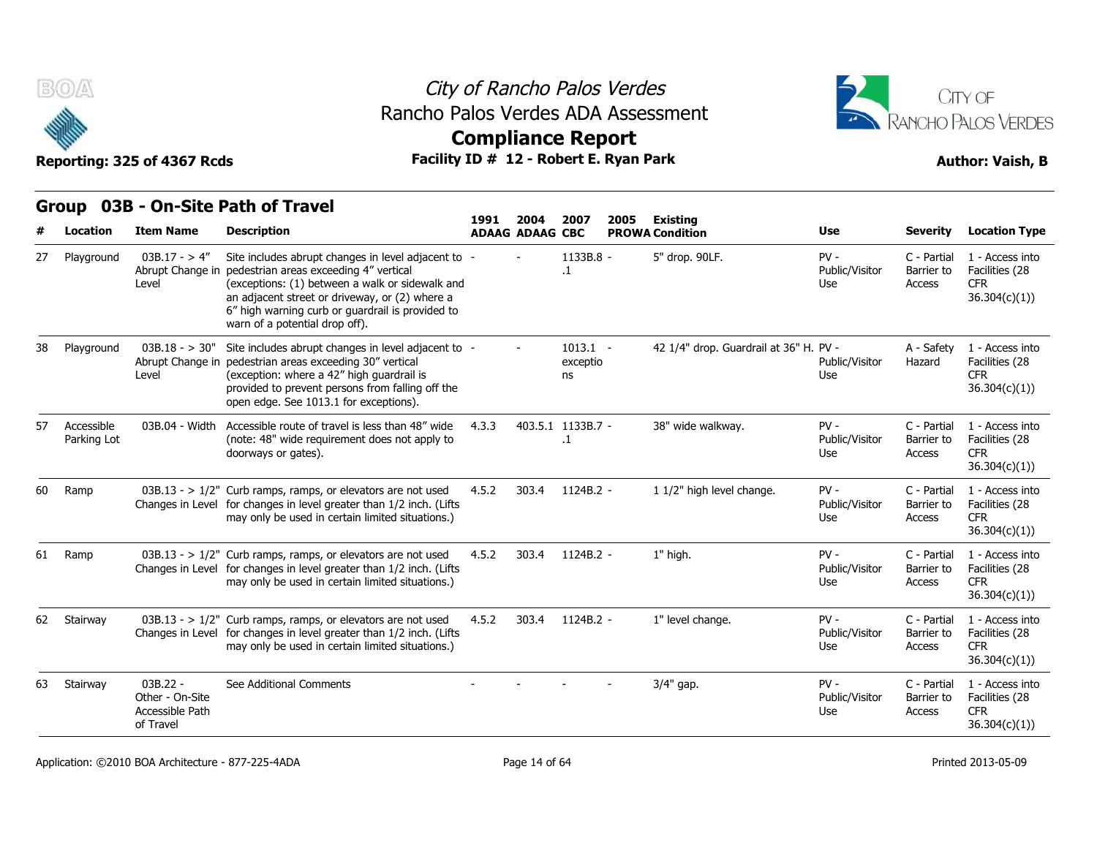



# **Compliance Report**

|    | <b>Group</b>              |                                                               | 03B - On-Site Path of Travel                                                                                                                                                                                                                                                           |       |                                |                              |      |                                           |                                 |                                     |                                                                  |
|----|---------------------------|---------------------------------------------------------------|----------------------------------------------------------------------------------------------------------------------------------------------------------------------------------------------------------------------------------------------------------------------------------------|-------|--------------------------------|------------------------------|------|-------------------------------------------|---------------------------------|-------------------------------------|------------------------------------------------------------------|
|    | <b>Location</b>           | <b>Item Name</b>                                              | <b>Description</b>                                                                                                                                                                                                                                                                     | 1991  | 2004<br><b>ADAAG ADAAG CBC</b> | 2007                         | 2005 | <b>Existing</b><br><b>PROWA Condition</b> | <b>Use</b>                      | <b>Severity</b>                     | <b>Location Type</b>                                             |
| 27 | Playground                | $03B.17 - > 4''$<br>Abrupt Change in<br>Level                 | Site includes abrupt changes in level adjacent to<br>pedestrian areas exceeding 4" vertical<br>(exceptions: (1) between a walk or sidewalk and<br>an adjacent street or driveway, or (2) where a<br>6" high warning curb or guardrail is provided to<br>warn of a potential drop off). |       |                                | 1133B.8 -<br>$\cdot$         |      | 5" drop. 90LF.                            | $PV -$<br>Public/Visitor<br>Use | C - Partial<br>Barrier to<br>Access | 1 - Access into<br>Facilities (28<br><b>CFR</b><br>36.304(c)(1)) |
| 38 | Playground                | $03B.18 - > 30"$<br>Abrupt Change in<br>Level                 | Site includes abrupt changes in level adjacent to -<br>pedestrian areas exceeding 30" vertical<br>(exception: where a 42" high guardrail is<br>provided to prevent persons from falling off the<br>open edge. See 1013.1 for exceptions).                                              |       |                                | $1013.1 -$<br>exceptio<br>ns |      | 42 1/4" drop. Guardrail at 36" H. PV -    | Public/Visitor<br>Use           | A - Safety<br>Hazard                | 1 - Access into<br>Facilities (28<br><b>CFR</b><br>36.304(c)(1)  |
| 57 | Accessible<br>Parking Lot | 03B.04 - Width                                                | Accessible route of travel is less than 48" wide<br>(note: 48" wide requirement does not apply to<br>doorways or gates).                                                                                                                                                               | 4.3.3 |                                | 403.5.1 1133B.7 -<br>$\cdot$ |      | 38" wide walkway.                         | $PV -$<br>Public/Visitor<br>Use | C - Partial<br>Barrier to<br>Access | 1 - Access into<br>Facilities (28<br><b>CFR</b><br>36.304(c)(1)  |
| 60 | Ramp                      |                                                               | $03B.13 - 1/2$ " Curb ramps, ramps, or elevators are not used<br>Changes in Level for changes in level greater than 1/2 inch. (Lifts<br>may only be used in certain limited situations.)                                                                                               | 4.5.2 | 303.4                          | $1124B.2 -$                  |      | 1 1/2" high level change.                 | $PV -$<br>Public/Visitor<br>Use | C - Partial<br>Barrier to<br>Access | 1 - Access into<br>Facilities (28<br><b>CFR</b><br>36.304(c)(1)  |
| 61 | Ramp                      |                                                               | 03B.13 - > $1/2$ " Curb ramps, ramps, or elevators are not used<br>Changes in Level for changes in level greater than 1/2 inch. (Lifts<br>may only be used in certain limited situations.)                                                                                             | 4.5.2 | 303.4                          | 1124B.2 -                    |      | 1" high.                                  | $PV -$<br>Public/Visitor<br>Use | C - Partial<br>Barrier to<br>Access | 1 - Access into<br>Facilities (28<br><b>CFR</b><br>36.304(c)(1)  |
| 62 | Stairway                  |                                                               | $03B.13 - 1/2"$ Curb ramps, ramps, or elevators are not used<br>Changes in Level for changes in level greater than 1/2 inch. (Lifts<br>may only be used in certain limited situations.)                                                                                                | 4.5.2 | 303.4                          | 1124B.2 -                    |      | 1" level change.                          | $PV -$<br>Public/Visitor<br>Use | C - Partial<br>Barrier to<br>Access | 1 - Access into<br>Facilities (28<br><b>CFR</b><br>36.304(c)(1)  |
| 63 | Stairway                  | $03B.22 -$<br>Other - On-Site<br>Accessible Path<br>of Travel | See Additional Comments                                                                                                                                                                                                                                                                |       |                                |                              |      | 3/4" gap.                                 | $PV -$<br>Public/Visitor<br>Use | C - Partial<br>Barrier to<br>Access | 1 - Access into<br>Facilities (28<br><b>CFR</b><br>36.304(c)(1)) |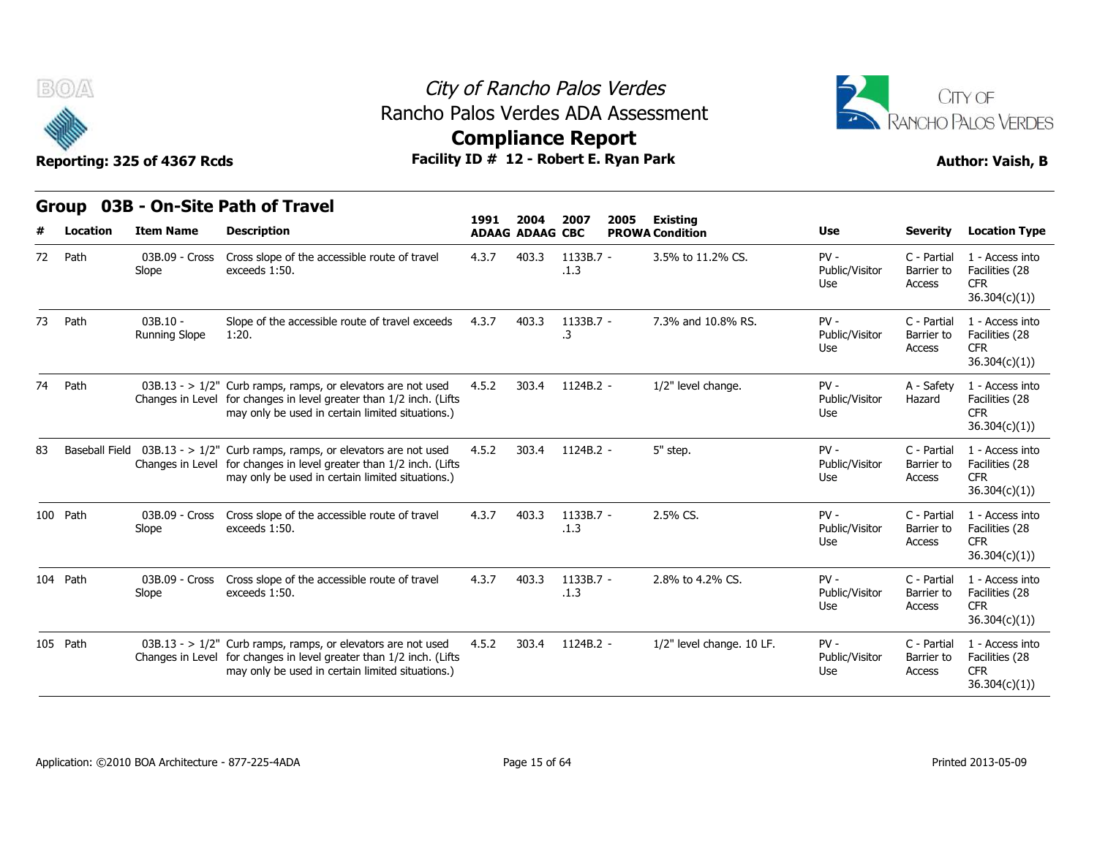



## **Compliance Report**

|    | Group                 |                                    | 03B - On-Site Path of Travel                                                                                                                                                             | 1991  | 2004                   | 2007<br>2005      | <b>Existing</b>           |                                 |                                     |                                                                  |
|----|-----------------------|------------------------------------|------------------------------------------------------------------------------------------------------------------------------------------------------------------------------------------|-------|------------------------|-------------------|---------------------------|---------------------------------|-------------------------------------|------------------------------------------------------------------|
|    | Location              | <b>Item Name</b>                   | <b>Description</b>                                                                                                                                                                       |       | <b>ADAAG ADAAG CBC</b> |                   | <b>PROWA Condition</b>    | <b>Use</b>                      | <b>Severity</b>                     | <b>Location Type</b>                                             |
| 72 | Path                  | 03B.09 - Cross<br>Slope            | Cross slope of the accessible route of travel<br>exceeds 1:50.                                                                                                                           | 4.3.7 | 403.3                  | 1133B.7 -<br>.1.3 | 3.5% to 11.2% CS.         | $PV -$<br>Public/Visitor<br>Use | C - Partial<br>Barrier to<br>Access | 1 - Access into<br>Facilities (28<br><b>CFR</b><br>36.304(c)(1)) |
| 73 | Path                  | $03B.10 -$<br><b>Running Slope</b> | Slope of the accessible route of travel exceeds<br>1:20.                                                                                                                                 | 4.3.7 | 403.3                  | 1133B.7 -<br>.3   | 7.3% and 10.8% RS.        | $PV -$<br>Public/Visitor<br>Use | C - Partial<br>Barrier to<br>Access | 1 - Access into<br>Facilities (28<br><b>CFR</b><br>36.304(c)(1)) |
| 74 | Path                  |                                    | $03B.13 - 1/2$ " Curb ramps, ramps, or elevators are not used<br>Changes in Level for changes in level greater than 1/2 inch. (Lifts<br>may only be used in certain limited situations.) | 4.5.2 | 303.4                  | 1124B.2 -         | 1/2" level change.        | $PV -$<br>Public/Visitor<br>Use | A - Safety<br>Hazard                | 1 - Access into<br>Facilities (28<br><b>CFR</b><br>36.304(c)(1)  |
| 83 | <b>Baseball Field</b> |                                    | $03B.13 - 1/2$ " Curb ramps, ramps, or elevators are not used<br>Changes in Level for changes in level greater than 1/2 inch. (Lifts<br>may only be used in certain limited situations.) | 4.5.2 | 303.4                  | $1124B.2 -$       | 5" step.                  | $PV -$<br>Public/Visitor<br>Use | C - Partial<br>Barrier to<br>Access | 1 - Access into<br>Facilities (28<br><b>CFR</b><br>36.304(c)(1)  |
|    | 100 Path              | 03B.09 - Cross<br>Slope            | Cross slope of the accessible route of travel<br>exceeds 1:50.                                                                                                                           | 4.3.7 | 403.3                  | 1133B.7 -<br>.1.3 | 2.5% CS.                  | $PV -$<br>Public/Visitor<br>Use | C - Partial<br>Barrier to<br>Access | 1 - Access into<br>Facilities (28<br><b>CFR</b><br>36.304(c)(1)  |
|    | 104 Path              | 03B.09 - Cross<br>Slope            | Cross slope of the accessible route of travel<br>exceeds 1:50.                                                                                                                           | 4.3.7 | 403.3                  | 1133B.7 -<br>.1.3 | 2.8% to 4.2% CS.          | $PV -$<br>Public/Visitor<br>Use | C - Partial<br>Barrier to<br>Access | 1 - Access into<br>Facilities (28<br><b>CFR</b><br>36.304(c)(1)  |
|    | 105 Path              |                                    | $03B.13 - 1/2$ " Curb ramps, ramps, or elevators are not used<br>Changes in Level for changes in level greater than 1/2 inch. (Lifts<br>may only be used in certain limited situations.) | 4.5.2 | 303.4                  | 1124B.2 -         | 1/2" level change. 10 LF. | $PV -$<br>Public/Visitor<br>Use | C - Partial<br>Barrier to<br>Access | 1 - Access into<br>Facilities (28<br><b>CFR</b><br>36.304(c)(1)  |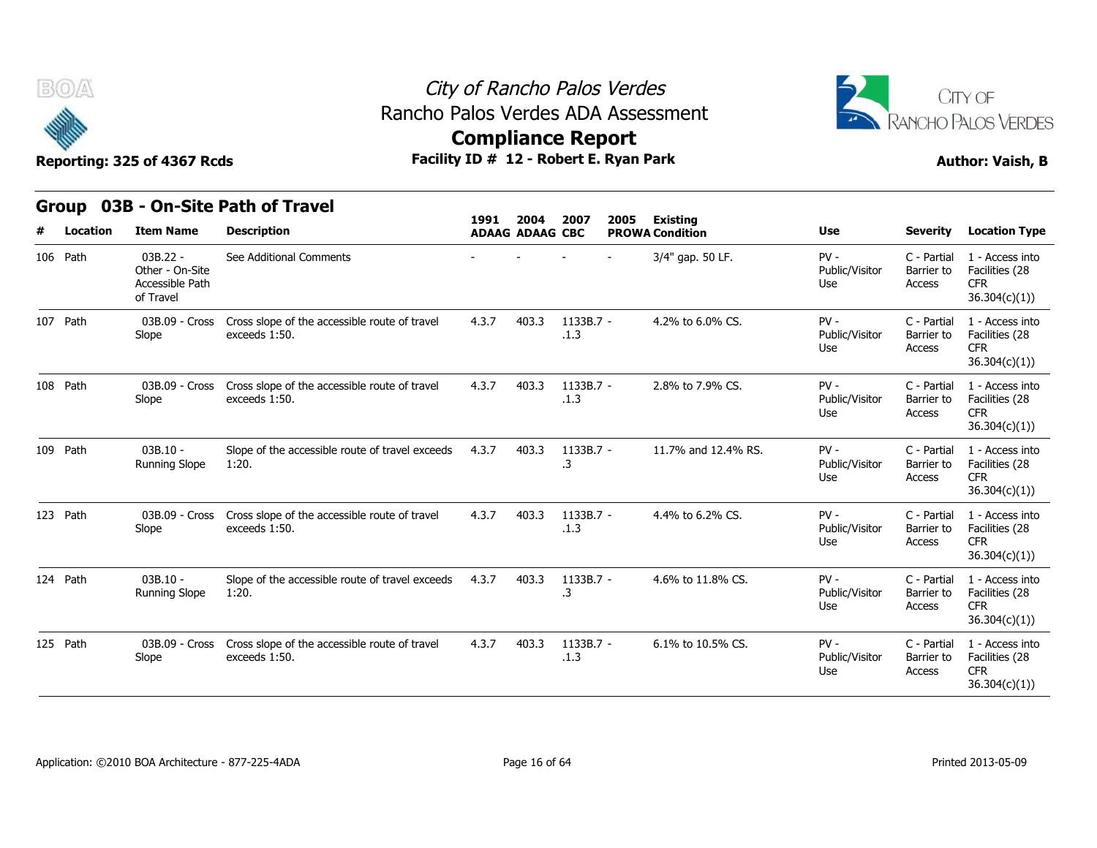

### City of Rancho Palos Verdes Rancho Palos Verdes ADA Assessment



# **Compliance Report**

|   | v        |                                                               |                                                                | <b>ARTIBINING ISPAIN</b> |                                |                   |      |                                           |                                 |                                     |                                                                  |
|---|----------|---------------------------------------------------------------|----------------------------------------------------------------|--------------------------|--------------------------------|-------------------|------|-------------------------------------------|---------------------------------|-------------------------------------|------------------------------------------------------------------|
|   |          | Reporting: 325 of 4367 Rcds                                   | Facility ID # 12 - Robert E. Ryan Park                         |                          |                                |                   |      |                                           |                                 |                                     | <b>Author: Vaish, B</b>                                          |
|   |          |                                                               | Group 03B - On-Site Path of Travel                             |                          |                                |                   |      |                                           |                                 |                                     |                                                                  |
| # | Location | <b>Item Name</b>                                              | <b>Description</b>                                             | 1991                     | 2004<br><b>ADAAG ADAAG CBC</b> | 2007              | 2005 | <b>Existing</b><br><b>PROWA Condition</b> | <b>Use</b>                      | <b>Severity</b>                     | <b>Location Type</b>                                             |
|   | 106 Path | $03B.22 -$<br>Other - On-Site<br>Accessible Path<br>of Travel | See Additional Comments                                        |                          |                                |                   |      | 3/4" gap. 50 LF.                          | $PV -$<br>Public/Visitor<br>Use | C - Partial<br>Barrier to<br>Access | 1 - Access into<br>Facilities (28<br><b>CFR</b><br>36.304(c)(1)  |
|   | 107 Path | 03B.09 - Cross<br>Slope                                       | Cross slope of the accessible route of travel<br>exceeds 1:50. | 4.3.7                    | 403.3                          | 1133B.7 -<br>.1.3 |      | 4.2% to 6.0% CS.                          | $PV -$<br>Public/Visitor<br>Use | C - Partial<br>Barrier to<br>Access | 1 - Access into<br>Facilities (28<br><b>CFR</b><br>36.304(c)(1)  |
|   | 108 Path | 03B.09 - Cross<br>Slope                                       | Cross slope of the accessible route of travel<br>exceeds 1:50. | 4.3.7                    | 403.3                          | 1133B.7 -<br>.1.3 |      | 2.8% to 7.9% CS.                          | $PV -$<br>Public/Visitor<br>Use | C - Partial<br>Barrier to<br>Access | 1 - Access into<br>Facilities (28<br><b>CFR</b><br>36.304(c)(1)  |
|   | 109 Path | $03B.10 -$<br>Running Slope                                   | Slope of the accessible route of travel exceeds<br>1:20.       | 4.3.7                    | 403.3                          | 1133B.7 -<br>.3   |      | 11.7% and 12.4% RS.                       | $PV -$<br>Public/Visitor<br>Use | C - Partial<br>Barrier to<br>Access | 1 - Access into<br>Facilities (28<br><b>CFR</b><br>36.304(c)(1)) |
|   | 123 Path | 03B.09 - Cross<br>Slope                                       | Cross slope of the accessible route of travel<br>exceeds 1:50. | 4.3.7                    | 403.3                          | 1133B.7 -<br>.1.3 |      | 4.4% to 6.2% CS.                          | $PV -$<br>Public/Visitor<br>Use | C - Partial<br>Barrier to<br>Access | 1 - Access into<br>Facilities (28<br><b>CFR</b><br>36.304(c)(1)  |
|   | 124 Path | $03B.10 -$<br><b>Running Slope</b>                            | Slope of the accessible route of travel exceeds<br>1:20.       | 4.3.7                    | 403.3                          | 1133B.7 -<br>.3   |      | 4.6% to 11.8% CS.                         | $PV -$<br>Public/Visitor<br>Use | C - Partial<br>Barrier to<br>Access | 1 - Access into<br>Facilities (28<br><b>CFR</b><br>36.304(c)(1)  |
|   | 125 Path | 03B.09 - Cross<br>Slope                                       | Cross slope of the accessible route of travel<br>exceeds 1:50. | 4.3.7                    | 403.3                          | 1133B.7 -<br>.1.3 |      | 6.1% to 10.5% CS.                         | $PV -$<br>Public/Visitor<br>Use | C - Partial<br>Barrier to<br>Access | 1 - Access into<br>Facilities (28<br><b>CFR</b><br>36.304(c)(1)) |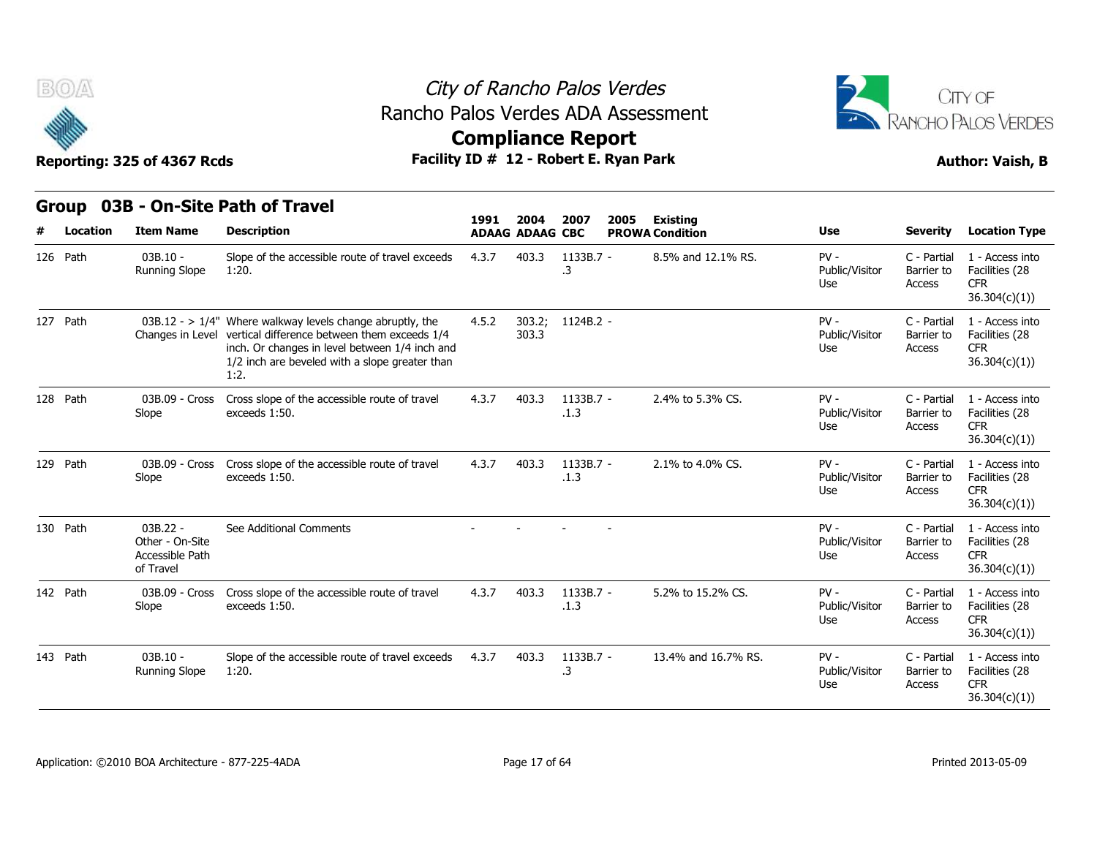



## **Compliance Report**

|          | BOA      | Reporting: 325 of 4367 Rcds                                   | Rancho Palos Verdes ADA Assessment<br>Facility ID # 12 - Robert E. Ryan Park                                                                                                                                                              | City of Rancho Palos Verdes<br><b>Compliance Report</b> |                        |                   |      |                        |                                 |                                     | CITY OF<br>RANCHO PALOS VERDES<br><b>Author: Vaish, B</b>        |
|----------|----------|---------------------------------------------------------------|-------------------------------------------------------------------------------------------------------------------------------------------------------------------------------------------------------------------------------------------|---------------------------------------------------------|------------------------|-------------------|------|------------------------|---------------------------------|-------------------------------------|------------------------------------------------------------------|
|          | Group    |                                                               | 03B - On-Site Path of Travel                                                                                                                                                                                                              | 1991                                                    | 2004                   | 2007              | 2005 | <b>Existing</b>        |                                 |                                     |                                                                  |
| #        | Location | <b>Item Name</b>                                              | <b>Description</b>                                                                                                                                                                                                                        |                                                         | <b>ADAAG ADAAG CBC</b> |                   |      | <b>PROWA Condition</b> | Use                             | <b>Severity</b>                     | <b>Location Type</b>                                             |
| 126 Path |          | $03B.10 -$<br><b>Running Slope</b>                            | Slope of the accessible route of travel exceeds<br>1:20.                                                                                                                                                                                  | 4.3.7                                                   | 403.3                  | 1133B.7 -<br>.3   |      | 8.5% and 12.1% RS.     | $PV -$<br>Public/Visitor<br>Use | C - Partial<br>Barrier to<br>Access | 1 - Access into<br>Facilities (28<br><b>CFR</b><br>36.304(c)(1)  |
| 127 Path |          |                                                               | 03B.12 - $> 1/4$ " Where walkway levels change abruptly, the<br>Changes in Level vertical difference between them exceeds 1/4<br>inch. Or changes in level between 1/4 inch and<br>1/2 inch are beveled with a slope greater than<br>1:2. | 4.5.2                                                   | 303.2;<br>303.3        | 1124B.2 -         |      |                        | PV-<br>Public/Visitor<br>Use    | C - Partial<br>Barrier to<br>Access | 1 - Access into<br>Facilities (28<br><b>CFR</b><br>36.304(c)(1)) |
| 128 Path |          | 03B.09 - Cross<br>Slope                                       | Cross slope of the accessible route of travel<br>exceeds 1:50.                                                                                                                                                                            | 4.3.7                                                   | 403.3                  | 1133B.7 -<br>.1.3 |      | 2.4% to 5.3% CS.       | $PV -$<br>Public/Visitor<br>Use | C - Partial<br>Barrier to<br>Access | 1 - Access into<br>Facilities (28<br><b>CFR</b><br>36.304(c)(1)  |
| 129 Path |          | 03B.09 - Cross<br>Slope                                       | Cross slope of the accessible route of travel<br>exceeds 1:50.                                                                                                                                                                            | 4.3.7                                                   | 403.3                  | 1133B.7 -<br>.1.3 |      | 2.1% to 4.0% CS.       | $PV -$<br>Public/Visitor<br>Use | C - Partial<br>Barrier to<br>Access | 1 - Access into<br>Facilities (28<br><b>CFR</b><br>36.304(c)(1)  |
| 130 Path |          | $03B.22 -$<br>Other - On-Site<br>Accessible Path<br>of Travel | See Additional Comments                                                                                                                                                                                                                   |                                                         |                        |                   |      |                        | $PV -$<br>Public/Visitor<br>Use | C - Partial<br>Barrier to<br>Access | 1 - Access into<br>Facilities (28<br><b>CFR</b><br>36.304(c)(1)  |
| 142 Path |          | 03B.09 - Cross<br>Slope                                       | Cross slope of the accessible route of travel<br>exceeds 1:50.                                                                                                                                                                            | 4.3.7                                                   | 403.3                  | 1133B.7 -<br>.1.3 |      | 5.2% to 15.2% CS.      | $PV -$<br>Public/Visitor<br>Use | C - Partial<br>Barrier to<br>Access | 1 - Access into<br>Facilities (28<br><b>CFR</b><br>36.304(c)(1)  |
| 143 Path |          | 03B.10 -<br><b>Running Slope</b>                              | Slope of the accessible route of travel exceeds<br>1:20.                                                                                                                                                                                  | 4.3.7                                                   | 403.3                  | 1133B.7 -<br>.3   |      | 13.4% and 16.7% RS.    | $PV -$<br>Public/Visitor<br>Use | C - Partial<br>Barrier to<br>Access | 1 - Access into<br>Facilities (28<br><b>CFR</b><br>36.304(c)(1)) |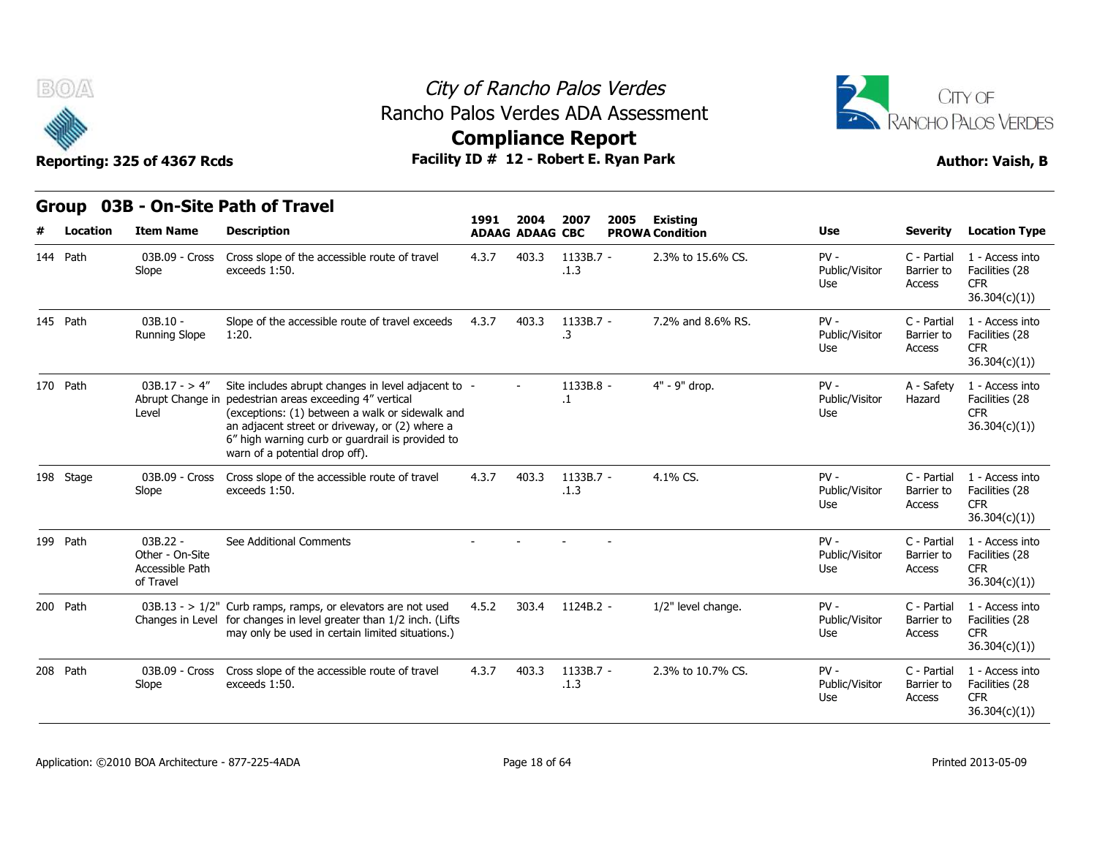



## **Compliance Report**

| BOA       | Reporting: 325 of 4367 Rcds                                   | Rancho Palos Verdes ADA Assessment                                                                                                                                                                                                                                                                        |       |                        | City of Rancho Palos Verdes<br><b>Compliance Report</b><br>Facility ID # 12 - Robert E. Ryan Park |      |                        | CITY OF<br><b>RANCHO PALOS VERDES</b><br><b>Author: Vaish, B</b> |                                     |                                                                  |
|-----------|---------------------------------------------------------------|-----------------------------------------------------------------------------------------------------------------------------------------------------------------------------------------------------------------------------------------------------------------------------------------------------------|-------|------------------------|---------------------------------------------------------------------------------------------------|------|------------------------|------------------------------------------------------------------|-------------------------------------|------------------------------------------------------------------|
|           |                                                               | Group 03B - On-Site Path of Travel                                                                                                                                                                                                                                                                        | 1991  | 2004                   | 2007                                                                                              | 2005 | <b>Existing</b>        |                                                                  |                                     |                                                                  |
| Location  | <b>Item Name</b>                                              | <b>Description</b>                                                                                                                                                                                                                                                                                        |       | <b>ADAAG ADAAG CBC</b> |                                                                                                   |      | <b>PROWA Condition</b> | Use                                                              | <b>Severity</b>                     | <b>Location Type</b>                                             |
| 144 Path  | 03B.09 - Cross<br>Slope                                       | Cross slope of the accessible route of travel<br>exceeds 1:50.                                                                                                                                                                                                                                            | 4.3.7 | 403.3                  | 1133B.7 -<br>.1.3                                                                                 |      | 2.3% to 15.6% CS.      | $PV -$<br>Public/Visitor<br>Use                                  | C - Partial<br>Barrier to<br>Access | 1 - Access into<br>Facilities (28<br><b>CFR</b><br>36.304(c)(1)  |
| 145 Path  | $03B.10 -$<br><b>Running Slope</b>                            | Slope of the accessible route of travel exceeds<br>1:20.                                                                                                                                                                                                                                                  | 4.3.7 | 403.3                  | 1133B.7 -<br>$\cdot$ 3                                                                            |      | 7.2% and 8.6% RS.      | $PV -$<br>Public/Visitor<br>Use                                  | C - Partial<br>Barrier to<br>Access | 1 - Access into<br>Facilities (28<br><b>CFR</b><br>36.304(c)(1)  |
| 170 Path  | $03B.17 - > 4''$<br>Level                                     | Site includes abrupt changes in level adjacent to -<br>Abrupt Change in pedestrian areas exceeding 4" vertical<br>(exceptions: (1) between a walk or sidewalk and<br>an adjacent street or driveway, or (2) where a<br>6" high warning curb or guardrail is provided to<br>warn of a potential drop off). |       |                        | 1133B.8 -<br>$\cdot$ 1                                                                            |      | 4" - 9" drop.          | $PV -$<br>Public/Visitor<br>Use                                  | A - Safety<br>Hazard                | 1 - Access into<br>Facilities (28<br><b>CFR</b><br>36.304(c)(1)  |
| 198 Stage | 03B.09 - Cross<br>Slope                                       | Cross slope of the accessible route of travel<br>exceeds 1:50.                                                                                                                                                                                                                                            | 4.3.7 | 403.3                  | 1133B.7 -<br>.1.3                                                                                 |      | 4.1% CS.               | $PV -$<br>Public/Visitor<br>Use                                  | C - Partial<br>Barrier to<br>Access | 1 - Access into<br>Facilities (28<br><b>CFR</b><br>36.304(c)(1)  |
| 199 Path  | $03B.22 -$<br>Other - On-Site<br>Accessible Path<br>of Travel | See Additional Comments                                                                                                                                                                                                                                                                                   |       |                        |                                                                                                   |      |                        | $PV -$<br>Public/Visitor<br>Use                                  | C - Partial<br>Barrier to<br>Access | 1 - Access into<br>Facilities (28<br><b>CFR</b><br>36.304(c)(1)  |
| 200 Path  |                                                               | 03B.13 - > 1/2" Curb ramps, ramps, or elevators are not used<br>Changes in Level for changes in level greater than 1/2 inch. (Lifts<br>may only be used in certain limited situations.)                                                                                                                   | 4.5.2 | 303.4                  | 1124B.2 -                                                                                         |      | 1/2" level change.     | $PV -$<br>Public/Visitor<br>Use                                  | C - Partial<br>Barrier to<br>Access | 1 - Access into<br>Facilities (28<br><b>CFR</b><br>36.304(c)(1)  |
| 208 Path  | 03B.09 - Cross<br>Slope                                       | Cross slope of the accessible route of travel<br>exceeds 1:50.                                                                                                                                                                                                                                            | 4.3.7 | 403.3                  | 1133B.7 -<br>.1.3                                                                                 |      | 2.3% to 10.7% CS.      | $PV -$<br>Public/Visitor<br>Use                                  | C - Partial<br>Barrier to<br>Access | 1 - Access into<br>Facilities (28<br><b>CFR</b><br>36.304(c)(1)) |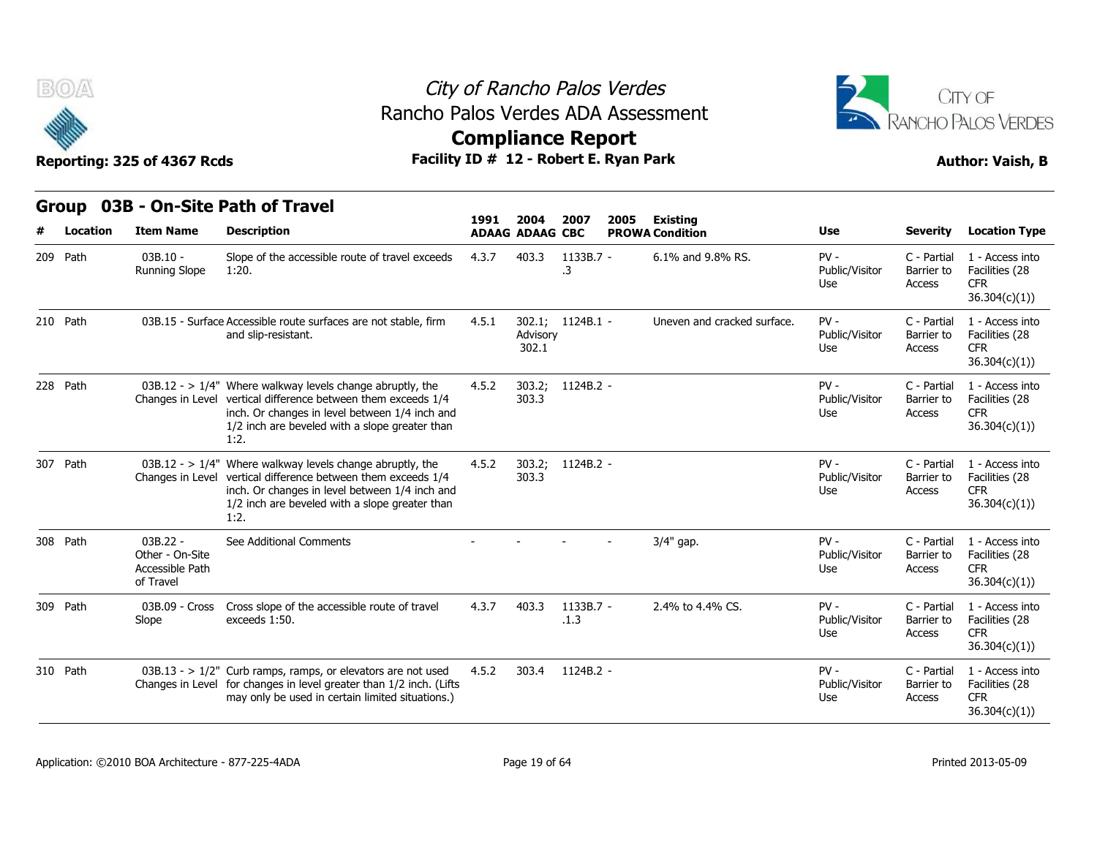



## **Compliance Report**

|          | <b>BOA</b> | Reporting: 325 of 4367 Rcds                                   | Rancho Palos Verdes ADA Assessment<br>Facility ID # 12 - Robert E. Ryan Park                                                                                                                                                              | City of Rancho Palos Verdes<br><b>Compliance Report</b> |                        |                   |      |                             |                                 | CITY OF<br>RANCHO PALOS VERDES<br><b>Author: Vaish, B</b> |                                                                  |  |
|----------|------------|---------------------------------------------------------------|-------------------------------------------------------------------------------------------------------------------------------------------------------------------------------------------------------------------------------------------|---------------------------------------------------------|------------------------|-------------------|------|-----------------------------|---------------------------------|-----------------------------------------------------------|------------------------------------------------------------------|--|
|          |            |                                                               | Group 03B - On-Site Path of Travel                                                                                                                                                                                                        | 1991                                                    | 2004                   | 2007              | 2005 | <b>Existing</b>             |                                 |                                                           |                                                                  |  |
| #        | Location   | <b>Item Name</b>                                              | <b>Description</b>                                                                                                                                                                                                                        |                                                         | <b>ADAAG ADAAG CBC</b> |                   |      | <b>PROWA Condition</b>      | Use                             | <b>Severity</b>                                           | <b>Location Type</b>                                             |  |
| 209 Path |            | $03B.10 -$<br><b>Running Slope</b>                            | Slope of the accessible route of travel exceeds<br>1:20.                                                                                                                                                                                  | 4.3.7                                                   | 403.3                  | 1133B.7 -<br>.3   |      | 6.1% and 9.8% RS.           | $PV -$<br>Public/Visitor<br>Use | C - Partial<br>Barrier to<br>Access                       | 1 - Access into<br>Facilities (28<br>CFR.<br>36.304(c)(1)        |  |
| 210 Path |            |                                                               | 03B.15 - Surface Accessible route surfaces are not stable, firm<br>and slip-resistant.                                                                                                                                                    | 4.5.1                                                   | Advisory<br>302.1      | 302.1; 1124B.1 -  |      | Uneven and cracked surface. | $PV -$<br>Public/Visitor<br>Use | C - Partial<br>Barrier to<br><b>Access</b>                | 1 - Access into<br>Facilities (28<br><b>CFR</b><br>36.304(c)(1)) |  |
| 228 Path |            |                                                               | 03B.12 - > $1/4$ " Where walkway levels change abruptly, the<br>Changes in Level vertical difference between them exceeds 1/4<br>inch. Or changes in level between 1/4 inch and<br>1/2 inch are beveled with a slope greater than<br>1:2. | 4.5.2                                                   | 303.2;<br>303.3        | 1124B.2 -         |      |                             | $PV -$<br>Public/Visitor<br>Use | C - Partial<br>Barrier to<br>Access                       | 1 - Access into<br>Facilities (28<br><b>CFR</b><br>36.304(c)(1)) |  |
|          | 307 Path   |                                                               | 03B.12 - $> 1/4$ " Where walkway levels change abruptly, the<br>Changes in Level vertical difference between them exceeds 1/4<br>inch. Or changes in level between 1/4 inch and<br>1/2 inch are beveled with a slope greater than<br>1:2. | 4.5.2                                                   | 303.2;<br>303.3        | 1124B.2 -         |      |                             | $PV -$<br>Public/Visitor<br>Use | C - Partial<br>Barrier to<br>Access                       | 1 - Access into<br>Facilities (28<br><b>CFR</b><br>36.304(c)(1)  |  |
| 308 Path |            | $03B.22 -$<br>Other - On-Site<br>Accessible Path<br>of Travel | See Additional Comments                                                                                                                                                                                                                   |                                                         |                        |                   |      | 3/4" gap.                   | $PV -$<br>Public/Visitor<br>Use | C - Partial<br>Barrier to<br>Access                       | 1 - Access into<br>Facilities (28<br><b>CFR</b><br>36.304(c)(1)  |  |
| 309 Path |            | 03B.09 - Cross<br>Slope                                       | Cross slope of the accessible route of travel<br>exceeds 1:50.                                                                                                                                                                            | 4.3.7                                                   | 403.3                  | 1133B.7 -<br>.1.3 |      | 2.4% to 4.4% CS.            | $PV -$<br>Public/Visitor<br>Use | C - Partial<br>Barrier to<br>Access                       | 1 - Access into<br>Facilities (28<br><b>CFR</b><br>36.304(c)(1)  |  |
| 310 Path |            |                                                               | $03B.13 - 1/2$ " Curb ramps, ramps, or elevators are not used<br>Changes in Level for changes in level greater than 1/2 inch. (Lifts<br>may only be used in certain limited situations.)                                                  | 4.5.2                                                   | 303.4                  | 1124B.2 -         |      |                             | $PV -$<br>Public/Visitor<br>Use | C - Partial<br>Barrier to<br>Access                       | 1 - Access into<br>Facilities (28<br><b>CFR</b><br>36.304(c)(1)  |  |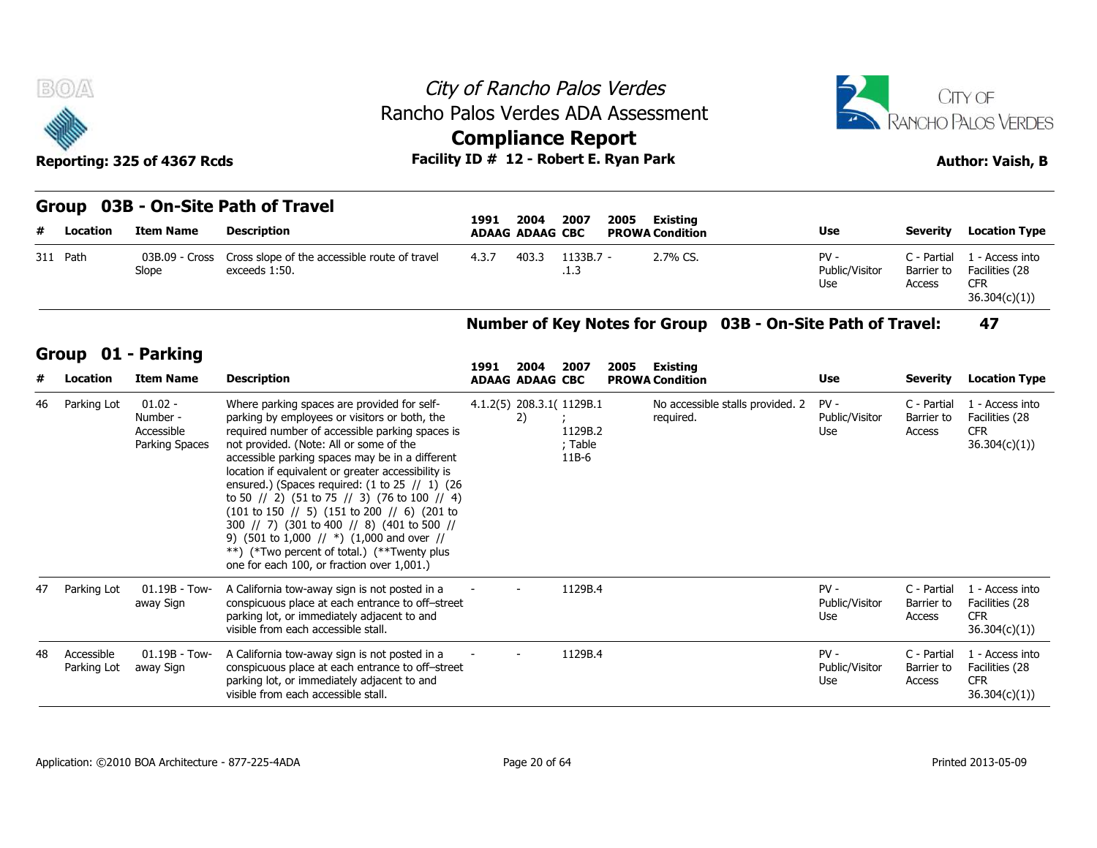



### **Group 03B - On-Site Path of Travel**

| <b>BOA</b> | Reporting: 325 of 4367 Rcds |                                                                | City of Rancho Palos Verdes<br>Rancho Palos Verdes ADA Assessment<br><b>Compliance Report</b><br>Facility ID # 12 - Robert E. Ryan Park |                     |                        | $\overline{A^2}$                |                                     | CITY OF<br>RANCHO PALOS VERDES<br><b>Author: Vaish, B</b>       |
|------------|-----------------------------|----------------------------------------------------------------|-----------------------------------------------------------------------------------------------------------------------------------------|---------------------|------------------------|---------------------------------|-------------------------------------|-----------------------------------------------------------------|
|            |                             | Group 03B - On-Site Path of Travel                             | 2004<br>1991                                                                                                                            | 2007<br>2005        | Existing               |                                 |                                     |                                                                 |
| # Location | <b>Item Name</b>            | <b>Description</b>                                             | <b>ADAAG ADAAG CBC</b>                                                                                                                  |                     | <b>PROWA Condition</b> | Use                             | Severity                            | <b>Location Type</b>                                            |
| 311 Path   | 03B.09 - Cross<br>Slope     | Cross slope of the accessible route of travel<br>exceeds 1:50. | 4.3.7<br>403.3                                                                                                                          | $1133B.7 -$<br>.1.3 | 2.7% CS.               | $PV -$<br>Public/Visitor<br>Use | C - Partial<br>Barrier to<br>Access | 1 - Access into<br>Facilities (28<br><b>CFR</b><br>36.304(c)(1) |

### **Number of Key Notes for Group 03B - On-Site Path of Travel: 47**

### **Group 01 - Parking**

| #        | Location                  | <b>Item Name</b>                                      | <b>Description</b>                                                                                                                                                                                                                                                                                                                                                                                                                                                                                                                                                                                                                                                                                                                                                                     |       | <b>ADAAG ADAAG CBC</b>         |                                                            |      | <b>PROWA Condition</b>                        |                                                             | <b>Use</b>                      | <b>Severity</b>                     | <b>Location Type</b>                                            |
|----------|---------------------------|-------------------------------------------------------|----------------------------------------------------------------------------------------------------------------------------------------------------------------------------------------------------------------------------------------------------------------------------------------------------------------------------------------------------------------------------------------------------------------------------------------------------------------------------------------------------------------------------------------------------------------------------------------------------------------------------------------------------------------------------------------------------------------------------------------------------------------------------------------|-------|--------------------------------|------------------------------------------------------------|------|-----------------------------------------------|-------------------------------------------------------------|---------------------------------|-------------------------------------|-----------------------------------------------------------------|
| 311 Path |                           | 03B.09 - Cross<br>Slope                               | Cross slope of the accessible route of travel<br>exceeds 1:50.                                                                                                                                                                                                                                                                                                                                                                                                                                                                                                                                                                                                                                                                                                                         | 4.3.7 | 403.3                          | 1133B.7 -<br>.1.3                                          |      | 2.7% CS.                                      |                                                             | $PV -$<br>Public/Visitor<br>Use | C - Partial<br>Barrier to<br>Access | 1 - Access into<br>Facilities (28<br><b>CFR</b><br>36.304(c)(1) |
|          |                           |                                                       |                                                                                                                                                                                                                                                                                                                                                                                                                                                                                                                                                                                                                                                                                                                                                                                        |       |                                |                                                            |      |                                               | Number of Key Notes for Group 03B - On-Site Path of Travel: |                                 |                                     | 47                                                              |
|          |                           | Group 01 - Parking                                    |                                                                                                                                                                                                                                                                                                                                                                                                                                                                                                                                                                                                                                                                                                                                                                                        |       |                                |                                                            |      |                                               |                                                             |                                 |                                     |                                                                 |
| #        | Location                  | <b>Item Name</b>                                      | <b>Description</b>                                                                                                                                                                                                                                                                                                                                                                                                                                                                                                                                                                                                                                                                                                                                                                     | 1991  | 2004<br><b>ADAAG ADAAG CBC</b> | 2007                                                       | 2005 | Existing<br><b>PROWA Condition</b>            |                                                             | <b>Use</b>                      | Severity                            | <b>Location Type</b>                                            |
| 46       | Parking Lot               | $01.02 -$<br>Number -<br>Accessible<br>Parking Spaces | Where parking spaces are provided for self-<br>parking by employees or visitors or both, the<br>required number of accessible parking spaces is<br>not provided. (Note: All or some of the<br>accessible parking spaces may be in a different<br>location if equivalent or greater accessibility is<br>ensured.) (Spaces required: $(1 \text{ to } 25 \text{ } \text{/} \text{/} \text{ } 1)$ $(26 \text{ } \text{ } 2)$<br>to 50 // 2) (51 to 75 // 3) (76 to 100 // 4)<br>$(101 \text{ to } 150 \text{ // } 5)$ $(151 \text{ to } 200 \text{ // } 6)$ $(201 \text{ to } 150 \text{ / } 5)$<br>300 // 7) (301 to 400 // 8) (401 to 500 //<br>9) (501 to 1,000 // $*)$ (1,000 and over //<br>**) (*Two percent of total.) (**Twenty plus<br>one for each 100, or fraction over 1,001.) |       | 2)                             | 4.1.2(5) 208.3.1( 1129B.1<br>1129B.2<br>; Table<br>$11B-6$ |      | No accessible stalls provided. 2<br>required. |                                                             | $PV -$<br>Public/Visitor<br>Use | C - Partial<br>Barrier to<br>Access | 1 - Access into<br>Facilities (28<br><b>CFR</b><br>36.304(c)(1) |
| 47       | Parking Lot               | $01.19B - Tow-$<br>away Sign                          | A California tow-away sign is not posted in a<br>conspicuous place at each entrance to off-street<br>parking lot, or immediately adjacent to and<br>visible from each accessible stall.                                                                                                                                                                                                                                                                                                                                                                                                                                                                                                                                                                                                |       |                                | 1129B.4                                                    |      |                                               |                                                             | $PV -$<br>Public/Visitor<br>Use | C - Partial<br>Barrier to<br>Access | 1 - Access into<br>Facilities (28<br><b>CFR</b><br>36.304(c)(1) |
| 48       | Accessible<br>Parking Lot | $01.19B - Town -$<br>away Sign                        | A California tow-away sign is not posted in a<br>conspicuous place at each entrance to off-street<br>parking lot, or immediately adjacent to and<br>visible from each accessible stall.                                                                                                                                                                                                                                                                                                                                                                                                                                                                                                                                                                                                |       |                                | 1129B.4                                                    |      |                                               |                                                             | $PV -$<br>Public/Visitor<br>Use | C - Partial<br>Barrier to<br>Access | 1 - Access into<br>Facilities (28<br><b>CFR</b><br>36.304(c)(1) |
|          |                           |                                                       |                                                                                                                                                                                                                                                                                                                                                                                                                                                                                                                                                                                                                                                                                                                                                                                        |       |                                |                                                            |      |                                               |                                                             |                                 |                                     |                                                                 |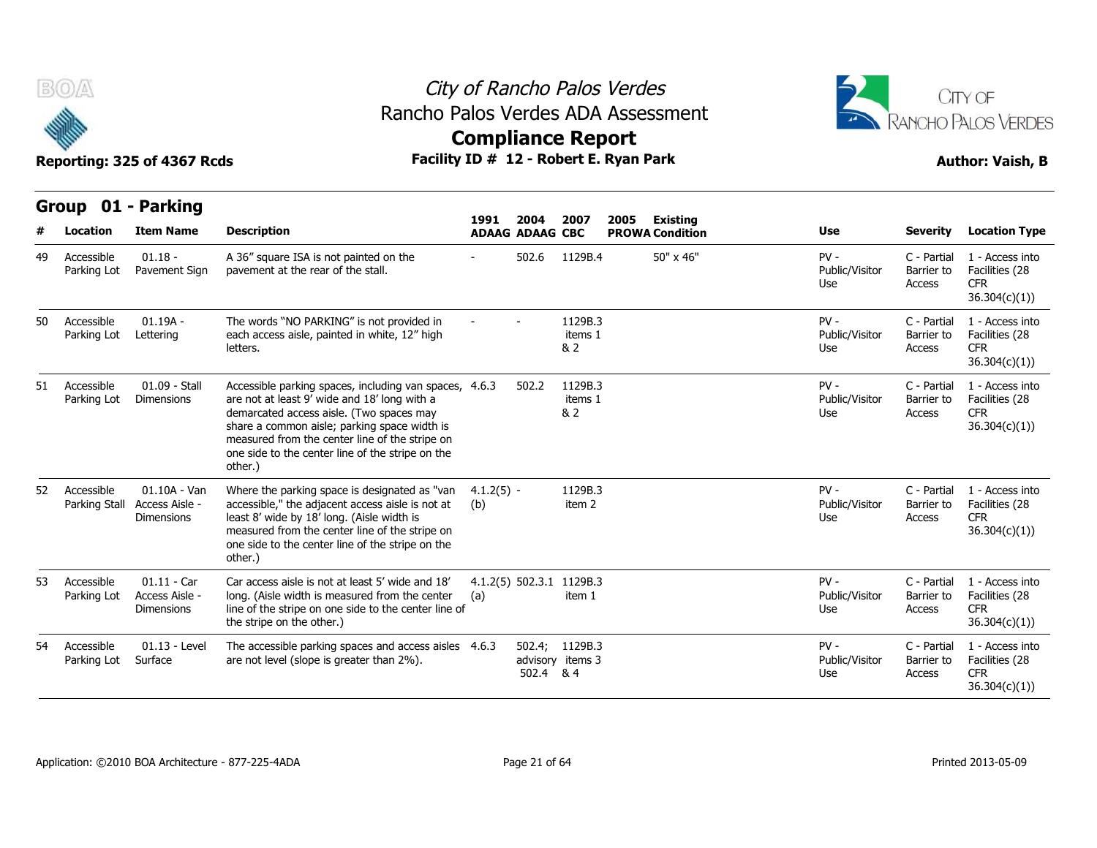

**Group 01 - Parking**

### City of Rancho Palos Verdes **Compliance Report** Rancho Palos Verdes ADA Assessment



|    |                             |                                                       |                                                                                                                                                                                                                                                                                                                     | 1991                | 2004                   | 2007                               | 2005<br><b>Existing</b> |                                 |                                     |                                                                  |
|----|-----------------------------|-------------------------------------------------------|---------------------------------------------------------------------------------------------------------------------------------------------------------------------------------------------------------------------------------------------------------------------------------------------------------------------|---------------------|------------------------|------------------------------------|-------------------------|---------------------------------|-------------------------------------|------------------------------------------------------------------|
|    | Location                    | <b>Item Name</b>                                      | <b>Description</b>                                                                                                                                                                                                                                                                                                  |                     | <b>ADAAG ADAAG CBC</b> |                                    | <b>PROWA Condition</b>  | <b>Use</b>                      | <b>Severity</b>                     | <b>Location Type</b>                                             |
| 49 | Accessible<br>Parking Lot   | $01.18 -$<br>Pavement Sign                            | A 36" square ISA is not painted on the<br>pavement at the rear of the stall.                                                                                                                                                                                                                                        |                     | 502.6                  | 1129B.4                            | 50" x 46"               | $PV -$<br>Public/Visitor<br>Use | C - Partial<br>Barrier to<br>Access | 1 - Access into<br>Facilities (28<br><b>CFR</b><br>36.304(c)(1)  |
| 50 | Accessible<br>Parking Lot   | $01.19A -$<br>Lettering                               | The words "NO PARKING" is not provided in<br>each access aisle, painted in white, 12" high<br>letters.                                                                                                                                                                                                              |                     |                        | 1129B.3<br>items 1<br>& 2          |                         | $PV -$<br>Public/Visitor<br>Use | C - Partial<br>Barrier to<br>Access | 1 - Access into<br>Facilities (28<br><b>CFR</b><br>36.304(c)(1)  |
| 51 | Accessible<br>Parking Lot   | 01.09 - Stall<br><b>Dimensions</b>                    | Accessible parking spaces, including van spaces, 4.6.3<br>are not at least 9' wide and 18' long with a<br>demarcated access aisle. (Two spaces may<br>share a common aisle; parking space width is<br>measured from the center line of the stripe on<br>one side to the center line of the stripe on the<br>other.) |                     | 502.2                  | 1129B.3<br>items 1<br>& 2          |                         | $PV -$<br>Public/Visitor<br>Use | C - Partial<br>Barrier to<br>Access | 1 - Access into<br>Facilities (28<br><b>CFR</b><br>36.304(c)(1)) |
| 52 | Accessible<br>Parking Stall | $01.10A - Van$<br>Access Aisle -<br><b>Dimensions</b> | Where the parking space is designated as "van<br>accessible," the adjacent access aisle is not at<br>least 8' wide by 18' long. (Aisle width is<br>measured from the center line of the stripe on<br>one side to the center line of the stripe on the<br>other.)                                                    | $4.1.2(5) -$<br>(b) |                        | 1129B.3<br>item 2                  |                         | $PV -$<br>Public/Visitor<br>Use | C - Partial<br>Barrier to<br>Access | 1 - Access into<br>Facilities (28<br><b>CFR</b><br>36.304(c)(1)) |
| 53 | Accessible<br>Parking Lot   | $01.11 - Car$<br>Access Aisle -<br><b>Dimensions</b>  | Car access aisle is not at least 5' wide and 18'<br>long. (Aisle width is measured from the center<br>line of the stripe on one side to the center line of<br>the stripe on the other.)                                                                                                                             | (a)                 |                        | 4.1.2(5) 502.3.1 1129B.3<br>item 1 |                         | $PV -$<br>Public/Visitor<br>Use | C - Partial<br>Barrier to<br>Access | 1 - Access into<br>Facilities (28<br><b>CFR</b><br>36.304(c)(1)  |
| 54 | Accessible<br>Parking Lot   | $01.13 - Level$<br>Surface                            | The accessible parking spaces and access aisles 4.6.3<br>are not level (slope is greater than 2%).                                                                                                                                                                                                                  |                     | 502.4 & 4              | 502.4; 1129B.3<br>advisory items 3 |                         | $PV -$<br>Public/Visitor<br>Use | C - Partial<br>Barrier to<br>Access | 1 - Access into<br>Facilities (28<br><b>CFR</b><br>36.304(c)(1)) |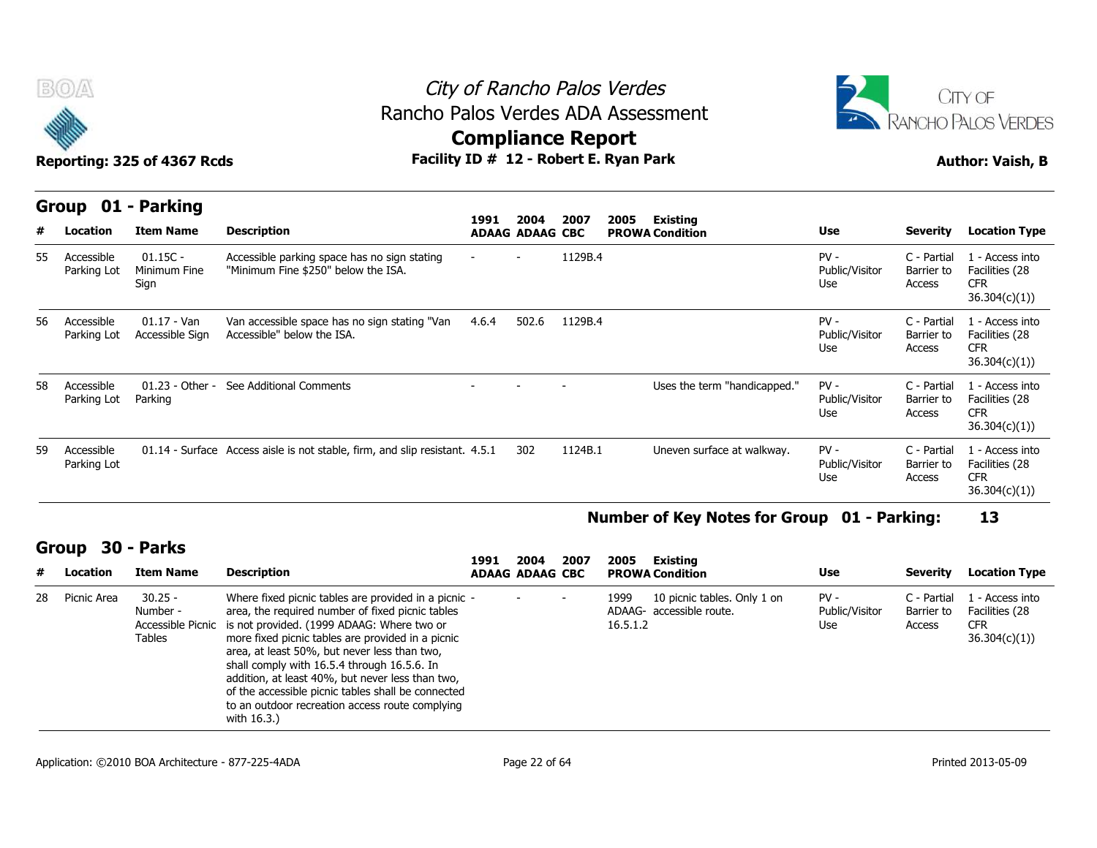



Reporting: 325 of 4367 Rcds **Facility ID # 12 - Robert E. Ryan Park Author: Vaish, B** 

|    | Group<br>01               | - Parking                          |                                                                                     |                          |                                |         |      |                                    |                                 |                                     |                                                                  |
|----|---------------------------|------------------------------------|-------------------------------------------------------------------------------------|--------------------------|--------------------------------|---------|------|------------------------------------|---------------------------------|-------------------------------------|------------------------------------------------------------------|
| #  | Location                  | <b>Item Name</b>                   | <b>Description</b>                                                                  | 1991                     | 2004<br><b>ADAAG ADAAG CBC</b> | 2007    | 2005 | Existing<br><b>PROWA Condition</b> | <b>Use</b>                      | <b>Severity</b>                     | <b>Location Type</b>                                             |
| 55 | Accessible<br>Parking Lot | $01.15C -$<br>Minimum Fine<br>Sign | Accessible parking space has no sign stating<br>"Minimum Fine \$250" below the ISA. | $\overline{\phantom{a}}$ | $\overline{\phantom{0}}$       | 1129B.4 |      |                                    | $PV -$<br>Public/Visitor<br>Use | C - Partial<br>Barrier to<br>Access | 1 - Access into<br>Facilities (28<br><b>CFR</b><br>36.304(c)(1)) |
| 56 | Accessible<br>Parking Lot | $01.17 - Van$<br>Accessible Sign   | Van accessible space has no sign stating "Van<br>Accessible" below the ISA.         | 4.6.4                    | 502.6                          | 1129B.4 |      |                                    | $PV -$<br>Public/Visitor<br>Use | C - Partial<br>Barrier to<br>Access | 1 - Access into<br>Facilities (28<br><b>CFR</b><br>36.304(c)(1)  |
| 58 | Accessible<br>Parking Lot | $01.23 - Other -$<br>Parking       | See Additional Comments                                                             |                          |                                |         |      | Uses the term "handicapped."       | $PV -$<br>Public/Visitor<br>Use | C - Partial<br>Barrier to<br>Access | 1 - Access into<br>Facilities (28<br><b>CFR</b><br>36.304(c)(1)  |
| 59 | Accessible<br>Parking Lot |                                    | 01.14 - Surface Access aisle is not stable, firm, and slip resistant. 4.5.1         |                          | 302                            | 1124B.1 |      | Uneven surface at walkway.         | $PV -$<br>Public/Visitor<br>Use | C - Partial<br>Barrier to<br>Access | 1 - Access into<br>Facilities (28<br><b>CFR</b><br>36.304(c)(1)  |

### **Number of Key Notes for Group 01 - Parking: 13**

### **Group 30 - Parks**

| #  | Location    | <b>Item Name</b>                                     | <b>Description</b>                                                                                                                                                                                                                                                                                                                                                                                                                                                                     | 1991 | 2004<br>ADAAG ADAAG CBC | 2007 | 2005             | Existina<br><b>PROWA Condition</b>                      | Use                             | <b>Severity</b>                     | <b>Location Type</b>                                            |
|----|-------------|------------------------------------------------------|----------------------------------------------------------------------------------------------------------------------------------------------------------------------------------------------------------------------------------------------------------------------------------------------------------------------------------------------------------------------------------------------------------------------------------------------------------------------------------------|------|-------------------------|------|------------------|---------------------------------------------------------|---------------------------------|-------------------------------------|-----------------------------------------------------------------|
| 28 | Picnic Area | $30.25 -$<br>Number -<br>Accessible Picnic<br>Tables | Where fixed picnic tables are provided in a picnic -<br>area, the required number of fixed picnic tables<br>is not provided. (1999 ADAAG: Where two or<br>more fixed picnic tables are provided in a picnic<br>area, at least 50%, but never less than two,<br>shall comply with 16.5.4 through 16.5.6. In<br>addition, at least 40%, but never less than two,<br>of the accessible picnic tables shall be connected<br>to an outdoor recreation access route complying<br>with 16.3.) |      |                         |      | 1999<br>16.5.1.2 | 10 picnic tables. Only 1 on<br>ADAAG- accessible route. | $PV -$<br>Public/Visitor<br>Use | C - Partial<br>Barrier to<br>Access | l - Access into<br>Facilities (28<br><b>CFR</b><br>36.304(c)(1) |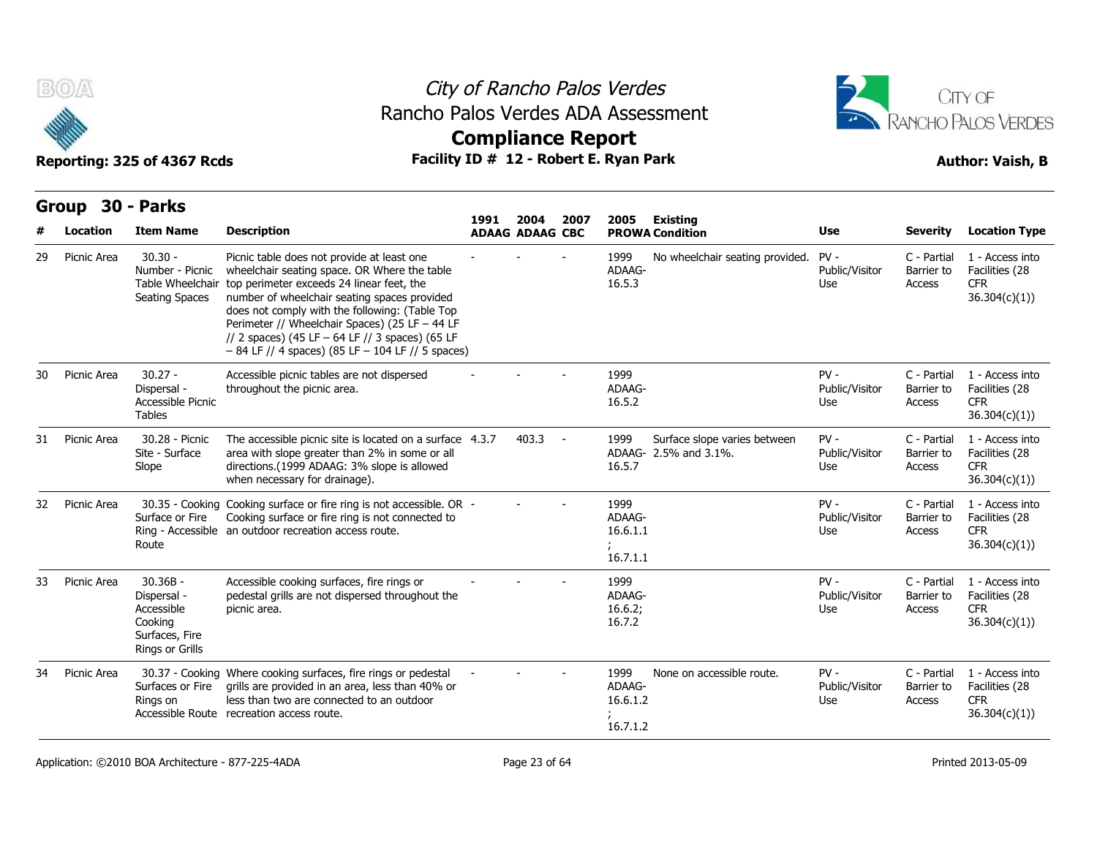



|    | B(0)             |                                                                                         | Rancho Palos Verdes ADA Assessment                                                                                                                                                                                                                                                                                                                                                                                       |      | City of Rancho Palos Verdes |      |                                        |                                                       | CITY OF                         |                                                |                                                                  |  |
|----|------------------|-----------------------------------------------------------------------------------------|--------------------------------------------------------------------------------------------------------------------------------------------------------------------------------------------------------------------------------------------------------------------------------------------------------------------------------------------------------------------------------------------------------------------------|------|-----------------------------|------|----------------------------------------|-------------------------------------------------------|---------------------------------|------------------------------------------------|------------------------------------------------------------------|--|
|    |                  | Reporting: 325 of 4367 Rcds                                                             | Facility ID # 12 - Robert E. Ryan Park                                                                                                                                                                                                                                                                                                                                                                                   |      | <b>Compliance Report</b>    |      |                                        |                                                       |                                 | RANCHO PALOS VERDES<br><b>Author: Vaish, B</b> |                                                                  |  |
|    |                  |                                                                                         |                                                                                                                                                                                                                                                                                                                                                                                                                          |      |                             |      |                                        |                                                       |                                 |                                                |                                                                  |  |
|    | Group 30 - Parks |                                                                                         |                                                                                                                                                                                                                                                                                                                                                                                                                          | 1991 | 2004                        | 2007 | 2005                                   | Existing                                              |                                 |                                                |                                                                  |  |
|    | Location         | <b>Item Name</b>                                                                        | <b>Description</b>                                                                                                                                                                                                                                                                                                                                                                                                       |      | <b>ADAAG ADAAG CBC</b>      |      |                                        | <b>PROWA Condition</b>                                | Use                             | <b>Severity</b>                                | <b>Location Type</b>                                             |  |
| 29 | Picnic Area      | $30.30 -$<br>Number - Picnic<br><b>Seating Spaces</b>                                   | Picnic table does not provide at least one<br>wheelchair seating space. OR Where the table<br>Table Wheelchair top perimeter exceeds 24 linear feet, the<br>number of wheelchair seating spaces provided<br>does not comply with the following: (Table Top<br>Perimeter // Wheelchair Spaces) (25 LF - 44 LF<br>// 2 spaces) (45 LF $-$ 64 LF // 3 spaces) (65 LF<br>$-84$ LF // 4 spaces) (85 LF $-104$ LF // 5 spaces) |      |                             |      | 1999<br>ADAAG-<br>16.5.3               | No wheelchair seating provided.                       | $PV -$<br>Public/Visitor<br>Use | C - Partial<br>Barrier to<br>Access            | 1 - Access into<br>Facilities (28<br><b>CFR</b><br>36.304(c)(1)) |  |
| 30 | Picnic Area      | $30.27 -$<br>Dispersal -<br>Accessible Picnic<br><b>Tables</b>                          | Accessible picnic tables are not dispersed<br>throughout the picnic area.                                                                                                                                                                                                                                                                                                                                                |      |                             |      | 1999<br>ADAAG-<br>16.5.2               |                                                       | $PV -$<br>Public/Visitor<br>Use | C - Partial<br>Barrier to<br>Access            | 1 - Access into<br>Facilities (28<br><b>CFR</b><br>36.304(c)(1)) |  |
| 31 | Picnic Area      | 30.28 - Picnic<br>Site - Surface<br>Slope                                               | The accessible picnic site is located on a surface 4.3.7<br>area with slope greater than 2% in some or all<br>directions.(1999 ADAAG: 3% slope is allowed<br>when necessary for drainage).                                                                                                                                                                                                                               |      | $403.3 -$                   |      | 1999<br>16.5.7                         | Surface slope varies between<br>ADAAG- 2.5% and 3.1%. | $PV -$<br>Public/Visitor<br>Use | C - Partial<br>Barrier to<br>Access            | 1 - Access into<br>Facilities (28<br><b>CFR</b><br>36.304(c)(1)) |  |
| 32 | Picnic Area      | Surface or Fire<br>Route                                                                | 30.35 - Cooking Cooking surface or fire ring is not accessible. OR -<br>Cooking surface or fire ring is not connected to<br>Ring - Accessible an outdoor recreation access route.                                                                                                                                                                                                                                        |      |                             |      | 1999<br>ADAAG-<br>16.6.1.1<br>16.7.1.1 |                                                       | PV-<br>Public/Visitor<br>Use    | C - Partial<br>Barrier to<br>Access            | 1 - Access into<br>Facilities (28<br><b>CFR</b><br>36.304(c)(1)) |  |
| 33 | Picnic Area      | $30.36B -$<br>Dispersal -<br>Accessible<br>Cooking<br>Surfaces, Fire<br>Rings or Grills | Accessible cooking surfaces, fire rings or<br>pedestal grills are not dispersed throughout the<br>picnic area.                                                                                                                                                                                                                                                                                                           |      |                             |      | 1999<br>ADAAG-<br>16.6.2;<br>16.7.2    |                                                       | $PV -$<br>Public/Visitor<br>Use | C - Partial<br>Barrier to<br>Access            | 1 - Access into<br>Facilities (28<br><b>CFR</b><br>36.304(c)(1)  |  |
| 34 | Picnic Area      | Surfaces or Fire<br>Rings on                                                            | 30.37 - Cooking Where cooking surfaces, fire rings or pedestal<br>grills are provided in an area, less than 40% or<br>less than two are connected to an outdoor<br>Accessible Route recreation access route.                                                                                                                                                                                                             |      |                             |      | 1999<br>ADAAG-<br>16.6.1.2<br>16.7.1.2 | None on accessible route.                             | $PV -$<br>Public/Visitor<br>Use | C - Partial<br>Barrier to<br>Access            | 1 - Access into<br>Facilities (28<br><b>CFR</b><br>36.304(c)(1)) |  |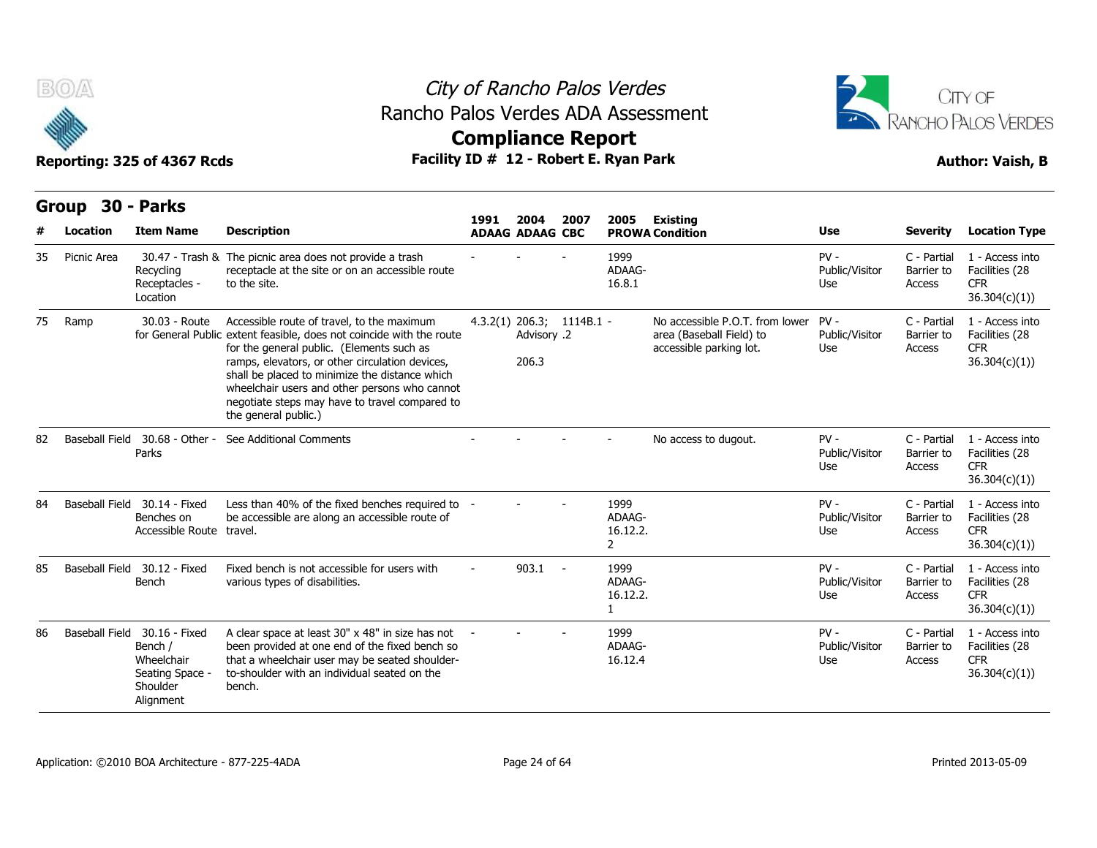



## **Compliance Report**

|    | v           | Reporting: 325 of 4367 Rcds                                                                       | Facility ID # 12 - Robert E. Ryan Park                                                                                                                                                                                                                                                                                                                                                          | AANININAN IZAHAI E |                                                     | <b>Author: Vaish, B</b> |                                              |                                                                                        |                                 |                                     |                                                                  |
|----|-------------|---------------------------------------------------------------------------------------------------|-------------------------------------------------------------------------------------------------------------------------------------------------------------------------------------------------------------------------------------------------------------------------------------------------------------------------------------------------------------------------------------------------|--------------------|-----------------------------------------------------|-------------------------|----------------------------------------------|----------------------------------------------------------------------------------------|---------------------------------|-------------------------------------|------------------------------------------------------------------|
|    | Group       | 30 - Parks                                                                                        |                                                                                                                                                                                                                                                                                                                                                                                                 | 1991               | 2004                                                | 2007                    | 2005                                         | Existing                                                                               |                                 |                                     |                                                                  |
|    | Location    | <b>Item Name</b>                                                                                  | <b>Description</b>                                                                                                                                                                                                                                                                                                                                                                              |                    | <b>ADAAG ADAAG CBC</b>                              |                         |                                              | <b>PROWA Condition</b>                                                                 | <b>Use</b>                      | Severity                            | <b>Location Type</b>                                             |
| 35 | Picnic Area | Recycling<br>Receptacles -<br>Location                                                            | 30.47 - Trash & The picnic area does not provide a trash<br>receptacle at the site or on an accessible route<br>to the site.                                                                                                                                                                                                                                                                    |                    |                                                     |                         | 1999<br>ADAAG-<br>16.8.1                     |                                                                                        | $PV -$<br>Public/Visitor<br>Use | C - Partial<br>Barrier to<br>Access | 1 - Access into<br>Facilities (28<br><b>CFR</b><br>36.304(c)(1)) |
| 75 | Ramp        | 30.03 - Route                                                                                     | Accessible route of travel, to the maximum<br>for General Public extent feasible, does not coincide with the route<br>for the general public. (Elements such as<br>ramps, elevators, or other circulation devices,<br>shall be placed to minimize the distance which<br>wheelchair users and other persons who cannot<br>negotiate steps may have to travel compared to<br>the general public.) |                    | $4.3.2(1)$ 206.3; 1114B.1 -<br>Advisory .2<br>206.3 |                         |                                              | No accessible P.O.T. from lower<br>area (Baseball Field) to<br>accessible parking lot. | $PV -$<br>Public/Visitor<br>Use | C - Partial<br>Barrier to<br>Access | 1 - Access into<br>Facilities (28<br><b>CFR</b><br>36.304(c)(1)) |
| 82 |             | Baseball Field 30.68 - Other -<br>Parks                                                           | See Additional Comments                                                                                                                                                                                                                                                                                                                                                                         |                    |                                                     |                         |                                              | No access to dugout.                                                                   | $PV -$<br>Public/Visitor<br>Use | C - Partial<br>Barrier to<br>Access | 1 - Access into<br>Facilities (28<br><b>CFR</b><br>36.304(c)(1)) |
| 84 |             | Baseball Field 30.14 - Fixed<br>Benches on<br>Accessible Route travel.                            | Less than 40% of the fixed benches required to -<br>be accessible are along an accessible route of                                                                                                                                                                                                                                                                                              |                    |                                                     |                         | 1999<br>ADAAG-<br>16.12.2.<br>$\overline{2}$ |                                                                                        | $PV -$<br>Public/Visitor<br>Use | C - Partial<br>Barrier to<br>Access | 1 - Access into<br>Facilities (28<br><b>CFR</b><br>36.304(c)(1)) |
| 85 |             | Baseball Field 30.12 - Fixed<br>Bench                                                             | Fixed bench is not accessible for users with<br>various types of disabilities.                                                                                                                                                                                                                                                                                                                  |                    | 903.1                                               | $\sim$ $-$              | 1999<br>ADAAG-<br>16.12.2.<br>1              |                                                                                        | $PV -$<br>Public/Visitor<br>Use | C - Partial<br>Barrier to<br>Access | 1 - Access into<br>Facilities (28<br><b>CFR</b><br>36.304(c)(1)) |
| 86 |             | Baseball Field 30.16 - Fixed<br>Bench /<br>Wheelchair<br>Seating Space -<br>Shoulder<br>Alignment | A clear space at least 30" x 48" in size has not<br>been provided at one end of the fixed bench so<br>that a wheelchair user may be seated shoulder-<br>to-shoulder with an individual seated on the<br>bench.                                                                                                                                                                                  |                    |                                                     |                         | 1999<br>ADAAG-<br>16.12.4                    |                                                                                        | $PV -$<br>Public/Visitor<br>Use | C - Partial<br>Barrier to<br>Access | 1 - Access into<br>Facilities (28<br><b>CFR</b><br>36.304(c)(1)) |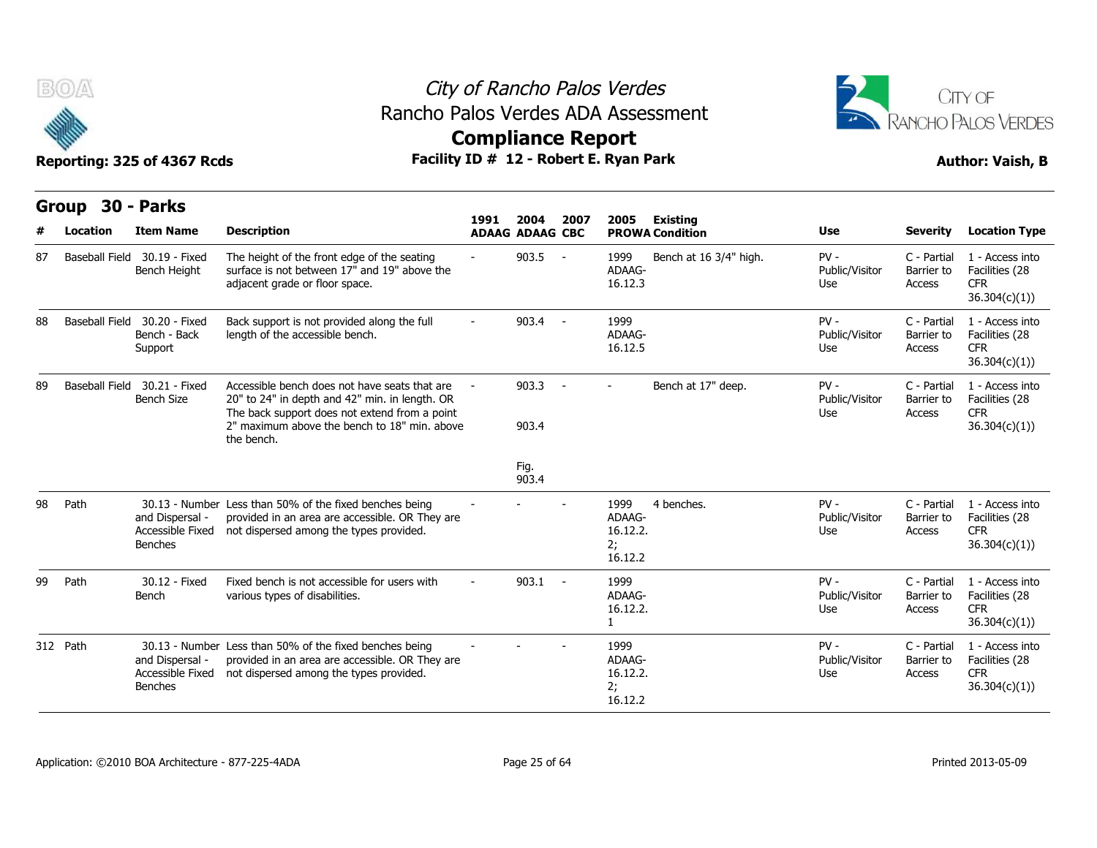



**Compliance Report**

| <b>Group</b> | 30 - Parks     |                                                                                                                                                                                        |                                                                                                                                                       |       |                                |            |                                             |                                           |                                     |                                                 |                                                                  |
|--------------|----------------|----------------------------------------------------------------------------------------------------------------------------------------------------------------------------------------|-------------------------------------------------------------------------------------------------------------------------------------------------------|-------|--------------------------------|------------|---------------------------------------------|-------------------------------------------|-------------------------------------|-------------------------------------------------|------------------------------------------------------------------|
| #            | Location       | <b>Item Name</b>                                                                                                                                                                       | <b>Description</b>                                                                                                                                    | 1991  | 2004<br><b>ADAAG ADAAG CBC</b> | 2007       | 2005                                        | <b>Existing</b><br><b>PROWA Condition</b> | <b>Use</b>                          | <b>Severity</b>                                 | <b>Location Type</b>                                             |
| 87           |                | Baseball Field 30.19 - Fixed<br>Bench Height                                                                                                                                           | The height of the front edge of the seating<br>surface is not between 17" and 19" above the<br>adjacent grade or floor space.                         |       | 903.5                          | $\sim$     | 1999<br>ADAAG-<br>16.12.3                   | Bench at 16 3/4" high.                    | $PV -$<br>Public/Visitor<br>Use     | C - Partial<br>Barrier to<br>Access             | 1 - Access into<br>Facilities (28<br><b>CFR</b><br>36.304(c)(1)) |
| 88           | Baseball Field | 30.20 - Fixed<br>Bench - Back<br>Support                                                                                                                                               | Back support is not provided along the full<br>length of the accessible bench.                                                                        |       | 903.4                          | $\sim$ $-$ | 1999<br>ADAAG-<br>16.12.5                   |                                           | $PV -$<br>Public/Visitor<br>Use     | C - Partial<br>Barrier to<br>Access             | 1 - Access into<br>Facilities (28<br><b>CFR</b><br>36.304(c)(1)  |
| 89           | Baseball Field | 30.21 - Fixed<br>Accessible bench does not have seats that are<br><b>Bench Size</b><br>20" to 24" in depth and 42" min. in length. OR<br>The back support does not extend from a point |                                                                                                                                                       | 903.3 | $\sim$                         | $\sim$     | Bench at 17" deep.                          | $PV -$<br>Public/Visitor<br>Use           | C - Partial<br>Barrier to<br>Access | 1 - Access into<br>Facilities (28<br><b>CFR</b> |                                                                  |
|              |                |                                                                                                                                                                                        | 2" maximum above the bench to 18" min, above<br>the bench.                                                                                            |       | 903.4                          |            |                                             |                                           |                                     |                                                 | 36.304(c)(1)                                                     |
|              |                |                                                                                                                                                                                        |                                                                                                                                                       |       | Fig.<br>903.4                  |            |                                             |                                           |                                     |                                                 |                                                                  |
| 98           | Path           | and Dispersal -<br>Accessible Fixed<br><b>Benches</b>                                                                                                                                  | 30.13 - Number Less than 50% of the fixed benches being<br>provided in an area are accessible. OR They are<br>not dispersed among the types provided. |       |                                |            | 1999<br>ADAAG-<br>16.12.2.<br>2;<br>16.12.2 | 4 benches.                                | $PV -$<br>Public/Visitor<br>Use     | C - Partial<br>Barrier to<br>Access             | 1 - Access into<br>Facilities (28<br><b>CFR</b><br>36.304(c)(1)  |
| 99           | Path           | 30.12 - Fixed<br>Bench                                                                                                                                                                 | Fixed bench is not accessible for users with<br>various types of disabilities.                                                                        |       | $903.1 -$                      |            | 1999<br>ADAAG-<br>16.12.2.<br>1             |                                           | $PV -$<br>Public/Visitor<br>Use     | C - Partial<br>Barrier to<br>Access             | 1 - Access into<br>Facilities (28<br><b>CFR</b><br>36.304(c)(1)  |
| 312 Path     |                | and Dispersal -<br>Accessible Fixed<br><b>Benches</b>                                                                                                                                  | 30.13 - Number Less than 50% of the fixed benches being<br>provided in an area are accessible. OR They are<br>not dispersed among the types provided. |       |                                |            | 1999<br>ADAAG-<br>16.12.2.<br>2;<br>16.12.2 |                                           | $PV -$<br>Public/Visitor<br>Use     | C - Partial<br>Barrier to<br>Access             | 1 - Access into<br>Facilities (28<br><b>CFR</b><br>36.304(c)(1)  |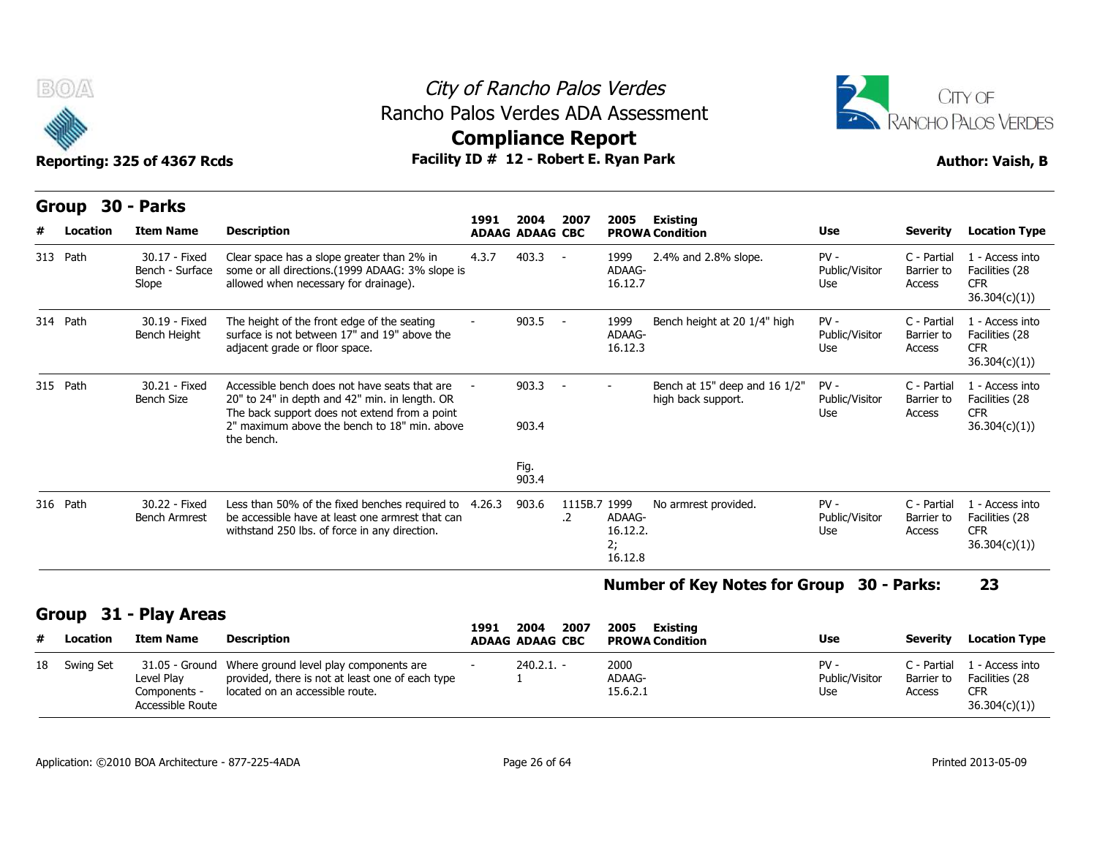



|          | B(0)<br>Reporting: 325 of 4367 Rcds |  |                                           |                                                                                                                                                                                                                | City of Rancho Palos Verdes<br>Rancho Palos Verdes ADA Assessment<br><b>Compliance Report</b><br>Facility ID # 12 - Robert E. Ryan Park |                |                                |                                     |                                                     |                                 |                                     |                                                                  |  |  |  |
|----------|-------------------------------------|--|-------------------------------------------|----------------------------------------------------------------------------------------------------------------------------------------------------------------------------------------------------------------|-----------------------------------------------------------------------------------------------------------------------------------------|----------------|--------------------------------|-------------------------------------|-----------------------------------------------------|---------------------------------|-------------------------------------|------------------------------------------------------------------|--|--|--|
|          | Group<br>Location                   |  | 30 - Parks<br><b>Item Name</b>            | <b>Description</b>                                                                                                                                                                                             | 1991<br><b>ADAAG ADAAG CBC</b>                                                                                                          | 2004           | 2007                           | 2005                                | <b>Existing</b><br><b>PROWA Condition</b>           | <b>Use</b>                      | <b>Severity</b>                     | <b>Location Type</b>                                             |  |  |  |
| 313 Path |                                     |  | 30.17 - Fixed<br>Bench - Surface<br>Slope | Clear space has a slope greater than 2% in<br>some or all directions. (1999 ADAAG: 3% slope is<br>allowed when necessary for drainage).                                                                        | 4.3.7                                                                                                                                   | 403.3          | $\sim$                         | 1999<br>ADAAG-<br>16.12.7           | 2.4% and 2.8% slope.                                | $PV -$<br>Public/Visitor<br>Use | C - Partial<br>Barrier to<br>Access | 1 - Access into<br>Facilities (28<br><b>CFR</b><br>36.304(c)(1)) |  |  |  |
| 314 Path |                                     |  | 30.19 - Fixed<br>Bench Height             | The height of the front edge of the seating<br>surface is not between 17" and 19" above the<br>adjacent grade or floor space.                                                                                  |                                                                                                                                         | 903.5          | $\sim$ $-$                     | 1999<br>ADAAG-<br>16.12.3           | Bench height at 20 1/4" high                        | $PV -$<br>Public/Visitor<br>Use | C - Partial<br>Barrier to<br>Access | 1 - Access into<br>Facilities (28<br><b>CFR</b><br>36.304(c)(1)) |  |  |  |
| 315 Path |                                     |  | 30.21 - Fixed<br><b>Bench Size</b>        | Accessible bench does not have seats that are<br>20" to 24" in depth and 42" min. in length. OR<br>The back support does not extend from a point<br>2" maximum above the bench to 18" min. above<br>the bench. |                                                                                                                                         | 903.3<br>903.4 |                                |                                     | Bench at 15" deep and 16 1/2"<br>high back support. | $PV -$<br>Public/Visitor<br>Use | C - Partial<br>Barrier to<br>Access | 1 - Access into<br>Facilities (28<br><b>CFR</b><br>36.304(c)(1)  |  |  |  |
|          |                                     |  |                                           |                                                                                                                                                                                                                |                                                                                                                                         | Fig.<br>903.4  |                                |                                     |                                                     |                                 |                                     |                                                                  |  |  |  |
| 316 Path |                                     |  | 30.22 - Fixed<br><b>Bench Armrest</b>     | Less than 50% of the fixed benches required to<br>be accessible have at least one armrest that can<br>withstand 250 lbs. of force in any direction.                                                            | 4.26.3                                                                                                                                  | 903.6          | 1115B.7 1999<br>$\overline{2}$ | ADAAG-<br>16.12.2.<br>2;<br>16.12.8 | No armrest provided.                                | $PV -$<br>Public/Visitor<br>Use | C - Partial<br>Barrier to<br>Access | 1 - Access into<br>Facilities (28<br><b>CFR</b><br>36.304(c)(1)) |  |  |  |

**Number of Key Notes for Group 30 - Parks: 23**

### **Group 31 - Play Areas**

| #  | Location  | Item Name                                      | Description                                                                                                                                  | 1991 | 2007<br>2004<br><b>ADAAG ADAAG CBC</b> | 2005<br>Existing<br><b>PROWA Condition</b> | <b>Use</b>                    | <b>Severity</b>      | <b>Location Type</b>                                                         |
|----|-----------|------------------------------------------------|----------------------------------------------------------------------------------------------------------------------------------------------|------|----------------------------------------|--------------------------------------------|-------------------------------|----------------------|------------------------------------------------------------------------------|
| 18 | Swing Set | Level Plav<br>Components -<br>Accessible Route | 31.05 - Ground Where ground level play components are<br>provided, there is not at least one of each type<br>located on an accessible route. |      | $240.2.1. -$                           | 2000<br>ADAAG-<br>15.6.2.1                 | PV -<br>Public/Visitor<br>Use | Barrier to<br>Access | C - Partial 11 - Access into<br>Facilities (28<br><b>CFR</b><br>36.304(c)(1) |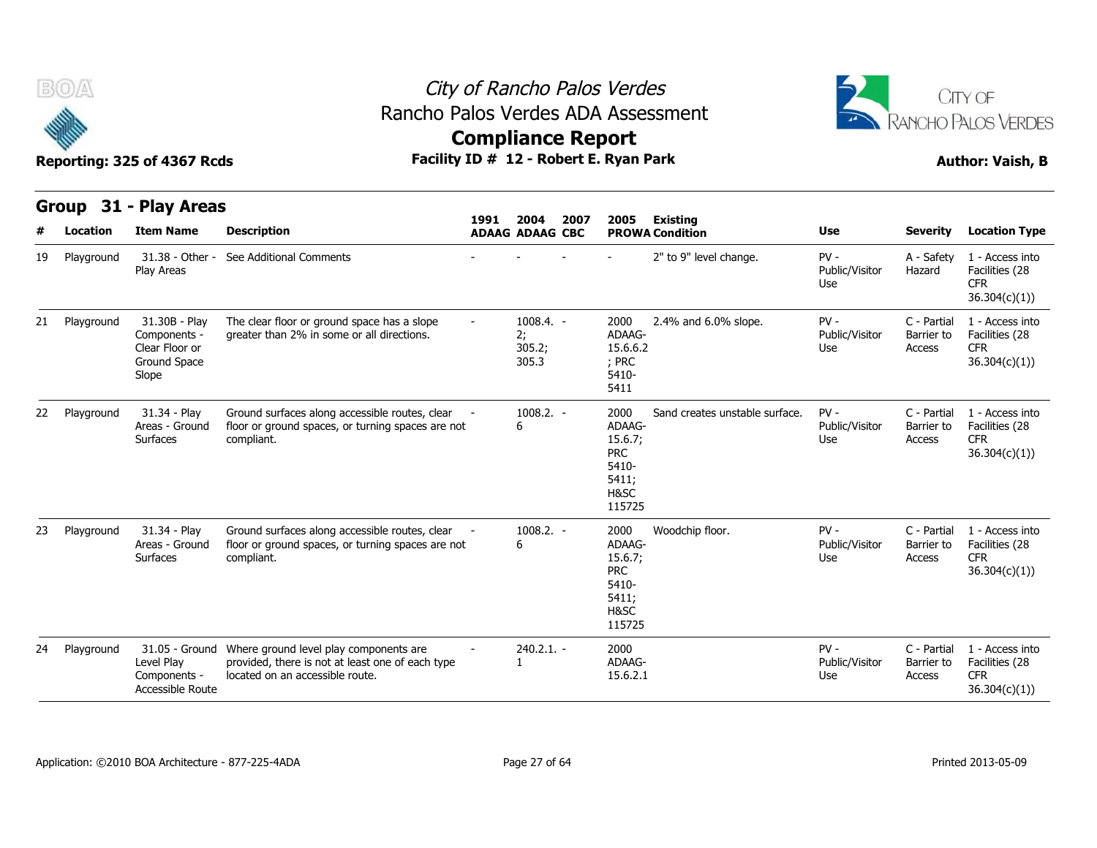



|    | Group           | 31 - Play Areas                                                          |                                                                                                                               |        |                                      |      |                                                                             |                                           |                                 |                                     |                                                                  |
|----|-----------------|--------------------------------------------------------------------------|-------------------------------------------------------------------------------------------------------------------------------|--------|--------------------------------------|------|-----------------------------------------------------------------------------|-------------------------------------------|---------------------------------|-------------------------------------|------------------------------------------------------------------|
| #  | <b>Location</b> | <b>Item Name</b>                                                         | <b>Description</b>                                                                                                            | 1991   | 2004<br><b>ADAAG ADAAG CBC</b>       | 2007 | 2005                                                                        | <b>Existing</b><br><b>PROWA Condition</b> | <b>Use</b>                      | <b>Severity</b>                     | <b>Location Type</b>                                             |
| 19 | Playground      | 31.38 - Other -<br>Play Areas                                            | See Additional Comments                                                                                                       |        |                                      |      |                                                                             | 2" to 9" level change.                    | $PV -$<br>Public/Visitor<br>Use | A - Safety<br>Hazard                | 1 - Access into<br>Facilities (28<br><b>CFR</b><br>36.304(c)(1)) |
| 21 | Playground      | 31.30B - Play<br>Components -<br>Clear Floor or<br>Ground Space<br>Slope | The clear floor or ground space has a slope<br>greater than 2% in some or all directions.                                     | $\sim$ | $1008.4. -$<br>2;<br>305.2;<br>305.3 |      | 2000<br>ADAAG-<br>15.6.6.2<br>; PRC<br>5410-<br>5411                        | 2.4% and 6.0% slope.                      | $PV -$<br>Public/Visitor<br>Use | C - Partial<br>Barrier to<br>Access | 1 - Access into<br>Facilities (28<br><b>CFR</b><br>36.304(c)(1)  |
| 22 | Playground      | 31.34 - Play<br>Areas - Ground<br><b>Surfaces</b>                        | Ground surfaces along accessible routes, clear<br>floor or ground spaces, or turning spaces are not<br>compliant.             |        | $1008.2. -$<br>6                     |      | 2000<br>ADAAG-<br>15.6.7;<br><b>PRC</b><br>5410-<br>5411;<br>H&SC<br>115725 | Sand creates unstable surface.            | $PV -$<br>Public/Visitor<br>Use | C - Partial<br>Barrier to<br>Access | 1 - Access into<br>Facilities (28<br><b>CFR</b><br>36.304(c)(1)  |
| 23 | Playground      | 31.34 - Play<br>Areas - Ground<br>Surfaces                               | Ground surfaces along accessible routes, clear<br>floor or ground spaces, or turning spaces are not<br>compliant.             |        | $1008.2. -$<br>6                     |      | 2000<br>ADAAG-<br>15.6.7;<br><b>PRC</b><br>5410-<br>5411;<br>H&SC<br>115725 | Woodchip floor.                           | $PV -$<br>Public/Visitor<br>Use | C - Partial<br>Barrier to<br>Access | 1 - Access into<br>Facilities (28<br><b>CFR</b><br>36.304(c)(1)) |
| 24 | Playground      | 31.05 - Ground<br>Level Play<br>Components -<br>Accessible Route         | Where ground level play components are<br>provided, there is not at least one of each type<br>located on an accessible route. |        | $240.2.1. -$                         |      | 2000<br>ADAAG-<br>15.6.2.1                                                  |                                           | $PV -$<br>Public/Visitor<br>Use | C - Partial<br>Barrier to<br>Access | 1 - Access into<br>Facilities (28<br><b>CFR</b><br>36.304(c)(1)) |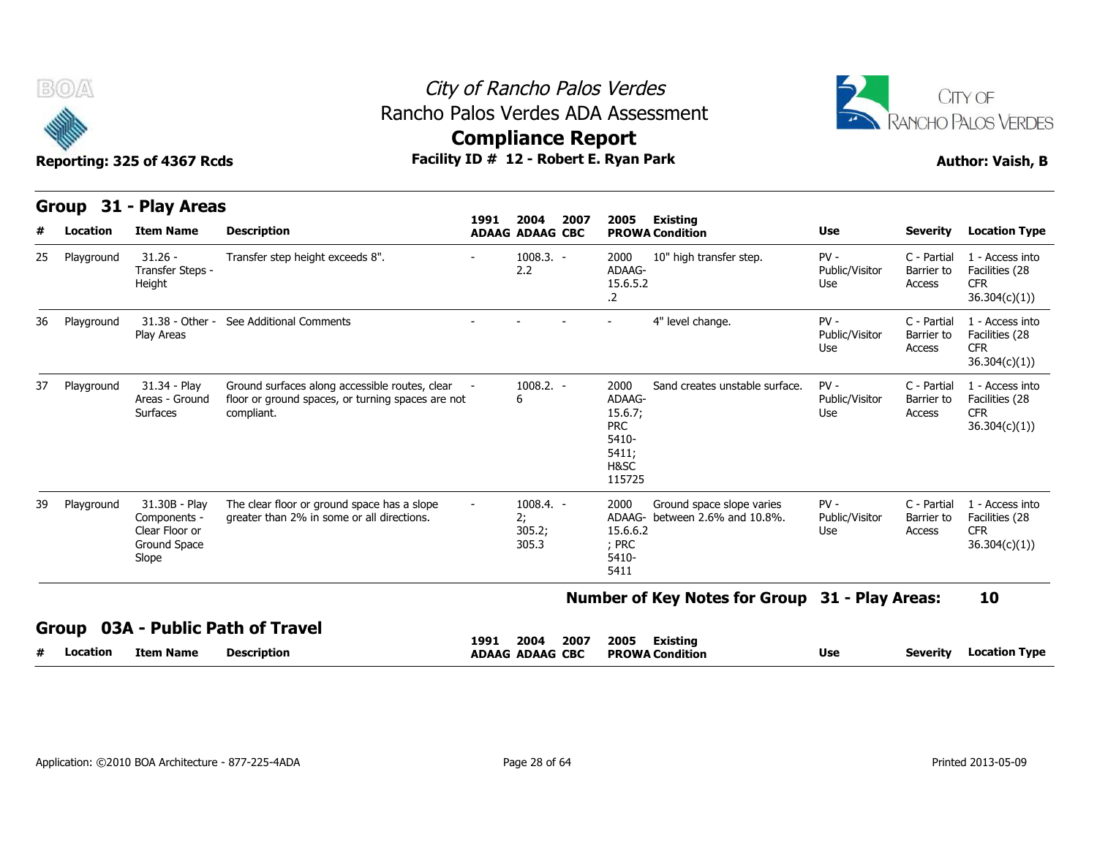

**Group 31 - Play Areas**

## City of Rancho Palos Verdes Rancho Palos Verdes ADA Assessment



**Compliance Report**

|    | urvup<br>JІ | - Fiay Alcas                                                             |                                                                                                                   | 1991                     | 2004                                 | 2007 | 2005                                                                        | <b>Existing</b>                                      |                                 |                                     |                                                                  |
|----|-------------|--------------------------------------------------------------------------|-------------------------------------------------------------------------------------------------------------------|--------------------------|--------------------------------------|------|-----------------------------------------------------------------------------|------------------------------------------------------|---------------------------------|-------------------------------------|------------------------------------------------------------------|
| #  | Location    | <b>Item Name</b>                                                         | <b>Description</b>                                                                                                |                          | <b>ADAAG ADAAG CBC</b>               |      |                                                                             | <b>PROWA Condition</b>                               | Use                             | <b>Severity</b>                     | <b>Location Type</b>                                             |
| 25 | Playground  | $31.26 -$<br>Transfer Steps -<br>Height                                  | Transfer step height exceeds 8".                                                                                  |                          | $1008.3. -$<br>2.2                   |      | 2000<br>ADAAG-<br>15.6.5.2<br>.2                                            | 10" high transfer step.                              | $PV -$<br>Public/Visitor<br>Use | C - Partial<br>Barrier to<br>Access | 1 - Access into<br>Facilities (28<br><b>CFR</b><br>36.304(c)(1)) |
| 36 | Playground  | 31.38 - Other -<br>Play Areas                                            | See Additional Comments                                                                                           |                          |                                      |      |                                                                             | 4" level change.                                     | $PV -$<br>Public/Visitor<br>Use | C - Partial<br>Barrier to<br>Access | 1 - Access into<br>Facilities (28<br><b>CFR</b><br>36.304(c)(1)  |
| 37 | Playground  | 31.34 - Play<br>Areas - Ground<br>Surfaces                               | Ground surfaces along accessible routes, clear<br>floor or ground spaces, or turning spaces are not<br>compliant. |                          | $1008.2. -$<br>6                     |      | 2000<br>ADAAG-<br>15.6.7;<br><b>PRC</b><br>5410-<br>5411;<br>H&SC<br>115725 | Sand creates unstable surface.                       | $PV -$<br>Public/Visitor<br>Use | C - Partial<br>Barrier to<br>Access | 1 - Access into<br>Facilities (28<br><b>CFR</b><br>36.304(c)(1)  |
| 39 | Playground  | 31.30B - Play<br>Components -<br>Clear Floor or<br>Ground Space<br>Slope | The clear floor or ground space has a slope<br>greater than 2% in some or all directions.                         | $\overline{\phantom{a}}$ | $1008.4. -$<br>2;<br>305.2;<br>305.3 |      | 2000<br>ADAAG-<br>15.6.6.2<br>; PRC<br>5410-<br>5411                        | Ground space slope varies<br>between 2.6% and 10.8%. | $PV -$<br>Public/Visitor<br>Use | C - Partial<br>Barrier to<br>Access | 1 - Access into<br>Facilities (28<br><b>CFR</b><br>36.304(c)(1)  |
|    |             |                                                                          |                                                                                                                   |                          |                                      |      |                                                                             | Number of Key Notes for Group 31 - Play Areas:       |                                 |                                     | 10                                                               |
|    |             |                                                                          | Group 03A - Public Path of Travel                                                                                 |                          |                                      |      |                                                                             |                                                      |                                 |                                     |                                                                  |
| #  | Location    | <b>Item Name</b>                                                         | <b>Description</b>                                                                                                | 1991                     | 2004<br><b>ADAAG ADAAG CBC</b>       | 2007 | 2005                                                                        | <b>Existing</b><br><b>PROWA Condition</b>            | Use                             | <b>Severity</b>                     | <b>Location Type</b>                                             |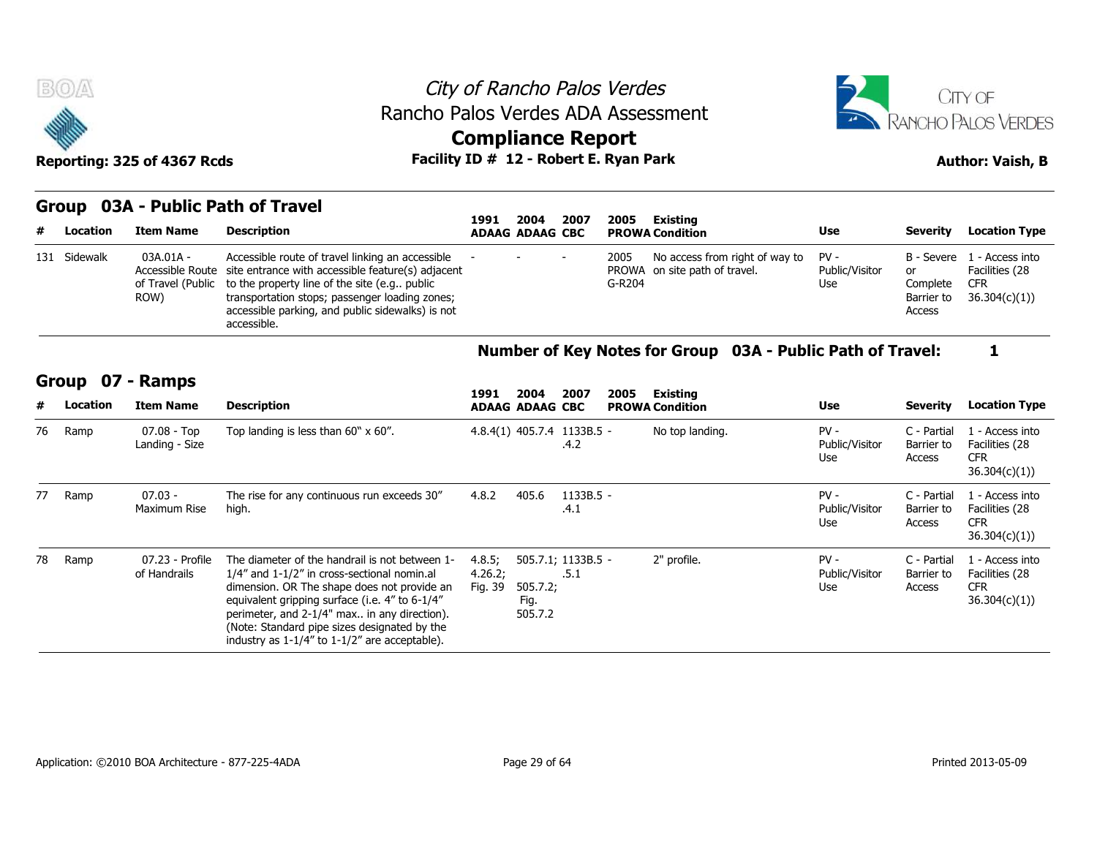



# **Compliance Report**

Reporting: 325 of 4367 Rcds **Facility ID # 12 - Robert E. Ryan Park Author: Vaish, B** 

### **Group 03A - Public Path of Travel**

|   |              | SIVAP VYA I APHUI AUI VI IIATUI | 1991                                                                                                                                                                                                                                                                                                            | 2004 | 2007                   | 2005 | Existing       |                                                                      |                       |                                        |                                                                             |
|---|--------------|---------------------------------|-----------------------------------------------------------------------------------------------------------------------------------------------------------------------------------------------------------------------------------------------------------------------------------------------------------------|------|------------------------|------|----------------|----------------------------------------------------------------------|-----------------------|----------------------------------------|-----------------------------------------------------------------------------|
| # | Location     | Item Name                       | Description                                                                                                                                                                                                                                                                                                     |      | <b>ADAAG ADAAG CBC</b> |      |                | <b>PROWA Condition</b>                                               | <b>Use</b>            | <b>Severity</b>                        | <b>Location Type</b>                                                        |
|   | 131 Sidewalk | 03A.01A -<br>ROW)               | Accessible route of travel linking an accessible<br>Accessible Route site entrance with accessible feature(s) adjacent<br>of Travel (Public to the property line of the site (e.g., public<br>transportation stops; passenger loading zones;<br>accessible parking, and public sidewalks) is not<br>accessible. |      | the company's state of |      | 2005<br>G-R204 | No access from right of way to PV -<br>PROWA on site path of travel. | Public/Visitor<br>Use | 0r<br>Complete<br>Barrier to<br>Access | B - Severe 1 - Access into<br>Facilities (28<br><b>CFR</b><br>36.304(c)(1)) |

### **Number of Key Notes for Group 03A - Public Path of Travel: 1**

### **Group 07 - Ramps**

| 131 Sidewalk |              | 03A.01A -<br>Accessible Route<br>of Travel (Public<br>ROW) | Accessible route of travel linking an accessible<br>site entrance with accessible feature(s) adjacent<br>to the property line of the site (e.g., public<br>transportation stops; passenger loading zones;<br>accessible parking, and public sidewalks) is not<br>accessible.                                                                          |                              |                             |                                    | 2005<br>G-R204 | No access from right of way to<br>PROWA on site path of travel. | $PV -$<br>Public/Visitor<br>Use | B - Severe<br>or<br>Complete<br>Barrier to<br>Access | 1 - Access into<br>Facilities (28<br><b>CFR</b><br>36.304(c)(1) |
|--------------|--------------|------------------------------------------------------------|-------------------------------------------------------------------------------------------------------------------------------------------------------------------------------------------------------------------------------------------------------------------------------------------------------------------------------------------------------|------------------------------|-----------------------------|------------------------------------|----------------|-----------------------------------------------------------------|---------------------------------|------------------------------------------------------|-----------------------------------------------------------------|
|              |              |                                                            |                                                                                                                                                                                                                                                                                                                                                       |                              |                             |                                    |                | Number of Key Notes for Group 03A - Public Path of Travel:      |                                 |                                                      | 1                                                               |
|              | <b>Group</b> | 07 - Ramps                                                 |                                                                                                                                                                                                                                                                                                                                                       | 1991                         | 2004                        | 2007                               | 2005           | Existing                                                        |                                 |                                                      |                                                                 |
|              | Location     | <b>Item Name</b>                                           | <b>Description</b>                                                                                                                                                                                                                                                                                                                                    |                              | <b>ADAAG ADAAG CBC</b>      |                                    |                | <b>PROWA Condition</b>                                          | <b>Use</b>                      | <b>Severity</b>                                      | <b>Location Type</b>                                            |
| 76           | Ramp         | $07.08 - Top$<br>Landing - Size                            | Top landing is less than $60" \times 60"$ .                                                                                                                                                                                                                                                                                                           |                              |                             | 4.8.4(1) 405.7.4 1133B.5 -<br>.4.2 |                | No top landing.                                                 | $PV -$<br>Public/Visitor<br>Use | C - Partial<br>Barrier to<br>Access                  | 1 - Access into<br>Facilities (28<br><b>CFR</b><br>36.304(c)(1) |
| 77           | Ramp         | $07.03 -$<br>Maximum Rise                                  | The rise for any continuous run exceeds 30"<br>high.                                                                                                                                                                                                                                                                                                  | 4.8.2                        | 405.6                       | 1133B.5 -<br>.4.1                  |                |                                                                 | $PV -$<br>Public/Visitor<br>Use | C - Partial<br>Barrier to<br>Access                  | 1 - Access into<br>Facilities (28<br><b>CFR</b><br>36.304(c)(1) |
| 78           | Ramp         | 07.23 - Profile<br>of Handrails                            | The diameter of the handrail is not between 1-<br>1/4" and 1-1/2" in cross-sectional nomin.al<br>dimension. OR The shape does not provide an<br>equivalent gripping surface (i.e. 4" to 6-1/4"<br>perimeter, and 2-1/4" max in any direction).<br>(Note: Standard pipe sizes designated by the<br>industry as $1-1/4$ " to $1-1/2$ " are acceptable). | 4.8.5;<br>4.26.2;<br>Fig. 39 | 505.7.2;<br>Fig.<br>505.7.2 | 505.7.1; 1133B.5 -<br>.5.1         |                | 2" profile.                                                     | $PV -$<br>Public/Visitor<br>Use | C - Partial<br>Barrier to<br>Access                  | 1 - Access into<br>Facilities (28<br><b>CFR</b><br>36.304(c)(1) |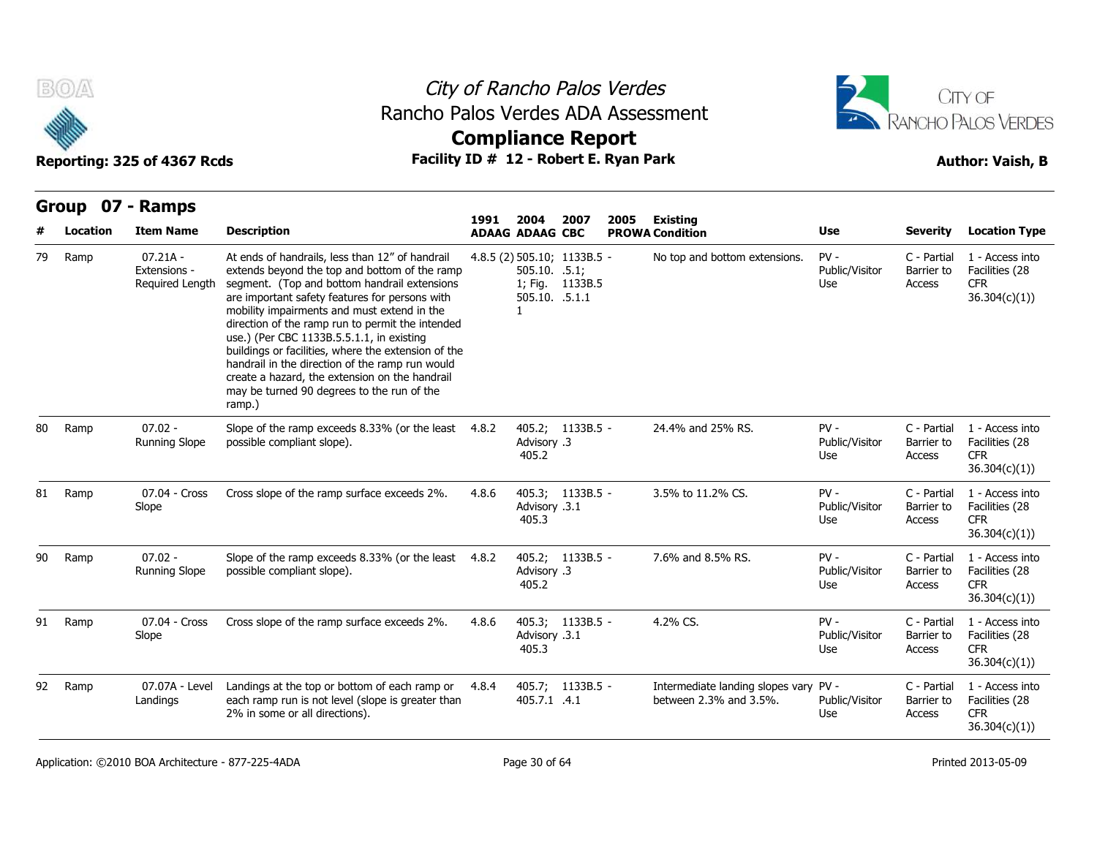



|    | B(0)     | Reporting: 325 of 4367 Rcds                   |                                                                                                                                                                                                                                                                                                                                                                                                                                                                                                                                                                        | City of Rancho Palos Verdes<br>Rancho Palos Verdes ADA Assessment<br><b>Compliance Report</b><br>Facility ID # 12 - Robert E. Ryan Park |                                                   |                                                |      |                                                            |                                 |                                     |                                                                  |  |  |
|----|----------|-----------------------------------------------|------------------------------------------------------------------------------------------------------------------------------------------------------------------------------------------------------------------------------------------------------------------------------------------------------------------------------------------------------------------------------------------------------------------------------------------------------------------------------------------------------------------------------------------------------------------------|-----------------------------------------------------------------------------------------------------------------------------------------|---------------------------------------------------|------------------------------------------------|------|------------------------------------------------------------|---------------------------------|-------------------------------------|------------------------------------------------------------------|--|--|
|    |          | Group 07 - Ramps                              |                                                                                                                                                                                                                                                                                                                                                                                                                                                                                                                                                                        |                                                                                                                                         |                                                   |                                                |      |                                                            |                                 |                                     |                                                                  |  |  |
|    | Location | <b>Item Name</b>                              | <b>Description</b>                                                                                                                                                                                                                                                                                                                                                                                                                                                                                                                                                     | 1991                                                                                                                                    | 2004<br><b>ADAAG ADAAG CBC</b>                    | 2007                                           | 2005 | Existing<br><b>PROWA Condition</b>                         | Use                             | <b>Severity</b>                     | <b>Location Type</b>                                             |  |  |
| 79 | Ramp     | $07.21A -$<br>Extensions -<br>Required Length | At ends of handrails, less than 12" of handrail<br>extends beyond the top and bottom of the ramp<br>segment. (Top and bottom handrail extensions<br>are important safety features for persons with<br>mobility impairments and must extend in the<br>direction of the ramp run to permit the intended<br>use.) (Per CBC 1133B.5.5.1.1, in existing<br>buildings or facilities, where the extension of the<br>handrail in the direction of the ramp run would<br>create a hazard, the extension on the handrail<br>may be turned 90 degrees to the run of the<br>ramp.) |                                                                                                                                         | $505.10.$ .5.1;<br>505.10. .5.1.1<br>$\mathbf{1}$ | 4.8.5 (2) 505.10; 1133B.5 -<br>1; Fig. 1133B.5 |      | No top and bottom extensions.                              | $PV -$<br>Public/Visitor<br>Use | C - Partial<br>Barrier to<br>Access | 1 - Access into<br>Facilities (28<br><b>CFR</b><br>36.304(c)(1)) |  |  |
| 80 | Ramp     | $07.02 -$<br><b>Running Slope</b>             | Slope of the ramp exceeds 8.33% (or the least 4.8.2<br>possible compliant slope).                                                                                                                                                                                                                                                                                                                                                                                                                                                                                      |                                                                                                                                         | Advisory .3<br>405.2                              | 405.2; 1133B.5 -                               |      | 24.4% and 25% RS.                                          | $PV -$<br>Public/Visitor<br>Use | C - Partial<br>Barrier to<br>Access | 1 - Access into<br>Facilities (28<br><b>CFR</b><br>36.304(c)(1)  |  |  |
| 81 | Ramp     | 07.04 - Cross<br>Slope                        | Cross slope of the ramp surface exceeds 2%.                                                                                                                                                                                                                                                                                                                                                                                                                                                                                                                            | 4.8.6                                                                                                                                   | Advisory .3.1<br>405.3                            | 405.3; 1133B.5 -                               |      | 3.5% to 11.2% CS.                                          | $PV -$<br>Public/Visitor<br>Use | C - Partial<br>Barrier to<br>Access | 1 - Access into<br>Facilities (28<br><b>CFR</b><br>36.304(c)(1)) |  |  |
| 90 | Ramp     | $07.02 -$<br><b>Running Slope</b>             | Slope of the ramp exceeds 8.33% (or the least 4.8.2<br>possible compliant slope).                                                                                                                                                                                                                                                                                                                                                                                                                                                                                      |                                                                                                                                         | Advisory .3<br>405.2                              | 405.2; 1133B.5 -                               |      | 7.6% and 8.5% RS.                                          | $PV -$<br>Public/Visitor<br>Use | C - Partial<br>Barrier to<br>Access | 1 - Access into<br>Facilities (28<br><b>CFR</b><br>36.304(c)(1)  |  |  |
| 91 | Ramp     | 07.04 - Cross<br>Slope                        | Cross slope of the ramp surface exceeds 2%.                                                                                                                                                                                                                                                                                                                                                                                                                                                                                                                            | 4.8.6                                                                                                                                   | Advisory .3.1<br>405.3                            | 405.3; 1133B.5 -                               |      | 4.2% CS.                                                   | $PV -$<br>Public/Visitor<br>Use | C - Partial<br>Barrier to<br>Access | 1 - Access into<br>Facilities (28<br><b>CFR</b><br>36.304(c)(1)  |  |  |
| 92 | Ramp     | 07.07A - Level<br>Landings                    | Landings at the top or bottom of each ramp or<br>each ramp run is not level (slope is greater than<br>2% in some or all directions).                                                                                                                                                                                                                                                                                                                                                                                                                                   | 4.8.4                                                                                                                                   | 405.7.1 .4.1                                      | 405.7; 1133B.5 -                               |      | Intermediate landing slopes vary<br>between 2.3% and 3.5%. | $PV -$<br>Public/Visitor<br>Use | C - Partial<br>Barrier to<br>Access | 1 - Access into<br>Facilities (28<br><b>CFR</b><br>36.304(c)(1)) |  |  |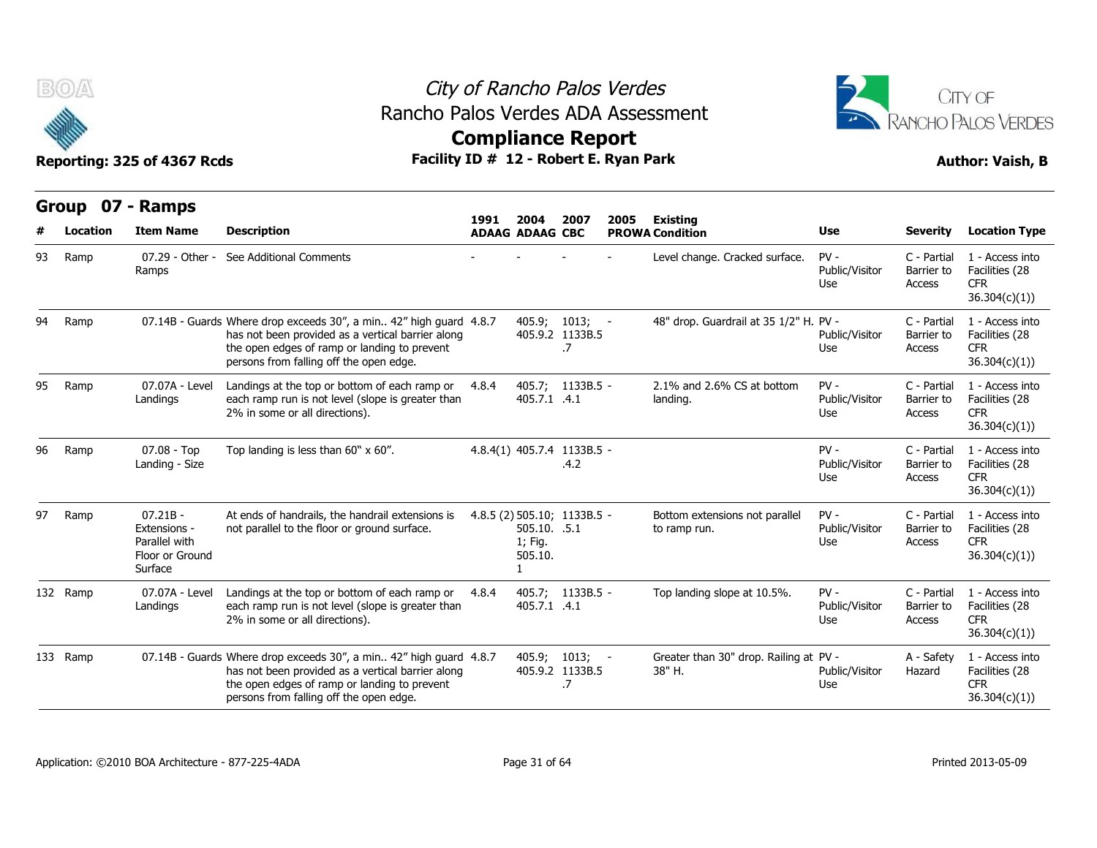

### City of Rancho Palos Verdes **Compliance Report** Rancho Palos Verdes ADA Assessment



|    | v            | Reporting: 325 of 4367 Rcds                                               | Facility ID # 12 - Robert E. Ryan Park                                                                                                                                                                             |       | somphanee report                                                  | <b>Author: Vaish, B</b>                   |      |                                                  |                                 |                                     |                                                                  |
|----|--------------|---------------------------------------------------------------------------|--------------------------------------------------------------------------------------------------------------------------------------------------------------------------------------------------------------------|-------|-------------------------------------------------------------------|-------------------------------------------|------|--------------------------------------------------|---------------------------------|-------------------------------------|------------------------------------------------------------------|
|    | <b>Group</b> | 07 - Ramps                                                                |                                                                                                                                                                                                                    | 1991  | 2004                                                              | 2007                                      | 2005 | <b>Existing</b>                                  |                                 |                                     |                                                                  |
|    | Location     | <b>Item Name</b>                                                          | <b>Description</b>                                                                                                                                                                                                 |       | <b>ADAAG ADAAG CBC</b>                                            |                                           |      | <b>PROWA Condition</b>                           | Use                             | <b>Severity</b>                     | <b>Location Type</b>                                             |
| 93 | Ramp         | 07.29 - Other -<br>Ramps                                                  | See Additional Comments                                                                                                                                                                                            |       |                                                                   |                                           |      | Level change. Cracked surface.                   | $PV -$<br>Public/Visitor<br>Use | C - Partial<br>Barrier to<br>Access | 1 - Access into<br>Facilities (28<br><b>CFR</b><br>36.304(c)(1)) |
| 94 | Ramp         |                                                                           | 07.14B - Guards Where drop exceeds 30", a min 42" high guard 4.8.7<br>has not been provided as a vertical barrier along<br>the open edges of ramp or landing to prevent<br>persons from falling off the open edge. |       |                                                                   | $405.9; 1013; -$<br>405.9.2 1133B.5<br>.7 |      | 48" drop. Guardrail at 35 1/2" H. PV -           | Public/Visitor<br>Use           | C - Partial<br>Barrier to<br>Access | 1 - Access into<br>Facilities (28<br><b>CFR</b><br>36.304(c)(1)) |
| 95 | Ramp         | 07.07A - Level<br>Landings                                                | Landings at the top or bottom of each ramp or<br>each ramp run is not level (slope is greater than<br>2% in some or all directions).                                                                               | 4.8.4 | 405.7.1 .4.1                                                      | 405.7; 1133B.5 -                          |      | 2.1% and 2.6% CS at bottom<br>landing.           | $PV -$<br>Public/Visitor<br>Use | C - Partial<br>Barrier to<br>Access | 1 - Access into<br>Facilities (28<br><b>CFR</b><br>36.304(c)(1)) |
| 96 | Ramp         | $07.08 - Top$<br>Landing - Size                                           | Top landing is less than $60" \times 60"$ .                                                                                                                                                                        |       | 4.8.4(1) 405.7.4 1133B.5 -                                        | .4.2                                      |      |                                                  | $PV -$<br>Public/Visitor<br>Use | C - Partial<br>Barrier to<br>Access | 1 - Access into<br>Facilities (28<br><b>CFR</b><br>36.304(c)(1)) |
| 97 | Ramp         | $07.21B -$<br>Extensions -<br>Parallel with<br>Floor or Ground<br>Surface | At ends of handrails, the handrail extensions is<br>not parallel to the floor or ground surface.                                                                                                                   |       | 4.8.5 (2) 505.10; 1133B.5 -<br>505.10. .5.1<br>1; Fig.<br>505.10. |                                           |      | Bottom extensions not parallel<br>to ramp run.   | $PV -$<br>Public/Visitor<br>Use | C - Partial<br>Barrier to<br>Access | 1 - Access into<br>Facilities (28<br><b>CFR</b><br>36.304(c)(1)) |
|    | 132 Ramp     | 07.07A - Level<br>Landings                                                | Landings at the top or bottom of each ramp or<br>each ramp run is not level (slope is greater than<br>2% in some or all directions).                                                                               | 4.8.4 | 405.7.1 .4.1                                                      | 405.7; 1133B.5 -                          |      | Top landing slope at 10.5%.                      | $PV -$<br>Public/Visitor<br>Use | C - Partial<br>Barrier to<br>Access | 1 - Access into<br>Facilities (28<br><b>CFR</b><br>36.304(c)(1)) |
|    | 133 Ramp     |                                                                           | 07.14B - Guards Where drop exceeds 30", a min 42" high guard 4.8.7<br>has not been provided as a vertical barrier along<br>the open edges of ramp or landing to prevent<br>persons from falling off the open edge. |       |                                                                   | $405.9; 1013; -$<br>405.9.2 1133B.5<br>.7 |      | Greater than 30" drop. Railing at PV -<br>38" H. | Public/Visitor<br>Use           | A - Safety<br>Hazard                | 1 - Access into<br>Facilities (28<br><b>CFR</b><br>36.304(c)(1)) |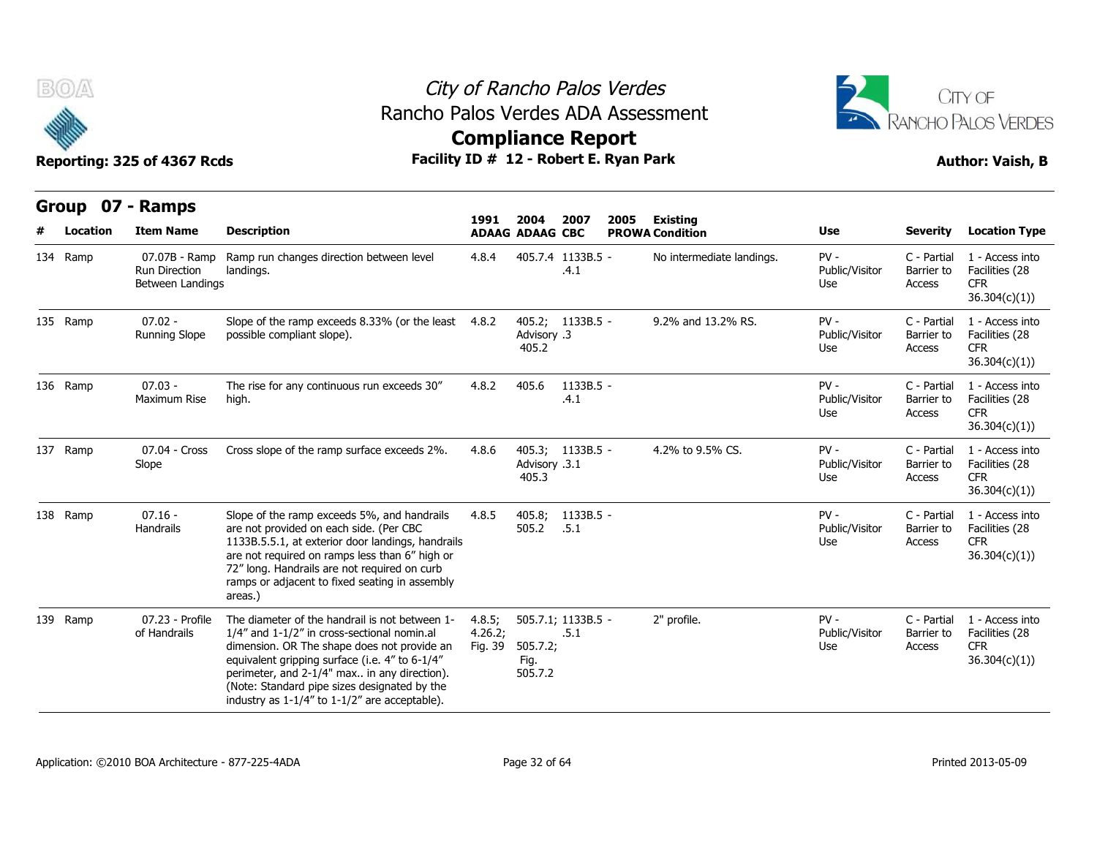



| <b>BOA</b>        | Reporting: 325 of 4367 Rcds                        |                                                                                                                                                                                                                                                                                                                                                       |                              |                                | City of Rancho Palos Verdes<br>Rancho Palos Verdes ADA Assessment<br><b>Compliance Report</b><br>Facility ID # 12 - Robert E. Ryan Park |                                           | CITY OF<br>RANCHO PALOS VERDES<br><b>Author: Vaish, B</b><br>Use<br><b>Severity</b><br><b>Location Type</b><br>$PV -$<br>C - Partial<br>1 - Access into<br>Public/Visitor<br>Barrier to<br>Facilities (28<br>Access<br><b>CFR</b><br>Use<br>36.304(c)(1))<br>$PV -$<br>C - Partial<br>1 - Access into<br>Public/Visitor<br>Facilities (28<br>Barrier to<br>Use<br><b>CFR</b><br>Access<br>36.304(c)(1))<br>$PV -$<br>C - Partial<br>1 - Access into<br>Facilities (28<br>Public/Visitor<br>Barrier to |                                     |                                                                  |  |  |
|-------------------|----------------------------------------------------|-------------------------------------------------------------------------------------------------------------------------------------------------------------------------------------------------------------------------------------------------------------------------------------------------------------------------------------------------------|------------------------------|--------------------------------|-----------------------------------------------------------------------------------------------------------------------------------------|-------------------------------------------|-------------------------------------------------------------------------------------------------------------------------------------------------------------------------------------------------------------------------------------------------------------------------------------------------------------------------------------------------------------------------------------------------------------------------------------------------------------------------------------------------------|-------------------------------------|------------------------------------------------------------------|--|--|
| Group<br>Location | 07 - Ramps<br><b>Item Name</b>                     | <b>Description</b>                                                                                                                                                                                                                                                                                                                                    | 1991                         | 2004<br><b>ADAAG ADAAG CBC</b> | 2007<br>2005                                                                                                                            | <b>Existing</b><br><b>PROWA Condition</b> |                                                                                                                                                                                                                                                                                                                                                                                                                                                                                                       |                                     |                                                                  |  |  |
| 134 Ramp          | 07.07B - Ramp<br>Run Direction<br>Between Landings | Ramp run changes direction between level<br>landings.                                                                                                                                                                                                                                                                                                 | 4.8.4                        |                                | 405.7.4 1133B.5 -<br>.4.1                                                                                                               | No intermediate landings.                 |                                                                                                                                                                                                                                                                                                                                                                                                                                                                                                       |                                     |                                                                  |  |  |
| 135 Ramp          | $07.02 -$<br><b>Running Slope</b>                  | Slope of the ramp exceeds 8.33% (or the least 4.8.2<br>possible compliant slope).                                                                                                                                                                                                                                                                     |                              | Advisory .3<br>405.2           | 405.2; 1133B.5 -                                                                                                                        | 9.2% and 13.2% RS.                        |                                                                                                                                                                                                                                                                                                                                                                                                                                                                                                       |                                     |                                                                  |  |  |
| 136 Ramp          | $07.03 -$<br>Maximum Rise                          | The rise for any continuous run exceeds 30"<br>high.                                                                                                                                                                                                                                                                                                  | 4.8.2                        | 405.6                          | 1133B.5 -<br>.4.1                                                                                                                       |                                           | Use                                                                                                                                                                                                                                                                                                                                                                                                                                                                                                   | Access                              | <b>CFR</b><br>36.304(c)(1))                                      |  |  |
| 137 Ramp          | 07.04 - Cross<br>Slope                             | Cross slope of the ramp surface exceeds 2%.                                                                                                                                                                                                                                                                                                           | 4.8.6                        | Advisory .3.1<br>405.3         | 405.3; 1133B.5 -                                                                                                                        | 4.2% to 9.5% CS.                          | $PV -$<br>Public/Visitor<br>Use                                                                                                                                                                                                                                                                                                                                                                                                                                                                       | C - Partial<br>Barrier to<br>Access | 1 - Access into<br>Facilities (28<br><b>CFR</b><br>36.304(c)(1)) |  |  |
| 138 Ramp          | $07.16 -$<br>Handrails                             | Slope of the ramp exceeds 5%, and handrails<br>are not provided on each side. (Per CBC<br>1133B.5.5.1, at exterior door landings, handrails<br>are not required on ramps less than 6" high or<br>72" long. Handrails are not required on curb<br>ramps or adjacent to fixed seating in assembly<br>areas.)                                            | 4.8.5                        | 405.8;<br>505.2                | 1133B.5 -<br>.5.1                                                                                                                       |                                           | $PV -$<br>Public/Visitor<br>Use                                                                                                                                                                                                                                                                                                                                                                                                                                                                       | C - Partial<br>Barrier to<br>Access | 1 - Access into<br>Facilities (28<br><b>CFR</b><br>36.304(c)(1)) |  |  |
| 139 Ramp          | 07.23 - Profile<br>of Handrails                    | The diameter of the handrail is not between 1-<br>1/4" and 1-1/2" in cross-sectional nomin.al<br>dimension. OR The shape does not provide an<br>equivalent gripping surface (i.e. 4" to 6-1/4"<br>perimeter, and 2-1/4" max in any direction).<br>(Note: Standard pipe sizes designated by the<br>industry as $1-1/4''$ to $1-1/2''$ are acceptable). | 4.8.5;<br>4.26.2;<br>Fig. 39 | 505.7.2;<br>Fig.<br>505.7.2    | 505.7.1; 1133B.5 -<br>.5.1                                                                                                              | 2" profile.                               | $PV -$<br>Public/Visitor<br>Use                                                                                                                                                                                                                                                                                                                                                                                                                                                                       | C - Partial<br>Barrier to<br>Access | 1 - Access into<br>Facilities (28<br><b>CFR</b><br>36.304(c)(1)  |  |  |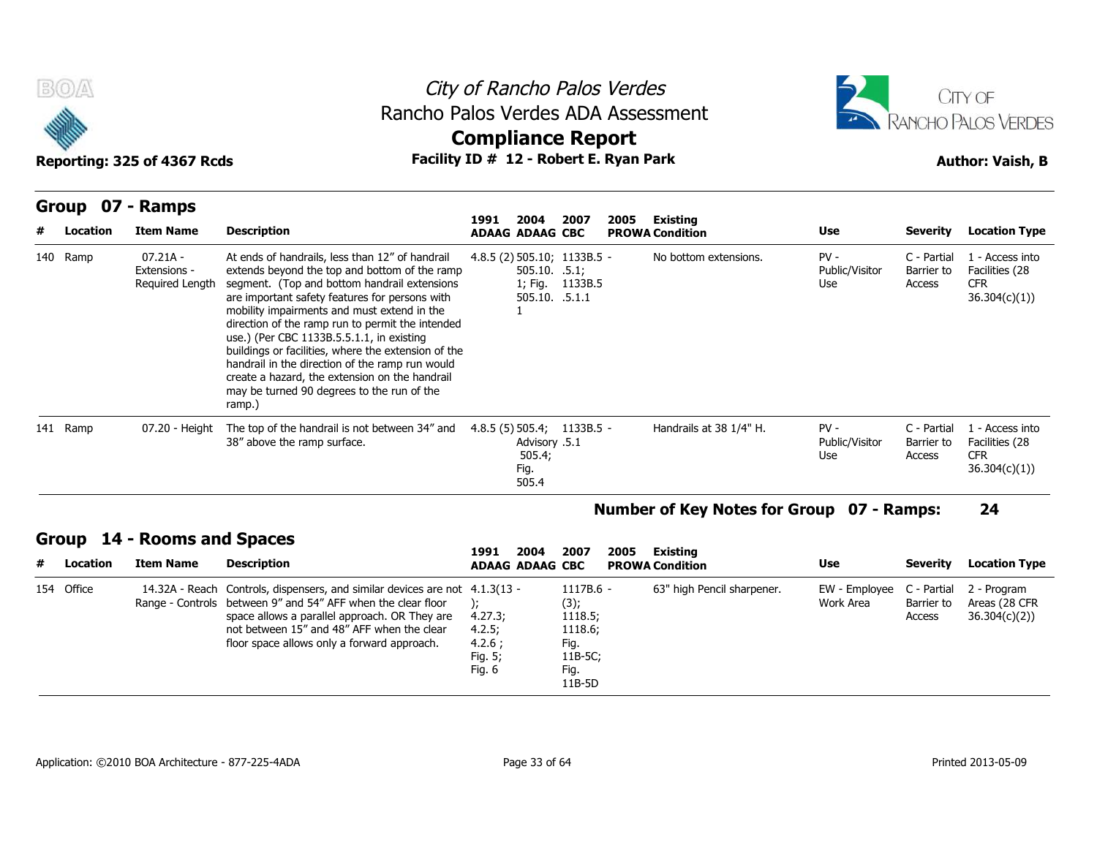



| B(0)<br>Rancho Palos Verdes ADA Assessment<br>Facility ID # 12 - Robert E. Ryan Park<br>Reporting: 325 of 4367 Rcds |                                                 |                                                                                                                                                                                                                                                                                                                                                                                                                                                                                                                                                                        | City of Rancho Palos Verdes<br><b>Compliance Report</b> |                                          |                                           |      | CITY OF<br><b>RANCHO PALOS VERDES</b><br><b>Author: Vaish, B</b> |                                 |                                     |                                                                 |
|---------------------------------------------------------------------------------------------------------------------|-------------------------------------------------|------------------------------------------------------------------------------------------------------------------------------------------------------------------------------------------------------------------------------------------------------------------------------------------------------------------------------------------------------------------------------------------------------------------------------------------------------------------------------------------------------------------------------------------------------------------------|---------------------------------------------------------|------------------------------------------|-------------------------------------------|------|------------------------------------------------------------------|---------------------------------|-------------------------------------|-----------------------------------------------------------------|
| Group<br>Location                                                                                                   | 07 - Ramps<br><b>Item Name</b>                  | <b>Description</b>                                                                                                                                                                                                                                                                                                                                                                                                                                                                                                                                                     | 1991<br><b>ADAAG ADAAG CBC</b>                          | 2004                                     | 2007                                      | 2005 | <b>Existing</b><br><b>PROWA Condition</b>                        | Use                             | <b>Severity</b>                     | <b>Location Type</b>                                            |
| 140 Ramp                                                                                                            | $07.21A -$<br>Extensions -<br>Required Length   | At ends of handrails, less than 12" of handrail<br>extends beyond the top and bottom of the ramp<br>segment. (Top and bottom handrail extensions<br>are important safety features for persons with<br>mobility impairments and must extend in the<br>direction of the ramp run to permit the intended<br>use.) (Per CBC 1133B.5.5.1.1, in existing<br>buildings or facilities, where the extension of the<br>handrail in the direction of the ramp run would<br>create a hazard, the extension on the handrail<br>may be turned 90 degrees to the run of the<br>ramp.) | 4.8.5 (2) 505.10; 1133B.5 -                             | $505.10.$ .5.1;<br>505.10. .5.1.1        | 1; Fig. 1133B.5                           |      | No bottom extensions.                                            | $PV -$<br>Public/Visitor<br>Use | C - Partial<br>Barrier to<br>Access | 1 - Access into<br>Facilities (28<br><b>CFR</b><br>36.304(c)(1) |
| 141 Ramp                                                                                                            | 07.20 - Height                                  | The top of the handrail is not between 34" and<br>38" above the ramp surface.                                                                                                                                                                                                                                                                                                                                                                                                                                                                                          | $4.8.5(5)$ 505.4; 1133B.5 -                             | Advisory .5.1<br>505.4;<br>Fig.<br>505.4 |                                           |      | Handrails at 38 1/4" H.                                          | $PV -$<br>Public/Visitor<br>Use | C - Partial<br>Barrier to<br>Access | 1 - Access into<br>Facilities (28<br><b>CFR</b><br>36.304(c)(1) |
|                                                                                                                     |                                                 |                                                                                                                                                                                                                                                                                                                                                                                                                                                                                                                                                                        |                                                         |                                          |                                           |      | Number of Key Notes for Group 07 - Ramps:                        |                                 |                                     | 24                                                              |
| Location                                                                                                            | Group 14 - Rooms and Spaces<br><b>Item Name</b> | <b>Description</b>                                                                                                                                                                                                                                                                                                                                                                                                                                                                                                                                                     | 1991<br><b>ADAAG ADAAG CBC</b>                          | 2004                                     | 2007                                      | 2005 | <b>Existing</b><br><b>PROWA Condition</b>                        | Use                             | <b>Severity</b>                     | <b>Location Type</b>                                            |
| 154 Office                                                                                                          |                                                 | 14.32A - Reach Controls, dispensers, and similar devices are not 4.1.3(13 -<br>Range - Controls between 9" and 54" AFF when the clear floor<br>space allows a parallel approach. OR They are<br>not hetween 15" and 48" AFF when the clear                                                                                                                                                                                                                                                                                                                             | 4.27.3;<br>4.75                                         |                                          | 1117B.6 -<br>(3);<br>1118.5;<br>1118 $6.$ |      | 63" high Pencil sharpener.                                       | EW - Employee<br>Work Area      | C - Partial<br>Barrier to<br>Access | 2 - Program<br>Areas (28 CFR<br>36.304(c)(2)                    |

### **Number of Key Notes for Group 07 - Ramps: 24**

### **Group 14 - Rooms and Spaces**

| # | Location   | Item Name | <b>Description</b>                                                                                                                                                                                                                                                                        | 1991<br>2004<br><b>ADAAG ADAAG CBC</b>           | 2007                                                                           | 2005 | Existing<br><b>PROWA Condition</b> | Use                                                | Severity             | <b>Location Type</b>          |
|---|------------|-----------|-------------------------------------------------------------------------------------------------------------------------------------------------------------------------------------------------------------------------------------------------------------------------------------------|--------------------------------------------------|--------------------------------------------------------------------------------|------|------------------------------------|----------------------------------------------------|----------------------|-------------------------------|
|   | 154 Office |           | 14.32A - Reach Controls, dispensers, and similar devices are not 4.1.3(13 -<br>Range - Controls between 9" and 54" AFF when the clear floor<br>space allows a parallel approach. OR They are<br>not between 15" and 48" AFF when the clear<br>floor space allows only a forward approach. | 4.27.3;<br>4.2.5:<br>4.2.6;<br>Fig. 5;<br>Fig. 6 | $1117B.6 -$<br>(3);<br>1118.5;<br>1118.6;<br>Fig.<br>11B-5C;<br>Fig.<br>11B-5D |      | 63" high Pencil sharpener.         | EW - Employee C - Partial 2 - Program<br>Work Area | Barrier to<br>Access | Areas (28 CFR<br>36.304(c)(2) |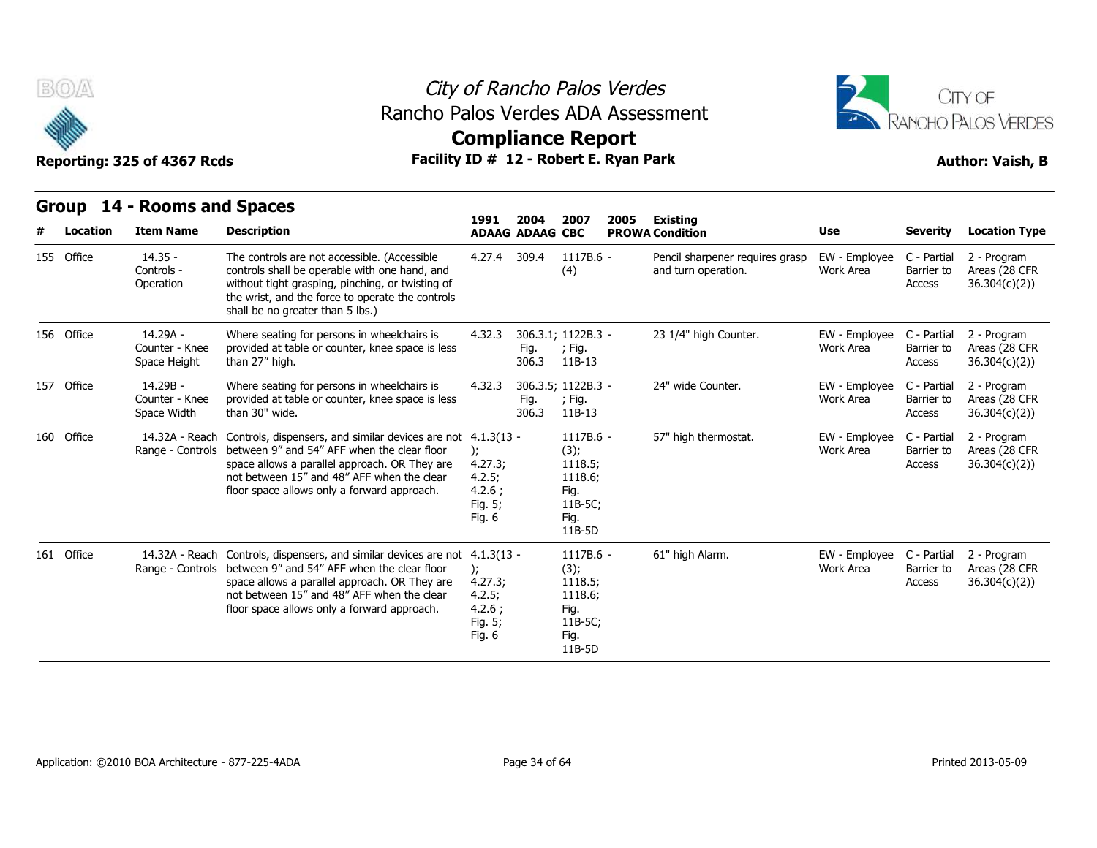

### City of Rancho Palos Verdes Rancho Palos Verdes ADA Assessment



### **Compliance Report**

| Facility ID # 12 - Robert E. Ryan Park<br>Reporting: 325 of 4367 Rcds |            |  |                                            |                                                                                                                                                                                                                                                                 |                                                                        |                                |                                                                              | <b>Author: Vaish, B</b> |                                                        |                            |                                     |                                              |
|-----------------------------------------------------------------------|------------|--|--------------------------------------------|-----------------------------------------------------------------------------------------------------------------------------------------------------------------------------------------------------------------------------------------------------------------|------------------------------------------------------------------------|--------------------------------|------------------------------------------------------------------------------|-------------------------|--------------------------------------------------------|----------------------------|-------------------------------------|----------------------------------------------|
|                                                                       | Group      |  | 14 - Rooms and Spaces                      |                                                                                                                                                                                                                                                                 |                                                                        |                                |                                                                              |                         |                                                        |                            |                                     |                                              |
|                                                                       | Location   |  | <b>Item Name</b>                           | <b>Description</b>                                                                                                                                                                                                                                              | 1991                                                                   | 2004<br><b>ADAAG ADAAG CBC</b> | 2007                                                                         | 2005                    | Existing<br><b>PROWA Condition</b>                     | Use                        | <b>Severity</b>                     | <b>Location Type</b>                         |
|                                                                       | 155 Office |  | $14.35 -$<br>Controls -<br>Operation       | The controls are not accessible. (Accessible<br>controls shall be operable with one hand, and<br>without tight grasping, pinching, or twisting of<br>the wrist, and the force to operate the controls<br>shall be no greater than 5 lbs.)                       | 4.27.4                                                                 | 309.4                          | 1117B.6 -<br>(4)                                                             |                         | Pencil sharpener requires grasp<br>and turn operation. | EW - Employee<br>Work Area | C - Partial<br>Barrier to<br>Access | 2 - Program<br>Areas (28 CFR<br>36.304(c)(2) |
|                                                                       | 156 Office |  | 14.29A -<br>Counter - Knee<br>Space Height | Where seating for persons in wheelchairs is<br>provided at table or counter, knee space is less<br>than 27" high.                                                                                                                                               | 4.32.3                                                                 | Fig.<br>306.3                  | 306.3.1; 1122B.3 -<br>; Fig.<br>11B-13                                       |                         | 23 1/4" high Counter.                                  | EW - Employee<br>Work Area | C - Partial<br>Barrier to<br>Access | 2 - Program<br>Areas (28 CFR<br>36.304(c)(2) |
|                                                                       | 157 Office |  | 14.29B -<br>Counter - Knee<br>Space Width  | Where seating for persons in wheelchairs is<br>provided at table or counter, knee space is less<br>than 30" wide.                                                                                                                                               | 4.32.3                                                                 | Fig.<br>306.3                  | 306.3.5; 1122B.3 -<br>; Fig.<br>11B-13                                       |                         | 24" wide Counter.                                      | EW - Employee<br>Work Area | C - Partial<br>Barrier to<br>Access | 2 - Program<br>Areas (28 CFR<br>36.304(c)(2) |
|                                                                       | 160 Office |  | 14.32A - Reach                             | Controls, dispensers, and similar devices are not<br>Range - Controls between 9" and 54" AFF when the clear floor<br>space allows a parallel approach. OR They are<br>not between 15" and 48" AFF when the clear<br>floor space allows only a forward approach. | $4.1.3(13 -$<br>);<br>4.27.3;<br>4.2.5;<br>4.2.6:<br>Fig. 5;<br>Fig. 6 |                                | 1117B.6 -<br>(3);<br>1118.5;<br>1118.6;<br>Fig.<br>11B-5C;<br>Fig.<br>11B-5D |                         | 57" high thermostat.                                   | EW - Employee<br>Work Area | C - Partial<br>Barrier to<br>Access | 2 - Program<br>Areas (28 CFR<br>36.304(c)(2) |
|                                                                       | 161 Office |  | 14.32A - Reach<br>Range - Controls         | Controls, dispensers, and similar devices are not<br>between 9" and 54" AFF when the clear floor<br>space allows a parallel approach. OR They are<br>not between 15" and 48" AFF when the clear<br>floor space allows only a forward approach.                  | $4.1.3(13 -$<br>);<br>4.27.3;<br>4.2.5;<br>4.2.6:<br>Fig. 5;<br>Fig. 6 |                                | 1117B.6 -<br>(3);<br>1118.5;<br>1118.6;<br>Fig.<br>11B-5C;<br>Fig.<br>11B-5D |                         | 61" high Alarm.                                        | EW - Employee<br>Work Area | C - Partial<br>Barrier to<br>Access | 2 - Program<br>Areas (28 CFR<br>36.304(c)(2) |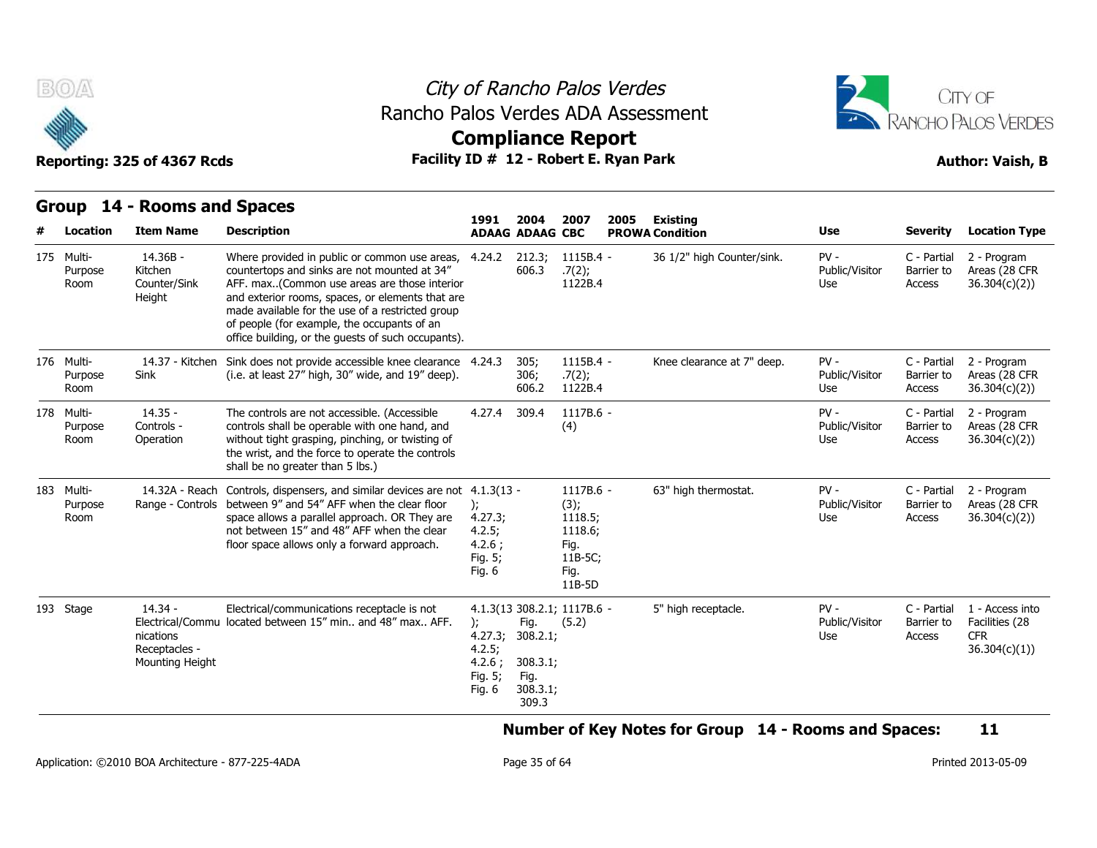



**Compliance Report**

**Group 14 - Rooms and Spaces Item Name Description 1991 ADAAG 2004 ADAAG CBC PROWA 2007 2005 Existing # Location Condition Use Severity Location Type** 14.36B - Kitchen Room Counter/Sink AFF. max **Height** Where provided in public or common use areas, 4.24.2 212.3; countertops and sinks are not mounted at 34" AFF. max..(Common use areas are those interior and exterior rooms, spaces, or elements that are made available for the use of a restricted group of people (for example, the occupants of an office building, or the guests of such occupants).  $1115B.4 .7(2)$ 1115B.4 - 36 1/2" high Counter/sink. PV - .7(2); 1122B.4 Public/Visitor Barrier to Use Access C - Partial 2 - Program Barrier to Areas (28 CFR Access 36.304(c)(2)) Purpose 14.37 - Kitchen Sink does not provide accessible knee clearance Sink (i.e. at least 27" high, 30" wide, and 19" deep). 305; 1115B.4 -306; .7(2); 606.2 1122B.4 1115B.4 - Knee clearance at 7" deep. PV - Public/Visitor Barrier to Use Access C - Partial 2 - Program Barrier to Areas (28 CFR Access 36.304(c)(2)) Group<br>
# Locat<br>
175 Multi-<br>
Purpo<br>
Room<br>
176 Multi-<br>
Purpo<br>
Room Purpose Sink Room 14.35 - Controls - Operation without tight grasping, pinching, or twisting of The controls are not accessible. (Accessible controls shall be operable with one hand, and the wrist, and the force to operate the controls shall be no greater than 5 lbs.) 309.4 1117B.6 -(4) - PV - (1992) Public/Visitor Use Access C - Partial 2 - Program Barrier to Areas (28 CFR Access 36.304(c)(2)) m<br>
175 Multi-<br>
Purpo<br>
Room<br>
176 Multi-<br>
Purpo<br>
178 Multi-<br>
Purpo<br>
Room Purpose Room Operation 14.32A - Reach Controls, dispensers, and similar devices are not 4.1.3(13 Range - Controls between 9" and 54" AFF when the clear floor ); Room **Example 2** and the space allows a parallel approach. OR They are  $4.27.3$ ; not between 15" and 48" AFF when the clear floor space allows only a forward approach. ); 4.27.3; 4.2.5; 4.2.6 ; Fig. 5; Fig. 6 - 1117B.6 - 63" high thermostat. PV - (3); 1118.5; 1118.6; Fig. 11B-5C; Fig. 11B-5D Public/Visitor Use **Access** C - Partial 2 - Program Barrier to Areas (28 CFR Access 36.304(c)(2)) T6 Multi-<br>Purpo<br>Room<br>178 Multi-<br>Purpo<br>Room<br>183 Multi-<br>Purpo<br>Room Purpose 14.34 - Electrical/Commu located between 15" min.. and 48" max.. AFF. nications Receptacles - Mounting Height Electrical/communications receptacle is not 4.1.3(13 308.2.1; ); 4.27.3; 308.2.1; 4.2.5; 4.2.6 ; 308.3.1; Fig. 5; Fig. 6 308.3.1; Fig. (5.2) Fig. 309.3 1117B.6 - 5" high receptacle. PV - Public/Visitor Barrier to Use Access C - Partial 1 - Access into Barrier to Facilities (28 CFR 36.304(c)(1)) Facebook Contracts<br>
Room Operation<br>
193 Multi-<br>
14.32A - Rea<br>
Purpose Range - Contr<br>
Room<br>
193 Stage 14.34 -<br>
Electrical/Com<br>
nications<br>
Recentable -

**Number of Key Notes for Group 14 - Rooms and Spaces: 11**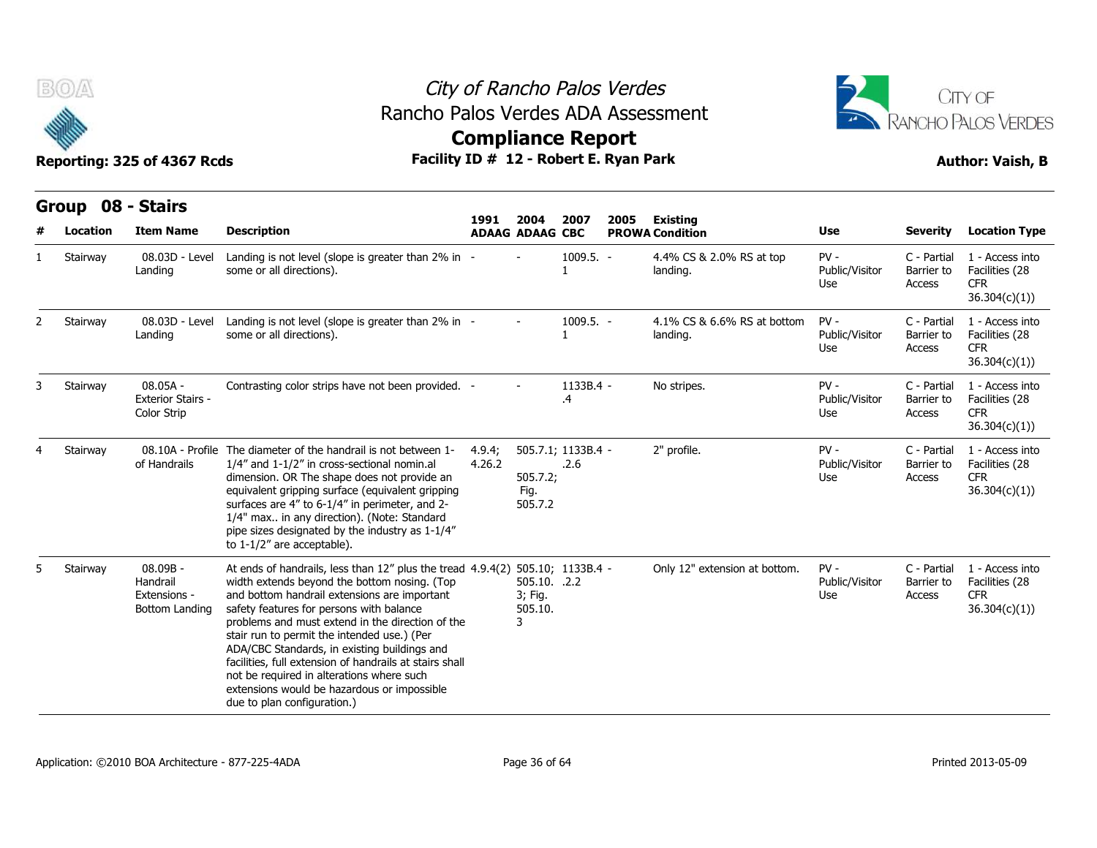



## **Compliance Report**

|   | Group    | 08 - Stairs                                            |                                                                                                                                                                                                                                                                                                                                                                                                                                                                                                                                                  |                  |                                         |                            |      |                                           |                                 |                                     |                                                                  |
|---|----------|--------------------------------------------------------|--------------------------------------------------------------------------------------------------------------------------------------------------------------------------------------------------------------------------------------------------------------------------------------------------------------------------------------------------------------------------------------------------------------------------------------------------------------------------------------------------------------------------------------------------|------------------|-----------------------------------------|----------------------------|------|-------------------------------------------|---------------------------------|-------------------------------------|------------------------------------------------------------------|
| # | Location | <b>Item Name</b>                                       | <b>Description</b>                                                                                                                                                                                                                                                                                                                                                                                                                                                                                                                               | 1991             | 2004<br><b>ADAAG ADAAG CBC</b>          | 2007                       | 2005 | <b>Existing</b><br><b>PROWA Condition</b> | <b>Use</b>                      | <b>Severity</b>                     | <b>Location Type</b>                                             |
|   | Stairway | 08.03D - Level<br>Landing                              | Landing is not level (slope is greater than 2% in -<br>some or all directions).                                                                                                                                                                                                                                                                                                                                                                                                                                                                  |                  |                                         | $1009.5. -$                |      | 4.4% CS & 2.0% RS at top<br>landing.      | $PV -$<br>Public/Visitor<br>Use | C - Partial<br>Barrier to<br>Access | 1 - Access into<br>Facilities (28<br><b>CFR</b><br>36.304(c)(1)  |
|   | Stairway | 08.03D - Level<br>Landing                              | Landing is not level (slope is greater than 2% in -<br>some or all directions).                                                                                                                                                                                                                                                                                                                                                                                                                                                                  |                  |                                         | 1009.5. -                  |      | 4.1% CS & 6.6% RS at bottom<br>landing.   | $PV -$<br>Public/Visitor<br>Use | C - Partial<br>Barrier to<br>Access | 1 - Access into<br>Facilities (28<br><b>CFR</b><br>36.304(c)(1)) |
|   | Stairway | $08.05A -$<br><b>Exterior Stairs -</b><br>Color Strip  | Contrasting color strips have not been provided. -                                                                                                                                                                                                                                                                                                                                                                                                                                                                                               |                  |                                         | 1133B.4 -<br>.4            |      | No stripes.                               | $PV -$<br>Public/Visitor<br>Use | C - Partial<br>Barrier to<br>Access | 1 - Access into<br>Facilities (28<br><b>CFR</b><br>36.304(c)(1)  |
| 4 | Stairway | of Handrails                                           | 08.10A - Profile The diameter of the handrail is not between 1-<br>1/4" and 1-1/2" in cross-sectional nomin.al<br>dimension. OR The shape does not provide an<br>equivalent gripping surface (equivalent gripping<br>surfaces are 4" to 6-1/4" in perimeter, and 2-<br>1/4" max in any direction). (Note: Standard<br>pipe sizes designated by the industry as 1-1/4"<br>to $1-1/2$ " are acceptable).                                                                                                                                           | 4.9.4;<br>4.26.2 | 505.7.2;<br>Fig.<br>505.7.2             | 505.7.1; 1133B.4 -<br>.2.6 |      | 2" profile.                               | $PV -$<br>Public/Visitor<br>Use | C - Partial<br>Barrier to<br>Access | 1 - Access into<br>Facilities (28<br><b>CFR</b><br>36.304(c)(1)) |
|   | Stairway | 08.09B -<br>Handrail<br>Extensions -<br>Bottom Landing | At ends of handrails, less than 12" plus the tread 4.9.4(2)<br>width extends beyond the bottom nosing. (Top<br>and bottom handrail extensions are important<br>safety features for persons with balance<br>problems and must extend in the direction of the<br>stair run to permit the intended use.) (Per<br>ADA/CBC Standards, in existing buildings and<br>facilities, full extension of handrails at stairs shall<br>not be required in alterations where such<br>extensions would be hazardous or impossible<br>due to plan configuration.) |                  | 505.10. .2.2<br>3; Fig.<br>505.10.<br>3 | 505.10; 1133B.4 -          |      | Only 12" extension at bottom.             | $PV -$<br>Public/Visitor<br>Use | C - Partial<br>Barrier to<br>Access | 1 - Access into<br>Facilities (28<br><b>CFR</b><br>36.304(c)(1)  |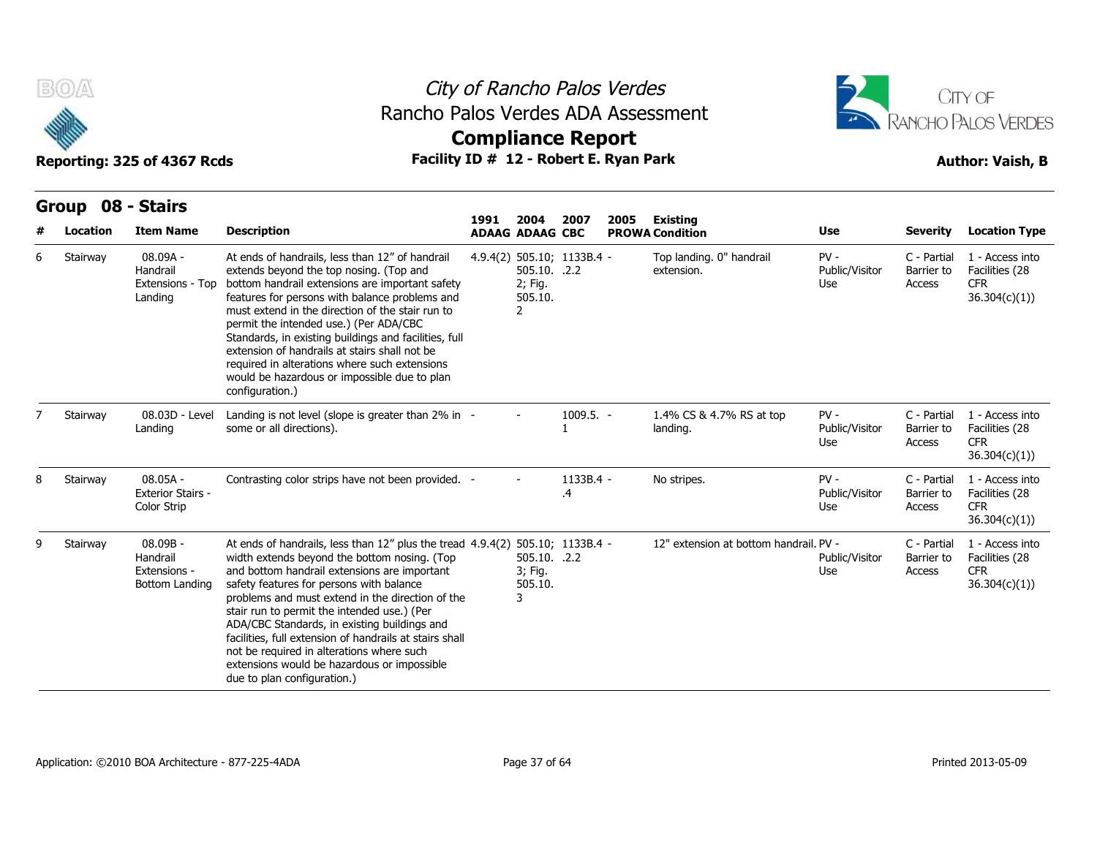



|   | BOA                           | Reporting: 325 of 4367 Rcds                            | Rancho Palos Verdes ADA Assessment<br>Facility ID # 12 - Robert E. Ryan Park                                                                                                                                                                                                                                                                                                                                                                                                                                                                                       |      | City of Rancho Palos Verdes<br><b>Compliance Report</b>               |                 |      |                                           | CITY OF<br>RANCHO PALOS VERDES<br><b>Author: Vaish, B</b><br>Use<br><b>Location Type</b><br>Severity<br>$PV -$<br>C - Partial<br>1 - Access into<br>Public/Visitor<br>Barrier to<br>Facilities (28<br><b>CFR</b><br>Access<br>Use<br>36.304(c)(1))<br>$PV -$<br>1 - Access into<br>C - Partial<br>Public/Visitor<br>Barrier to<br>Facilities (28<br>CFR.<br>Use<br>Access<br>36.304(c)(1))<br>$PV -$<br>C - Partial<br>1 - Access into<br>Facilities (28<br>Public/Visitor<br>Barrier to<br><b>CFR</b><br>Use<br>Access |                                     |                                                                 |  |
|---|-------------------------------|--------------------------------------------------------|--------------------------------------------------------------------------------------------------------------------------------------------------------------------------------------------------------------------------------------------------------------------------------------------------------------------------------------------------------------------------------------------------------------------------------------------------------------------------------------------------------------------------------------------------------------------|------|-----------------------------------------------------------------------|-----------------|------|-------------------------------------------|-------------------------------------------------------------------------------------------------------------------------------------------------------------------------------------------------------------------------------------------------------------------------------------------------------------------------------------------------------------------------------------------------------------------------------------------------------------------------------------------------------------------------|-------------------------------------|-----------------------------------------------------------------|--|
|   | Group 08 - Stairs<br>Location | <b>Item Name</b>                                       | <b>Description</b>                                                                                                                                                                                                                                                                                                                                                                                                                                                                                                                                                 | 1991 | 2004<br><b>ADAAG ADAAG CBC</b>                                        | 2007            | 2005 | <b>Existing</b><br><b>PROWA Condition</b> |                                                                                                                                                                                                                                                                                                                                                                                                                                                                                                                         |                                     |                                                                 |  |
| 6 | Stairway                      | 08.09A -<br>Handrail<br>Extensions - Top<br>Landing    | At ends of handrails, less than 12" of handrail<br>extends beyond the top nosing. (Top and<br>bottom handrail extensions are important safety<br>features for persons with balance problems and<br>must extend in the direction of the stair run to<br>permit the intended use.) (Per ADA/CBC<br>Standards, in existing buildings and facilities, full<br>extension of handrails at stairs shall not be<br>required in alterations where such extensions<br>would be hazardous or impossible due to plan<br>configuration.)                                        |      | 4.9.4(2) 505.10; 1133B.4 -<br>505.10. .2.2<br>2; Fig.<br>505.10.<br>2 |                 |      | Top landing. 0" handrail<br>extension.    |                                                                                                                                                                                                                                                                                                                                                                                                                                                                                                                         |                                     |                                                                 |  |
|   | Stairway                      | 08.03D - Level<br>Landing                              | Landing is not level (slope is greater than 2% in -<br>some or all directions).                                                                                                                                                                                                                                                                                                                                                                                                                                                                                    |      |                                                                       | $1009.5. -$     |      | 1.4% CS & 4.7% RS at top<br>landing.      |                                                                                                                                                                                                                                                                                                                                                                                                                                                                                                                         |                                     |                                                                 |  |
| 8 | Stairway                      | $08.05A -$<br><b>Exterior Stairs -</b><br>Color Strip  | Contrasting color strips have not been provided. -                                                                                                                                                                                                                                                                                                                                                                                                                                                                                                                 |      |                                                                       | 1133B.4 -<br>.4 |      | No stripes.                               |                                                                                                                                                                                                                                                                                                                                                                                                                                                                                                                         |                                     | 36.304(c)(1))                                                   |  |
|   | Stairway                      | 08.09B -<br>Handrail<br>Extensions -<br>Bottom Landing | At ends of handrails, less than 12" plus the tread 4.9.4(2) 505.10; 1133B.4 -<br>width extends beyond the bottom nosing. (Top<br>and bottom handrail extensions are important<br>safety features for persons with balance<br>problems and must extend in the direction of the<br>stair run to permit the intended use.) (Per<br>ADA/CBC Standards, in existing buildings and<br>facilities, full extension of handrails at stairs shall<br>not be required in alterations where such<br>extensions would be hazardous or impossible<br>due to plan configuration.) |      | 505.10. .2.2<br>3; Fig.<br>505.10.<br>3                               |                 |      | 12" extension at bottom handrail. PV -    | Public/Visitor<br>Use                                                                                                                                                                                                                                                                                                                                                                                                                                                                                                   | C - Partial<br>Barrier to<br>Access | 1 - Access into<br>Facilities (28<br><b>CFR</b><br>36.304(c)(1) |  |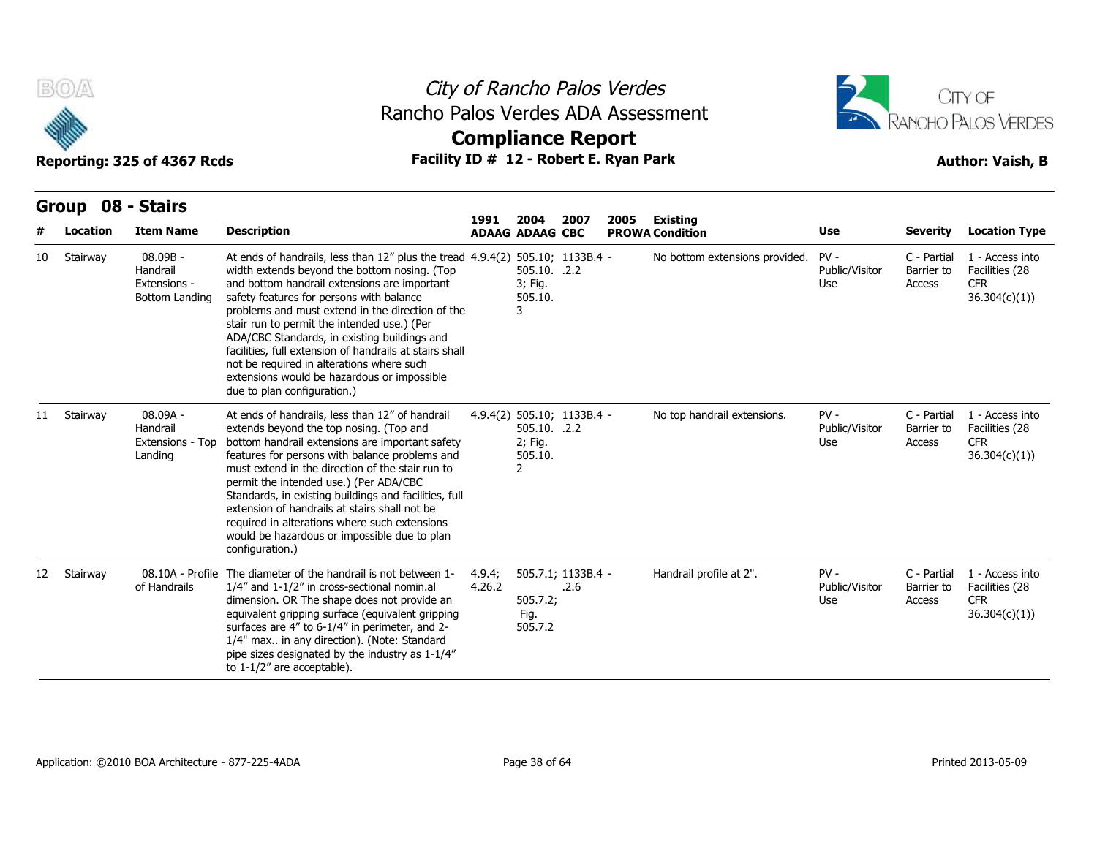



| BOA<br>Reporting: 325 of 4367 Rcds |                               |                                                          |                                                                                                                                                                                                                                                                                                                                                                                                                                                                                                                                                                    | City of Rancho Palos Verdes<br>Rancho Palos Verdes ADA Assessment<br><b>Compliance Report</b><br>Facility ID # 12 - Robert E. Ryan Park |                                                                       |                            |      |                                           |                                 | CITY OF<br><b>RANCHO PALOS VERDES</b><br><b>Author: Vaish, B</b> |                                                                 |  |
|------------------------------------|-------------------------------|----------------------------------------------------------|--------------------------------------------------------------------------------------------------------------------------------------------------------------------------------------------------------------------------------------------------------------------------------------------------------------------------------------------------------------------------------------------------------------------------------------------------------------------------------------------------------------------------------------------------------------------|-----------------------------------------------------------------------------------------------------------------------------------------|-----------------------------------------------------------------------|----------------------------|------|-------------------------------------------|---------------------------------|------------------------------------------------------------------|-----------------------------------------------------------------|--|
|                                    | Group 08 - Stairs<br>Location | <b>Item Name</b>                                         | <b>Description</b>                                                                                                                                                                                                                                                                                                                                                                                                                                                                                                                                                 | 1991                                                                                                                                    | 2004<br><b>ADAAG ADAAG CBC</b>                                        | 2007                       | 2005 | <b>Existing</b><br><b>PROWA Condition</b> | Use                             | <b>Severity</b>                                                  | <b>Location Type</b>                                            |  |
| 10                                 | Stairway                      | $08.09B -$<br>Handrail<br>Extensions -<br>Bottom Landing | At ends of handrails, less than 12" plus the tread 4.9.4(2) 505.10; 1133B.4 -<br>width extends beyond the bottom nosing. (Top<br>and bottom handrail extensions are important<br>safety features for persons with balance<br>problems and must extend in the direction of the<br>stair run to permit the intended use.) (Per<br>ADA/CBC Standards, in existing buildings and<br>facilities, full extension of handrails at stairs shall<br>not be required in alterations where such<br>extensions would be hazardous or impossible<br>due to plan configuration.) |                                                                                                                                         | 505.10. .2.2<br>3; Fig.<br>505.10.<br>3                               |                            |      | No bottom extensions provided.            | $PV -$<br>Public/Visitor<br>Use | C - Partial<br>Barrier to<br>Access                              | 1 - Access into<br>Facilities (28<br><b>CFR</b><br>36.304(c)(1) |  |
| 11                                 | Stairway                      | 08.09A -<br>Handrail<br>Extensions - Top<br>Landing      | At ends of handrails, less than 12" of handrail<br>extends beyond the top nosing. (Top and<br>bottom handrail extensions are important safety<br>features for persons with balance problems and<br>must extend in the direction of the stair run to<br>permit the intended use.) (Per ADA/CBC<br>Standards, in existing buildings and facilities, full<br>extension of handrails at stairs shall not be<br>required in alterations where such extensions<br>would be hazardous or impossible due to plan<br>configuration.)                                        |                                                                                                                                         | 4.9.4(2) 505.10; 1133B.4 -<br>505.10. .2.2<br>2; Fig.<br>505.10.<br>2 |                            |      | No top handrail extensions.               | $PV -$<br>Public/Visitor<br>Use | C - Partial<br>Barrier to<br>Access                              | 1 - Access into<br>Facilities (28<br><b>CFR</b><br>36.304(c)(1) |  |
| 12                                 | Stairway                      | 08.10A - Profile<br>of Handrails                         | The diameter of the handrail is not between 1-<br>1/4" and 1-1/2" in cross-sectional nomin.al<br>dimension. OR The shape does not provide an<br>equivalent gripping surface (equivalent gripping<br>surfaces are 4" to 6-1/4" in perimeter, and 2-<br>1/4" max in any direction). (Note: Standard<br>pipe sizes designated by the industry as 1-1/4"<br>to $1-1/2$ " are acceptable).                                                                                                                                                                              | 4.9.4;<br>4.26.2                                                                                                                        | 505.7.2;<br>Fig.<br>505.7.2                                           | 505.7.1; 1133B.4 -<br>.2.6 |      | Handrail profile at 2".                   | $PV -$<br>Public/Visitor<br>Use | C - Partial<br>Barrier to<br>Access                              | 1 - Access into<br>Facilities (28<br><b>CFR</b><br>36.304(c)(1) |  |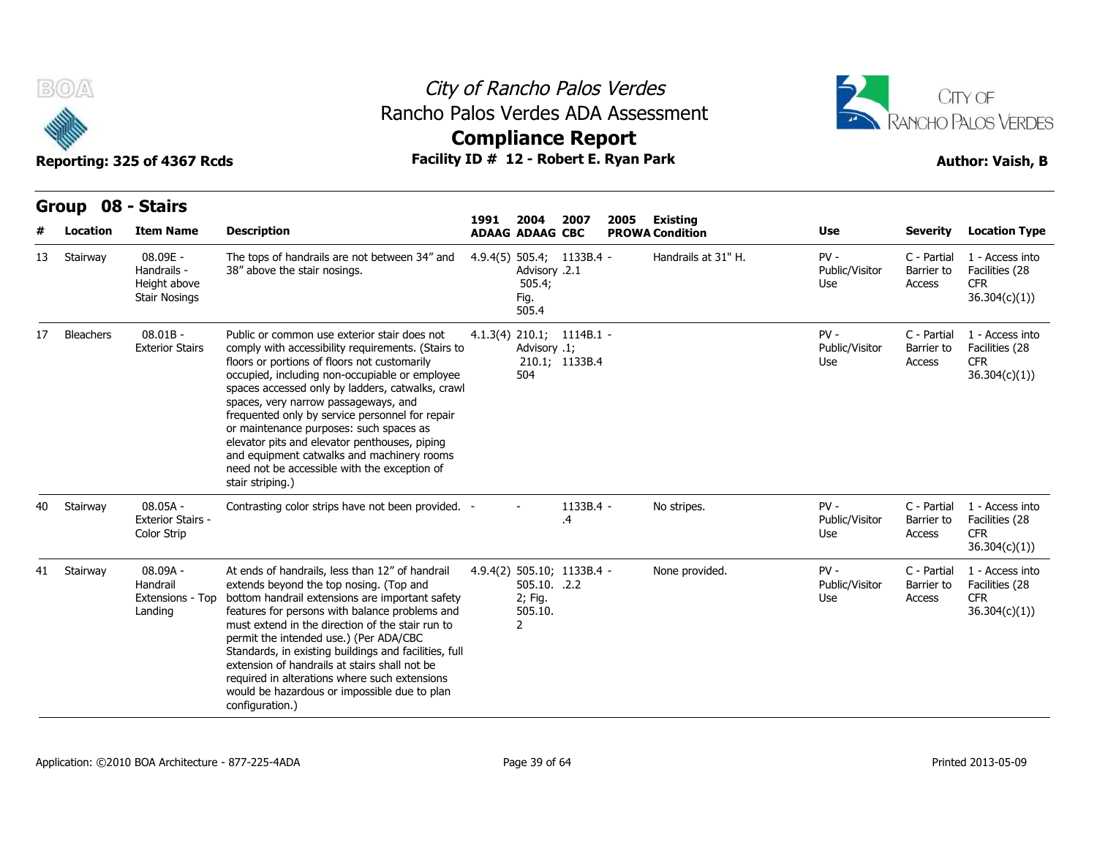



|    | <b>BOA</b>               | Reporting: 325 of 4367 Rcds                                     | Rancho Palos Verdes ADA Assessment<br>Facility ID # 12 - Robert E. Ryan Park                                                                                                                                                                                                                                                                                                                                                                                                                                                                                      |                        |                                                      | City of Rancho Palos Verdes<br><b>Compliance Report</b> |      |                                               | CITY OF<br>RANCHO PALOS VERDES<br><b>Author: Vaish, B</b><br>Use<br>Severity<br><b>Location Type</b><br>$PV -$<br>C - Partial<br>1 - Access into<br>Public/Visitor<br>Facilities (28<br>Barrier to<br><b>CFR</b><br>Use<br>Access<br>36.304(c)(1)<br>$PV -$<br>C - Partial<br>1 - Access into<br>Public/Visitor<br>Barrier to<br>Facilities (28<br><b>CFR</b><br>Access<br>Use<br>36.304(c)(1))<br>$PV -$<br>C - Partial<br>1 - Access into<br>Public/Visitor<br>Barrier to<br>Facilities (28<br><b>CFR</b><br>Use<br>Access<br>36.304(c)(1)<br>$PV -$<br>C - Partial<br>1 - Access into |                      |                                               |  |
|----|--------------------------|-----------------------------------------------------------------|-------------------------------------------------------------------------------------------------------------------------------------------------------------------------------------------------------------------------------------------------------------------------------------------------------------------------------------------------------------------------------------------------------------------------------------------------------------------------------------------------------------------------------------------------------------------|------------------------|------------------------------------------------------|---------------------------------------------------------|------|-----------------------------------------------|------------------------------------------------------------------------------------------------------------------------------------------------------------------------------------------------------------------------------------------------------------------------------------------------------------------------------------------------------------------------------------------------------------------------------------------------------------------------------------------------------------------------------------------------------------------------------------------|----------------------|-----------------------------------------------|--|
|    | <b>Group</b><br>Location | 08 - Stairs<br><b>Item Name</b>                                 | <b>Description</b>                                                                                                                                                                                                                                                                                                                                                                                                                                                                                                                                                | 1991                   | 2004                                                 | 2007                                                    | 2005 | Existing                                      |                                                                                                                                                                                                                                                                                                                                                                                                                                                                                                                                                                                          |                      |                                               |  |
| 13 | Stairway                 | 08.09E -<br>Handrails -<br>Height above<br><b>Stair Nosings</b> | The tops of handrails are not between 34" and<br>38" above the stair nosings.                                                                                                                                                                                                                                                                                                                                                                                                                                                                                     | <b>ADAAG ADAAG CBC</b> | Advisory .2.1<br>505.4;<br>Fig.<br>505.4             | 4.9.4(5) 505.4; 1133B.4 -                               |      | <b>PROWA Condition</b><br>Handrails at 31" H. |                                                                                                                                                                                                                                                                                                                                                                                                                                                                                                                                                                                          |                      |                                               |  |
| 17 | Bleachers                | $08.01B -$<br><b>Exterior Stairs</b>                            | Public or common use exterior stair does not<br>comply with accessibility requirements. (Stairs to<br>floors or portions of floors not customarily<br>occupied, including non-occupiable or employee<br>spaces accessed only by ladders, catwalks, crawl<br>spaces, very narrow passageways, and<br>frequented only by service personnel for repair<br>or maintenance purposes: such spaces as<br>elevator pits and elevator penthouses, piping<br>and equipment catwalks and machinery rooms<br>need not be accessible with the exception of<br>stair striping.) |                        | Advisory .1;<br>504                                  | 4.1.3(4) 210.1; 1114B.1 -<br>210.1; 1133B.4             |      |                                               |                                                                                                                                                                                                                                                                                                                                                                                                                                                                                                                                                                                          |                      |                                               |  |
| 40 | Stairway                 | $08.05A -$<br><b>Exterior Stairs -</b><br>Color Strip           | Contrasting color strips have not been provided. -                                                                                                                                                                                                                                                                                                                                                                                                                                                                                                                |                        |                                                      | 1133B.4 -<br>.4                                         |      | No stripes.                                   |                                                                                                                                                                                                                                                                                                                                                                                                                                                                                                                                                                                          |                      |                                               |  |
| 41 | Stairway                 | 08.09A -<br>Handrail<br>Extensions - Top<br>Landing             | At ends of handrails, less than 12" of handrail<br>extends beyond the top nosing. (Top and<br>bottom handrail extensions are important safety<br>features for persons with balance problems and<br>must extend in the direction of the stair run to<br>permit the intended use.) (Per ADA/CBC<br>Standards, in existing buildings and facilities, full<br>extension of handrails at stairs shall not be<br>required in alterations where such extensions<br>would be hazardous or impossible due to plan<br>configuration.)                                       |                        | 505.10. .2.2<br>2; Fig.<br>505.10.<br>$\overline{2}$ | 4.9.4(2) 505.10; 1133B.4 -                              |      | None provided.                                | Public/Visitor<br>Use                                                                                                                                                                                                                                                                                                                                                                                                                                                                                                                                                                    | Barrier to<br>Access | Facilities (28<br><b>CFR</b><br>36.304(c)(1)) |  |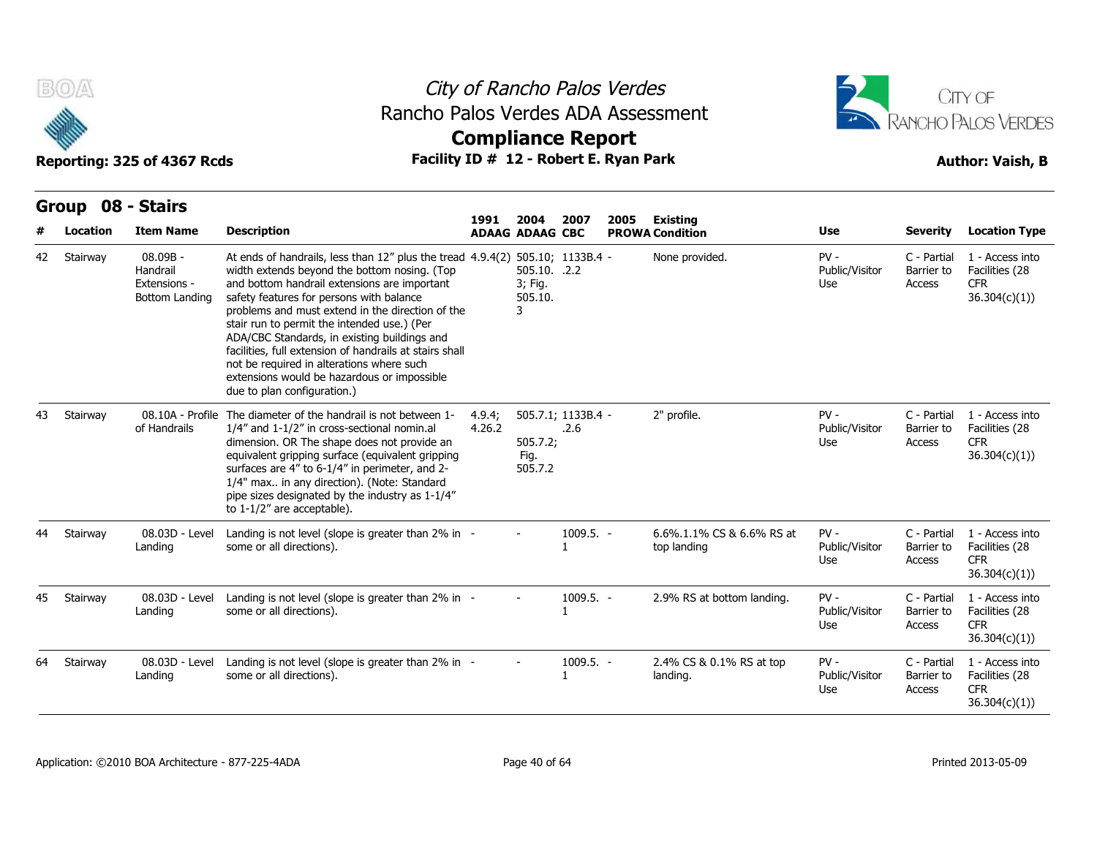



|    | B(0)                     | Reporting: 325 of 4367 Rcds                              | Rancho Palos Verdes ADA Assessment<br>Facility ID # 12 - Robert E. Ryan Park                                                                                                                                                                                                                                                                                                                                                                                                                                                                                       |                  | City of Rancho Palos Verdes<br><b>Compliance Report</b> |                             |      |                                           |                                 | CITY OF<br>RANCHO PALOS VERDES<br><b>Author: Vaish, B</b><br><b>Location Type</b><br><b>Severity</b><br>C - Partial<br>1 - Access into<br>Barrier to<br>Facilities (28<br><b>CFR</b><br>Access<br>36.304(c)(1))<br>C - Partial<br>1 - Access into<br>Facilities (28<br>Barrier to<br>Access<br><b>CFR</b><br>36.304(c)(1))<br>1 - Access into<br>C - Partial<br>Facilities (28<br>Barrier to<br>Access<br><b>CFR</b><br>36.304(c)(1))<br>1 - Access into<br>C - Partial<br>Facilities (28<br>Barrier to |                                                                 |  |
|----|--------------------------|----------------------------------------------------------|--------------------------------------------------------------------------------------------------------------------------------------------------------------------------------------------------------------------------------------------------------------------------------------------------------------------------------------------------------------------------------------------------------------------------------------------------------------------------------------------------------------------------------------------------------------------|------------------|---------------------------------------------------------|-----------------------------|------|-------------------------------------------|---------------------------------|---------------------------------------------------------------------------------------------------------------------------------------------------------------------------------------------------------------------------------------------------------------------------------------------------------------------------------------------------------------------------------------------------------------------------------------------------------------------------------------------------------|-----------------------------------------------------------------|--|
|    | <b>Group</b><br>Location | 08 - Stairs<br><b>Item Name</b>                          | <b>Description</b>                                                                                                                                                                                                                                                                                                                                                                                                                                                                                                                                                 | 1991             | 2004<br><b>ADAAG ADAAG CBC</b>                          | 2007                        | 2005 | <b>Existing</b><br><b>PROWA Condition</b> | Use                             |                                                                                                                                                                                                                                                                                                                                                                                                                                                                                                         |                                                                 |  |
| 42 | Stairway                 | $08.09B -$<br>Handrail<br>Extensions -<br>Bottom Landing | At ends of handrails, less than 12" plus the tread 4.9.4(2) 505.10; 1133B.4 -<br>width extends beyond the bottom nosing. (Top<br>and bottom handrail extensions are important<br>safety features for persons with balance<br>problems and must extend in the direction of the<br>stair run to permit the intended use.) (Per<br>ADA/CBC Standards, in existing buildings and<br>facilities, full extension of handrails at stairs shall<br>not be required in alterations where such<br>extensions would be hazardous or impossible<br>due to plan configuration.) |                  | 505.10. .2.2<br>3; Fig.<br>505.10.<br>3                 |                             |      | None provided.                            | $PV -$<br>Public/Visitor<br>Use |                                                                                                                                                                                                                                                                                                                                                                                                                                                                                                         |                                                                 |  |
| 43 | Stairway                 | of Handrails                                             | 08.10A - Profile The diameter of the handrail is not between 1-<br>1/4" and 1-1/2" in cross-sectional nomin.al<br>dimension. OR The shape does not provide an<br>equivalent gripping surface (equivalent gripping<br>surfaces are 4" to 6-1/4" in perimeter, and 2-<br>1/4" max in any direction). (Note: Standard<br>pipe sizes designated by the industry as 1-1/4"<br>to $1-1/2$ " are acceptable).                                                                                                                                                             | 4.9.4;<br>4.26.2 | 505.7.2;<br>Fig.<br>505.7.2                             | 505.7.1; 1133B.4 -<br>.2.6  |      | 2" profile.                               | $PV -$<br>Public/Visitor<br>Use |                                                                                                                                                                                                                                                                                                                                                                                                                                                                                                         |                                                                 |  |
| 44 | Stairway                 | 08.03D - Level<br>Landing                                | Landing is not level (slope is greater than 2% in -<br>some or all directions).                                                                                                                                                                                                                                                                                                                                                                                                                                                                                    |                  |                                                         | $1009.5. -$<br>$\mathbf{1}$ |      | 6.6% 1.1% CS & 6.6% RS at<br>top landing  | $PV -$<br>Public/Visitor<br>Use |                                                                                                                                                                                                                                                                                                                                                                                                                                                                                                         |                                                                 |  |
| 45 | Stairway                 | 08.03D - Level<br>Landing                                | Landing is not level (slope is greater than 2% in -<br>some or all directions).                                                                                                                                                                                                                                                                                                                                                                                                                                                                                    |                  |                                                         | 1009.5. -<br>$\mathbf{1}$   |      | 2.9% RS at bottom landing.                | $PV -$<br>Public/Visitor<br>Use | Access                                                                                                                                                                                                                                                                                                                                                                                                                                                                                                  | <b>CFR</b><br>36.304(c)(1))                                     |  |
| 64 | Stairway                 | 08.03D - Level<br>Landing                                | Landing is not level (slope is greater than 2% in -<br>some or all directions).                                                                                                                                                                                                                                                                                                                                                                                                                                                                                    |                  |                                                         | 1009.5. -<br>$\mathbf{1}$   |      | 2.4% CS & 0.1% RS at top<br>landing.      | $PV -$<br>Public/Visitor<br>Use | C - Partial<br>Barrier to<br>Access                                                                                                                                                                                                                                                                                                                                                                                                                                                                     | 1 - Access into<br>Facilities (28<br><b>CFR</b><br>36.304(c)(1) |  |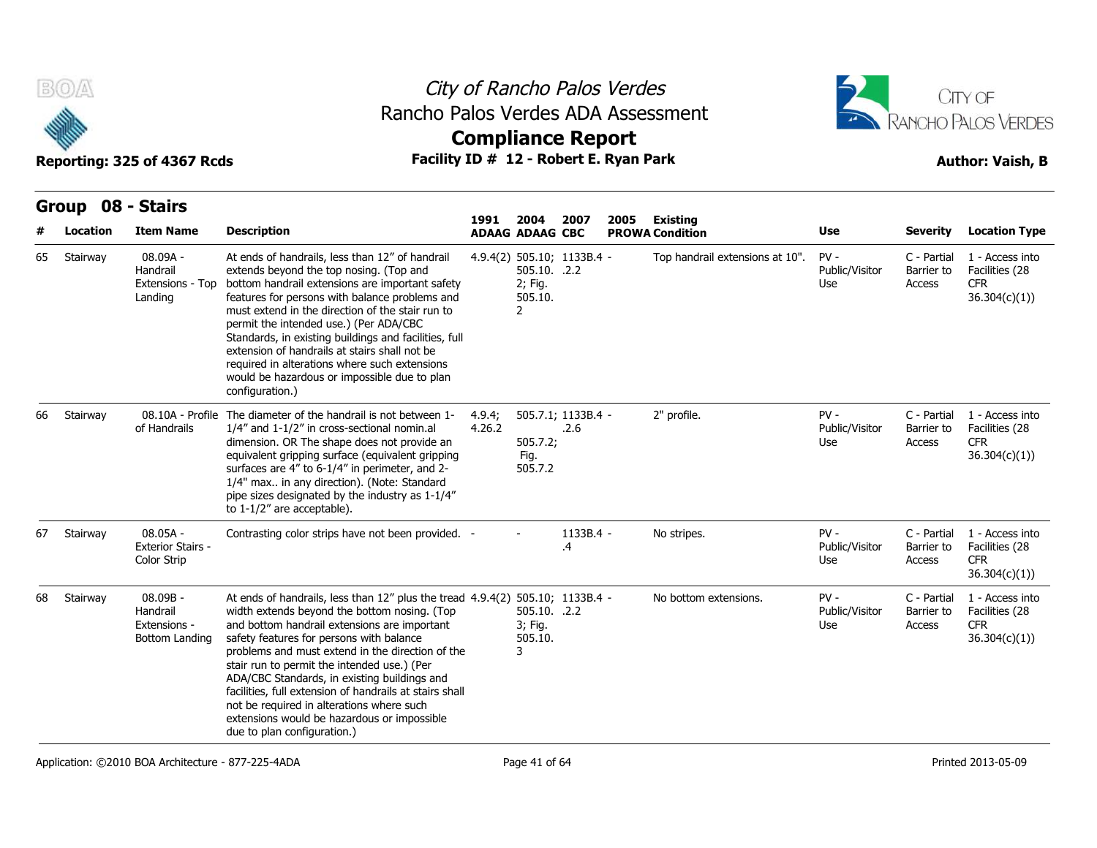



|    | B(0)<br>Rancho Palos Verdes ADA Assessment<br>Facility ID # 12 - Robert E. Ryan Park<br>Reporting: 325 of 4367 Rcds |                                                          |                                                                                                                                                                                                                                                                                                                                                                                                                                                                                                                                                                         |                  |                                                      | City of Rancho Palos Verdes<br><b>Compliance Report</b> |      | CITY OF<br>RANCHO PALOS VERDES<br><b>Author: Vaish, B</b> |                                 |                                     |                                                                  |
|----|---------------------------------------------------------------------------------------------------------------------|----------------------------------------------------------|-------------------------------------------------------------------------------------------------------------------------------------------------------------------------------------------------------------------------------------------------------------------------------------------------------------------------------------------------------------------------------------------------------------------------------------------------------------------------------------------------------------------------------------------------------------------------|------------------|------------------------------------------------------|---------------------------------------------------------|------|-----------------------------------------------------------|---------------------------------|-------------------------------------|------------------------------------------------------------------|
|    | Group 08 - Stairs                                                                                                   |                                                          |                                                                                                                                                                                                                                                                                                                                                                                                                                                                                                                                                                         |                  |                                                      |                                                         |      |                                                           |                                 |                                     |                                                                  |
|    | Location                                                                                                            | <b>Item Name</b>                                         | <b>Description</b>                                                                                                                                                                                                                                                                                                                                                                                                                                                                                                                                                      | 1991             | 2004<br><b>ADAAG ADAAG CBC</b>                       | 2007                                                    | 2005 | Existing<br><b>PROWA Condition</b>                        | Use                             | <b>Severity</b>                     | <b>Location Type</b>                                             |
| 65 | Stairway                                                                                                            | 08.09A -<br>Handrail<br>Extensions - Top<br>Landing      | At ends of handrails, less than 12" of handrail<br>extends beyond the top nosing. (Top and<br>bottom handrail extensions are important safety<br>features for persons with balance problems and<br>must extend in the direction of the stair run to<br>permit the intended use.) (Per ADA/CBC<br>Standards, in existing buildings and facilities, full<br>extension of handrails at stairs shall not be<br>required in alterations where such extensions<br>would be hazardous or impossible due to plan<br>configuration.)                                             |                  | 505.10. .2.2<br>2; Fig.<br>505.10.<br>$\overline{2}$ | 4.9.4(2) 505.10; 1133B.4 -                              |      | Top handrail extensions at 10".                           | $PV -$<br>Public/Visitor<br>Use | C - Partial<br>Barrier to<br>Access | 1 - Access into<br>Facilities (28<br><b>CFR</b><br>36.304(c)(1)  |
| 66 | Stairway                                                                                                            | 08.10A - Profile<br>of Handrails                         | The diameter of the handrail is not between 1-<br>1/4" and 1-1/2" in cross-sectional nomin.al<br>dimension. OR The shape does not provide an<br>equivalent gripping surface (equivalent gripping<br>surfaces are 4" to 6-1/4" in perimeter, and 2-<br>1/4" max in any direction). (Note: Standard<br>pipe sizes designated by the industry as 1-1/4"<br>to $1-1/2$ " are acceptable).                                                                                                                                                                                   | 4.9.4;<br>4.26.2 | 505.7.2;<br>Fig.<br>505.7.2                          | 505.7.1; 1133B.4 -<br>.2.6                              |      | 2" profile.                                               | $PV -$<br>Public/Visitor<br>Use | C - Partial<br>Barrier to<br>Access | 1 - Access into<br>Facilities (28<br><b>CFR</b><br>36.304(c)(1)) |
| 67 | Stairway                                                                                                            | $08.05A -$<br><b>Exterior Stairs -</b><br>Color Strip    | Contrasting color strips have not been provided. -                                                                                                                                                                                                                                                                                                                                                                                                                                                                                                                      |                  |                                                      | 1133B.4 -<br>.4                                         |      | No stripes.                                               | $PV -$<br>Public/Visitor<br>Use | C - Partial<br>Barrier to<br>Access | 1 - Access into<br>Facilities (28<br><b>CFR</b><br>36.304(c)(1)) |
| 68 | Stairway                                                                                                            | $08.09B -$<br>Handrail<br>Extensions -<br>Bottom Landing | At ends of handrails, less than $12''$ plus the tread $4.9.4(2)$ 505.10; 1133B.4 -<br>width extends beyond the bottom nosing. (Top<br>and bottom handrail extensions are important<br>safety features for persons with balance<br>problems and must extend in the direction of the<br>stair run to permit the intended use.) (Per<br>ADA/CBC Standards, in existing buildings and<br>facilities, full extension of handrails at stairs shall<br>not be required in alterations where such<br>extensions would be hazardous or impossible<br>due to plan configuration.) |                  | 505.10. .2.2<br>3; Fig.<br>505.10.<br>3              |                                                         |      | No bottom extensions.                                     | $PV -$<br>Public/Visitor<br>Use | C - Partial<br>Barrier to<br>Access | 1 - Access into<br>Facilities (28<br><b>CFR</b><br>36.304(c)(1)  |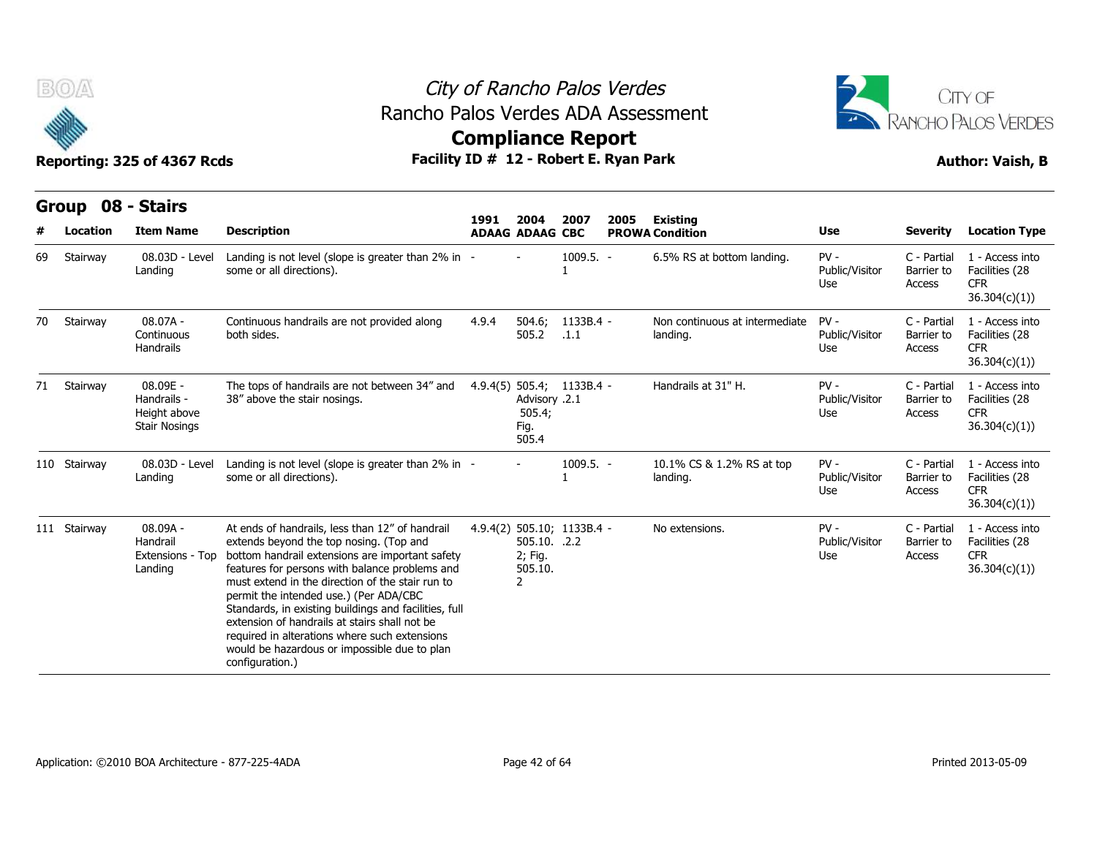



|    | Group        | 08 - Stairs                                                     |                                                                                                                                                                                                                                                                                                                                                                                                                                                                                                                             |       |                                                      |                            |      |                                            |                                 |                                     |                                                                  |
|----|--------------|-----------------------------------------------------------------|-----------------------------------------------------------------------------------------------------------------------------------------------------------------------------------------------------------------------------------------------------------------------------------------------------------------------------------------------------------------------------------------------------------------------------------------------------------------------------------------------------------------------------|-------|------------------------------------------------------|----------------------------|------|--------------------------------------------|---------------------------------|-------------------------------------|------------------------------------------------------------------|
|    | Location     | <b>Item Name</b>                                                | <b>Description</b>                                                                                                                                                                                                                                                                                                                                                                                                                                                                                                          | 1991  | 2004<br><b>ADAAG ADAAG CBC</b>                       | 2007                       | 2005 | <b>Existing</b><br><b>PROWA Condition</b>  | <b>Use</b>                      | Severity                            | <b>Location Type</b>                                             |
| 69 | Stairway     | 08.03D - Level<br>Landing                                       | Landing is not level (slope is greater than 2% in -<br>some or all directions).                                                                                                                                                                                                                                                                                                                                                                                                                                             |       |                                                      | $1009.5. -$                |      | 6.5% RS at bottom landing.                 | $PV -$<br>Public/Visitor<br>Use | C - Partial<br>Barrier to<br>Access | 1 - Access into<br>Facilities (28<br><b>CFR</b><br>36.304(c)(1)) |
| 70 | Stairway     | $08.07A -$<br>Continuous<br><b>Handrails</b>                    | Continuous handrails are not provided along<br>both sides.                                                                                                                                                                                                                                                                                                                                                                                                                                                                  | 4.9.4 | 504.6;<br>505.2                                      | 1133B.4 -<br>.1.1          |      | Non continuous at intermediate<br>landing. | $PV -$<br>Public/Visitor<br>Use | C - Partial<br>Barrier to<br>Access | 1 - Access into<br>Facilities (28<br><b>CFR</b><br>36.304(c)(1)  |
|    | 71 Stairway  | 08.09E -<br>Handrails -<br>Height above<br><b>Stair Nosings</b> | The tops of handrails are not between 34" and<br>38" above the stair nosings.                                                                                                                                                                                                                                                                                                                                                                                                                                               |       | Advisory .2.1<br>505.4;<br>Fig.<br>505.4             | 4.9.4(5) 505.4; 1133B.4 -  |      | Handrails at 31" H.                        | $PV -$<br>Public/Visitor<br>Use | C - Partial<br>Barrier to<br>Access | 1 - Access into<br>Facilities (28<br><b>CFR</b><br>36.304(c)(1)  |
|    | 110 Stairway | 08.03D - Level<br>Landing                                       | Landing is not level (slope is greater than 2% in -<br>some or all directions).                                                                                                                                                                                                                                                                                                                                                                                                                                             |       |                                                      | $1009.5. -$                |      | 10.1% CS & 1.2% RS at top<br>landing.      | $PV -$<br>Public/Visitor<br>Use | C - Partial<br>Barrier to<br>Access | 1 - Access into<br>Facilities (28<br><b>CFR</b><br>36.304(c)(1)  |
|    | 111 Stairway | 08.09A -<br>Handrail<br>Extensions - Top<br>Landing             | At ends of handrails, less than 12" of handrail<br>extends beyond the top nosing. (Top and<br>bottom handrail extensions are important safety<br>features for persons with balance problems and<br>must extend in the direction of the stair run to<br>permit the intended use.) (Per ADA/CBC<br>Standards, in existing buildings and facilities, full<br>extension of handrails at stairs shall not be<br>required in alterations where such extensions<br>would be hazardous or impossible due to plan<br>configuration.) |       | 505.10. .2.2<br>2; Fig.<br>505.10.<br>$\overline{2}$ | 4.9.4(2) 505.10; 1133B.4 - |      | No extensions.                             | $PV -$<br>Public/Visitor<br>Use | C - Partial<br>Barrier to<br>Access | 1 - Access into<br>Facilities (28<br><b>CFR</b><br>36.304(c)(1)  |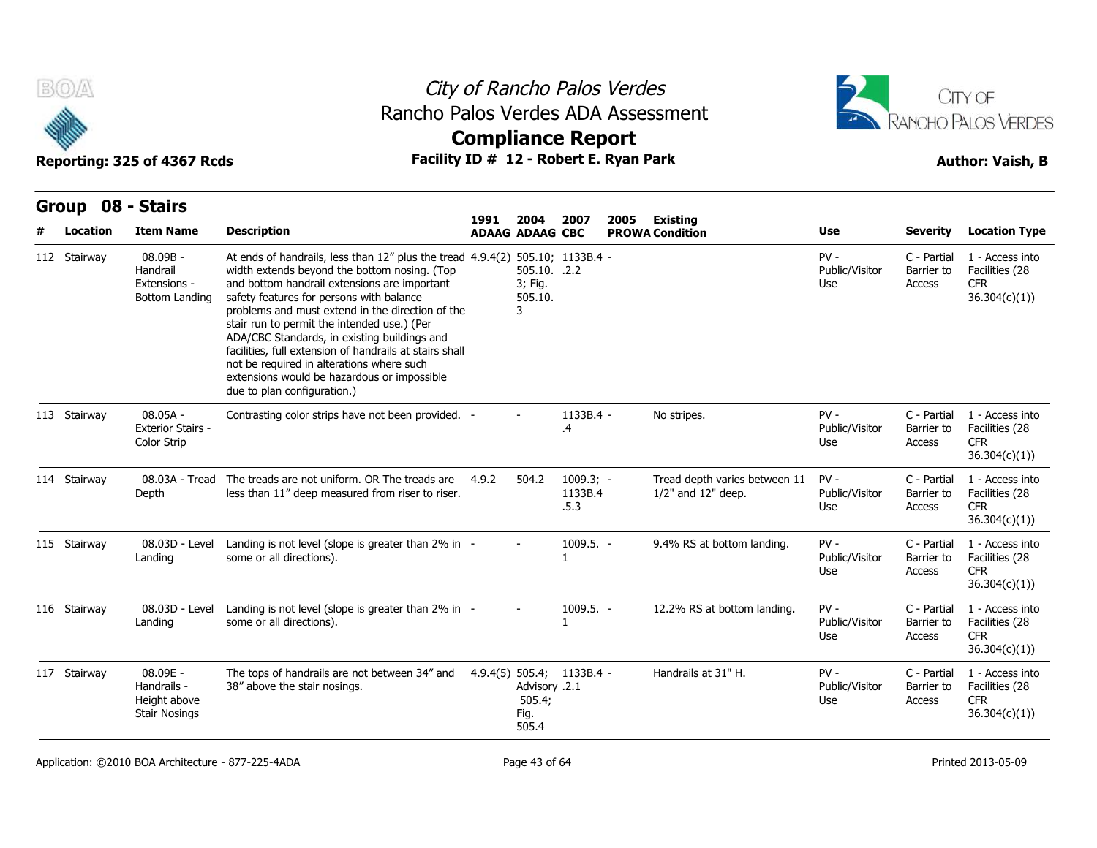



| B(0)<br>City of Rancho Palos Verdes<br>Rancho Palos Verdes ADA Assessment<br><b>Compliance Report</b> |                                                                 |                                                                                                                                                                                                                                                                                                                                                                                                                                                                                                                                                                    |       |                                                                       |                                |      |                                                           | CITY OF<br><b>ANCHO PALOS VERDES</b> |                                     |                                                                  |
|-------------------------------------------------------------------------------------------------------|-----------------------------------------------------------------|--------------------------------------------------------------------------------------------------------------------------------------------------------------------------------------------------------------------------------------------------------------------------------------------------------------------------------------------------------------------------------------------------------------------------------------------------------------------------------------------------------------------------------------------------------------------|-------|-----------------------------------------------------------------------|--------------------------------|------|-----------------------------------------------------------|--------------------------------------|-------------------------------------|------------------------------------------------------------------|
|                                                                                                       | Reporting: 325 of 4367 Rcds                                     | Facility ID # 12 - Robert E. Ryan Park                                                                                                                                                                                                                                                                                                                                                                                                                                                                                                                             |       |                                                                       |                                |      |                                                           |                                      |                                     | <b>Author: Vaish, B</b>                                          |
| Group                                                                                                 | 08 - Stairs                                                     |                                                                                                                                                                                                                                                                                                                                                                                                                                                                                                                                                                    | 1991  | 2004                                                                  | 2007                           | 2005 | <b>Existing</b>                                           |                                      |                                     |                                                                  |
| Location                                                                                              | <b>Item Name</b>                                                | <b>Description</b>                                                                                                                                                                                                                                                                                                                                                                                                                                                                                                                                                 |       | <b>ADAAG ADAAG CBC</b>                                                |                                |      | <b>PROWA Condition</b>                                    | Use                                  | <b>Severity</b>                     | <b>Location Type</b>                                             |
| 112 Stairway                                                                                          | 08.09B -<br>Handrail<br>Extensions -<br>Bottom Landing          | At ends of handrails, less than 12" plus the tread 4.9.4(2) 505.10; 1133B.4 -<br>width extends beyond the bottom nosing. (Top<br>and bottom handrail extensions are important<br>safety features for persons with balance<br>problems and must extend in the direction of the<br>stair run to permit the intended use.) (Per<br>ADA/CBC Standards, in existing buildings and<br>facilities, full extension of handrails at stairs shall<br>not be required in alterations where such<br>extensions would be hazardous or impossible<br>due to plan configuration.) |       | 505.10. .2.2<br>3; Fig.<br>505.10.<br>3                               |                                |      |                                                           | $PV -$<br>Public/Visitor<br>Use      | C - Partial<br>Barrier to<br>Access | 1 - Access into<br>Facilities (28<br><b>CFR</b><br>36.304(c)(1)) |
| 113 Stairway                                                                                          | $08.05A -$<br><b>Exterior Stairs -</b><br>Color Strip           | Contrasting color strips have not been provided. -                                                                                                                                                                                                                                                                                                                                                                                                                                                                                                                 |       |                                                                       | 1133B.4 -<br>.4                |      | No stripes.                                               | $PV -$<br>Public/Visitor<br>Use      | C - Partial<br>Barrier to<br>Access | 1 - Access into<br>Facilities (28<br><b>CFR</b><br>36.304(c)(1)  |
| 114 Stairway                                                                                          | 08.03A - Tread<br>Depth                                         | The treads are not uniform. OR The treads are<br>less than 11" deep measured from riser to riser.                                                                                                                                                                                                                                                                                                                                                                                                                                                                  | 4.9.2 | 504.2                                                                 | $1009.3; -$<br>1133B.4<br>.5.3 |      | Tread depth varies between 11<br>$1/2$ " and $12$ " deep. | $PV -$<br>Public/Visitor<br>Use      | C - Partial<br>Barrier to<br>Access | 1 - Access into<br>Facilities (28<br>CFR.<br>36.304(c)(1)        |
| 115 Stairway                                                                                          | 08.03D - Level<br>Landing                                       | Landing is not level (slope is greater than 2% in -<br>some or all directions).                                                                                                                                                                                                                                                                                                                                                                                                                                                                                    |       |                                                                       | $1009.5. -$                    |      | 9.4% RS at bottom landing.                                | $PV -$<br>Public/Visitor<br>Use      | C - Partial<br>Barrier to<br>Access | 1 - Access into<br>Facilities (28<br><b>CFR</b><br>36.304(c)(1)  |
| 116 Stairway                                                                                          | 08.03D - Level<br>Landing                                       | Landing is not level (slope is greater than 2% in -<br>some or all directions).                                                                                                                                                                                                                                                                                                                                                                                                                                                                                    |       |                                                                       | 1009.5. -                      |      | 12.2% RS at bottom landing.                               | $PV -$<br>Public/Visitor<br>Use      | C - Partial<br>Barrier to<br>Access | 1 - Access into<br>Facilities (28<br><b>CFR</b><br>36.304(c)(1)  |
| 117 Stairway                                                                                          | 08.09E -<br>Handrails -<br>Height above<br><b>Stair Nosings</b> | The tops of handrails are not between 34" and<br>38" above the stair nosings.                                                                                                                                                                                                                                                                                                                                                                                                                                                                                      |       | 4.9.4(5) 505.4; 1133B.4 -<br>Advisory .2.1<br>505.4;<br>Fig.<br>505.4 |                                |      | Handrails at 31" H.                                       | $PV -$<br>Public/Visitor<br>Use      | C - Partial<br>Barrier to<br>Access | 1 - Access into<br>Facilities (28<br>CFR.<br>36.304(c)(1)        |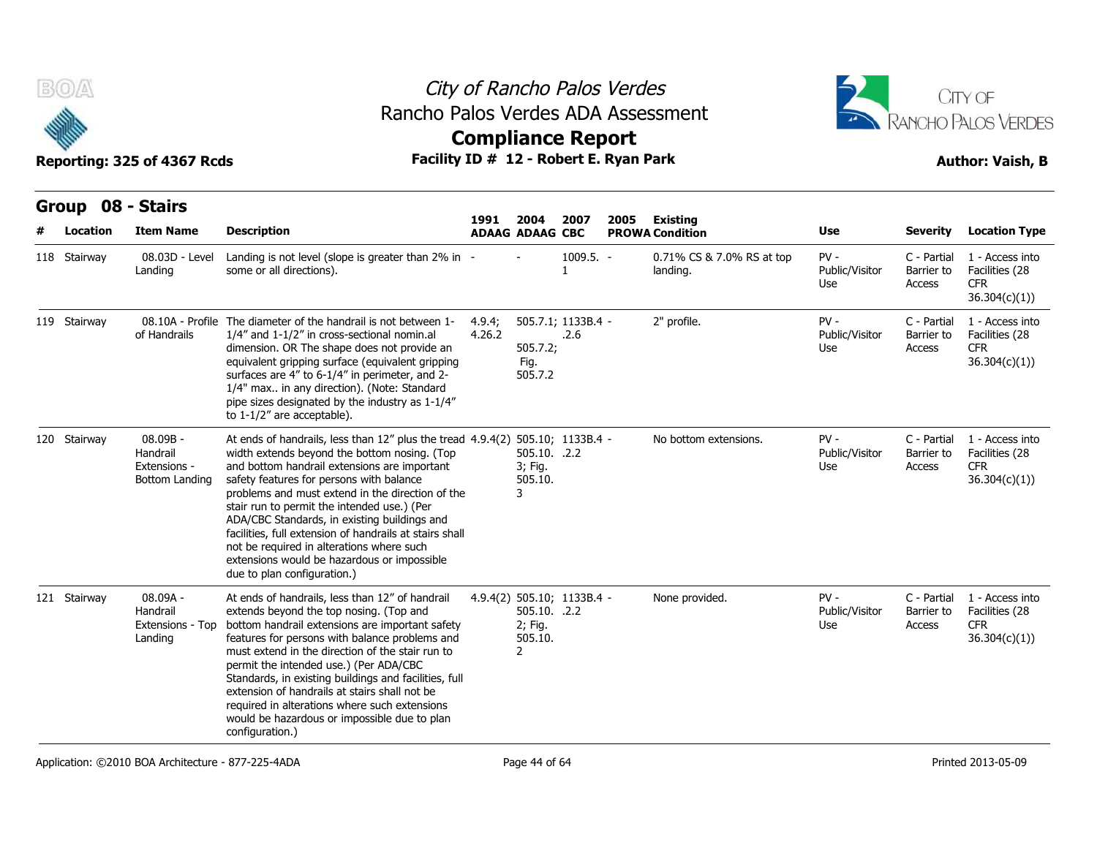

### City of Rancho Palos Verdes **Compliance Report** Rancho Palos Verdes ADA Assessment



| B(0)                          | Reporting: 325 of 4367 Rcds                              |                                                                                                                                                                                                                                                                                                                                                                                                                                                                                                                                                                         | City of Rancho Palos Verdes<br>Rancho Palos Verdes ADA Assessment<br><b>Compliance Report</b><br>Facility ID # 12 - Robert E. Ryan Park |                                                      |                             |      |                                           |                                 |                                     |                                                                  |  |  |
|-------------------------------|----------------------------------------------------------|-------------------------------------------------------------------------------------------------------------------------------------------------------------------------------------------------------------------------------------------------------------------------------------------------------------------------------------------------------------------------------------------------------------------------------------------------------------------------------------------------------------------------------------------------------------------------|-----------------------------------------------------------------------------------------------------------------------------------------|------------------------------------------------------|-----------------------------|------|-------------------------------------------|---------------------------------|-------------------------------------|------------------------------------------------------------------|--|--|
| Group 08 - Stairs<br>Location | <b>Item Name</b>                                         | <b>Description</b>                                                                                                                                                                                                                                                                                                                                                                                                                                                                                                                                                      | 1991                                                                                                                                    | 2004<br><b>ADAAG ADAAG CBC</b>                       | 2007                        | 2005 | <b>Existing</b><br><b>PROWA Condition</b> | Use                             | <b>Severity</b>                     | <b>Location Type</b>                                             |  |  |
| 118 Stairway                  | 08.03D - Level<br>Landing                                | Landing is not level (slope is greater than 2% in -<br>some or all directions).                                                                                                                                                                                                                                                                                                                                                                                                                                                                                         |                                                                                                                                         |                                                      | $1009.5. -$<br>$\mathbf{1}$ |      | 0.71% CS & 7.0% RS at top<br>landing.     | $PV -$<br>Public/Visitor<br>Use | C - Partial<br>Barrier to<br>Access | 1 - Access into<br>Facilities (28<br>CFR.<br>36.304(c)(1))       |  |  |
| 119 Stairway                  | of Handrails                                             | 08.10A - Profile The diameter of the handrail is not between 1-<br>1/4" and 1-1/2" in cross-sectional nomin.al<br>dimension. OR The shape does not provide an<br>equivalent gripping surface (equivalent gripping<br>surfaces are 4" to 6-1/4" in perimeter, and 2-<br>1/4" max in any direction). (Note: Standard<br>pipe sizes designated by the industry as 1-1/4"<br>to $1-1/2$ " are acceptable).                                                                                                                                                                  | 4.9.4;<br>4.26.2                                                                                                                        | 505.7.2;<br>Fig.<br>505.7.2                          | 505.7.1; 1133B.4 -<br>.2.6  |      | 2" profile.                               | $PV -$<br>Public/Visitor<br>Use | C - Partial<br>Barrier to<br>Access | 1 - Access into<br>Facilities (28<br><b>CFR</b><br>36.304(c)(1)  |  |  |
| 120 Stairway                  | $08.09B -$<br>Handrail<br>Extensions -<br>Bottom Landing | At ends of handrails, less than $12''$ plus the tread $4.9.4(2)$ 505.10; 1133B.4 -<br>width extends beyond the bottom nosing. (Top<br>and bottom handrail extensions are important<br>safety features for persons with balance<br>problems and must extend in the direction of the<br>stair run to permit the intended use.) (Per<br>ADA/CBC Standards, in existing buildings and<br>facilities, full extension of handrails at stairs shall<br>not be required in alterations where such<br>extensions would be hazardous or impossible<br>due to plan configuration.) |                                                                                                                                         | 505.10. .2.2<br>3; Fig.<br>505.10.<br>3              |                             |      | No bottom extensions.                     | $PV -$<br>Public/Visitor<br>Use | C - Partial<br>Barrier to<br>Access | 1 - Access into<br>Facilities (28<br><b>CFR</b><br>36.304(c)(1)) |  |  |
| 121 Stairway                  | 08.09A -<br>Handrail<br>Extensions - Top<br>Landing      | At ends of handrails, less than 12" of handrail<br>extends beyond the top nosing. (Top and<br>bottom handrail extensions are important safety<br>features for persons with balance problems and<br>must extend in the direction of the stair run to<br>permit the intended use.) (Per ADA/CBC<br>Standards, in existing buildings and facilities, full<br>extension of handrails at stairs shall not be<br>required in alterations where such extensions<br>would be hazardous or impossible due to plan<br>configuration.)                                             |                                                                                                                                         | 505.10. .2.2<br>2; Fig.<br>505.10.<br>$\overline{2}$ | 4.9.4(2) 505.10; 1133B.4 -  |      | None provided.                            | $PV -$<br>Public/Visitor<br>Use | C - Partial<br>Barrier to<br>Access | 1 - Access into<br>Facilities (28<br>CFR.<br>36.304(c)(1))       |  |  |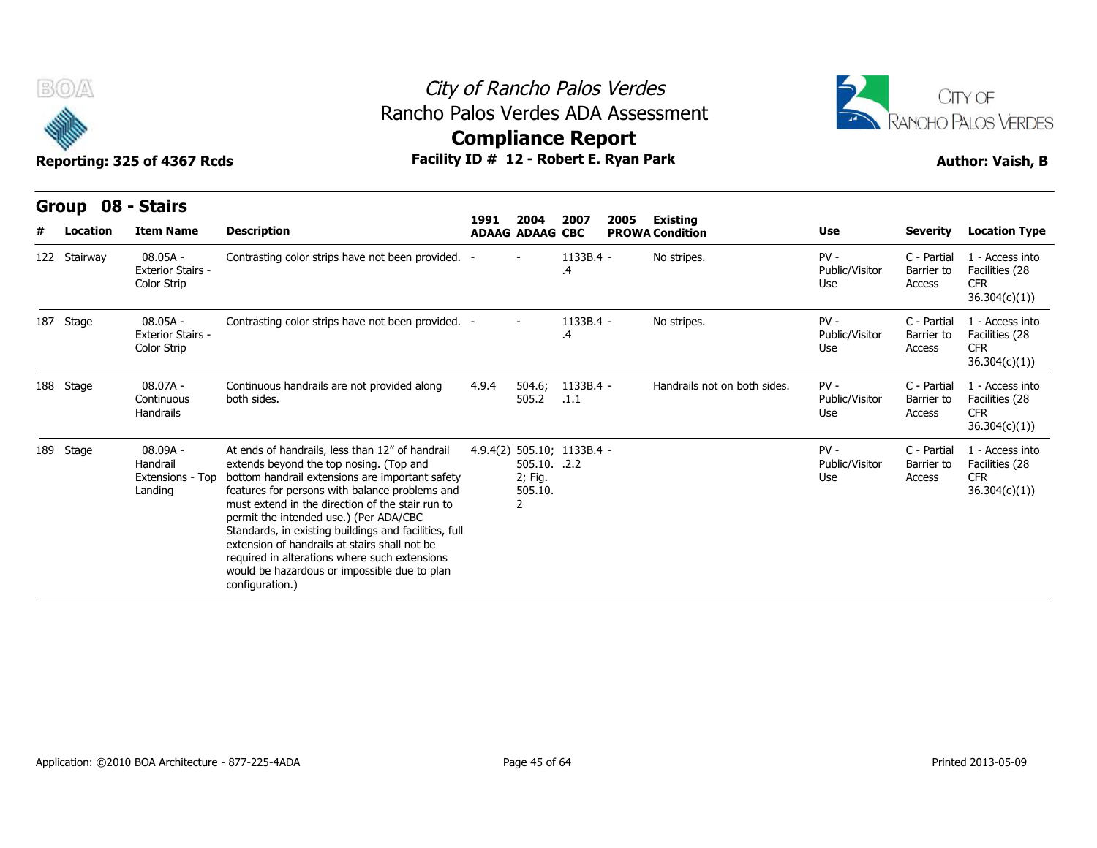

### City of Rancho Palos Verdes **Compliance Report** Rancho Palos Verdes ADA Assessment



|   | B(0)<br>Reporting: 325 of 4367 Rcds |                                                              |                                                                                                                                                                                                                                                                                                                                                                                                                                                                                                                             | City of Rancho Palos Verdes<br>Rancho Palos Verdes ADA Assessment<br><b>Compliance Report</b><br>Facility ID # 12 - Robert E. Ryan Park |                                                                       |                      |      |                                           |                                 |                                     |                                                                  |  |
|---|-------------------------------------|--------------------------------------------------------------|-----------------------------------------------------------------------------------------------------------------------------------------------------------------------------------------------------------------------------------------------------------------------------------------------------------------------------------------------------------------------------------------------------------------------------------------------------------------------------------------------------------------------------|-----------------------------------------------------------------------------------------------------------------------------------------|-----------------------------------------------------------------------|----------------------|------|-------------------------------------------|---------------------------------|-------------------------------------|------------------------------------------------------------------|--|
| # | Group 08 - Stairs<br>Location       | <b>Item Name</b>                                             | <b>Description</b>                                                                                                                                                                                                                                                                                                                                                                                                                                                                                                          | 1991                                                                                                                                    | 2004<br><b>ADAAG ADAAG CBC</b>                                        | 2007                 | 2005 | <b>Existing</b><br><b>PROWA Condition</b> | Use                             | <b>Severity</b>                     | <b>Location Type</b>                                             |  |
|   | 122 Stairway                        | 08.05A -<br><b>Exterior Stairs -</b><br>Color Strip          | Contrasting color strips have not been provided. -                                                                                                                                                                                                                                                                                                                                                                                                                                                                          |                                                                                                                                         |                                                                       | 1133B.4 -<br>$\cdot$ |      | No stripes.                               | $PV -$<br>Public/Visitor<br>Use | C - Partial<br>Barrier to<br>Access | 1 - Access into<br>Facilities (28<br><b>CFR</b><br>36.304(c)(1)) |  |
|   | 187 Stage                           | $08.05A -$<br><b>Exterior Stairs -</b><br><b>Color Strip</b> | Contrasting color strips have not been provided. -                                                                                                                                                                                                                                                                                                                                                                                                                                                                          |                                                                                                                                         |                                                                       | 1133B.4 -<br>.4      |      | No stripes.                               | $PV -$<br>Public/Visitor<br>Use | C - Partial<br>Barrier to<br>Access | 1 - Access into<br>Facilities (28<br><b>CFR</b><br>36.304(c)(1)) |  |
|   | 188 Stage                           | $08.07A -$<br>Continuous<br>Handrails                        | Continuous handrails are not provided along<br>both sides.                                                                                                                                                                                                                                                                                                                                                                                                                                                                  | 4.9.4                                                                                                                                   | 504.6;<br>505.2                                                       | 1133B.4 -<br>.1.1    |      | Handrails not on both sides.              | $PV -$<br>Public/Visitor<br>Use | C - Partial<br>Barrier to<br>Access | 1 - Access into<br>Facilities (28<br><b>CFR</b><br>36.304(c)(1)  |  |
|   | 189 Stage                           | 08.09A -<br>Handrail<br>Extensions - Top<br>Landing          | At ends of handrails, less than 12" of handrail<br>extends beyond the top nosing. (Top and<br>bottom handrail extensions are important safety<br>features for persons with balance problems and<br>must extend in the direction of the stair run to<br>permit the intended use.) (Per ADA/CBC<br>Standards, in existing buildings and facilities, full<br>extension of handrails at stairs shall not be<br>required in alterations where such extensions<br>would be hazardous or impossible due to plan<br>configuration.) |                                                                                                                                         | 4.9.4(2) 505.10; 1133B.4 -<br>505.10. .2.2<br>2; Fig.<br>505.10.<br>2 |                      |      |                                           | $PV -$<br>Public/Visitor<br>Use | C - Partial<br>Barrier to<br>Access | 1 - Access into<br>Facilities (28<br><b>CFR</b><br>36.304(c)(1)  |  |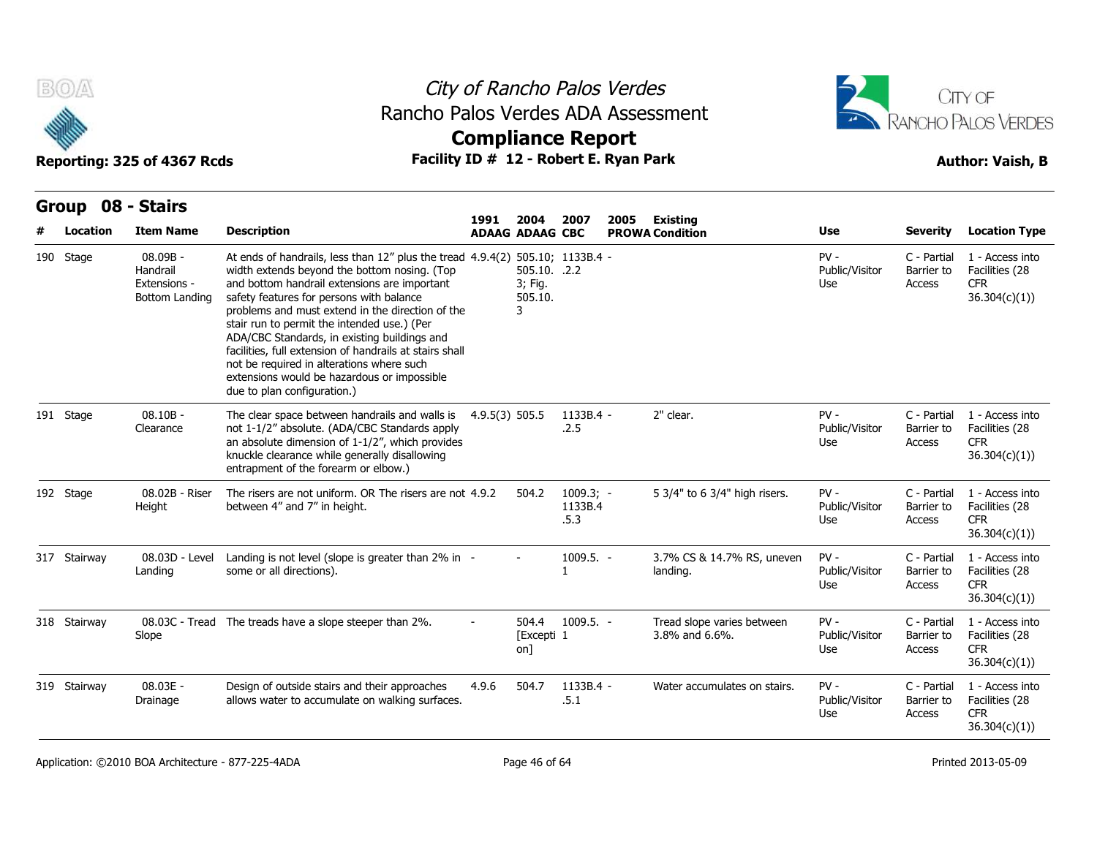

## City of Rancho Palos Verdes Rancho Palos Verdes ADA Assessment



| BOA<br>Reporting: 325 of 4367 Rcds |  |                                                        |                                                                                                                                                                                                                                                                                                                                                                                                                                                                                                                                                                    | City of Rancho Palos Verdes<br>Rancho Palos Verdes ADA Assessment<br><b>Compliance Report</b><br>Facility ID # 12 - Robert E. Ryan Park |                                         |                                |      |                                              |                                 |                                     |                                                                 |  |
|------------------------------------|--|--------------------------------------------------------|--------------------------------------------------------------------------------------------------------------------------------------------------------------------------------------------------------------------------------------------------------------------------------------------------------------------------------------------------------------------------------------------------------------------------------------------------------------------------------------------------------------------------------------------------------------------|-----------------------------------------------------------------------------------------------------------------------------------------|-----------------------------------------|--------------------------------|------|----------------------------------------------|---------------------------------|-------------------------------------|-----------------------------------------------------------------|--|
|                                    |  |                                                        |                                                                                                                                                                                                                                                                                                                                                                                                                                                                                                                                                                    |                                                                                                                                         |                                         |                                |      |                                              |                                 |                                     | <b>Author: Vaish, B</b>                                         |  |
| Location                           |  | Group 08 - Stairs<br><b>Item Name</b>                  | <b>Description</b>                                                                                                                                                                                                                                                                                                                                                                                                                                                                                                                                                 | 1991                                                                                                                                    | 2004<br><b>ADAAG ADAAG CBC</b>          | 2007                           | 2005 | Existing<br><b>PROWA Condition</b>           | Use                             | <b>Severity</b>                     | <b>Location Type</b>                                            |  |
| 190 Stage                          |  | 08.09B -<br>Handrail<br>Extensions -<br>Bottom Landing | At ends of handrails, less than 12" plus the tread 4.9.4(2) 505.10; 1133B.4 -<br>width extends beyond the bottom nosing. (Top<br>and bottom handrail extensions are important<br>safety features for persons with balance<br>problems and must extend in the direction of the<br>stair run to permit the intended use.) (Per<br>ADA/CBC Standards, in existing buildings and<br>facilities, full extension of handrails at stairs shall<br>not be required in alterations where such<br>extensions would be hazardous or impossible<br>due to plan configuration.) |                                                                                                                                         | 505.10. .2.2<br>3; Fig.<br>505.10.<br>3 |                                |      |                                              | $PV -$<br>Public/Visitor<br>Use | C - Partial<br>Barrier to<br>Access | 1 - Access into<br>Facilities (28<br><b>CFR</b><br>36.304(c)(1) |  |
| 191 Stage                          |  | $08.10B -$<br>Clearance                                | The clear space between handrails and walls is 4.9.5(3) 505.5<br>not 1-1/2" absolute. (ADA/CBC Standards apply<br>an absolute dimension of 1-1/2", which provides<br>knuckle clearance while generally disallowing<br>entrapment of the forearm or elbow.)                                                                                                                                                                                                                                                                                                         |                                                                                                                                         |                                         | $1133B.4 -$<br>.2.5            |      | 2" clear.                                    | $PV -$<br>Public/Visitor<br>Use | C - Partial<br>Barrier to<br>Access | 1 - Access into<br>Facilities (28<br><b>CFR</b><br>36.304(c)(1) |  |
| 192 Stage                          |  | 08.02B - Riser<br>Height                               | The risers are not uniform. OR The risers are not 4.9.2<br>between 4" and 7" in height.                                                                                                                                                                                                                                                                                                                                                                                                                                                                            |                                                                                                                                         | 504.2                                   | $1009.3; -$<br>1133B.4<br>.5.3 |      | 5 3/4" to 6 3/4" high risers.                | $PV -$<br>Public/Visitor<br>Use | C - Partial<br>Barrier to<br>Access | 1 - Access into<br>Facilities (28<br><b>CFR</b><br>36.304(c)(1) |  |
| 317 Stairway                       |  | 08.03D - Level<br>Landing                              | Landing is not level (slope is greater than 2% in -<br>some or all directions).                                                                                                                                                                                                                                                                                                                                                                                                                                                                                    |                                                                                                                                         |                                         | $1009.5. -$<br>$\mathbf{1}$    |      | 3.7% CS & 14.7% RS, uneven<br>landing.       | $PV -$<br>Public/Visitor<br>Use | C - Partial<br>Barrier to<br>Access | 1 - Access into<br>Facilities (28<br><b>CFR</b><br>36.304(c)(1) |  |
| 318 Stairway                       |  | Slope                                                  | 08.03C - Tread The treads have a slope steeper than 2%.                                                                                                                                                                                                                                                                                                                                                                                                                                                                                                            |                                                                                                                                         | [Excepti 1<br>on]                       | 504.4 1009.5. -                |      | Tread slope varies between<br>3.8% and 6.6%. | $PV -$<br>Public/Visitor<br>Use | C - Partial<br>Barrier to<br>Access | 1 - Access into<br>Facilities (28<br><b>CFR</b><br>36.304(c)(1) |  |
| 319 Stairway                       |  | 08.03E -<br>Drainage                                   | Design of outside stairs and their approaches<br>allows water to accumulate on walking surfaces.                                                                                                                                                                                                                                                                                                                                                                                                                                                                   | 4.9.6                                                                                                                                   | 504.7                                   | 1133B.4 -<br>.5.1              |      | Water accumulates on stairs.                 | $PV -$<br>Public/Visitor<br>Use | C - Partial<br>Barrier to<br>Access | 1 - Access into<br>Facilities (28<br><b>CFR</b><br>36.304(c)(1) |  |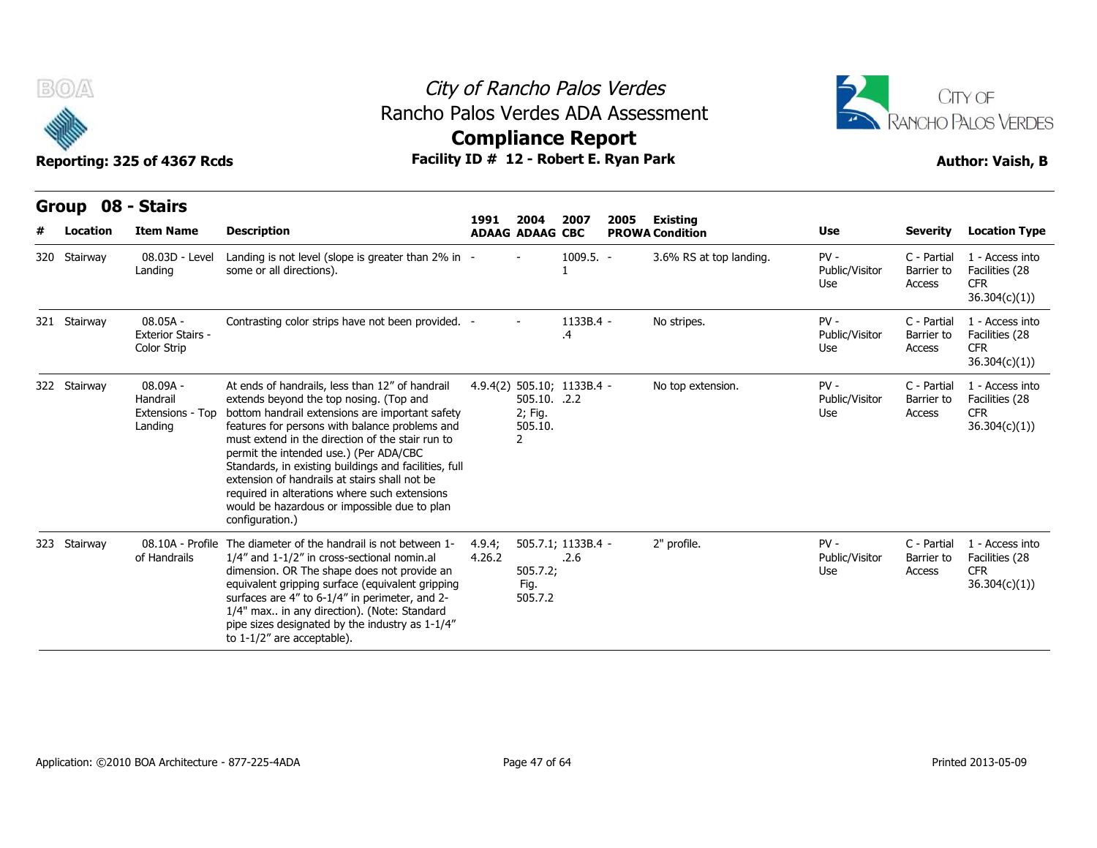

### City of Rancho Palos Verdes **Compliance Report** Rancho Palos Verdes ADA Assessment



|   | B(0)<br>Reporting: 325 of 4367 Rcds |                                                       |                                                                                                                                                                                                                                                                                                                                                                                                                                                                                                                             | City of Rancho Palos Verdes<br>Rancho Palos Verdes ADA Assessment<br><b>Compliance Report</b><br>Facility ID # 12 - Robert E. Ryan Park |                                         |                            |      |                                           |                                 |                                     |                                                                  |  |
|---|-------------------------------------|-------------------------------------------------------|-----------------------------------------------------------------------------------------------------------------------------------------------------------------------------------------------------------------------------------------------------------------------------------------------------------------------------------------------------------------------------------------------------------------------------------------------------------------------------------------------------------------------------|-----------------------------------------------------------------------------------------------------------------------------------------|-----------------------------------------|----------------------------|------|-------------------------------------------|---------------------------------|-------------------------------------|------------------------------------------------------------------|--|
| # | <b>Group</b><br>Location            | 08 - Stairs<br><b>Item Name</b>                       | <b>Description</b>                                                                                                                                                                                                                                                                                                                                                                                                                                                                                                          | 1991                                                                                                                                    | 2004<br><b>ADAAG ADAAG CBC</b>          | 2007                       | 2005 | <b>Existing</b><br><b>PROWA Condition</b> | Use                             | <b>Severity</b>                     | <b>Location Type</b>                                             |  |
|   | 320 Stairway                        | 08.03D - Level<br>Landing                             | Landing is not level (slope is greater than 2% in -<br>some or all directions).                                                                                                                                                                                                                                                                                                                                                                                                                                             |                                                                                                                                         |                                         | $1009.5. -$                |      | 3.6% RS at top landing.                   | $PV -$<br>Public/Visitor<br>Use | C - Partial<br>Barrier to<br>Access | 1 - Access into<br>Facilities (28<br><b>CFR</b><br>36.304(c)(1)) |  |
|   | 321 Stairway                        | $08.05A -$<br><b>Exterior Stairs -</b><br>Color Strip | Contrasting color strips have not been provided. -                                                                                                                                                                                                                                                                                                                                                                                                                                                                          |                                                                                                                                         |                                         | 1133B.4 -<br>.4            |      | No stripes.                               | $PV -$<br>Public/Visitor<br>Use | C - Partial<br>Barrier to<br>Access | 1 - Access into<br>Facilities (28<br><b>CFR</b><br>36.304(c)(1)) |  |
|   | 322 Stairway                        | 08.09A -<br>Handrail<br>Extensions - Top<br>Landing   | At ends of handrails, less than 12" of handrail<br>extends beyond the top nosing. (Top and<br>bottom handrail extensions are important safety<br>features for persons with balance problems and<br>must extend in the direction of the stair run to<br>permit the intended use.) (Per ADA/CBC<br>Standards, in existing buildings and facilities, full<br>extension of handrails at stairs shall not be<br>required in alterations where such extensions<br>would be hazardous or impossible due to plan<br>configuration.) |                                                                                                                                         | 505.10. .2.2<br>2; Fig.<br>505.10.<br>2 | 4.9.4(2) 505.10; 1133B.4 - |      | No top extension.                         | $PV -$<br>Public/Visitor<br>Use | C - Partial<br>Barrier to<br>Access | 1 - Access into<br>Facilities (28<br><b>CFR</b><br>36.304(c)(1)  |  |
|   | 323 Stairway                        | 08.10A - Profile<br>of Handrails                      | The diameter of the handrail is not between 1-<br>1/4" and 1-1/2" in cross-sectional nomin.al<br>dimension. OR The shape does not provide an<br>equivalent gripping surface (equivalent gripping<br>surfaces are 4" to 6-1/4" in perimeter, and 2-<br>1/4" max in any direction). (Note: Standard<br>pipe sizes designated by the industry as 1-1/4"<br>to 1-1/2" are acceptable).                                                                                                                                          | 4.9.4;<br>4.26.2                                                                                                                        | 505.7.2;<br>Fig.<br>505.7.2             | 505.7.1; 1133B.4 -<br>.2.6 |      | 2" profile.                               | $PV -$<br>Public/Visitor<br>Use | C - Partial<br>Barrier to<br>Access | 1 - Access into<br>Facilities (28<br><b>CFR</b><br>36.304(c)(1)) |  |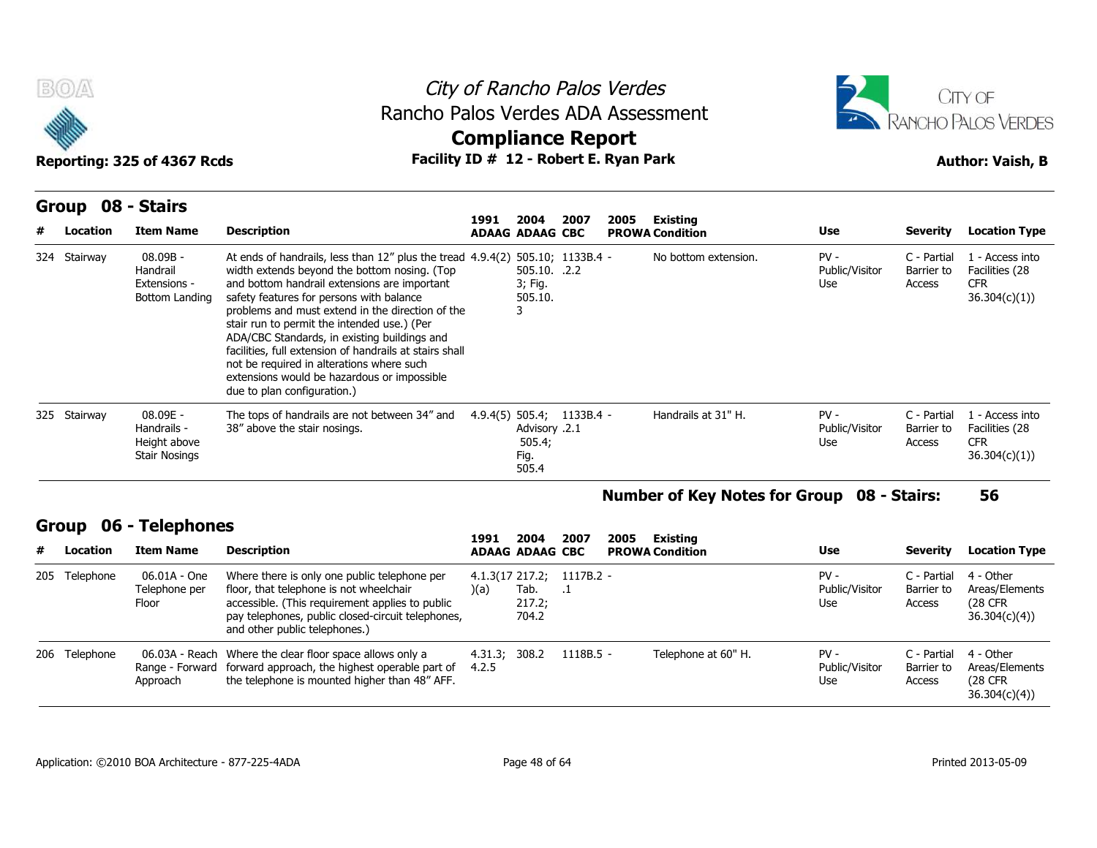



# **Compliance Report**

**Group 08 - Stairs Item Name Description 1991 ADAAG 2004 ADAAG CBC PROWA 2007 2005 Existing # Location Condition Use Severity Location Type** 08.09B - Handrail Extensions - Bottom Landing safety features for persons with balance At ends of handrails, less than 12" plus the tread 4.9.4(2) 505.10; 1133B.4 width extends beyond the bottom nosing. (Top and bottom handrail extensions are important problems and must extend in the direction of the stair run to permit the intended use.) (Per ADA/CBC Standards, in existing buildings and facilities, full extension of handrails at stairs shall not be required in alterations where such extensions would be hazardous or impossible due to plan configuration.) **16 Rancho Palos Ve<br>
105 Verdes ADA As<br>
10 # 12 - Robert E. Ry<br>
1991 2004 2007 20<br>
1991 2004 2007 20<br>
1991 2004 2007 20<br>
1991 2004 2007 20<br>
1991 2004 2007 20<br>
1991 2004 2007 20<br>
1955.10<br>
3; Fig.<br>
55.10<br>
56.10** 505.10. .2.2 3; Fig. 505.10. 3 1133B.4 - No bottom extension. PV - Public/Visitor Barrier to Use Access C - Partial 1 - Access into Barrier to Facilities (28 CFR 36.304(c)(1)) 08.09E - Handrails - Height above Stair Nosings The tops of handrails are not between 34" and 4.9.4(5) 505.4; 1133B.4 -38" above the stair nosings. 4.9.4(2) 505.10; 1133B.4 -<br>505.10. .2.2<br>3; Fig.<br>505.10. 3<br>3<br>4.9.4(5) 505.4; 1133B.4 -<br>4.9.4(5) 505.4; 1133B.4 -<br>505.4; Advisory .2.1 505.4; Fig. 505.4 1133B.4 - Handrails at 31" H. PV - Public/Visitor Barrier to Use Access C - Partial 1 - Access into Barrier to Facilities (28 CFR 36.304(c)(1)) 324 Stairway 08.09B -<br>
Handrail<br>
Extensions -<br>
Bottom Landing<br>
325 Stairway 08.09E -<br>
Handrails -<br>
Height above<br>
Stair Nosings

### **Number of Key Notes for Group 08 - Stairs: 56**

### **Group 06 - Telephones**

|   | 325 Stairway  | 08.09E -<br>Handrails -<br>Height above<br><b>Stair Nosings</b> | The tops of handrails are not between 34" and<br>38" above the stair nosings.                                                                                                                                                    |                        | Advisory .2.1<br>505.4;<br>Fig.<br>505.4 | $4.9.4(5)$ 505.4; 1133B.4 -               |      | Handrails at 31" H.                               | $PV -$<br>Public/Visitor<br>Use | C - Partial<br>Barrier to<br>Access | . - Access into<br>Facilities (28<br><b>CFR</b><br>36.304(c)(1) |
|---|---------------|-----------------------------------------------------------------|----------------------------------------------------------------------------------------------------------------------------------------------------------------------------------------------------------------------------------|------------------------|------------------------------------------|-------------------------------------------|------|---------------------------------------------------|---------------------------------|-------------------------------------|-----------------------------------------------------------------|
|   |               |                                                                 |                                                                                                                                                                                                                                  |                        |                                          |                                           |      | <b>Number of Key Notes for Group 08 - Stairs:</b> |                                 |                                     | 56                                                              |
|   | Group         | 06 - Telephones                                                 |                                                                                                                                                                                                                                  | 1991                   | 2004                                     | 2007                                      | 2005 | Existing                                          |                                 |                                     |                                                                 |
| # | Location      | <b>Item Name</b>                                                | <b>Description</b>                                                                                                                                                                                                               |                        | <b>ADAAG ADAAG CBC</b>                   |                                           |      | <b>PROWA Condition</b>                            | Use                             | Severity                            | <b>Location Type</b>                                            |
|   | 205 Telephone | 06.01A - One<br>Telephone per<br>Floor                          | Where there is only one public telephone per<br>floor, that telephone is not wheelchair<br>accessible. (This requirement applies to public<br>pay telephones, public closed-circuit telephones,<br>and other public telephones.) | (a)                    | Tab.<br>217.2;<br>704.2                  | $4.1.3(17\ 217.2; 1117B.2 -$<br>$\cdot^1$ |      |                                                   | $PV -$<br>Public/Visitor<br>Use | C - Partial<br>Barrier to<br>Access | 4 - Other<br>Areas/Elements<br>(28 CFR)<br>36.304(c)(4)         |
|   | 206 Telephone | 06.03A - Reach<br>Range - Forward<br>Approach                   | Where the clear floor space allows only a<br>forward approach, the highest operable part of<br>the telephone is mounted higher than 48" AFF.                                                                                     | 4.31.3; 308.2<br>4.2.5 |                                          | $1118B.5 -$                               |      | Telephone at 60" H.                               | $PV -$<br>Public/Visitor<br>Use | C - Partial<br>Barrier to<br>Access | 4 - Other<br>Areas/Elements<br>(28 CFR)<br>36.304(c)(4)         |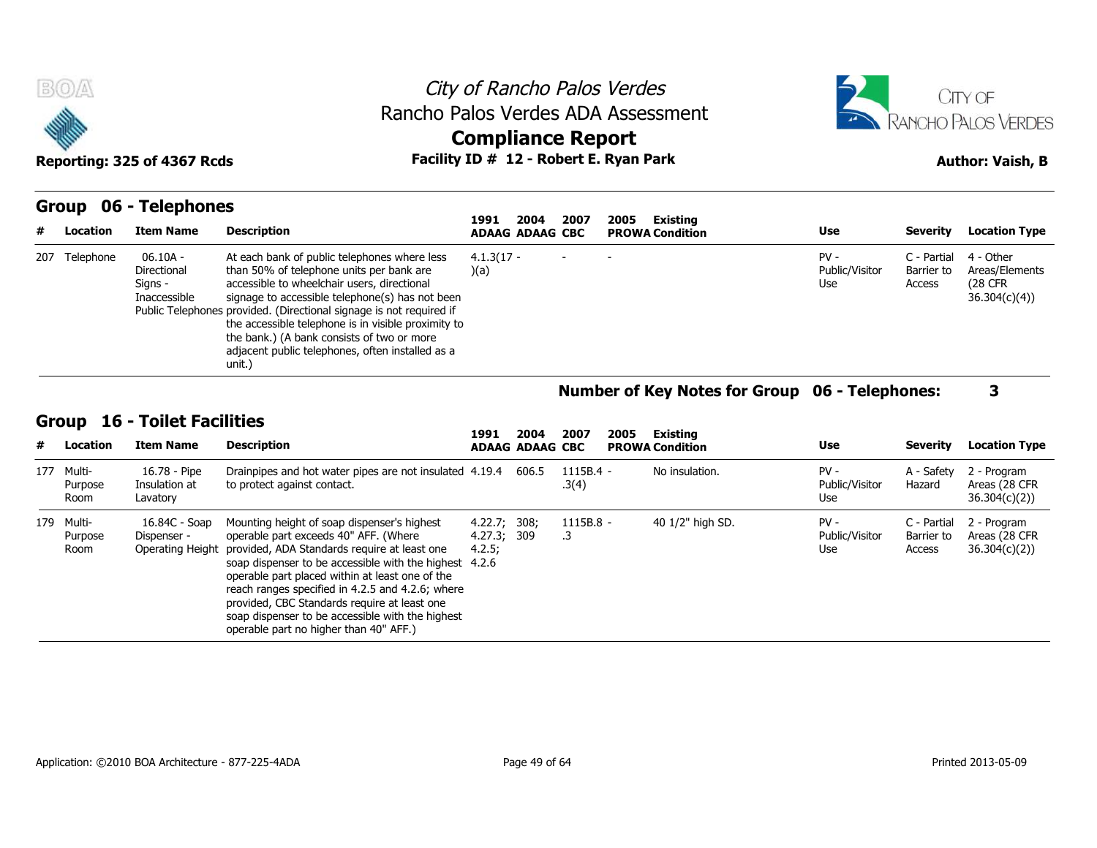





| <b>BOA</b> |               | Reporting: 325 of 4367 Rcds                        |                                                                                                                                                                                                                                                                                                                                                                                                                                      | City of Rancho Palos Verdes<br>Rancho Palos Verdes ADA Assessment<br><b>Compliance Report</b><br>Facility ID # 12 - Robert E. Ryan Park |                                            | <b>CITY OF</b><br><b>ANCHO PALOS VERDES</b><br><b>Author: Vaish, B</b> |                                     |                                                         |  |  |
|------------|---------------|----------------------------------------------------|--------------------------------------------------------------------------------------------------------------------------------------------------------------------------------------------------------------------------------------------------------------------------------------------------------------------------------------------------------------------------------------------------------------------------------------|-----------------------------------------------------------------------------------------------------------------------------------------|--------------------------------------------|------------------------------------------------------------------------|-------------------------------------|---------------------------------------------------------|--|--|
| Group<br># | Location      | 06 - Telephones<br><b>Item Name</b>                | <b>Description</b>                                                                                                                                                                                                                                                                                                                                                                                                                   | 2007<br>2004<br>1991<br><b>ADAAG ADAAG CBC</b>                                                                                          | Existing<br>2005<br><b>PROWA Condition</b> | <b>Use</b>                                                             | Severity                            | <b>Location Type</b>                                    |  |  |
|            | 207 Telephone | 06.10A -<br>Directional<br>Signs -<br>Inaccessible | At each bank of public telephones where less<br>than 50% of telephone units per bank are<br>accessible to wheelchair users, directional<br>signage to accessible telephone(s) has not been<br>Public Telephones provided. (Directional signage is not required if<br>the accessible telephone is in visible proximity to<br>the bank.) (A bank consists of two or more<br>adjacent public telephones, often installed as a<br>unit.) | $4.1.3(17 -$<br>(a)                                                                                                                     |                                            | $PV -$<br>Public/Visitor<br>Use                                        | C - Partial<br>Barrier to<br>Access | 4 - Other<br>Areas/Elements<br>(28 CFR)<br>36.304(c)(4) |  |  |

# **Number of Key Notes for Group 06 - Telephones: 3**

### **Group 16 - Toilet Facilities**

|   |                               | Inaccessible                                      | signage to accessible telephone(s) has not been<br>Public Telephones provided. (Directional signage is not required if<br>the accessible telephone is in visible proximity to<br>the bank.) (A bank consists of two or more<br>adjacent public telephones, often installed as a<br>unit.)                                                                                                                                                     |                                                |                                |                      |      |                                                       |                                 |                                     | 36.304(c)(4)                                  |
|---|-------------------------------|---------------------------------------------------|-----------------------------------------------------------------------------------------------------------------------------------------------------------------------------------------------------------------------------------------------------------------------------------------------------------------------------------------------------------------------------------------------------------------------------------------------|------------------------------------------------|--------------------------------|----------------------|------|-------------------------------------------------------|---------------------------------|-------------------------------------|-----------------------------------------------|
|   |                               |                                                   |                                                                                                                                                                                                                                                                                                                                                                                                                                               |                                                |                                |                      |      | <b>Number of Key Notes for Group 06 - Telephones:</b> |                                 |                                     | 3                                             |
| # | Group<br>Location             | <b>16 - Toilet Facilities</b><br><b>Item Name</b> | <b>Description</b>                                                                                                                                                                                                                                                                                                                                                                                                                            | 1991                                           | 2004<br><b>ADAAG ADAAG CBC</b> | 2007                 | 2005 | Existing<br><b>PROWA Condition</b>                    | Use                             | <b>Severity</b>                     | <b>Location Type</b>                          |
|   | 177 Multi-<br>Purpose<br>Room | 16.78 - Pipe<br>Insulation at<br>Lavatory         | Drainpipes and hot water pipes are not insulated 4.19.4<br>to protect against contact.                                                                                                                                                                                                                                                                                                                                                        |                                                | 606.5                          | $1115B.4 -$<br>.3(4) |      | No insulation.                                        | $PV -$<br>Public/Visitor<br>Use | A - Safety<br>Hazard                | 2 - Program<br>Areas (28 CFR<br>36.304(c)(2)  |
|   | 179 Multi-<br>Purpose<br>Room | 16.84C - Soap<br>Dispenser -<br>Operating Height  | Mounting height of soap dispenser's highest<br>operable part exceeds 40" AFF. (Where<br>provided, ADA Standards require at least one<br>soap dispenser to be accessible with the highest<br>operable part placed within at least one of the<br>reach ranges specified in 4.2.5 and 4.2.6; where<br>provided, CBC Standards require at least one<br>soap dispenser to be accessible with the highest<br>operable part no higher than 40" AFF.) | 4.22.7; 308;<br>4.27.3; 309<br>4.2.5;<br>4.2.6 |                                | 1115B.8 -<br>.3      |      | 40 1/2" high SD.                                      | $PV -$<br>Public/Visitor<br>Use | C - Partial<br>Barrier to<br>Access | 2 - Program<br>Areas (28 CFR)<br>36.304(c)(2) |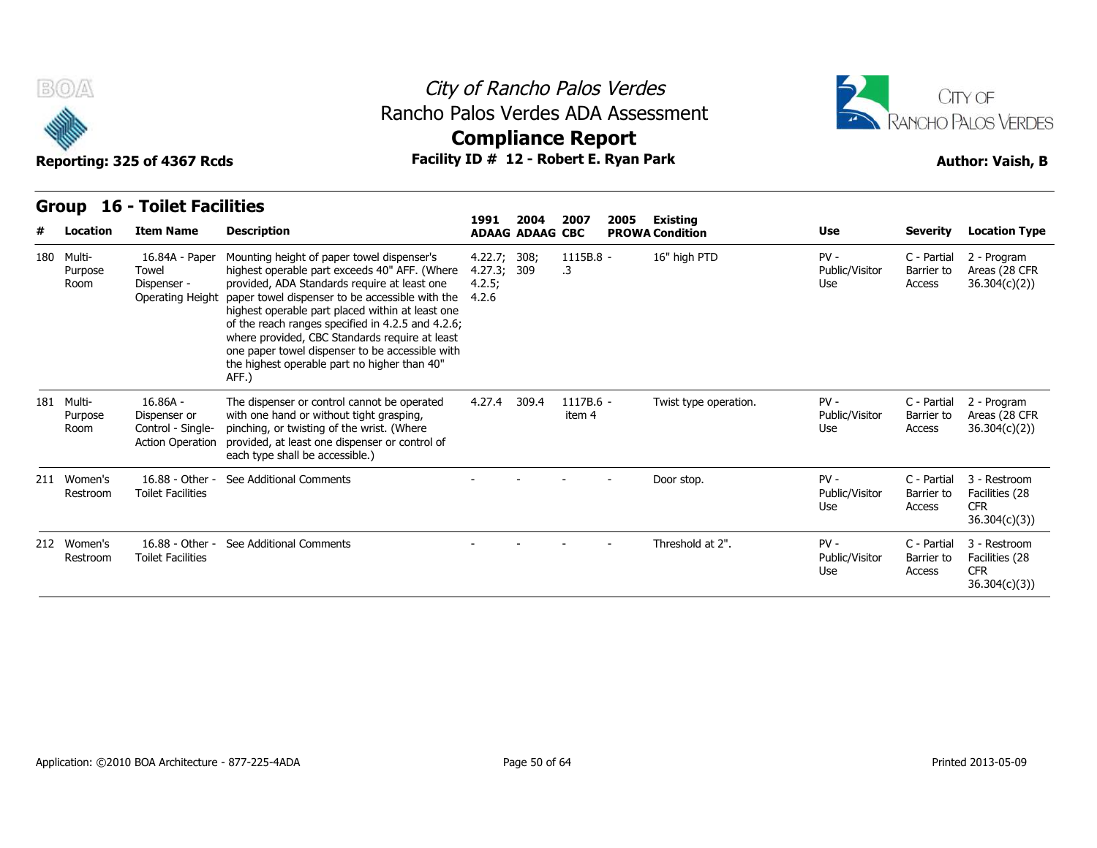

### City of Rancho Palos Verdes **Compliance Report** Rancho Palos Verdes ADA Assessment



| B(0)<br>Reporting: 325 of 4367 Rcds |                                                                            |                                                                                                                                                                                                                                                                                                                                                                                                                                                                       | City of Rancho Palos Verdes<br>Rancho Palos Verdes ADA Assessment<br><b>Compliance Report</b><br>Facility ID # 12 - Robert E. Ryan Park |                                |                     |      |                                           |                                  |                                     |                                                              |  |  |  |
|-------------------------------------|----------------------------------------------------------------------------|-----------------------------------------------------------------------------------------------------------------------------------------------------------------------------------------------------------------------------------------------------------------------------------------------------------------------------------------------------------------------------------------------------------------------------------------------------------------------|-----------------------------------------------------------------------------------------------------------------------------------------|--------------------------------|---------------------|------|-------------------------------------------|----------------------------------|-------------------------------------|--------------------------------------------------------------|--|--|--|
| <b>Group</b><br>Location            | <b>16 - Toilet Facilities</b><br><b>Item Name</b>                          | <b>Description</b>                                                                                                                                                                                                                                                                                                                                                                                                                                                    | 1991                                                                                                                                    | 2004<br><b>ADAAG ADAAG CBC</b> | 2007                | 2005 | <b>Existing</b><br><b>PROWA Condition</b> | <b>Use</b>                       | <b>Severity</b>                     | <b>Location Type</b>                                         |  |  |  |
| 180 Multi-<br>Purpose<br>Room       | 16.84A - Paper<br>Towel<br>Dispenser -<br>Operating Height                 | Mounting height of paper towel dispenser's<br>highest operable part exceeds 40" AFF. (Where<br>provided, ADA Standards require at least one<br>paper towel dispenser to be accessible with the<br>highest operable part placed within at least one<br>of the reach ranges specified in 4.2.5 and 4.2.6;<br>where provided, CBC Standards require at least<br>one paper towel dispenser to be accessible with<br>the highest operable part no higher than 40"<br>AFF.) | 4.22.7; 308;<br>4.27.3;<br>4.2.5;<br>4.2.6                                                                                              | 309                            | 1115B.8 -<br>.3     |      | 16" high PTD                              | $PV -$<br>Public/Visitor<br>Use  | C - Partial<br>Barrier to<br>Access | 2 - Program<br>Areas (28 CFR<br>36.304(c)(2))                |  |  |  |
| 181 Multi-<br>Purpose<br>Room       | $16.86A -$<br>Dispenser or<br>Control - Single-<br><b>Action Operation</b> | The dispenser or control cannot be operated<br>with one hand or without tight grasping,<br>pinching, or twisting of the wrist. (Where<br>provided, at least one dispenser or control of<br>each type shall be accessible.)                                                                                                                                                                                                                                            | 4.27.4                                                                                                                                  | 309.4                          | 1117B.6 -<br>item 4 |      | Twist type operation.                     | $PV -$<br>Public/Visitor<br>Use. | C - Partial<br>Barrier to<br>Access | 2 - Program<br>Areas (28 CFR<br>36.304(c)(2))                |  |  |  |
| 211 Women's<br>Restroom             | 16.88 - Other -<br><b>Toilet Facilities</b>                                | See Additional Comments                                                                                                                                                                                                                                                                                                                                                                                                                                               |                                                                                                                                         |                                |                     |      | Door stop.                                | $PV -$<br>Public/Visitor<br>Use  | C - Partial<br>Barrier to<br>Access | 3 - Restroom<br>Facilities (28<br><b>CFR</b><br>36.304(c)(3) |  |  |  |
| 212 Women's<br>Restroom             | 16.88 - Other -<br><b>Toilet Facilities</b>                                | See Additional Comments                                                                                                                                                                                                                                                                                                                                                                                                                                               |                                                                                                                                         |                                |                     |      | Threshold at 2".                          | $PV -$<br>Public/Visitor<br>Use  | C - Partial<br>Barrier to<br>Access | 3 - Restroom<br>Facilities (28<br><b>CFR</b><br>36.304(c)(3) |  |  |  |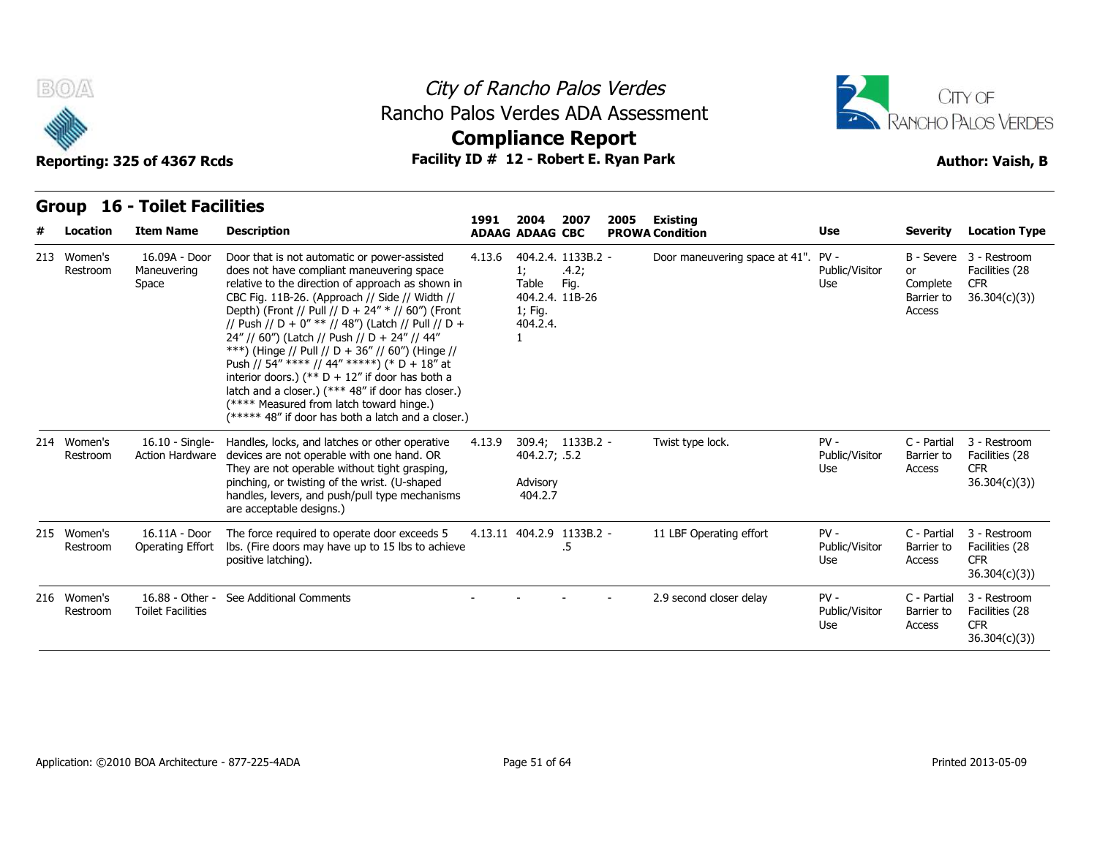



### **Group 16 - Toilet Facilities**

| B(0)<br>Reporting: 325 of 4367 Rcds |                         | Rancho Palos Verdes ADA Assessment<br>Facility ID # 12 - Robert E. Ryan Park |                                                                                                                                                                                                                                                                                                                                                                                                                                                                                                                                                                                                                                                                               | <b>Compliance Report</b> |                                         | City of Rancho Palos Verdes                            |      | <b>ITY OF</b><br>RANCHO PALOS VERDES<br><b>Author: Vaish, B</b> |                                 |                                        |                                                                         |
|-------------------------------------|-------------------------|------------------------------------------------------------------------------|-------------------------------------------------------------------------------------------------------------------------------------------------------------------------------------------------------------------------------------------------------------------------------------------------------------------------------------------------------------------------------------------------------------------------------------------------------------------------------------------------------------------------------------------------------------------------------------------------------------------------------------------------------------------------------|--------------------------|-----------------------------------------|--------------------------------------------------------|------|-----------------------------------------------------------------|---------------------------------|----------------------------------------|-------------------------------------------------------------------------|
|                                     | <b>Group</b>            | <b>16 - Toilet Facilities</b>                                                |                                                                                                                                                                                                                                                                                                                                                                                                                                                                                                                                                                                                                                                                               | 1991                     | 2004                                    | 2007                                                   | 2005 | Existing                                                        |                                 |                                        |                                                                         |
|                                     | Location                | <b>Item Name</b>                                                             | <b>Description</b>                                                                                                                                                                                                                                                                                                                                                                                                                                                                                                                                                                                                                                                            |                          | <b>ADAAG ADAAG CBC</b>                  |                                                        |      | <b>PROWA Condition</b>                                          | Use                             | <b>Severity</b>                        | <b>Location Type</b>                                                    |
|                                     | 213 Women's<br>Restroom | 16.09A - Door<br>Maneuvering<br>Space                                        | Door that is not automatic or power-assisted<br>does not have compliant maneuvering space<br>relative to the direction of approach as shown in<br>CBC Fig. 11B-26. (Approach // Side // Width //<br>Depth) (Front // Pull // D + 24" * // 60") (Front<br>// Push // D + 0" ** // 48") (Latch // Pull // D +<br>24" // 60") (Latch // Push // D + 24" // 44"<br>***) (Hinge // Pull // D + 36" // 60") (Hinge //<br>Push // 54" **** // 44" *****) (* D + 18" at<br>interior doors.) (** $D + 12$ " if door has both a<br>latch and a closer.) (*** 48" if door has closer.)<br>(**** Measured from latch toward hinge.)<br>(***** 48" if door has both a latch and a closer.) | 4.13.6                   | 1;<br>Table<br>1; Fig.<br>404.2.4.<br>1 | 404.2.4. 1133B.2 -<br>.4.2;<br>Fig.<br>404.2.4. 11B-26 |      | Door maneuvering space at 41". PV -                             | Public/Visitor<br>Use           | or<br>Complete<br>Barrier to<br>Access | B - Severe 3 - Restroom<br>Facilities (28<br><b>CFR</b><br>36.304(c)(3) |
|                                     | 214 Women's<br>Restroom | $16.10 -$ Single-<br><b>Action Hardware</b>                                  | Handles, locks, and latches or other operative<br>devices are not operable with one hand. OR<br>They are not operable without tight grasping,<br>pinching, or twisting of the wrist. (U-shaped<br>handles, levers, and push/pull type mechanisms<br>are acceptable designs.)                                                                                                                                                                                                                                                                                                                                                                                                  | 4.13.9                   | 404.2.7; .5.2<br>Advisory<br>404.2.7    | 309.4; 1133B.2 -                                       |      | Twist type lock.                                                | $PV -$<br>Public/Visitor<br>Use | C - Partial<br>Barrier to<br>Access    | 3 - Restroom<br>Facilities (28<br><b>CFR</b><br>36.304(c)(3)            |
|                                     | 215 Women's<br>Restroom | 16.11A - Door<br>Operating Effort                                            | The force required to operate door exceeds 5<br>Ibs. (Fire doors may have up to 15 lbs to achieve<br>positive latching).                                                                                                                                                                                                                                                                                                                                                                                                                                                                                                                                                      |                          | 4.13.11 404.2.9 1133B.2 -               | .5                                                     |      | 11 LBF Operating effort                                         | $PV -$<br>Public/Visitor<br>Use | C - Partial<br>Barrier to<br>Access    | 3 - Restroom<br>Facilities (28<br><b>CFR</b><br>36.304(c)(3)            |
|                                     | 216 Women's<br>Restroom | 16.88 - Other -<br><b>Toilet Facilities</b>                                  | See Additional Comments                                                                                                                                                                                                                                                                                                                                                                                                                                                                                                                                                                                                                                                       |                          |                                         |                                                        |      | 2.9 second closer delay                                         | $PV -$<br>Public/Visitor<br>Use | C - Partial<br>Barrier to<br>Access    | 3 - Restroom<br>Facilities (28<br><b>CFR</b><br>36.304(c)(3)            |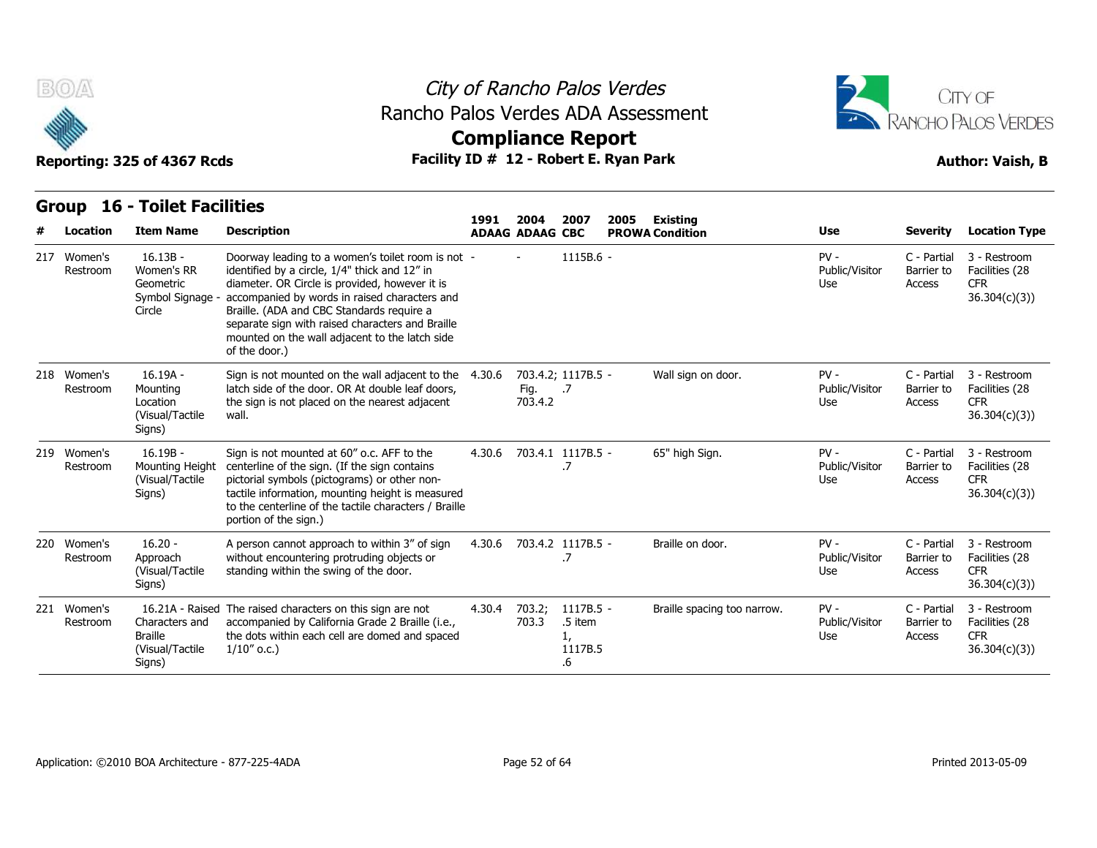



### **Group 16 - Toilet Facilities**

| B(0)                    |                                                                     |                                                                                                                                                                                                                                                                                                                                                                           | City of Rancho Palos Verdes |                          |                                                   |      |                             |                                 |                                     | CITY OF                                                      |  |  |
|-------------------------|---------------------------------------------------------------------|---------------------------------------------------------------------------------------------------------------------------------------------------------------------------------------------------------------------------------------------------------------------------------------------------------------------------------------------------------------------------|-----------------------------|--------------------------|---------------------------------------------------|------|-----------------------------|---------------------------------|-------------------------------------|--------------------------------------------------------------|--|--|
|                         |                                                                     | Rancho Palos Verdes ADA Assessment                                                                                                                                                                                                                                                                                                                                        |                             | <b>Compliance Report</b> |                                                   |      |                             |                                 | <b>RANCHO PALOS VERDES</b>          |                                                              |  |  |
|                         | Reporting: 325 of 4367 Rcds                                         | Facility ID # 12 - Robert E. Ryan Park                                                                                                                                                                                                                                                                                                                                    |                             |                          |                                                   |      |                             |                                 |                                     | <b>Author: Vaish, B</b>                                      |  |  |
| Group                   | <b>16 - Toilet Facilities</b>                                       |                                                                                                                                                                                                                                                                                                                                                                           | 1991                        | 2004                     | 2007                                              | 2005 | Existing                    |                                 |                                     |                                                              |  |  |
| Location                | <b>Item Name</b>                                                    | <b>Description</b>                                                                                                                                                                                                                                                                                                                                                        |                             | <b>ADAAG ADAAG CBC</b>   |                                                   |      | <b>PROWA Condition</b>      | Use                             | <b>Severity</b>                     | <b>Location Type</b>                                         |  |  |
| 217 Women's<br>Restroom | $16.13B -$<br>Women's RR<br>Geometric<br>Symbol Signage -<br>Circle | Doorway leading to a women's toilet room is not -<br>identified by a circle, 1/4" thick and 12" in<br>diameter. OR Circle is provided, however it is<br>accompanied by words in raised characters and<br>Braille. (ADA and CBC Standards require a<br>separate sign with raised characters and Braille<br>mounted on the wall adjacent to the latch side<br>of the door.) |                             |                          | $1115B.6 -$                                       |      |                             | $PV -$<br>Public/Visitor<br>Use | C - Partial<br>Barrier to<br>Access | 3 - Restroom<br>Facilities (28<br><b>CFR</b><br>36.304(c)(3) |  |  |
| 218 Women's<br>Restroom | 16.19A -<br>Mounting<br>Location<br>(Visual/Tactile<br>Signs)       | Sign is not mounted on the wall adjacent to the 4.30.6<br>latch side of the door. OR At double leaf doors,<br>the sign is not placed on the nearest adjacent<br>wall.                                                                                                                                                                                                     |                             | Fig.<br>703.4.2          | 703.4.2; 1117B.5 -<br>$\overline{\phantom{0}}$ .7 |      | Wall sign on door.          | $PV -$<br>Public/Visitor<br>Use | C - Partial<br>Barrier to<br>Access | 3 - Restroom<br>Facilities (28<br><b>CFR</b><br>36.304(c)(3) |  |  |
| 219 Women's<br>Restroom | $16.19B -$<br>Mounting Height<br>(Visual/Tactile<br>Signs)          | Sign is not mounted at 60" o.c. AFF to the<br>centerline of the sign. (If the sign contains<br>pictorial symbols (pictograms) or other non-<br>tactile information, mounting height is measured<br>to the centerline of the tactile characters / Braille<br>portion of the sign.)                                                                                         | 4.30.6                      | 703.4.1 1117B.5 -        | .7                                                |      | 65" high Sign.              | $PV -$<br>Public/Visitor<br>Use | C - Partial<br>Barrier to<br>Access | 3 - Restroom<br>Facilities (28<br><b>CFR</b><br>36.304(c)(3) |  |  |
| 220 Women's<br>Restroom | $16.20 -$<br>Approach<br>(Visual/Tactile<br>Signs)                  | A person cannot approach to within 3" of sign<br>without encountering protruding objects or<br>standing within the swing of the door.                                                                                                                                                                                                                                     | 4.30.6                      |                          | 703.4.2 1117B.5 -<br>.7                           |      | Braille on door.            | $PV -$<br>Public/Visitor<br>Use | C - Partial<br>Barrier to<br>Access | 3 - Restroom<br>Facilities (28<br><b>CFR</b><br>36.304(c)(3) |  |  |
| 221 Women's<br>Restroom | Characters and<br><b>Braille</b><br>(Visual/Tactile)<br>Signs)      | 16.21A - Raised The raised characters on this sign are not<br>accompanied by California Grade 2 Braille (i.e.,<br>the dots within each cell are domed and spaced<br>$1/10''$ o.c.)                                                                                                                                                                                        | 4.30.4                      | 703.2;<br>703.3          | $1117B.5 -$<br>.5 item<br>1,<br>1117B.5<br>.6     |      | Braille spacing too narrow. | $PV -$<br>Public/Visitor<br>Use | C - Partial<br>Barrier to<br>Access | 3 - Restroom<br>Facilities (28<br><b>CFR</b><br>36.304(c)(3) |  |  |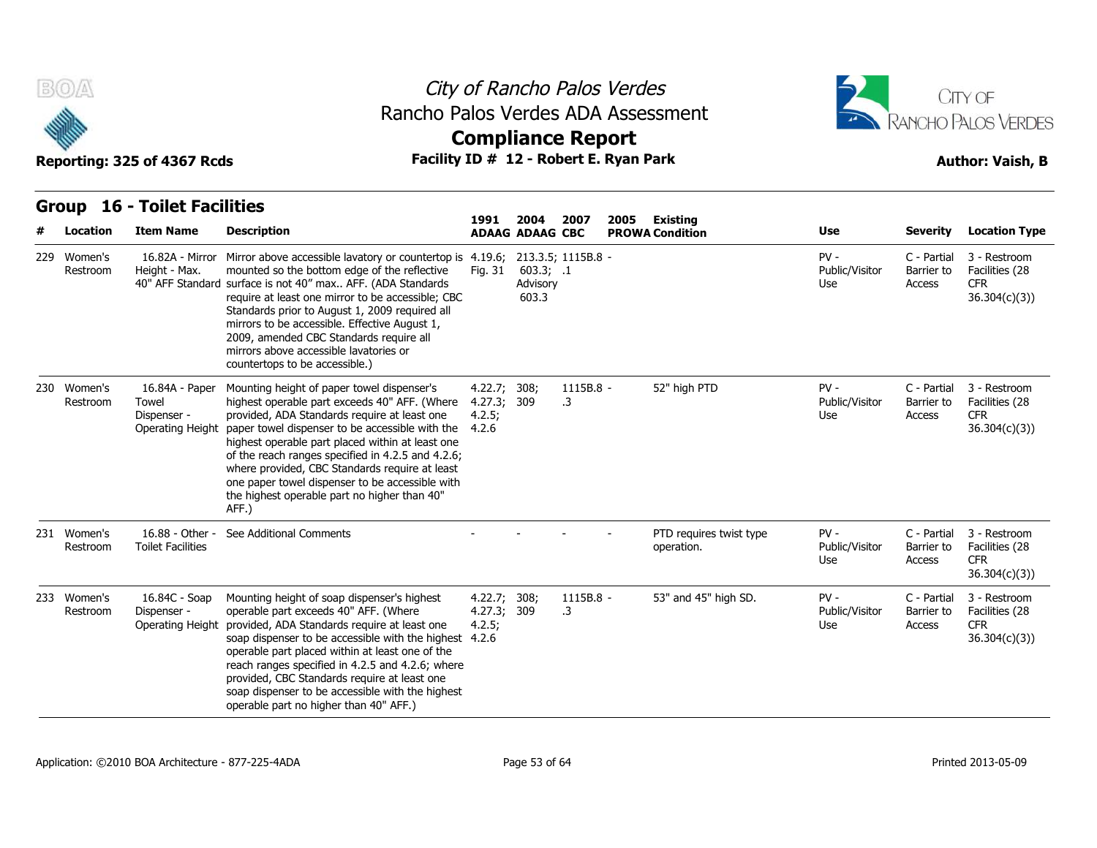



|   | <b>BOA</b>              | Reporting: 325 of 4367 Rcds                                       | Rancho Palos Verdes ADA Assessment<br>Facility ID # 12 - Robert E. Ryan Park                                                                                                                                                                                                                                                                                                                                                                                               |                                           | City of Rancho Palos Verdes<br><b>Compliance Report</b> |                 |                                                   | CITY OF<br><b>RANCHO PALOS VERDES</b><br><b>Author: Vaish, B</b> |                                     |                                                              |
|---|-------------------------|-------------------------------------------------------------------|----------------------------------------------------------------------------------------------------------------------------------------------------------------------------------------------------------------------------------------------------------------------------------------------------------------------------------------------------------------------------------------------------------------------------------------------------------------------------|-------------------------------------------|---------------------------------------------------------|-----------------|---------------------------------------------------|------------------------------------------------------------------|-------------------------------------|--------------------------------------------------------------|
|   | Group                   | <b>16 - Toilet Facilities</b>                                     |                                                                                                                                                                                                                                                                                                                                                                                                                                                                            |                                           | 2004                                                    |                 |                                                   |                                                                  |                                     |                                                              |
| # | Location                | <b>Item Name</b>                                                  | <b>Description</b>                                                                                                                                                                                                                                                                                                                                                                                                                                                         | 1991                                      | <b>ADAAG ADAAG CBC</b>                                  | 2007            | 2005<br><b>Existing</b><br><b>PROWA Condition</b> | Use                                                              | <b>Severity</b>                     | <b>Location Type</b>                                         |
|   | 229 Women's<br>Restroom | 16.82A - Mirror<br>Height - Max.                                  | Mirror above accessible lavatory or countertop is 4.19.6; 213.3.5; 1115B.8 -<br>mounted so the bottom edge of the reflective<br>40" AFF Standard surface is not 40" max AFF. (ADA Standards<br>require at least one mirror to be accessible; CBC<br>Standards prior to August 1, 2009 required all<br>mirrors to be accessible. Effective August 1,<br>2009, amended CBC Standards require all<br>mirrors above accessible lavatories or<br>countertops to be accessible.) | Fig. 31                                   | 603.3; .1<br>Advisory<br>603.3                          |                 |                                                   | $PV -$<br>Public/Visitor<br>Use                                  | C - Partial<br>Barrier to<br>Access | 3 - Restroom<br>Facilities (28<br><b>CFR</b><br>36.304(c)(3) |
|   | 230 Women's<br>Restroom | 16.84A - Paper<br>Towel<br>Dispenser -<br><b>Operating Height</b> | Mounting height of paper towel dispenser's<br>highest operable part exceeds 40" AFF. (Where<br>provided, ADA Standards require at least one<br>paper towel dispenser to be accessible with the<br>highest operable part placed within at least one<br>of the reach ranges specified in 4.2.5 and 4.2.6;<br>where provided, CBC Standards require at least<br>one paper towel dispenser to be accessible with<br>the highest operable part no higher than 40"<br>AFF.)      | 4.22.7;<br>4.27.3; 309<br>4.2.5;<br>4.2.6 | 308;                                                    | 1115B.8 -<br>.3 | 52" high PTD                                      | $PV -$<br>Public/Visitor<br>Use                                  | C - Partial<br>Barrier to<br>Access | 3 - Restroom<br>Facilities (28<br><b>CFR</b><br>36.304(c)(3) |
|   | 231 Women's<br>Restroom | 16.88 - Other -<br><b>Toilet Facilities</b>                       | See Additional Comments                                                                                                                                                                                                                                                                                                                                                                                                                                                    |                                           |                                                         |                 | PTD requires twist type<br>operation.             | $PV -$<br>Public/Visitor<br>Use                                  | C - Partial<br>Barrier to<br>Access | 3 - Restroom<br>Facilities (28<br><b>CFR</b><br>36.304(c)(3) |
|   | 233 Women's<br>Restroom | 16.84C - Soap<br>Dispenser -<br>Operating Height                  | Mounting height of soap dispenser's highest<br>operable part exceeds 40" AFF. (Where<br>provided, ADA Standards require at least one<br>soap dispenser to be accessible with the highest 4.2.6<br>operable part placed within at least one of the<br>reach ranges specified in 4.2.5 and 4.2.6; where<br>provided, CBC Standards require at least one<br>soap dispenser to be accessible with the highest<br>operable part no higher than 40" AFF.)                        | 4.22.7; 308;<br>4.27.3;<br>4.2.5;         | 309                                                     | 1115B.8 -<br>.3 | 53" and 45" high SD.                              | $PV -$<br>Public/Visitor<br>Use                                  | C - Partial<br>Barrier to<br>Access | 3 - Restroom<br>Facilities (28<br><b>CFR</b><br>36.304(c)(3) |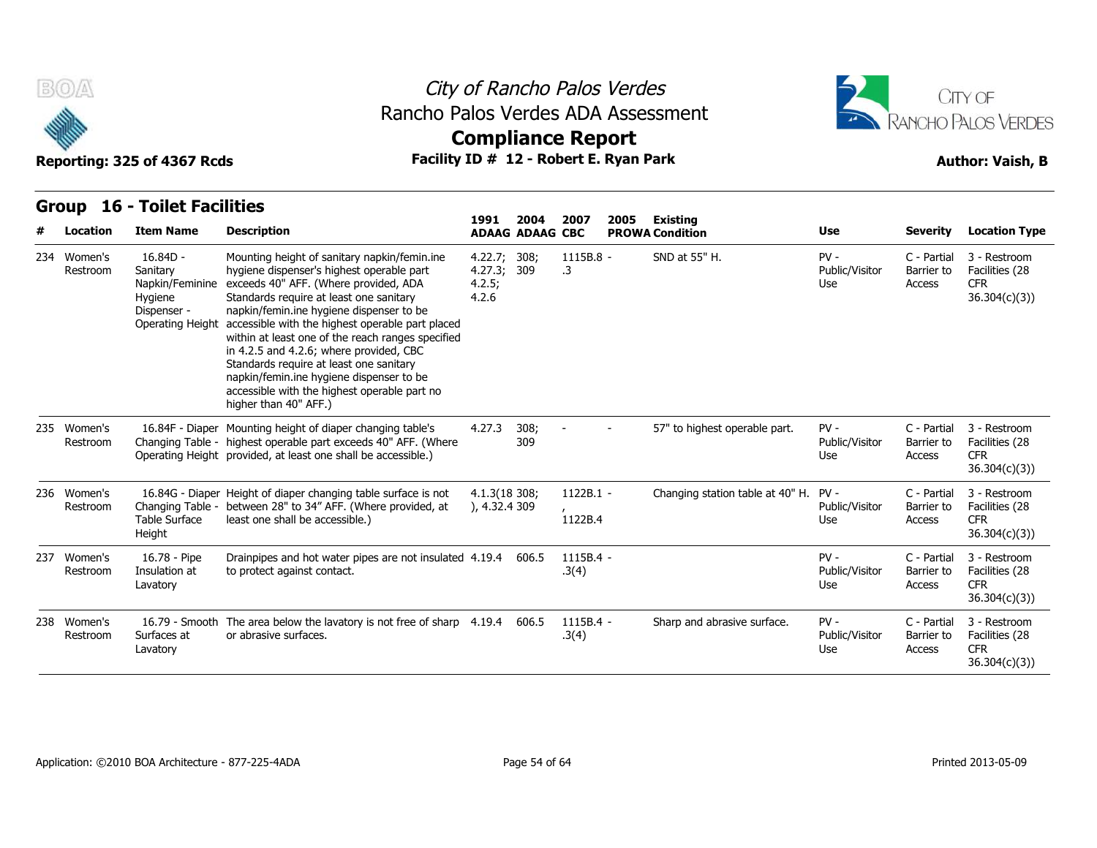

## City of Rancho Palos Verdes Rancho Palos Verdes ADA Assessment



# **Compliance Report**

| # | Location                | <b>Item Name</b>                                                                        | <b>Description</b>                                                                                                                                                                                                                                                                                                                                                                                                                                                                                                                            | 1991                                           | 2004<br><b>ADAAG ADAAG CBC</b> | 2007                   | 2005 | <b>Existing</b><br><b>PROWA Condition</b> | <b>Use</b>                      | <b>Severity</b>                     | <b>Location Type</b>                                         |
|---|-------------------------|-----------------------------------------------------------------------------------------|-----------------------------------------------------------------------------------------------------------------------------------------------------------------------------------------------------------------------------------------------------------------------------------------------------------------------------------------------------------------------------------------------------------------------------------------------------------------------------------------------------------------------------------------------|------------------------------------------------|--------------------------------|------------------------|------|-------------------------------------------|---------------------------------|-------------------------------------|--------------------------------------------------------------|
|   | 234 Women's<br>Restroom | $16.84D -$<br>Sanitary<br>Napkin/Feminine<br>Hygiene<br>Dispenser -<br>Operating Height | Mounting height of sanitary napkin/femin.ine<br>hygiene dispenser's highest operable part<br>exceeds 40" AFF. (Where provided, ADA<br>Standards require at least one sanitary<br>napkin/femin.ine hygiene dispenser to be<br>accessible with the highest operable part placed<br>within at least one of the reach ranges specified<br>in 4.2.5 and 4.2.6; where provided, CBC<br>Standards require at least one sanitary<br>napkin/femin.ine hygiene dispenser to be<br>accessible with the highest operable part no<br>higher than 40" AFF.) | 4.22.7; 308;<br>4.27.3; 309<br>4.2.5;<br>4.2.6 |                                | 1115B.8 -<br>.3        |      | SND at 55" H.                             | $PV -$<br>Public/Visitor<br>Use | C - Partial<br>Barrier to<br>Access | 3 - Restroom<br>Facilities (28<br><b>CFR</b><br>36.304(c)(3) |
|   | 235 Women's<br>Restroom | 16.84F - Diaper                                                                         | Mounting height of diaper changing table's<br>Changing Table - highest operable part exceeds 40" AFF. (Where<br>Operating Height provided, at least one shall be accessible.)                                                                                                                                                                                                                                                                                                                                                                 | 4.27.3                                         | 308;<br>309                    |                        |      | 57" to highest operable part.             | $PV -$<br>Public/Visitor<br>Use | C - Partial<br>Barrier to<br>Access | 3 - Restroom<br>Facilities (28<br><b>CFR</b><br>36.304(c)(3) |
|   | 236 Women's<br>Restroom | Changing Table -<br><b>Table Surface</b><br>Height                                      | 16.84G - Diaper Height of diaper changing table surface is not<br>between 28" to 34" AFF. (Where provided, at<br>least one shall be accessible.)                                                                                                                                                                                                                                                                                                                                                                                              | 4.1.3(18 308;<br>), 4.32.4309                  |                                | $1122B.1 -$<br>1122B.4 |      | Changing station table at 40" H.          | $PV -$<br>Public/Visitor<br>Use | C - Partial<br>Barrier to<br>Access | 3 - Restroom<br>Facilities (28<br><b>CFR</b><br>36.304(c)(3) |
|   | 237 Women's<br>Restroom | 16.78 - Pipe<br>Insulation at<br>Lavatory                                               | Drainpipes and hot water pipes are not insulated 4.19.4<br>to protect against contact.                                                                                                                                                                                                                                                                                                                                                                                                                                                        |                                                | 606.5                          | 1115B.4 -<br>.3(4)     |      |                                           | $PV -$<br>Public/Visitor<br>Use | C - Partial<br>Barrier to<br>Access | 3 - Restroom<br>Facilities (28<br><b>CFR</b><br>36.304(c)(3) |
|   | 238 Women's<br>Restroom | 16.79 - Smooth<br>Surfaces at<br>Lavatory                                               | The area below the lavatory is not free of sharp $4.19.4$<br>or abrasive surfaces.                                                                                                                                                                                                                                                                                                                                                                                                                                                            |                                                | 606.5                          | $1115B.4 -$<br>.3(4)   |      | Sharp and abrasive surface.               | $PV -$<br>Public/Visitor<br>Use | C - Partial<br>Barrier to<br>Access | 3 - Restroom<br>Facilities (28<br><b>CFR</b><br>36.304(c)(3) |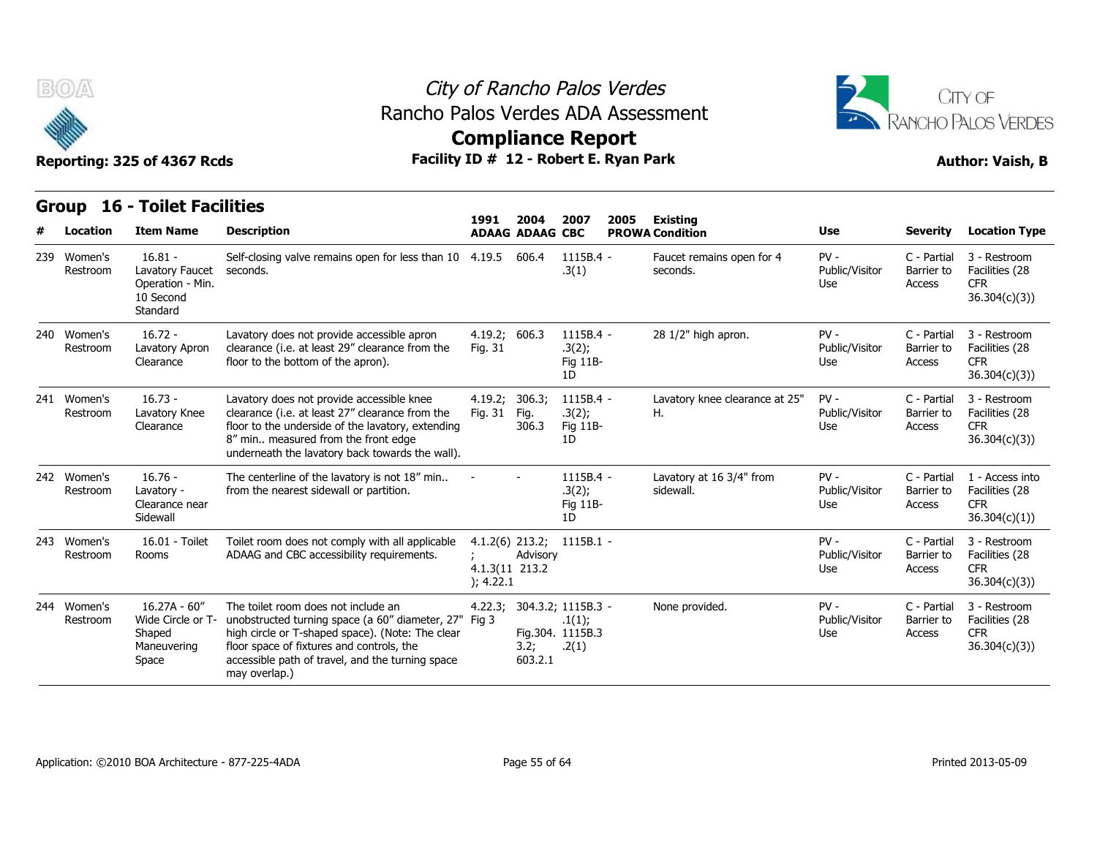

## City of Rancho Palos Verdes Rancho Palos Verdes ADA Assessment



|     | B(0)                    | Reporting: 325 of 4367 Rcds                                               |                                                                                                                                                                                                                                                              | City of Rancho Palos Verdes<br>Rancho Palos Verdes ADA Assessment<br><b>Compliance Report</b><br>Facility ID # 12 - Robert E. Ryan Park |                                |                                                           |                                           |                                 |                                     |                                                              |  |  |  |  |  |
|-----|-------------------------|---------------------------------------------------------------------------|--------------------------------------------------------------------------------------------------------------------------------------------------------------------------------------------------------------------------------------------------------------|-----------------------------------------------------------------------------------------------------------------------------------------|--------------------------------|-----------------------------------------------------------|-------------------------------------------|---------------------------------|-------------------------------------|--------------------------------------------------------------|--|--|--|--|--|
|     | Group<br>Location       | <b>16 - Toilet Facilities</b><br><b>Item Name</b>                         | <b>Description</b>                                                                                                                                                                                                                                           | 1991                                                                                                                                    | 2004<br><b>ADAAG ADAAG CBC</b> | 2007<br>2005                                              | <b>Existing</b><br><b>PROWA Condition</b> | Use                             | <b>Severity</b>                     | <b>Location Type</b>                                         |  |  |  |  |  |
| 239 | Women's<br>Restroom     | $16.81 -$<br>Lavatory Faucet<br>Operation - Min.<br>10 Second<br>Standard | Self-closing valve remains open for less than 10 4.19.5<br>seconds.                                                                                                                                                                                          |                                                                                                                                         | 606.4                          | 1115B.4 -<br>.3(1)                                        | Faucet remains open for 4<br>seconds.     | $PV -$<br>Public/Visitor<br>Use | C - Partial<br>Barrier to<br>Access | 3 - Restroom<br>Facilities (28<br><b>CFR</b><br>36.304(c)(3) |  |  |  |  |  |
|     | 240 Women's<br>Restroom | $16.72 -$<br>Lavatory Apron<br>Clearance                                  | Lavatory does not provide accessible apron<br>clearance (i.e. at least 29" clearance from the<br>floor to the bottom of the apron).                                                                                                                          | 4.19.2; 606.3<br>Fig. 31                                                                                                                |                                | 1115B.4 -<br>.3(2);<br>Fig 11B-<br>1D                     | 28 1/2" high apron.                       | $PV -$<br>Public/Visitor<br>Use | C - Partial<br>Barrier to<br>Access | 3 - Restroom<br>Facilities (28<br><b>CFR</b><br>36.304(c)(3) |  |  |  |  |  |
|     | 241 Women's<br>Restroom | $16.73 -$<br>Lavatory Knee<br>Clearance                                   | Lavatory does not provide accessible knee<br>clearance (i.e. at least 27" clearance from the<br>floor to the underside of the lavatory, extending<br>8" min measured from the front edge<br>underneath the lavatory back towards the wall).                  | 4.19.2; 306.3;<br>Fig. 31                                                                                                               | Fig.<br>306.3                  | 1115B.4 -<br>.3(2);<br>Fig 11B-<br>1D                     | Lavatory knee clearance at 25"<br>Η.      | $PV -$<br>Public/Visitor<br>Use | C - Partial<br>Barrier to<br>Access | 3 - Restroom<br>Facilities (28<br><b>CFR</b><br>36.304(c)(3) |  |  |  |  |  |
|     | 242 Women's<br>Restroom | $16.76 -$<br>Lavatory -<br>Clearance near<br>Sidewall                     | The centerline of the lavatory is not 18" min<br>from the nearest sidewall or partition.                                                                                                                                                                     |                                                                                                                                         |                                | 1115B.4 -<br>.3(2);<br>Fig 11B-<br>1D                     | Lavatory at 16 3/4" from<br>sidewall.     | $PV -$<br>Public/Visitor<br>Use | C - Partial<br>Barrier to<br>Access | 1 - Access into<br>Facilities (28<br>CFR.<br>36.304(c)(1))   |  |  |  |  |  |
|     | 243 Women's<br>Restroom | 16.01 - Toilet<br>Rooms                                                   | Toilet room does not comply with all applicable<br>ADAAG and CBC accessibility requirements.                                                                                                                                                                 | $4.1.2(6)$ 213.2;<br>4.1.3(11 213.2<br>); 4.22.1                                                                                        | Advisory                       | $1115B.1 -$                                               |                                           | $PV -$<br>Public/Visitor<br>Use | C - Partial<br>Barrier to<br>Access | 3 - Restroom<br>Facilities (28<br><b>CFR</b><br>36.304(c)(3) |  |  |  |  |  |
|     | 244 Women's<br>Restroom | $16.27A - 60''$<br>Wide Circle or T-<br>Shaped<br>Maneuvering<br>Space    | The toilet room does not include an<br>unobstructed turning space (a 60" diameter, 27"<br>high circle or T-shaped space). (Note: The clear<br>floor space of fixtures and controls, the<br>accessible path of travel, and the turning space<br>may overlap.) | 4.22.3;<br>Fig 3                                                                                                                        | 3.2;<br>603.2.1                | 304.3.2; 1115B.3 -<br>.1(1);<br>Fig.304. 1115B.3<br>.2(1) | None provided.                            | $PV -$<br>Public/Visitor<br>Use | C - Partial<br>Barrier to<br>Access | 3 - Restroom<br>Facilities (28<br><b>CFR</b><br>36.304(c)(3) |  |  |  |  |  |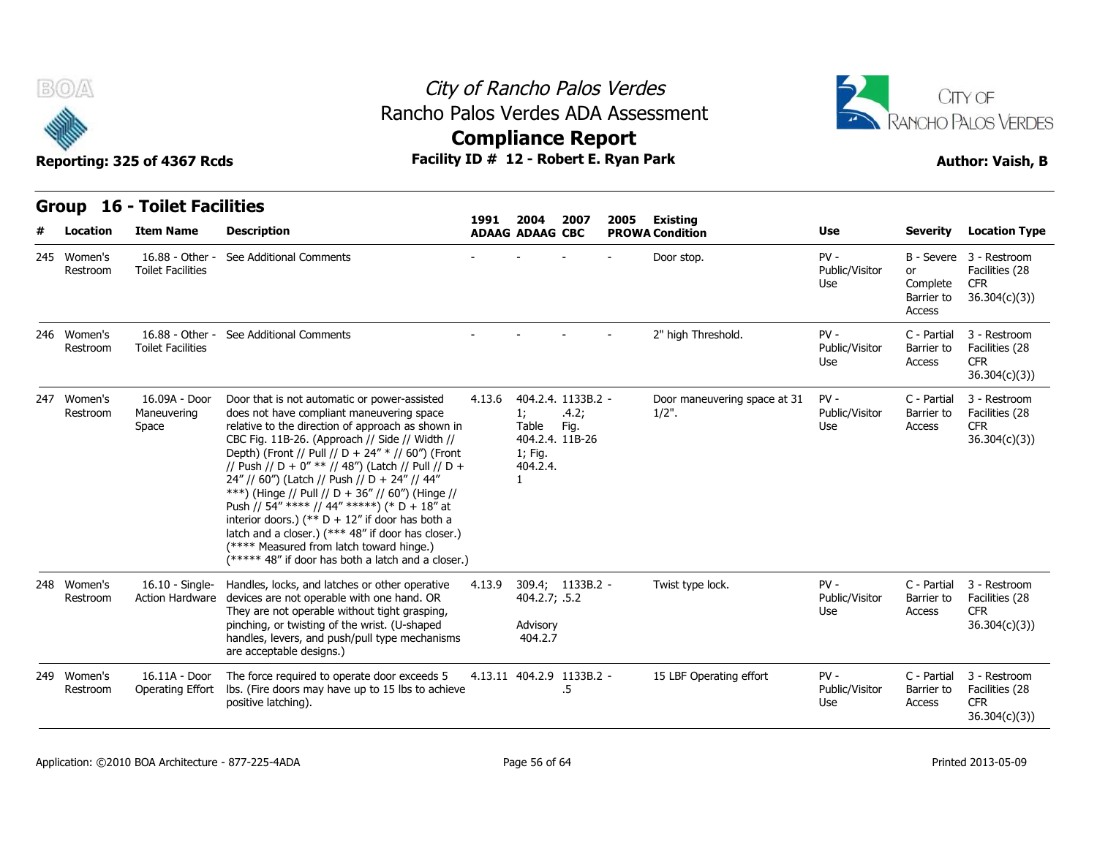



| B(0)                    | Reporting: 325 of 4367 Rcds                 | Rancho Palos Verdes ADA Assessment<br>Facility ID # 12 - Robert E. Ryan Park                                                                                                                                                                                                                                                                                                                                                                                                                                                                                                                                                                                                  |        | City of Rancho Palos Verdes<br><b>Compliance Report</b> |                                                        |      | CITY OF<br>RANCHO PALOS VERDES<br><b>Author: Vaish, B</b> |                                 |                                        |                                                                         |
|-------------------------|---------------------------------------------|-------------------------------------------------------------------------------------------------------------------------------------------------------------------------------------------------------------------------------------------------------------------------------------------------------------------------------------------------------------------------------------------------------------------------------------------------------------------------------------------------------------------------------------------------------------------------------------------------------------------------------------------------------------------------------|--------|---------------------------------------------------------|--------------------------------------------------------|------|-----------------------------------------------------------|---------------------------------|----------------------------------------|-------------------------------------------------------------------------|
|                         | <b>Group 16 - Toilet Facilities</b>         |                                                                                                                                                                                                                                                                                                                                                                                                                                                                                                                                                                                                                                                                               | 1991   | 2004                                                    | 2007                                                   | 2005 | <b>Existing</b>                                           |                                 |                                        |                                                                         |
| Location                | <b>Item Name</b>                            | <b>Description</b>                                                                                                                                                                                                                                                                                                                                                                                                                                                                                                                                                                                                                                                            |        | <b>ADAAG ADAAG CBC</b>                                  |                                                        |      | <b>PROWA Condition</b>                                    | Use                             | Severity                               | <b>Location Type</b>                                                    |
| 245 Women's<br>Restroom | 16.88 - Other -<br><b>Toilet Facilities</b> | See Additional Comments                                                                                                                                                                                                                                                                                                                                                                                                                                                                                                                                                                                                                                                       |        |                                                         |                                                        |      | Door stop.                                                | $PV -$<br>Public/Visitor<br>Use | or<br>Complete<br>Barrier to<br>Access | B - Severe 3 - Restroom<br>Facilities (28<br><b>CFR</b><br>36.304(c)(3) |
| 246 Women's<br>Restroom | <b>Toilet Facilities</b>                    | 16.88 - Other - See Additional Comments                                                                                                                                                                                                                                                                                                                                                                                                                                                                                                                                                                                                                                       |        |                                                         |                                                        |      | 2" high Threshold.                                        | $PV -$<br>Public/Visitor<br>Use | C - Partial<br>Barrier to<br>Access    | 3 - Restroom<br>Facilities (28<br><b>CFR</b><br>36.304(c)(3)            |
| 247 Women's<br>Restroom | 16.09A - Door<br>Maneuvering<br>Space       | Door that is not automatic or power-assisted<br>does not have compliant maneuvering space<br>relative to the direction of approach as shown in<br>CBC Fig. 11B-26. (Approach // Side // Width //<br>Depth) (Front // Pull // D + 24" * // 60") (Front<br>// Push // D + 0" ** // 48") (Latch // Pull // D +<br>24" // 60") (Latch // Push // D + 24" // 44"<br>***) (Hinge // Pull // D + 36" // 60") (Hinge //<br>Push // 54" **** // 44" *****) (* D + 18" at<br>interior doors.) (** $D + 12$ " if door has both a<br>latch and a closer.) (*** 48" if door has closer.)<br>(**** Measured from latch toward hinge.)<br>(***** 48" if door has both a latch and a closer.) | 4.13.6 | 1;<br>Table<br>1; Fig.<br>404.2.4.<br>$\mathbf{1}$      | 404.2.4. 1133B.2 -<br>.4.2;<br>Fig.<br>404.2.4. 11B-26 |      | Door maneuvering space at 31<br>$1/2$ ".                  | $PV -$<br>Public/Visitor<br>Use | C - Partial<br>Barrier to<br>Access    | 3 - Restroom<br>Facilities (28<br><b>CFR</b><br>36.304(c)(3)            |
| 248 Women's<br>Restroom | $16.10 - Single-$<br><b>Action Hardware</b> | Handles, locks, and latches or other operative<br>devices are not operable with one hand. OR<br>They are not operable without tight grasping,<br>pinching, or twisting of the wrist. (U-shaped<br>handles, levers, and push/pull type mechanisms<br>are acceptable designs.)                                                                                                                                                                                                                                                                                                                                                                                                  | 4.13.9 | 404.2.7; .5.2<br>Advisory<br>404.2.7                    | 309.4; 1133B.2 -                                       |      | Twist type lock.                                          | $PV -$<br>Public/Visitor<br>Use | C - Partial<br>Barrier to<br>Access    | 3 - Restroom<br>Facilities (28<br><b>CFR</b><br>36.304(c)(3)            |
| 249 Women's<br>Restroom | 16.11A - Door<br>Operating Effort           | The force required to operate door exceeds 5<br>lbs. (Fire doors may have up to 15 lbs to achieve<br>positive latching).                                                                                                                                                                                                                                                                                                                                                                                                                                                                                                                                                      |        |                                                         | 4.13.11 404.2.9 1133B.2 -<br>.5                        |      | 15 LBF Operating effort                                   | $PV -$<br>Public/Visitor<br>Use | C - Partial<br>Barrier to<br>Access    | 3 - Restroom<br>Facilities (28<br>CFR.<br>36.304(c)(3)                  |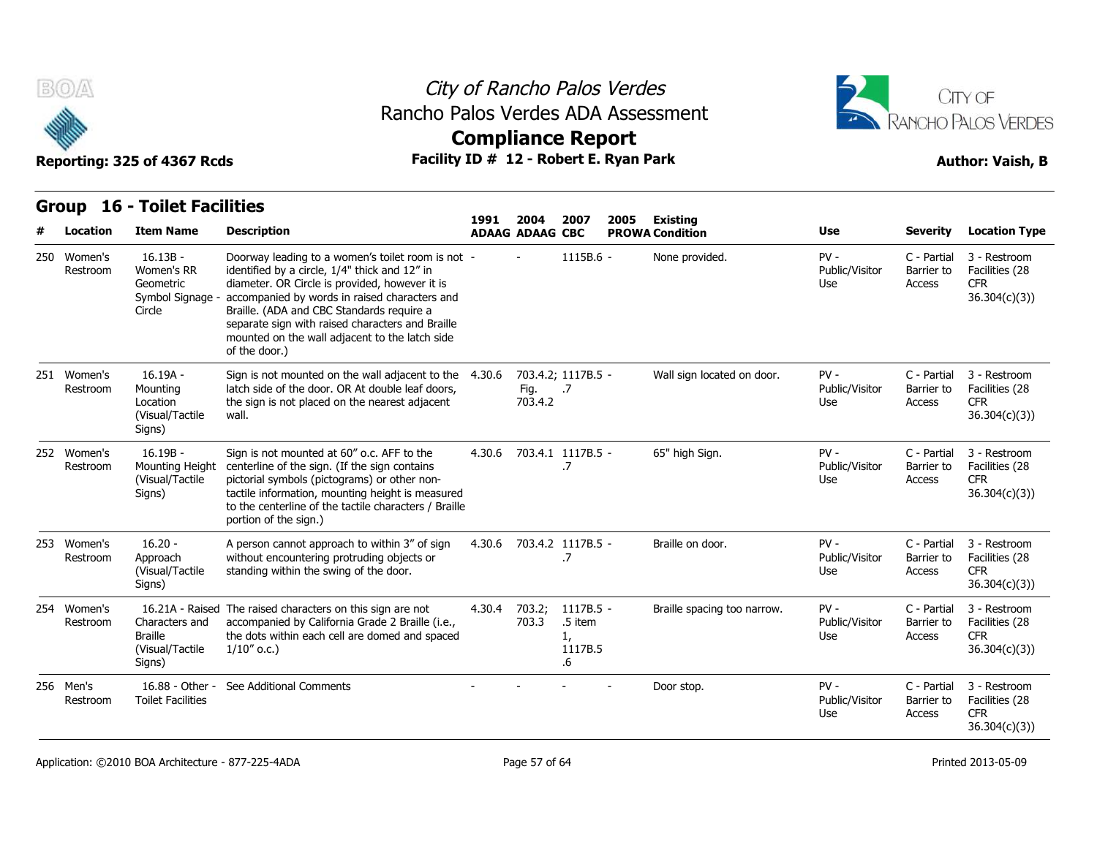

## City of Rancho Palos Verdes Rancho Palos Verdes ADA Assessment



| B(0)                    | Reporting: 325 of 4367 Rcds                                       | Rancho Palos Verdes ADA Assessment                                                                                                                                                                                                                                                                                                                                        |        |                                | City of Rancho Palos Verdes<br><b>Compliance Report</b><br>Facility ID # 12 - Robert E. Ryan Park |      | CITY OF<br>RANCHO PALOS VERDES<br><b>Author: Vaish, B</b> |                                 |                                     |                                                              |
|-------------------------|-------------------------------------------------------------------|---------------------------------------------------------------------------------------------------------------------------------------------------------------------------------------------------------------------------------------------------------------------------------------------------------------------------------------------------------------------------|--------|--------------------------------|---------------------------------------------------------------------------------------------------|------|-----------------------------------------------------------|---------------------------------|-------------------------------------|--------------------------------------------------------------|
| <b>Group</b>            | <b>16 - Toilet Facilities</b>                                     |                                                                                                                                                                                                                                                                                                                                                                           |        |                                |                                                                                                   |      |                                                           |                                 |                                     |                                                              |
| Location                | <b>Item Name</b>                                                  | <b>Description</b>                                                                                                                                                                                                                                                                                                                                                        | 1991   | 2004<br><b>ADAAG ADAAG CBC</b> | 2007                                                                                              | 2005 | Existing<br><b>PROWA Condition</b>                        | Use                             | <b>Severity</b>                     | <b>Location Type</b>                                         |
| 250 Women's<br>Restroom | $16.13B -$<br>Women's RR<br>Geometric<br>Symbol Signage<br>Circle | Doorway leading to a women's toilet room is not -<br>identified by a circle, 1/4" thick and 12" in<br>diameter. OR Circle is provided, however it is<br>accompanied by words in raised characters and<br>Braille. (ADA and CBC Standards require a<br>separate sign with raised characters and Braille<br>mounted on the wall adjacent to the latch side<br>of the door.) |        |                                | 1115B.6 -                                                                                         |      | None provided.                                            | $PV -$<br>Public/Visitor<br>Use | C - Partial<br>Barrier to<br>Access | 3 - Restroom<br>Facilities (28<br><b>CFR</b><br>36.304(c)(3) |
| 251 Women's<br>Restroom | $16.19A -$<br>Mounting<br>Location<br>(Visual/Tactile<br>Signs)   | Sign is not mounted on the wall adjacent to the 4.30.6<br>latch side of the door. OR At double leaf doors,<br>the sign is not placed on the nearest adjacent<br>wall.                                                                                                                                                                                                     |        | Fig.<br>703.4.2                | 703.4.2; 1117B.5 -<br>$\overline{.7}$                                                             |      | Wall sign located on door.                                | $PV -$<br>Public/Visitor<br>Use | C - Partial<br>Barrier to<br>Access | 3 - Restroom<br>Facilities (28<br><b>CFR</b><br>36.304(c)(3) |
| 252 Women's<br>Restroom | $16.19B -$<br>Mounting Height<br>(Visual/Tactile<br>Signs)        | Sign is not mounted at 60" o.c. AFF to the<br>centerline of the sign. (If the sign contains<br>pictorial symbols (pictograms) or other non-<br>tactile information, mounting height is measured<br>to the centerline of the tactile characters / Braille<br>portion of the sign.)                                                                                         | 4.30.6 |                                | 703.4.1 1117B.5 -<br>.7                                                                           |      | 65" high Sign.                                            | $PV -$<br>Public/Visitor<br>Use | C - Partial<br>Barrier to<br>Access | 3 - Restroom<br>Facilities (28<br><b>CFR</b><br>36.304(c)(3) |
| 253 Women's<br>Restroom | $16.20 -$<br>Approach<br>(Visual/Tactile<br>Signs)                | A person cannot approach to within 3" of sign<br>without encountering protruding objects or<br>standing within the swing of the door.                                                                                                                                                                                                                                     | 4.30.6 |                                | 703.4.2 1117B.5 -<br>.7                                                                           |      | Braille on door.                                          | $PV -$<br>Public/Visitor<br>Use | C - Partial<br>Barrier to<br>Access | 3 - Restroom<br>Facilities (28<br><b>CFR</b><br>36.304(c)(3) |
| 254 Women's<br>Restroom | Characters and<br><b>Braille</b><br>(Visual/Tactile<br>Signs)     | 16.21A - Raised The raised characters on this sign are not<br>accompanied by California Grade 2 Braille (i.e.,<br>the dots within each cell are domed and spaced<br>$1/10''$ o.c.)                                                                                                                                                                                        | 4.30.4 | 703.2;<br>703.3                | 1117B.5 -<br>.5 item<br>1,<br>1117B.5<br>.6                                                       |      | Braille spacing too narrow.                               | $PV -$<br>Public/Visitor<br>Use | C - Partial<br>Barrier to<br>Access | 3 - Restroom<br>Facilities (28<br><b>CFR</b><br>36.304(c)(3) |
| 256 Men's<br>Restroom   | 16.88 - Other -<br><b>Toilet Facilities</b>                       | See Additional Comments                                                                                                                                                                                                                                                                                                                                                   |        |                                |                                                                                                   |      | Door stop.                                                | $PV -$<br>Public/Visitor<br>Use | C - Partial<br>Barrier to<br>Access | 3 - Restroom<br>Facilities (28<br><b>CFR</b><br>36.304(c)(3) |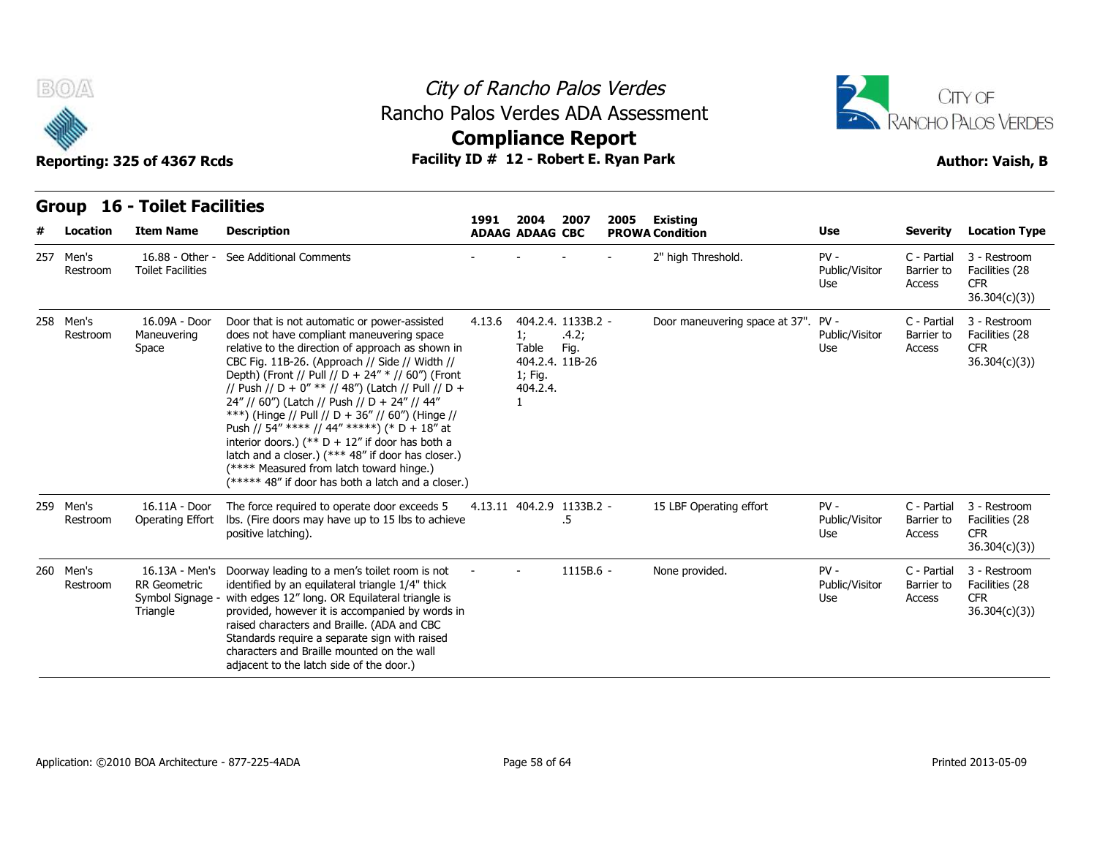



| <b>BOA</b>            | Reporting: 325 of 4367 Rcds                             |                                                                                                                                                                                                                                                                                                                                                                                                                                                                                                                                                                                                                                                                               | City of Rancho Palos Verdes<br>CITY OF<br>Rancho Palos Verdes ADA Assessment<br>RANCHO PALOS VERDES<br><b>Compliance Report</b><br>Facility ID # 12 - Robert E. Ryan Park<br><b>Author: Vaish, B</b> |                                                             |                                     |      |                                    |                                 |                                     |                                                              |  |  |  |  |  |
|-----------------------|---------------------------------------------------------|-------------------------------------------------------------------------------------------------------------------------------------------------------------------------------------------------------------------------------------------------------------------------------------------------------------------------------------------------------------------------------------------------------------------------------------------------------------------------------------------------------------------------------------------------------------------------------------------------------------------------------------------------------------------------------|------------------------------------------------------------------------------------------------------------------------------------------------------------------------------------------------------|-------------------------------------------------------------|-------------------------------------|------|------------------------------------|---------------------------------|-------------------------------------|--------------------------------------------------------------|--|--|--|--|--|
| Location              | <b>Group 16 - Toilet Facilities</b><br><b>Item Name</b> | <b>Description</b>                                                                                                                                                                                                                                                                                                                                                                                                                                                                                                                                                                                                                                                            | 1991                                                                                                                                                                                                 | 2004<br><b>ADAAG ADAAG CBC</b>                              | 2007                                | 2005 | Existing<br><b>PROWA Condition</b> | Use                             | Severity                            | <b>Location Type</b>                                         |  |  |  |  |  |
| 257 Men's<br>Restroom | 16.88 - Other -<br><b>Toilet Facilities</b>             | See Additional Comments                                                                                                                                                                                                                                                                                                                                                                                                                                                                                                                                                                                                                                                       |                                                                                                                                                                                                      |                                                             |                                     |      | 2" high Threshold.                 | $PV -$<br>Public/Visitor<br>Use | C - Partial<br>Barrier to<br>Access | 3 - Restroom<br>Facilities (28<br><b>CFR</b><br>36.304(c)(3) |  |  |  |  |  |
| 258 Men's<br>Restroom | 16.09A - Door<br>Maneuvering<br>Space                   | Door that is not automatic or power-assisted<br>does not have compliant maneuvering space<br>relative to the direction of approach as shown in<br>CBC Fig. 11B-26. (Approach // Side // Width //<br>Depth) (Front // Pull // D + 24" * // 60") (Front<br>// Push // D + 0" ** // 48") (Latch // Pull // D +<br>24" // 60") (Latch // Push // D + 24" // 44"<br>***) (Hinge // Pull // D + 36" // 60") (Hinge //<br>Push // 54" **** // 44" *****) (* D + 18" at<br>interior doors.) (** $D + 12$ " if door has both a<br>latch and a closer.) (*** 48" if door has closer.)<br>(**** Measured from latch toward hinge.)<br>(***** 48" if door has both a latch and a closer.) | 4.13.6                                                                                                                                                                                               | 1;<br>Table<br>404.2.4. 11B-26<br>1; Fig.<br>404.2.4.<br>1. | 404.2.4. 1133B.2 -<br>.4.2;<br>Fig. |      | Door maneuvering space at 37".     | $PV -$<br>Public/Visitor<br>Use | C - Partial<br>Barrier to<br>Access | 3 - Restroom<br>Facilities (28<br><b>CFR</b><br>36.304(c)(3) |  |  |  |  |  |
| 259 Men's<br>Restroom | 16.11A - Door<br>Operating Effort                       | The force required to operate door exceeds 5<br>Ibs. (Fire doors may have up to 15 lbs to achieve<br>positive latching).                                                                                                                                                                                                                                                                                                                                                                                                                                                                                                                                                      |                                                                                                                                                                                                      | 4.13.11 404.2.9 1133B.2 -                                   | .5                                  |      | 15 LBF Operating effort            | $PV -$<br>Public/Visitor<br>Use | C - Partial<br>Barrier to<br>Access | 3 - Restroom<br>Facilities (28<br><b>CFR</b><br>36.304(c)(3) |  |  |  |  |  |
| 260 Men's<br>Restroom | <b>RR</b> Geometric<br>Symbol Signage<br>Triangle       | 16.13A - Men's Doorway leading to a men's toilet room is not<br>identified by an equilateral triangle 1/4" thick<br>with edges 12" long. OR Equilateral triangle is<br>provided, however it is accompanied by words in<br>raised characters and Braille. (ADA and CBC<br>Standards require a separate sign with raised<br>characters and Braille mounted on the wall<br>adjacent to the latch side of the door.)                                                                                                                                                                                                                                                              |                                                                                                                                                                                                      |                                                             | $1115B.6 -$                         |      | None provided.                     | $PV -$<br>Public/Visitor<br>Use | C - Partial<br>Barrier to<br>Access | 3 - Restroom<br>Facilities (28<br><b>CFR</b><br>36.304(c)(3) |  |  |  |  |  |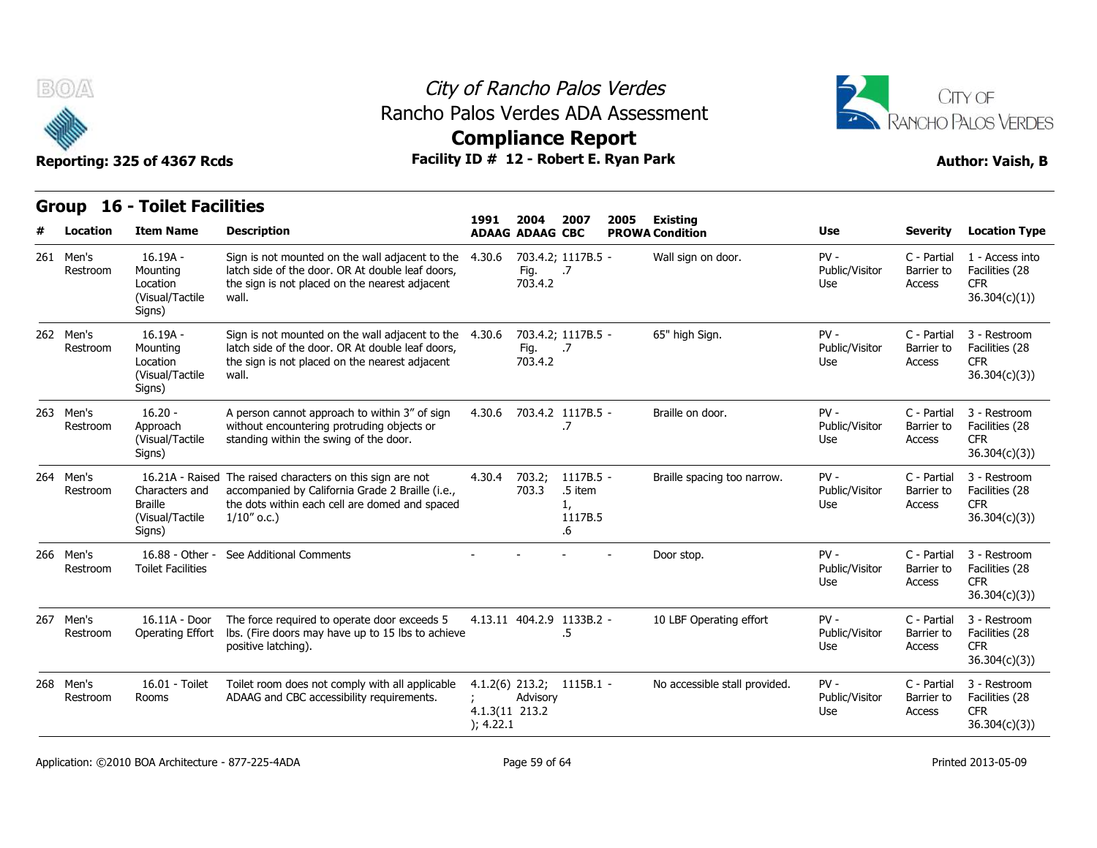

## City of Rancho Palos Verdes Rancho Palos Verdes ADA Assessment



|                                                                                 | Reporting: 325 of 4367 Rcds                                     | Facility ID # 12 - Robert E. Ryan Park                                                                                                                                             |                             |                                       |                                             |  |                               |                                 | <b>Author: Vaish, B</b>             |                                                                 |  |  |  |
|---------------------------------------------------------------------------------|-----------------------------------------------------------------|------------------------------------------------------------------------------------------------------------------------------------------------------------------------------------|-----------------------------|---------------------------------------|---------------------------------------------|--|-------------------------------|---------------------------------|-------------------------------------|-----------------------------------------------------------------|--|--|--|
| <b>Group 16 - Toilet Facilities</b><br>1991<br>2004<br>2007<br>2005<br>Existing |                                                                 |                                                                                                                                                                                    |                             |                                       |                                             |  |                               |                                 |                                     |                                                                 |  |  |  |
| <b>Location</b>                                                                 | <b>Item Name</b>                                                | <b>Description</b>                                                                                                                                                                 |                             | <b>ADAAG ADAAG CBC</b>                |                                             |  | <b>PROWA Condition</b>        | <b>Use</b>                      | <b>Severity</b>                     | <b>Location Type</b>                                            |  |  |  |
| 261 Men's<br>Restroom                                                           | $16.19A -$<br>Mounting<br>Location<br>(Visual/Tactile<br>Signs) | Sign is not mounted on the wall adjacent to the<br>latch side of the door. OR At double leaf doors,<br>the sign is not placed on the nearest adjacent<br>wall.                     | 4.30.6                      | 703.4.2; 1117B.5 -<br>Fig.<br>703.4.2 | $\cdot$ .7                                  |  | Wall sign on door.            | $PV -$<br>Public/Visitor<br>Use | C - Partial<br>Barrier to<br>Access | 1 - Access into<br>Facilities (28<br><b>CFR</b><br>36.304(c)(1) |  |  |  |
| 262 Men's<br>Restroom                                                           | 16.19A -<br>Mounting<br>Location<br>(Visual/Tactile<br>Signs)   | Sign is not mounted on the wall adjacent to the $4.30.6$<br>latch side of the door. OR At double leaf doors,<br>the sign is not placed on the nearest adjacent<br>wall.            |                             | 703.4.2; 1117B.5 -<br>Fig.<br>703.4.2 | $\cdot$ .7                                  |  | 65" high Sign.                | $PV -$<br>Public/Visitor<br>Use | C - Partial<br>Barrier to<br>Access | 3 - Restroom<br>Facilities (28<br><b>CFR</b><br>36.304(c)(3)    |  |  |  |
| 263 Men's<br>Restroom                                                           | $16.20 -$<br>Approach<br>(Visual/Tactile<br>Signs)              | A person cannot approach to within 3" of sign<br>without encountering protruding objects or<br>standing within the swing of the door.                                              | 4.30.6                      | 703.4.2 1117B.5 -                     | .7                                          |  | Braille on door.              | $PV -$<br>Public/Visitor<br>Use | C - Partial<br>Barrier to<br>Access | 3 - Restroom<br>Facilities (28<br><b>CFR</b><br>36.304(c)(3)    |  |  |  |
| 264 Men's<br>Restroom                                                           | Characters and<br><b>Braille</b><br>(Visual/Tactile<br>Signs)   | 16.21A - Raised The raised characters on this sign are not<br>accompanied by California Grade 2 Braille (i.e.,<br>the dots within each cell are domed and spaced<br>$1/10''$ o.c.) | 4.30.4                      | 703.2;<br>703.3                       | 1117B.5 -<br>.5 item<br>1,<br>1117B.5<br>.6 |  | Braille spacing too narrow.   | $PV -$<br>Public/Visitor<br>Use | C - Partial<br>Barrier to<br>Access | 3 - Restroom<br>Facilities (28<br><b>CFR</b><br>36.304(c)(3)    |  |  |  |
| 266 Men's<br>Restroom                                                           | 16.88 - Other -<br><b>Toilet Facilities</b>                     | See Additional Comments                                                                                                                                                            |                             |                                       |                                             |  | Door stop.                    | $PV -$<br>Public/Visitor<br>Use | C - Partial<br>Barrier to<br>Access | 3 - Restroom<br>Facilities (28<br><b>CFR</b><br>36.304(c)(3)    |  |  |  |
| 267 Men's<br>Restroom                                                           | 16.11A - Door<br>Operating Effort                               | The force required to operate door exceeds 5<br>Ibs. (Fire doors may have up to 15 lbs to achieve<br>positive latching).                                                           |                             | 4.13.11 404.2.9 1133B.2 -             | .5                                          |  | 10 LBF Operating effort       | $PV -$<br>Public/Visitor<br>Use | C - Partial<br>Barrier to<br>Access | 3 - Restroom<br>Facilities (28<br><b>CFR</b><br>36.304(c)(3)    |  |  |  |
| 268 Men's<br>Restroom                                                           | 16.01 - Toilet<br>Rooms                                         | Toilet room does not comply with all applicable<br>ADAAG and CBC accessibility requirements.                                                                                       | 4.1.3(11 213.2<br>); 4.22.1 | 4.1.2(6) 213.2; 1115B.1 -<br>Advisory |                                             |  | No accessible stall provided. | $PV -$<br>Public/Visitor<br>Use | C - Partial<br>Barrier to<br>Access | 3 - Restroom<br>Facilities (28<br><b>CFR</b><br>36.304(c)(3))   |  |  |  |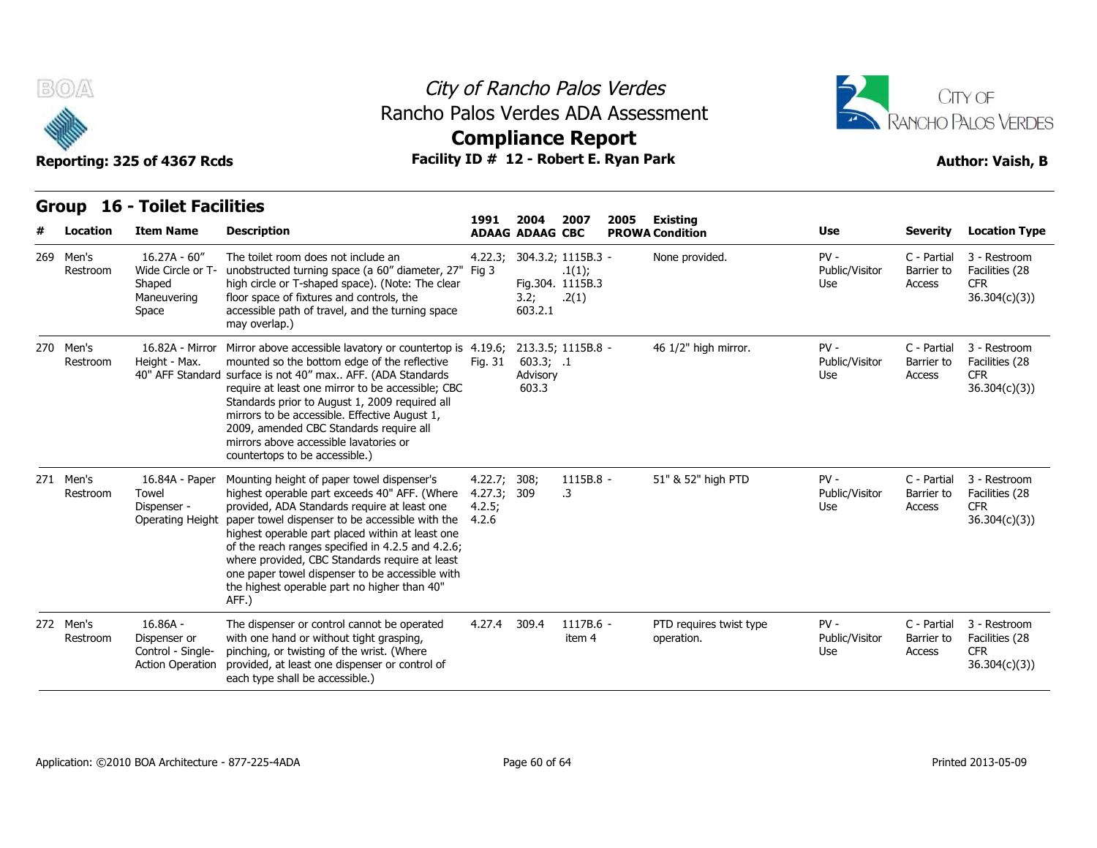

## City of Rancho Palos Verdes Rancho Palos Verdes ADA Assessment



**Compliance Report**

|                       | <b>Group 16 - Toilet Facilities</b>                                        |                                                                                                                                                                                                                                                                                                                                                                                                                                                                         |                                                |                                |                                                           |      |                                       |                                 |                                     |                                                               |
|-----------------------|----------------------------------------------------------------------------|-------------------------------------------------------------------------------------------------------------------------------------------------------------------------------------------------------------------------------------------------------------------------------------------------------------------------------------------------------------------------------------------------------------------------------------------------------------------------|------------------------------------------------|--------------------------------|-----------------------------------------------------------|------|---------------------------------------|---------------------------------|-------------------------------------|---------------------------------------------------------------|
| Location              | <b>Item Name</b>                                                           | <b>Description</b>                                                                                                                                                                                                                                                                                                                                                                                                                                                      | 1991                                           | 2004<br><b>ADAAG ADAAG CBC</b> | 2007                                                      | 2005 | Existing<br><b>PROWA Condition</b>    | <b>Use</b>                      | <b>Severity</b>                     | <b>Location Type</b>                                          |
| 269 Men's<br>Restroom | $16.27A - 60''$<br>Wide Circle or T-<br>Shaped<br>Maneuvering<br>Space     | The toilet room does not include an<br>unobstructed turning space (a 60" diameter, 27" Fig 3<br>high circle or T-shaped space). (Note: The clear<br>floor space of fixtures and controls, the<br>accessible path of travel, and the turning space<br>may overlap.)                                                                                                                                                                                                      | 4.22.3;                                        | 3.2;<br>603.2.1                | 304.3.2; 1115B.3 -<br>.1(1);<br>Fig.304. 1115B.3<br>.2(1) |      | None provided.                        | $PV -$<br>Public/Visitor<br>Use | C - Partial<br>Barrier to<br>Access | 3 - Restroom<br>Facilities (28<br><b>CFR</b><br>36.304(c)(3)  |
| 270 Men's<br>Restroom | Height - Max.                                                              | 16.82A - Mirror Mirror above accessible lavatory or countertop is 4.19.6;<br>mounted so the bottom edge of the reflective<br>40" AFF Standard surface is not 40" max AFF. (ADA Standards<br>require at least one mirror to be accessible; CBC<br>Standards prior to August 1, 2009 required all<br>mirrors to be accessible. Effective August 1,<br>2009, amended CBC Standards require all<br>mirrors above accessible lavatories or<br>countertops to be accessible.) | Fig. 31                                        | 603.3; .1<br>Advisory<br>603.3 | 213.3.5; 1115B.8 -                                        |      | 46 1/2" high mirror.                  | $PV -$<br>Public/Visitor<br>Use | C - Partial<br>Barrier to<br>Access | 3 - Restroom<br>Facilities (28<br><b>CFR</b><br>36.304(c)(3)  |
| 271 Men's<br>Restroom | 16.84A - Paper<br>Towel<br>Dispenser -<br>Operating Height                 | Mounting height of paper towel dispenser's<br>highest operable part exceeds 40" AFF. (Where<br>provided, ADA Standards require at least one<br>paper towel dispenser to be accessible with the<br>highest operable part placed within at least one<br>of the reach ranges specified in 4.2.5 and 4.2.6;<br>where provided, CBC Standards require at least<br>one paper towel dispenser to be accessible with<br>the highest operable part no higher than 40"<br>AFF.)   | 4.22.7; 308;<br>4.27.3; 309<br>4.2.5;<br>4.2.6 |                                | 1115B.8 -<br>.3                                           |      | 51" & 52" high PTD                    | $PV -$<br>Public/Visitor<br>Use | C - Partial<br>Barrier to<br>Access | 3 - Restroom<br>Facilities (28<br><b>CFR</b><br>36.304(c)(3)  |
| 272 Men's<br>Restroom | $16.86A -$<br>Dispenser or<br>Control - Single-<br><b>Action Operation</b> | The dispenser or control cannot be operated<br>with one hand or without tight grasping,<br>pinching, or twisting of the wrist. (Where<br>provided, at least one dispenser or control of<br>each type shall be accessible.)                                                                                                                                                                                                                                              | 4.27.4                                         | 309.4                          | 1117B.6 -<br>item 4                                       |      | PTD requires twist type<br>operation. | $PV -$<br>Public/Visitor<br>Use | C - Partial<br>Barrier to<br>Access | 3 - Restroom<br>Facilities (28<br><b>CFR</b><br>36.304(c)(3)) |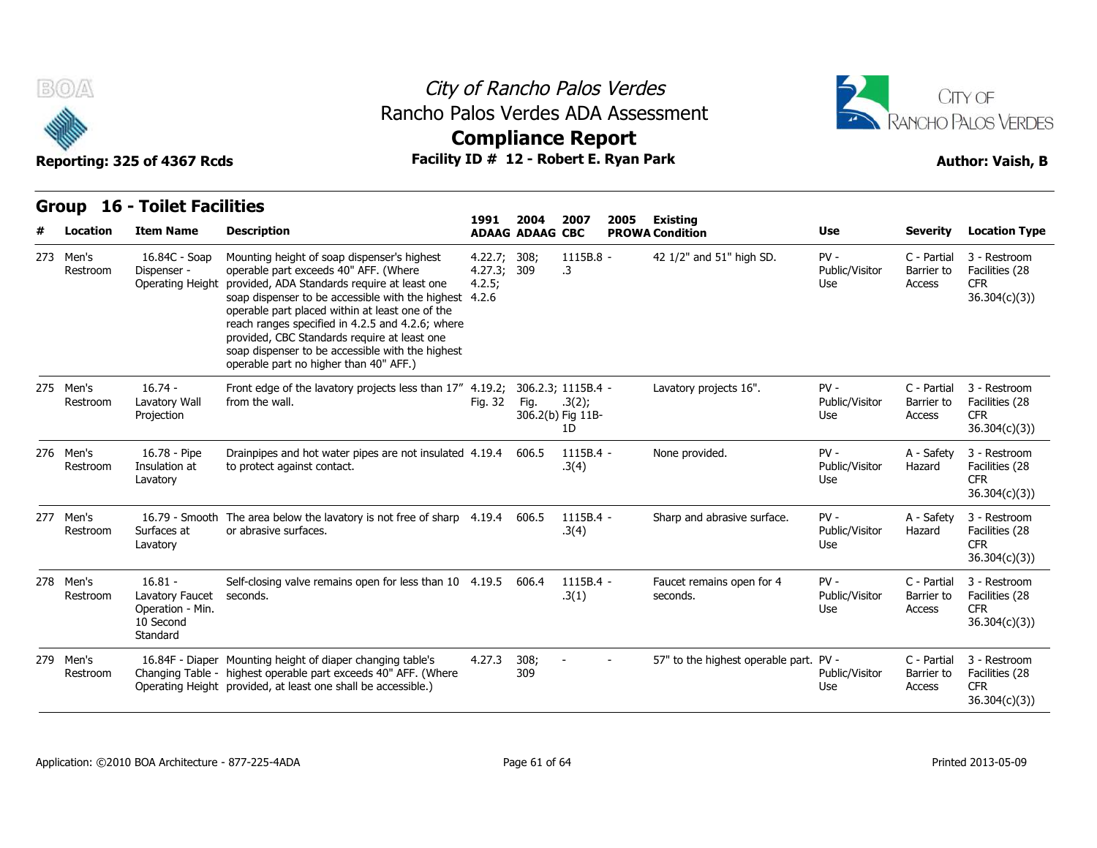

## City of Rancho Palos Verdes Rancho Palos Verdes ADA Assessment



# **Compliance Report**

| Location              | TUILEL L'ACITILIES<br><b>Item Name</b>                                    | <b>Description</b>                                                                                                                                                                                                                                                                                                                                                                                                                                  | 1991                             | 2004<br><b>ADAAG ADAAG CBC</b> | 2007                               | 2005 | <b>Existing</b><br><b>PROWA Condition</b> | Use                             | <b>Severity</b>                     | <b>Location Type</b>                                         |
|-----------------------|---------------------------------------------------------------------------|-----------------------------------------------------------------------------------------------------------------------------------------------------------------------------------------------------------------------------------------------------------------------------------------------------------------------------------------------------------------------------------------------------------------------------------------------------|----------------------------------|--------------------------------|------------------------------------|------|-------------------------------------------|---------------------------------|-------------------------------------|--------------------------------------------------------------|
| 273 Men's<br>Restroom | 16.84C - Soap<br>Dispenser -<br><b>Operating Height</b>                   | Mounting height of soap dispenser's highest<br>operable part exceeds 40" AFF. (Where<br>provided, ADA Standards require at least one<br>soap dispenser to be accessible with the highest 4.2.6<br>operable part placed within at least one of the<br>reach ranges specified in 4.2.5 and 4.2.6; where<br>provided, CBC Standards require at least one<br>soap dispenser to be accessible with the highest<br>operable part no higher than 40" AFF.) | 4.22.7;<br>4.27.3; 309<br>4.2.5; | 308;                           | 1115B.8 -<br>.3                    |      | 42 1/2" and 51" high SD.                  | $PV -$<br>Public/Visitor<br>Use | C - Partial<br>Barrier to<br>Access | 3 - Restroom<br>Facilities (28<br><b>CFR</b><br>36.304(c)(3) |
| 275 Men's<br>Restroom | $16.74 -$<br>Lavatory Wall<br>Projection                                  | Front edge of the lavatory projects less than 17" 4.19.2; 306.2.3; 1115B.4 -<br>from the wall.                                                                                                                                                                                                                                                                                                                                                      | Fig. 32                          | Fig.                           | .3(2);<br>306.2(b) Fig 11B-<br>1D  |      | Lavatory projects 16".                    | $PV -$<br>Public/Visitor<br>Use | C - Partial<br>Barrier to<br>Access | 3 - Restroom<br>Facilities (28<br><b>CFR</b><br>36.304(c)(3) |
| 276 Men's<br>Restroom | 16.78 - Pipe<br>Insulation at<br>Lavatory                                 | Drainpipes and hot water pipes are not insulated 4.19.4 606.5<br>to protect against contact.                                                                                                                                                                                                                                                                                                                                                        |                                  |                                | $1115B.4 -$<br>.3(4)               |      | None provided.                            | $PV -$<br>Public/Visitor<br>Use | A - Safety<br>Hazard                | 3 - Restroom<br>Facilities (28<br><b>CFR</b><br>36.304(c)(3) |
| 277 Men's<br>Restroom | Surfaces at<br>Lavatory                                                   | 16.79 - Smooth The area below the lavatory is not free of sharp 4.19.4 606.5<br>or abrasive surfaces.                                                                                                                                                                                                                                                                                                                                               |                                  |                                | 1115B.4 -<br>.3(4)                 |      | Sharp and abrasive surface.               | $PV -$<br>Public/Visitor<br>Use | A - Safety<br>Hazard                | 3 - Restroom<br>Facilities (28<br><b>CFR</b><br>36.304(c)(3) |
| 278 Men's<br>Restroom | $16.81 -$<br>Lavatory Faucet<br>Operation - Min.<br>10 Second<br>Standard | Self-closing valve remains open for less than 10 4.19.5 606.4<br>seconds.                                                                                                                                                                                                                                                                                                                                                                           |                                  |                                | 1115B.4 -<br>.3(1)                 |      | Faucet remains open for 4<br>seconds.     | $PV -$<br>Public/Visitor<br>Use | C - Partial<br>Barrier to<br>Access | 3 - Restroom<br>Facilities (28<br><b>CFR</b><br>36.304(c)(3) |
| 279 Men's<br>Restroom |                                                                           | 16.84F - Diaper Mounting height of diaper changing table's<br>Changing Table - highest operable part exceeds 40" AFF. (Where<br>Operating Height provided, at least one shall be accessible.)                                                                                                                                                                                                                                                       | 4.27.3                           | 308;<br>309                    | $\sim$<br>$\overline{\phantom{a}}$ |      | 57" to the highest operable part. PV -    | Public/Visitor<br>Use           | C - Partial<br>Barrier to<br>Access | 3 - Restroom<br>Facilities (28<br><b>CFR</b><br>36.304(c)(3) |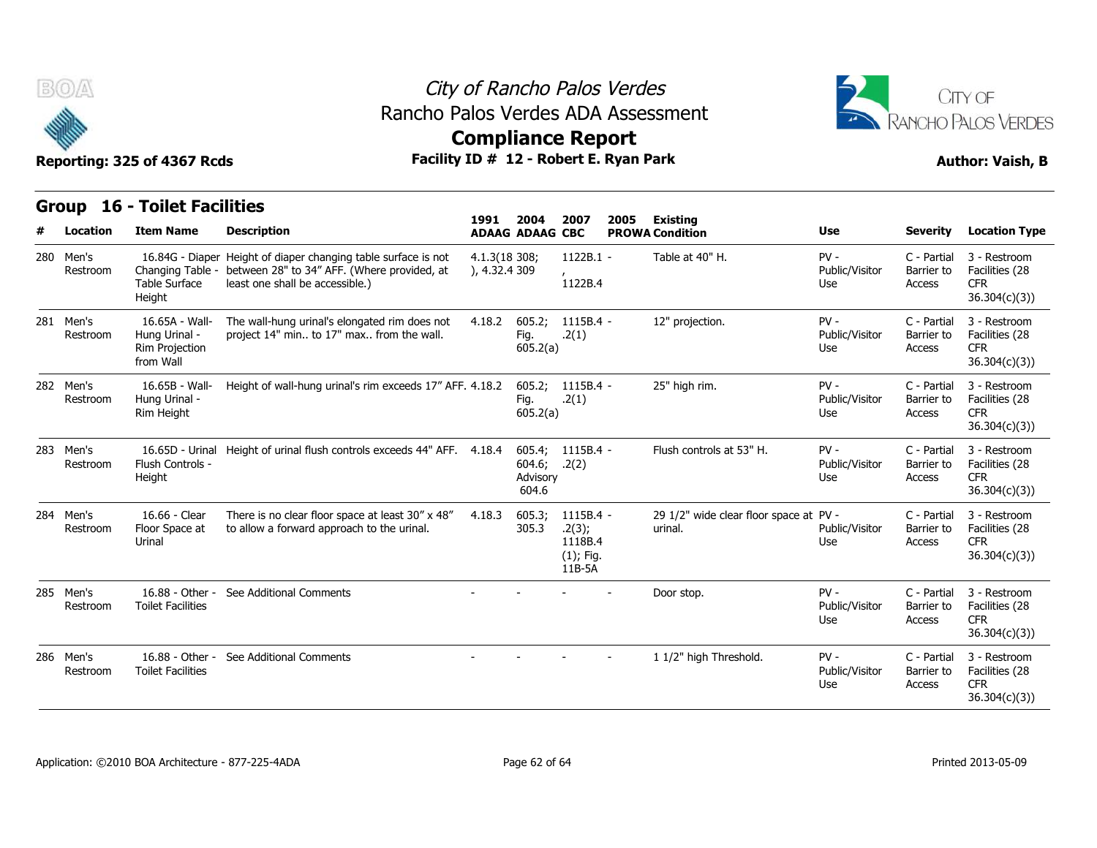

## City of Rancho Palos Verdes Rancho Palos Verdes ADA Assessment



| v<br>Reporting: 325 of 4367 Rcds |                       |                                                                |                                                                                                                                                  | AAMBRANAA IYAhar              |                                       |                                                          |                         |                                                   |                                 |                                     |                                                               |
|----------------------------------|-----------------------|----------------------------------------------------------------|--------------------------------------------------------------------------------------------------------------------------------------------------|-------------------------------|---------------------------------------|----------------------------------------------------------|-------------------------|---------------------------------------------------|---------------------------------|-------------------------------------|---------------------------------------------------------------|
|                                  |                       |                                                                | Facility ID # 12 - Robert E. Ryan Park                                                                                                           |                               |                                       |                                                          | <b>Author: Vaish, B</b> |                                                   |                                 |                                     |                                                               |
|                                  |                       | <b>Group 16 - Toilet Facilities</b>                            |                                                                                                                                                  | 1991                          | 2004                                  | 2007                                                     | 2005                    | Existing                                          |                                 |                                     |                                                               |
| #                                | Location              | <b>Item Name</b>                                               | <b>Description</b>                                                                                                                               |                               | <b>ADAAG ADAAG CBC</b>                |                                                          |                         | <b>PROWA Condition</b>                            | <b>Use</b>                      | <b>Severity</b>                     | <b>Location Type</b>                                          |
| 280                              | Men's<br>Restroom     | Changing Table -<br><b>Table Surface</b><br>Height             | 16.84G - Diaper Height of diaper changing table surface is not<br>between 28" to 34" AFF. (Where provided, at<br>least one shall be accessible.) | 4.1.3(18308)<br>), 4.32.4 309 |                                       | $1122B.1 -$<br>1122B.4                                   |                         | Table at 40" H.                                   | $PV -$<br>Public/Visitor<br>Use | C - Partial<br>Barrier to<br>Access | 3 - Restroom<br>Facilities (28<br><b>CFR</b><br>36.304(c)(3)) |
|                                  | 281 Men's<br>Restroom | 16.65A - Wall-<br>Hung Urinal -<br>Rim Projection<br>from Wall | The wall-hung urinal's elongated rim does not<br>project 14" min to 17" max from the wall.                                                       | 4.18.2                        | 605.2;<br>Fig.<br>605.2(a)            | 1115B.4 -<br>.2(1)                                       |                         | 12" projection.                                   | $PV -$<br>Public/Visitor<br>Use | C - Partial<br>Barrier to<br>Access | 3 - Restroom<br>Facilities (28<br><b>CFR</b><br>36.304(c)(3)  |
|                                  | 282 Men's<br>Restroom | 16.65B - Wall-<br>Hung Urinal -<br>Rim Height                  | Height of wall-hung urinal's rim exceeds 17" AFF. 4.18.2                                                                                         |                               | 605.2;<br>Fig.<br>605.2(a)            | 1115B.4 -<br>.2(1)                                       |                         | 25" high rim.                                     | $PV -$<br>Public/Visitor<br>Use | C - Partial<br>Barrier to<br>Access | 3 - Restroom<br>Facilities (28<br><b>CFR</b><br>36.304(c)(3)) |
| 283                              | Men's<br>Restroom     | Flush Controls -<br>Height                                     | 16.65D - Urinal Height of urinal flush controls exceeds 44" AFF. 4.18.4                                                                          |                               | 605.4;<br>604.6;<br>Advisory<br>604.6 | 1115B.4 -<br>.2(2)                                       |                         | Flush controls at 53" H.                          | $PV -$<br>Public/Visitor<br>Use | C - Partial<br>Barrier to<br>Access | 3 - Restroom<br>Facilities (28<br><b>CFR</b><br>36.304(c)(3)  |
|                                  | 284 Men's<br>Restroom | 16.66 - Clear<br>Floor Space at<br>Urinal                      | There is no clear floor space at least 30" x 48"<br>to allow a forward approach to the urinal.                                                   | 4.18.3                        | 605.3;<br>305.3                       | 1115B.4 -<br>.2(3);<br>1118B.4<br>$(1)$ ; Fig.<br>11B-5A |                         | 29 1/2" wide clear floor space at PV -<br>urinal. | Public/Visitor<br>Use           | C - Partial<br>Barrier to<br>Access | 3 - Restroom<br>Facilities (28<br><b>CFR</b><br>36.304(c)(3)  |
|                                  | 285 Men's<br>Restroom | <b>Toilet Facilities</b>                                       | 16.88 - Other - See Additional Comments                                                                                                          |                               |                                       |                                                          |                         | Door stop.                                        | $PV -$<br>Public/Visitor<br>Use | C - Partial<br>Barrier to<br>Access | 3 - Restroom<br>Facilities (28<br><b>CFR</b><br>36.304(c)(3)) |
|                                  | 286 Men's<br>Restroom | <b>Toilet Facilities</b>                                       | 16.88 - Other - See Additional Comments                                                                                                          |                               |                                       |                                                          |                         | 1 1/2" high Threshold.                            | $PV -$<br>Public/Visitor<br>Use | C - Partial<br>Barrier to<br>Access | 3 - Restroom<br>Facilities (28<br><b>CFR</b><br>36.304(c)(3)  |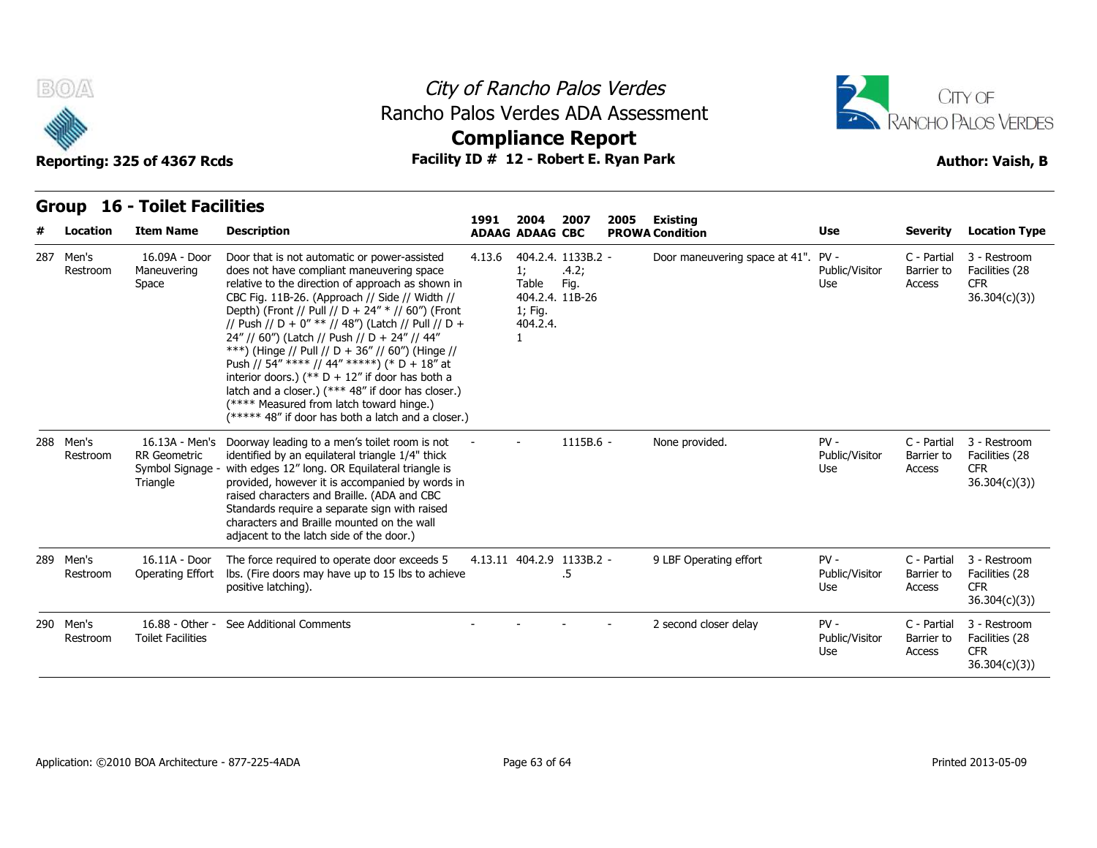



### **Group 16 - Toilet Facilities**

| B(0)                  | Reporting: 325 of 4367 Rcds                                           |                                                                                                                                                                                                                                                                                                                                                                                                                                                                                                                                                                                                                                                                               | City of Rancho Palos Verdes<br>Rancho Palos Verdes ADA Assessment<br><b>Compliance Report</b><br>Facility ID # 12 - Robert E. Ryan Park |                                                    |                                                        |      |                                     |                                 |                                     |                                                              |  |  |  |  |
|-----------------------|-----------------------------------------------------------------------|-------------------------------------------------------------------------------------------------------------------------------------------------------------------------------------------------------------------------------------------------------------------------------------------------------------------------------------------------------------------------------------------------------------------------------------------------------------------------------------------------------------------------------------------------------------------------------------------------------------------------------------------------------------------------------|-----------------------------------------------------------------------------------------------------------------------------------------|----------------------------------------------------|--------------------------------------------------------|------|-------------------------------------|---------------------------------|-------------------------------------|--------------------------------------------------------------|--|--|--|--|
| Location              | <b>Group 16 - Toilet Facilities</b><br><b>Item Name</b>               | <b>Description</b>                                                                                                                                                                                                                                                                                                                                                                                                                                                                                                                                                                                                                                                            | 1991                                                                                                                                    | 2004<br><b>ADAAG ADAAG CBC</b>                     | 2007                                                   | 2005 | Existing<br><b>PROWA Condition</b>  | Use                             | <b>Severity</b>                     | <b>Location Type</b>                                         |  |  |  |  |
| 287 Men's<br>Restroom | 16.09A - Door<br>Maneuvering<br>Space                                 | Door that is not automatic or power-assisted<br>does not have compliant maneuvering space<br>relative to the direction of approach as shown in<br>CBC Fig. 11B-26. (Approach // Side // Width //<br>Depth) (Front // Pull // D + 24" * // 60") (Front<br>// Push // D + 0" ** // 48") (Latch // Pull // D +<br>24" // 60") (Latch // Push // D + 24" // 44"<br>***) (Hinge // Pull // D + 36" // 60") (Hinge //<br>Push // 54" **** // 44" *****) (* D + 18" at<br>interior doors.) (** $D + 12$ " if door has both a<br>latch and a closer.) (*** 48" if door has closer.)<br>(**** Measured from latch toward hinge.)<br>(***** 48" if door has both a latch and a closer.) | 4.13.6                                                                                                                                  | 1;<br>Table<br>1; Fig.<br>404.2.4.<br>$\mathbf{1}$ | 404.2.4. 1133B.2 -<br>.4.2;<br>Fig.<br>404.2.4. 11B-26 |      | Door maneuvering space at 41". PV - | Public/Visitor<br>Use           | C - Partial<br>Barrier to<br>Access | 3 - Restroom<br>Facilities (28<br><b>CFR</b><br>36.304(c)(3) |  |  |  |  |
| 288 Men's<br>Restroom | 16.13A - Men's<br><b>RR</b> Geometric<br>Symbol Signage -<br>Triangle | Doorway leading to a men's toilet room is not<br>identified by an equilateral triangle 1/4" thick<br>with edges 12" long. OR Equilateral triangle is<br>provided, however it is accompanied by words in<br>raised characters and Braille. (ADA and CBC<br>Standards require a separate sign with raised<br>characters and Braille mounted on the wall<br>adjacent to the latch side of the door.)                                                                                                                                                                                                                                                                             |                                                                                                                                         |                                                    | 1115B.6 -                                              |      | None provided.                      | $PV -$<br>Public/Visitor<br>Use | C - Partial<br>Barrier to<br>Access | 3 - Restroom<br>Facilities (28<br><b>CFR</b><br>36.304(c)(3) |  |  |  |  |
| 289 Men's<br>Restroom | 16.11A - Door<br>Operating Effort                                     | The force required to operate door exceeds 5<br>lbs. (Fire doors may have up to 15 lbs to achieve<br>positive latching).                                                                                                                                                                                                                                                                                                                                                                                                                                                                                                                                                      |                                                                                                                                         |                                                    | 4.13.11 404.2.9 1133B.2 -<br>.5                        |      | 9 LBF Operating effort              | $PV -$<br>Public/Visitor<br>Use | C - Partial<br>Barrier to<br>Access | 3 - Restroom<br>Facilities (28<br>CFR.<br>36.304(c)(3)       |  |  |  |  |
| 290 Men's<br>Restroom | 16.88 - Other -<br><b>Toilet Facilities</b>                           | See Additional Comments                                                                                                                                                                                                                                                                                                                                                                                                                                                                                                                                                                                                                                                       |                                                                                                                                         |                                                    |                                                        |      | 2 second closer delay               | $PV -$<br>Public/Visitor<br>Use | C - Partial<br>Barrier to<br>Access | 3 - Restroom<br>Facilities (28<br><b>CFR</b><br>36.304(c)(3) |  |  |  |  |